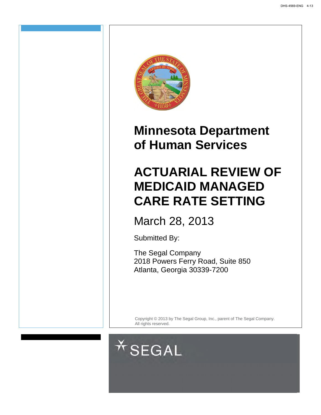

# **Minnesota Department of Human Services**

# **ACTUARIAL REVIEW OF MEDICAID MANAGED CARE RATE SETTING**

March 28, 2013

Submitted By:

The Segal Company 2018 Powers Ferry Road, Suite 850 Atlanta, Georgia 30339-7200

Copyright © 2013 by The Segal Group, Inc., parent of The Segal Company. All rights reserved.

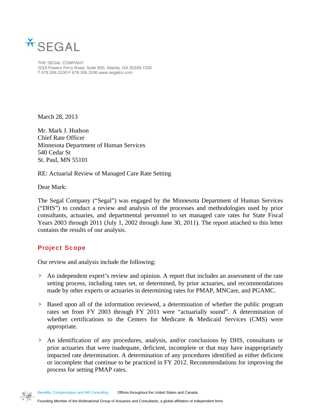

THE SEGAL COMPANY 2018 Powers Ferry Road, Suite 850, Atlanta, GA 30339-7200 T 678.306.3100 F 678.306.3190 www.segalco.com

March 28, 2013

Mr. Mark J. Hudson Chief Rate Officer Minnesota Department of Human Services 540 Cedar St St. Paul, MN 55101

RE: Actuarial Review of Managed Care Rate Setting

Dear Mark:

The Segal Company ("Segal") was engaged by the Minnesota Department of Human Services ("DHS") to conduct a review and analysis of the processes and methodologies used by prior consultants, actuaries, and departmental personnel to set managed care rates for State Fiscal Years 2003 through 2011 (July 1, 2002 through June 30, 2011). The report attached to this letter contains the results of our analysis.

## Project Scope

Our review and analysis include the following:

- An independent expert's review and opinion. A report that includes an assessment of the rate setting process, including rates set, or determined, by prior actuaries, and recommendations made by other experts or actuaries in determining rates for PMAP, MNCare, and PGAMC.
- Based upon all of the information reviewed, a determination of whether the public program rates set from FY 2003 through FY 2011 were "actuarially sound". A determination of whether certifications to the Centers for Medicare & Medicaid Services (CMS) were appropriate.
- An identification of any procedures, analysis, and/or conclusions by DHS, consultants or prior actuaries that were inadequate, deficient, incomplete or that may have inappropriately impacted rate determination. A determination of any procedures identified as either deficient or incomplete that continue to be practiced in FY 2012. Recommendations for improving the process for setting PMAP rates.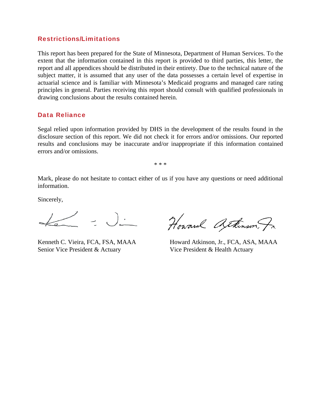#### Restrictions/Limitations

This report has been prepared for the State of Minnesota, Department of Human Services. To the extent that the information contained in this report is provided to third parties, this letter, the report and all appendices should be distributed in their entirety. Due to the technical nature of the subject matter, it is assumed that any user of the data possesses a certain level of expertise in actuarial science and is familiar with Minnesota's Medicaid programs and managed care rating principles in general. Parties receiving this report should consult with qualified professionals in drawing conclusions about the results contained herein.

#### Data Reliance

Segal relied upon information provided by DHS in the development of the results found in the disclosure section of this report. We did not check it for errors and/or omissions. Our reported results and conclusions may be inaccurate and/or inappropriate if this information contained errors and/or omissions.

\* \* \*

Mark, please do not hesitate to contact either of us if you have any questions or need additional information.

Sincerely,

 $\left($   $\right)$   $\cdot$ 

Senior Vice President & Actuary Vice President & Health Actuary

Kenneth C. Vieira, FCA, FSA, MAAA Howard Atkinson, Jr., FCA, ASA, MAAA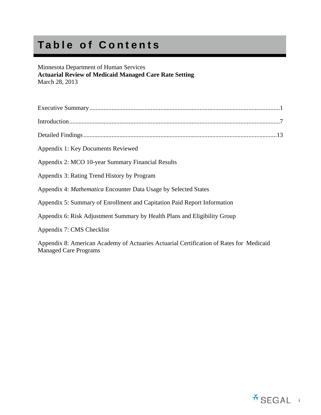# **Table of Contents**

## Minnesota Department of Human Services

**Actuarial Review of Medicaid Managed Care Rate Setting**  March 28, 2013

| Appendix 1: Key Documents Reviewed                                                                                      |
|-------------------------------------------------------------------------------------------------------------------------|
| Appendix 2: MCO 10-year Summary Financial Results                                                                       |
| Appendix 3: Rating Trend History by Program                                                                             |
| Appendix 4: Mathematica Encounter Data Usage by Selected States                                                         |
| Appendix 5: Summary of Enrollment and Capitation Paid Report Information                                                |
| Appendix 6: Risk Adjustment Summary by Health Plans and Eligibility Group                                               |
| Appendix 7: CMS Checklist                                                                                               |
| Appendix 8: American Academy of Actuaries Actuarial Certification of Rates for Medicaid<br><b>Managed Care Programs</b> |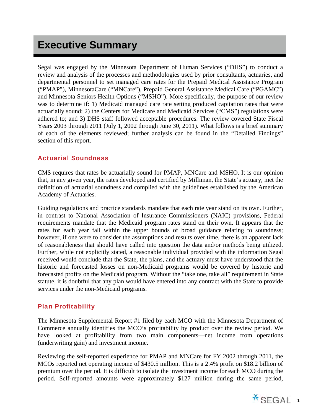## **Executive Summary**

Segal was engaged by the Minnesota Department of Human Services ("DHS") to conduct a review and analysis of the processes and methodologies used by prior consultants, actuaries, and departmental personnel to set managed care rates for the Prepaid Medical Assistance Program ("PMAP"), MinnesotaCare ("MNCare"), Prepaid General Assistance Medical Care ("PGAMC") and Minnesota Seniors Health Options ("MSHO"). More specifically, the purpose of our review was to determine if: 1) Medicaid managed care rate setting produced capitation rates that were actuarially sound; 2) the Centers for Medicare and Medicaid Services ("CMS") regulations were adhered to; and 3) DHS staff followed acceptable procedures. The review covered State Fiscal Years 2003 through 2011 (July 1, 2002 through June 30, 2011). What follows is a brief summary of each of the elements reviewed; further analysis can be found in the "Detailed Findings" section of this report.

## Actuarial Soundness

CMS requires that rates be actuarially sound for PMAP, MNCare and MSHO. It is our opinion that, in any given year, the rates developed and certified by Milliman, the State's actuary, met the definition of actuarial soundness and complied with the guidelines established by the American Academy of Actuaries.

Guiding regulations and practice standards mandate that each rate year stand on its own. Further, in contrast to National Association of Insurance Commissioners (NAIC) provisions, Federal requirements mandate that the Medicaid program rates stand on their own. It appears that the rates for each year fall within the upper bounds of broad guidance relating to soundness; however, if one were to consider the assumptions and results over time, there is an apparent lack of reasonableness that should have called into question the data and/or methods being utilized. Further, while not explicitly stated, a reasonable individual provided with the information Segal received would conclude that the State, the plans, and the actuary must have understood that the historic and forecasted losses on non-Medicaid programs would be covered by historic and forecasted profits on the Medicaid program. Without the "take one, take all" requirement in State statute, it is doubtful that any plan would have entered into any contract with the State to provide services under the non-Medicaid programs.

## Plan Profitability

The Minnesota Supplemental Report #1 filed by each MCO with the Minnesota Department of Commerce annually identifies the MCO's profitability by product over the review period. We have looked at profitability from two main components—net income from operations (underwriting gain) and investment income.

Reviewing the self-reported experience for PMAP and MNCare for FY 2002 through 2011, the MCOs reported net operating income of \$430.5 million. This is a 2.4% profit on \$18.2 billion of premium over the period. It is difficult to isolate the investment income for each MCO during the period. Self-reported amounts were approximately \$127 million during the same period,

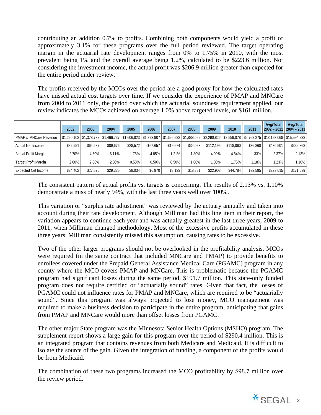contributing an addition 0.7% to profits. Combining both components would yield a profit of approximately 3.1% for these programs over the full period reviewed. The target operating margin in the actuarial rate development ranges from 0% to 1.75% in 2010, with the most prevalent being 1% and the overall average being 1.2%, calculated to be \$223.6 million. Not considering the investment income, the actual profit was \$206.9 million greater than expected for the entire period under review.

The profits received by the MCOs over the period are a good proxy for how the calculated rates have missed actual cost targets over time. If we consider the experience of PMAP and MNCare from 2004 to 2011 only, the period over which the actuarial soundness requirement applied, our review indicates the MCOs achieved on average 1.0% above targeted levels, or \$161 million.

|                            |          |          |          |          |              |              |          |           |           |          | Avg/Total                                                                                                                                                     | Avg/Total     |
|----------------------------|----------|----------|----------|----------|--------------|--------------|----------|-----------|-----------|----------|---------------------------------------------------------------------------------------------------------------------------------------------------------------|---------------|
|                            | 2002     | 2003     | 2004     | 2005     | 2006         | 2007         | 2008     | 2009      | 2010      | 2011     | $2002 - 201$                                                                                                                                                  | $2004 - 2011$ |
| PMAP & MNCare Revenue      |          |          |          |          |              |              |          |           |           |          | $$1,220,103$ $$1,378,732$ $$1,466,737$ $$1,606,823$ $$1,393,907$ $$1,626,532$ $$1,888,059$ $$2,290,822$ $$2,559,078$ $$2,762,275$ $$18,193,068$ $$15,594,233$ |               |
| Actual Net Income          | \$32.951 | \$64.687 | \$89.676 | \$28,572 | $-$ \$67.657 | $-$ \$19.674 | \$34,023 | \$112.195 | \$118,860 | \$36.868 | \$430.501                                                                                                                                                     | \$332,863     |
| Actual Profit Margin       | 2.70%    | 4.69%    | 6.11%    | .78%     | $-4.85%$     | $-1.21%$     | 1.80%    | 4.90%     | 4.64%     | 1.33%    | 2.37%                                                                                                                                                         | 2.13%         |
| Target Profit Margin       | 2.00%    | 2.00%    | 2.00%    | 0.50%    | 0.50%        | 0.50%        | 1.00%    | $1.00\%$  | .75%      | 1.18%    | 1.23%                                                                                                                                                         | 1.10%         |
| <b>Expected Net Income</b> | \$24,402 | \$27.575 | \$29.335 | \$8.034  | \$6.970      | \$8,133      | \$18,881 | \$22,908  | \$44,784  | \$32.595 | \$223,615                                                                                                                                                     | \$171.639     |

The consistent pattern of actual profits vs. targets is concerning. The results of 2.13% vs. 1.10% demonstrate a miss of nearly 94%, with the last three years well over 100%.

This variation or "surplus rate adjustment" was reviewed by the actuary annually and taken into account during their rate development. Although Milliman had this line item in their report, the variation appears to continue each year and was actually greatest in the last three years, 2009 to 2011, when Milliman changed methodology. Most of the excessive profits accumulated in these three years. Milliman consistently missed this assumption, causing rates to be excessive.

Two of the other larger programs should not be overlooked in the profitability analysis. MCOs were required (in the same contract that included MNCare and PMAP) to provide benefits to enrollees covered under the Prepaid General Assistance Medical Care (PGAMC) program in any county where the MCO covers PMAP and MNCare. This is problematic because the PGAMC program had significant losses during the same period, \$191.7 million. This state-only funded program does not require certified or "actuarially sound" rates. Given that fact, the losses of PGAMC could not influence rates for PMAP and MNCare, which are required to be "actuarially sound". Since this program was always projected to lose money, MCO management was required to make a business decision to participate in the entire program, anticipating that gains from PMAP and MNCare would more than offset losses from PGAMC.

The other major State program was the Minnesota Senior Health Options (MSHO) program. The supplement report shows a large gain for this program over the period of \$290.4 million. This is an integrated program that contains revenues from both Medicare and Medicaid. It is difficult to isolate the source of the gain. Given the integration of funding, a component of the profits would be from Medicaid.

The combination of these two programs increased the MCO profitability by \$98.7 million over the review period.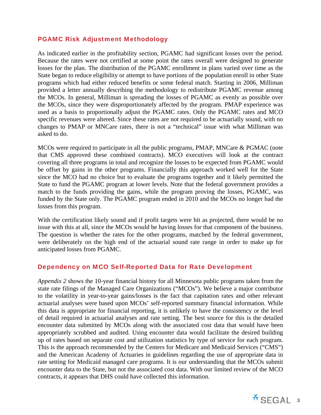## PGAMC Risk Adjustment Methodology

As indicated earlier in the profitability section, PGAMC had significant losses over the period. Because the rates were not certified at some point the rates overall were designed to generate losses for the plan. The distribution of the PGAMC enrollment in plans varied over time as the State began to reduce eligibility or attempt to have portions of the population enroll in other State programs which had either reduced benefits or some federal match. Starting in 2006, Milliman provided a letter annually describing the methodology to redistribute PGAMC revenue among the MCOs. In general, Milliman is spreading the losses of PGAMC as evenly as possible over the MCOs, since they were disproportionately affected by the program. PMAP experience was used as a basis to proportionally adjust the PGAMC rates. Only the PGAMC rates and MCO specific revenues were altered. Since these rates are not required to be actuarially sound, with no changes to PMAP or MNCare rates, there is not a "technical" issue with what Milliman was asked to do.

MCOs were required to participate in all the public programs, PMAP, MNCare & PGMAC (note that CMS approved these combined contracts). MCO executives will look at the contract covering all three programs in total and recognize the losses to be expected from PGAMC would be offset by gains in the other programs. Financially this approach worked well for the State since the MCO had no choice but to evaluate the programs together and it likely permitted the State to fund the PGAMC program at lower levels. Note that the federal government provides a match to the funds providing the gains, while the program proving the losses, PGAMC, was funded by the State only. The PGAMC program ended in 2010 and the MCOs no longer had the losses from this program.

With the certification likely sound and if profit targets were hit as projected, there would be no issue with this at all, since the MCOs would be having losses for that component of the business. The question is whether the rates for the other programs, matched by the federal government, were deliberately on the high end of the actuarial sound rate range in order to make up for anticipated losses from PGAMC.

#### Dependency on MCO Self-Reported Data for Rate Development

*Appendix 2* shows the 10-year financial history for all Minnesota public programs taken from the state rate filings of the Managed Care Organizations ("MCOs"). We believe a major contributor to the volatility in year-to-year gains/losses is the fact that capitation rates and other relevant actuarial analyses were based upon MCOs' self-reported summary financial information. While this data is appropriate for financial reporting, it is unlikely to have the consistency or the level of detail required in actuarial analyses and rate setting. The best source for this is the detailed encounter data submitted by MCOs along with the associated cost data that would have been appropriately scrubbed and audited. Using encounter data would facilitate the desired building up of rates based on separate cost and utilization statistics by type of service for each program. This is the approach recommended by the Centers for Medicare and Medicaid Services ("CMS") and the American Academy of Actuaries in guidelines regarding the use of appropriate data in rate setting for Medicaid managed care programs. It is our understanding that the MCOs submit encounter data to the State, but not the associated cost data. With our limited review of the MCO contracts, it appears that DHS could have collected this information.

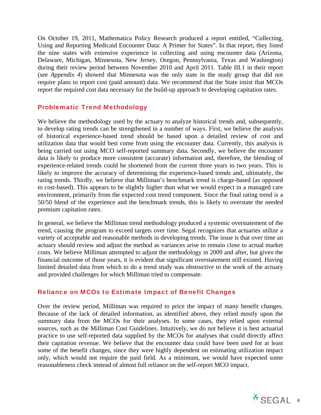On October 19, 2011, Mathematica Policy Research produced a report entitled, "Collecting, Using and Reporting Medicaid Encounter Data: A Primer for States". In that report, they listed the nine states with extensive experience in collecting and using encounter data (Arizona, Delaware, Michigan, Minnesota, New Jersey, Oregon, Pennsylvania, Texas and Washington) during their review period between November 2010 and April 2011. Table III.1 in their report (see *Appendix 4*) showed that Minnesota was the only state in the study group that did not require plans to report cost (paid amount) data. We recommend that the State insist that MCOs report the required cost data necessary for the build-up approach to developing capitation rates.

## Problematic Trend Methodology

We believe the methodology used by the actuary to analyze historical trends and, subsequently, to develop rating trends can be strengthened in a number of ways. First, we believe the analysis of historical experience-based trend should be based upon a detailed review of cost and utilization data that would best come from using the encounter data. Currently, this analysis is being carried out using MCO self-reported summary data. Secondly, we believe the encounter data is likely to produce more consistent (accurate) information and, therefore, the blending of experience-related trends could be shortened from the current three years to two years. This is likely to improve the accuracy of determining the experience-based trends and, ultimately, the rating trends. Thirdly, we believe that Milliman's benchmark trend is charge-based (as opposed to cost-based). This appears to be slightly higher than what we would expect in a managed care environment, primarily from the expected cost trend component. Since the final rating trend is a 50/50 blend of the experience and the benchmark trends, this is likely to overstate the needed premium capitation rates.

In general, we believe the Milliman trend methodology produced a systemic overstatement of the trend, causing the program to exceed targets over time. Segal recognizes that actuaries utilize a variety of acceptable and reasonable methods in developing trends. The issue is that over time an actuary should review and adjust the method as variances arise to remain close to actual market costs. We believe Milliman attempted to adjust the methodology in 2009 and after, but given the financial outcome of those years, it is evident that significant overstatement still existed. Having limited detailed data from which to do a trend study was obstructive to the work of the actuary and provided challenges for which Milliman tried to compensate.

## Reliance on MCOs to Estimate Impact of Benefit Changes

Over the review period, Milliman was required to price the impact of many benefit changes. Because of the lack of detailed information, as identified above, they relied mostly upon the summary data from the MCOs for their analyses. In some cases, they relied upon external sources, such as the Milliman Cost Guidelines. Intuitively, we do not believe it is best actuarial practice to use self-reported data supplied by the MCOs for analyses that could directly affect their capitation revenue. We believe that the encounter data could have been used for at least some of the benefit changes, since they were highly dependent on estimating utilization impact only, which would not require the paid field. As a minimum, we would have expected some reasonableness check instead of almost full reliance on the self-report MCO impact.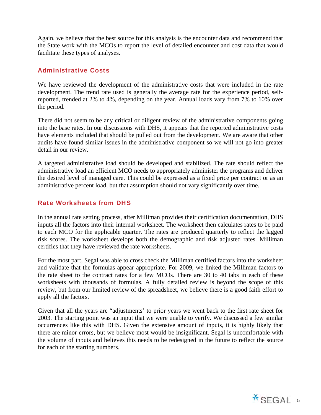Again, we believe that the best source for this analysis is the encounter data and recommend that the State work with the MCOs to report the level of detailed encounter and cost data that would facilitate these types of analyses.

## Administrative Costs

We have reviewed the development of the administrative costs that were included in the rate development. The trend rate used is generally the average rate for the experience period, selfreported, trended at 2% to 4%, depending on the year. Annual loads vary from 7% to 10% over the period.

There did not seem to be any critical or diligent review of the administrative components going into the base rates. In our discussions with DHS, it appears that the reported administrative costs have elements included that should be pulled out from the development. We are aware that other audits have found similar issues in the administrative component so we will not go into greater detail in our review.

A targeted administrative load should be developed and stabilized. The rate should reflect the administrative load an efficient MCO needs to appropriately administer the programs and deliver the desired level of managed care. This could be expressed as a fixed price per contract or as an administrative percent load, but that assumption should not vary significantly over time.

## Rate Worksheets from DHS

In the annual rate setting process, after Milliman provides their certification documentation, DHS inputs all the factors into their internal worksheet. The worksheet then calculates rates to be paid to each MCO for the applicable quarter. The rates are produced quarterly to reflect the lagged risk scores. The worksheet develops both the demographic and risk adjusted rates. Milliman certifies that they have reviewed the rate worksheets.

For the most part, Segal was able to cross check the Milliman certified factors into the worksheet and validate that the formulas appear appropriate. For 2009, we linked the Milliman factors to the rate sheet to the contract rates for a few MCOs. There are 30 to 40 tabs in each of these worksheets with thousands of formulas. A fully detailed review is beyond the scope of this review, but from our limited review of the spreadsheet, we believe there is a good faith effort to apply all the factors.

Given that all the years are "adjustments' to prior years we went back to the first rate sheet for 2003. The starting point was an input that we were unable to verify. We discussed a few similar occurrences like this with DHS. Given the extensive amount of inputs, it is highly likely that there are minor errors, but we believe most would be insignificant. Segal is uncomfortable with the volume of inputs and believes this needs to be redesigned in the future to reflect the source for each of the starting numbers.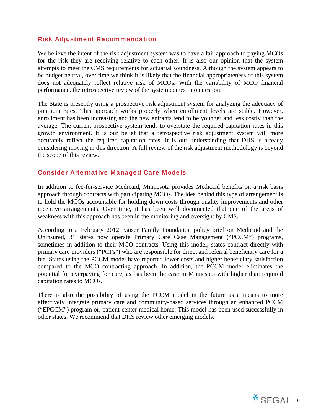## Risk Adjustment Recommendation

We believe the intent of the risk adjustment system was to have a fair approach to paying MCOs for the risk they are receiving relative to each other. It is also our opinion that the system attempts to meet the CMS requirements for actuarial soundness. Although the system appears to be budget neutral, over time we think it is likely that the financial appropriateness of this system does not adequately reflect relative risk of MCOs. With the variability of MCO financial performance, the retrospective review of the system comes into question.

The State is presently using a prospective risk adjustment system for analyzing the adequacy of premium rates. This approach works properly when enrollment levels are stable. However, enrollment has been increasing and the new entrants tend to be younger and less costly than the average. The current prospective system tends to overstate the required capitation rates in this growth environment. It is our belief that a retrospective risk adjustment system will more accurately reflect the required capitation rates. It is our understanding that DHS is already considering moving in this direction. A full review of the risk adjustment methodology is beyond the scope of this review.

## Consider Alternative Managed Care Models

In addition to fee-for-service Medicaid, Minnesota provides Medicaid benefits on a risk basis approach through contracts with participating MCOs. The idea behind this type of arrangement is to hold the MCOs accountable for holding down costs through quality improvements and other incentive arrangements. Over time, it has been well documented that one of the areas of weakness with this approach has been in the monitoring and oversight by CMS.

According to a February 2012 Kaiser Family Foundation policy brief on Medicaid and the Uninsured, 31 states now operate Primary Care Case Management ("PCCM") programs, sometimes in addition to their MCO contracts. Using this model, states contract directly with primary care providers ("PCPs") who are responsible for direct and referral beneficiary care for a fee. States using the PCCM model have reported lower costs and higher beneficiary satisfaction compared to the MCO contracting approach. In addition, the PCCM model eliminates the potential for overpaying for care, as has been the case in Minnesota with higher than required capitation rates to MCOs.

There is also the possibility of using the PCCM model in the future as a means to more effectively integrate primary care and community-based services through an enhanced PCCM ("EPCCM") program or, patient-center medical home. This model has been used successfully in other states. We recommend that DHS review other emerging models.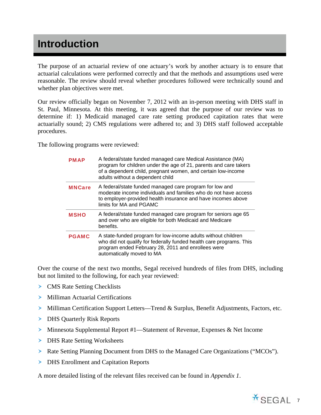## **Introduction**

The purpose of an actuarial review of one actuary's work by another actuary is to ensure that actuarial calculations were performed correctly and that the methods and assumptions used were reasonable. The review should reveal whether procedures followed were technically sound and whether plan objectives were met.

Our review officially began on November 7, 2012 with an in-person meeting with DHS staff in St. Paul, Minnesota. At this meeting, it was agreed that the purpose of our review was to determine if: 1) Medicaid managed care rate setting produced capitation rates that were actuarially sound; 2) CMS regulations were adhered to; and 3) DHS staff followed acceptable procedures.

The following programs were reviewed:

| PMAP          | A federal/state funded managed care Medical Assistance (MA)<br>program for children under the age of 21, parents and care takers<br>of a dependent child, pregnant women, and certain low-income<br>adults without a dependent child |
|---------------|--------------------------------------------------------------------------------------------------------------------------------------------------------------------------------------------------------------------------------------|
| <b>MNCare</b> | A federal/state funded managed care program for low and<br>moderate income individuals and families who do not have access<br>to employer-provided health insurance and have incomes above<br>limits for MA and PGAMC                |
| <b>MSHO</b>   | A federal/state funded managed care program for seniors age 65<br>and over who are eligible for both Medicaid and Medicare<br>benefits.                                                                                              |
| <b>PGAMC</b>  | A state-funded program for low-income adults without children<br>who did not qualify for federally funded health care programs. This<br>program ended February 28, 2011 and enrollees were<br>automatically moved to MA              |

Over the course of the next two months, Segal received hundreds of files from DHS, including but not limited to the following, for each year reviewed:

- **EXECUTE:** CMS Rate Setting Checklists
- Milliman Actuarial Certifications
- Milliman Certification Support Letters—Trend & Surplus, Benefit Adjustments, Factors, etc.
- **DHS Quarterly Risk Reports**
- Minnesota Supplemental Report #1—Statement of Revenue, Expenses & Net Income
- > DHS Rate Setting Worksheets
- Rate Setting Planning Document from DHS to the Managed Care Organizations ("MCOs").
- DHS Enrollment and Capitation Reports

A more detailed listing of the relevant files received can be found in *Appendix 1*.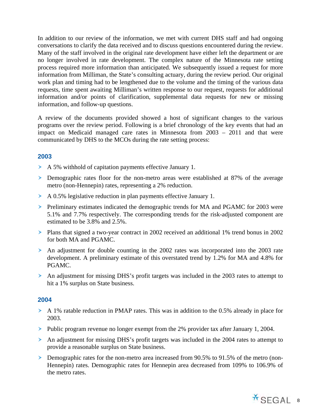In addition to our review of the information, we met with current DHS staff and had ongoing conversations to clarify the data received and to discuss questions encountered during the review. Many of the staff involved in the original rate development have either left the department or are no longer involved in rate development. The complex nature of the Minnesota rate setting process required more information than anticipated. We subsequently issued a request for more information from Milliman, the State's consulting actuary, during the review period. Our original work plan and timing had to be lengthened due to the volume and the timing of the various data requests, time spent awaiting Milliman's written response to our request, requests for additional information and/or points of clarification, supplemental data requests for new or missing information, and follow-up questions.

A review of the documents provided showed a host of significant changes to the various programs over the review period. Following is a brief chronology of the key events that had an impact on Medicaid managed care rates in Minnesota from 2003 – 2011 and that were communicated by DHS to the MCOs during the rate setting process:

## **2003**

- A 5% withhold of capitation payments effective January 1.
- Demographic rates floor for the non-metro areas were established at 87% of the average metro (non-Hennepin) rates, representing a 2% reduction.
- A 0.5% legislative reduction in plan payments effective January 1.
- Preliminary estimates indicated the demographic trends for MA and PGAMC for 2003 were 5.1% and 7.7% respectively. The corresponding trends for the risk-adjusted component are estimated to be 3.8% and 2.5%.
- Plans that signed a two-year contract in 2002 received an additional 1% trend bonus in 2002 for both MA and PGAMC.
- An adjustment for double counting in the 2002 rates was incorporated into the 2003 rate development. A preliminary estimate of this overstated trend by 1.2% for MA and 4.8% for PGAMC.
- An adjustment for missing DHS's profit targets was included in the 2003 rates to attempt to hit a 1% surplus on State business.

#### **2004**

- A 1% ratable reduction in PMAP rates. This was in addition to the 0.5% already in place for 2003.
- Public program revenue no longer exempt from the 2% provider tax after January 1, 2004.
- An adjustment for missing DHS's profit targets was included in the 2004 rates to attempt to provide a reasonable surplus on State business.
- Demographic rates for the non-metro area increased from 90.5% to 91.5% of the metro (non-Hennepin) rates. Demographic rates for Hennepin area decreased from 109% to 106.9% of the metro rates.

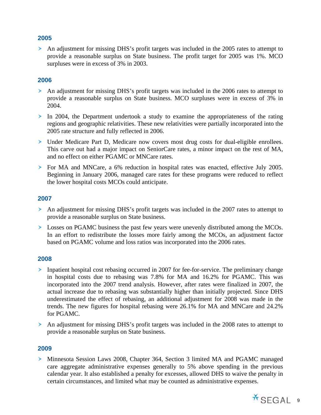## **2005**

 An adjustment for missing DHS's profit targets was included in the 2005 rates to attempt to provide a reasonable surplus on State business. The profit target for 2005 was 1%. MCO surpluses were in excess of 3% in 2003.

## **2006**

- An adjustment for missing DHS's profit targets was included in the 2006 rates to attempt to provide a reasonable surplus on State business. MCO surpluses were in excess of 3% in 2004.
- $\triangleright$  In 2004, the Department undertook a study to examine the appropriateness of the rating regions and geographic relativities. These new relativities were partially incorporated into the 2005 rate structure and fully reflected in 2006.
- Under Medicare Part D, Medicare now covers most drug costs for dual-eligible enrollees. This carve out had a major impact on SeniorCare rates, a minor impact on the rest of MA, and no effect on either PGAMC or MNCare rates.
- For MA and MNCare, a 6% reduction in hospital rates was enacted, effective July 2005. Beginning in January 2006, managed care rates for these programs were reduced to reflect the lower hospital costs MCOs could anticipate.

## **2007**

- An adjustment for missing DHS's profit targets was included in the 2007 rates to attempt to provide a reasonable surplus on State business.
- Losses on PGAMC business the past few years were unevenly distributed among the MCOs. In an effort to redistribute the losses more fairly among the MCOs, an adjustment factor based on PGAMC volume and loss ratios was incorporated into the 2006 rates.

#### **2008**

- Inpatient hospital cost rebasing occurred in 2007 for fee-for-service. The preliminary change in hospital costs due to rebasing was 7.8% for MA and 16.2% for PGAMC. This was incorporated into the 2007 trend analysis. However, after rates were finalized in 2007, the actual increase due to rebasing was substantially higher than initially projected. Since DHS underestimated the effect of rebasing, an additional adjustment for 2008 was made in the trends. The new figures for hospital rebasing were 26.1% for MA and MNCare and 24.2% for PGAMC.
- An adjustment for missing DHS's profit targets was included in the 2008 rates to attempt to provide a reasonable surplus on State business.

## **2009**

 Minnesota Session Laws 2008, Chapter 364, Section 3 limited MA and PGAMC managed care aggregate administrative expenses generally to 5% above spending in the previous calendar year. It also established a penalty for excesses, allowed DHS to waive the penalty in certain circumstances, and limited what may be counted as administrative expenses.

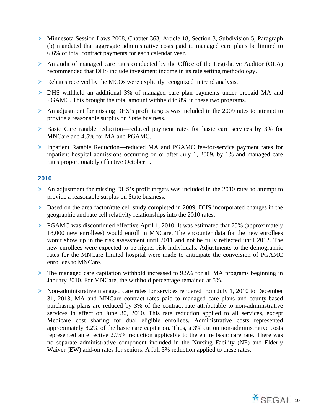- Minnesota Session Laws 2008, Chapter 363, Article 18, Section 3, Subdivision 5, Paragraph (b) mandated that aggregate administrative costs paid to managed care plans be limited to 6.6% of total contract payments for each calendar year.
- An audit of managed care rates conducted by the Office of the Legislative Auditor (OLA) recommended that DHS include investment income in its rate setting methodology.
- Rebates received by the MCOs were explicitly recognized in trend analysis.
- DHS withheld an additional 3% of managed care plan payments under prepaid MA and PGAMC. This brought the total amount withheld to 8% in these two programs.
- An adjustment for missing DHS's profit targets was included in the 2009 rates to attempt to provide a reasonable surplus on State business.
- Basic Care ratable reduction—reduced payment rates for basic care services by 3% for MNCare and 4.5% for MA and PGAMC.
- Inpatient Ratable Reduction—reduced MA and PGAMC fee-for-service payment rates for inpatient hospital admissions occurring on or after July 1, 2009, by 1% and managed care rates proportionately effective October 1.

## **2010**

- An adjustment for missing DHS's profit targets was included in the 2010 rates to attempt to provide a reasonable surplus on State business.
- Based on the area factor/rate cell study completed in 2009, DHS incorporated changes in the geographic and rate cell relativity relationships into the 2010 rates.
- PGAMC was discontinued effective April 1, 2010. It was estimated that 75% (approximately 18,000 new enrollees) would enroll in MNCare. The encounter data for the new enrollees won't show up in the risk assessment until 2011 and not be fully reflected until 2012. The new enrollees were expected to be higher-risk individuals. Adjustments to the demographic rates for the MNCare limited hospital were made to anticipate the conversion of PGAMC enrollees to MNCare.
- The managed care capitation withhold increased to 9.5% for all MA programs beginning in January 2010. For MNCare, the withhold percentage remained at 5%.
- Non-administrative managed care rates for services rendered from July 1, 2010 to December 31, 2013, MA and MNCare contract rates paid to managed care plans and county-based purchasing plans are reduced by 3% of the contract rate attributable to non-administrative services in effect on June 30, 2010. This rate reduction applied to all services, except Medicare cost sharing for dual eligible enrollees. Administrative costs represented approximately 8.2% of the basic care capitation. Thus, a 3% cut on non-administrative costs represented an effective 2.75% reduction applicable to the entire basic care rate. There was no separate administrative component included in the Nursing Facility (NF) and Elderly Waiver (EW) add-on rates for seniors. A full 3% reduction applied to these rates.

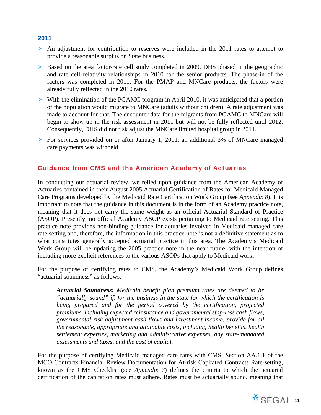#### **2011**

- An adjustment for contribution to reserves were included in the 2011 rates to attempt to provide a reasonable surplus on State business.
- Based on the area factor/rate cell study completed in 2009, DHS phased in the geographic and rate cell relativity relationships in 2010 for the senior products. The phase-in of the factors was completed in 2011. For the PMAP and MNCare products, the factors were already fully reflected in the 2010 rates.
- With the elimination of the PGAMC program in April 2010, it was anticipated that a portion of the population would migrate to MNCare (adults without children). A rate adjustment was made to account for that. The encounter data for the migrants from PGAMC to MNCare will begin to show up in the risk assessment in 2011 but will not be fully reflected until 2012. Consequently, DHS did not risk adjust the MNCare limited hospital group in 2011.
- For services provided on or after January 1, 2011, an additional 3% of MNCare managed care payments was withheld.

## Guidance from CMS and the American Academy of Actuaries

In conducting our actuarial review, we relied upon guidance from the American Academy of Actuaries contained in their August 2005 Actuarial Certification of Rates for Medicaid Managed Care Programs developed by the Medicaid Rate Certification Work Group (see *Appendix 8*). It is important to note that the guidance in this document is in the form of an Academy practice note, meaning that it does not carry the same weight as an official Actuarial Standard of Practice (ASOP). Presently, no official Academy ASOP exists pertaining to Medicaid rate setting. This practice note provides non-binding guidance for actuaries involved in Medicaid managed care rate setting and, therefore, the information in this practice note is not a definitive statement as to what constitutes generally accepted actuarial practice in this area. The Academy's Medicaid Work Group will be updating the 2005 practice note in the near future, with the intention of including more explicit references to the various ASOPs that apply to Medicaid work.

For the purpose of certifying rates to CMS, the Academy's Medicaid Work Group defines "actuarial soundness" as follows:

*Actuarial Soundness: Medicaid benefit plan premium rates are deemed to be "actuarially sound" if, for the business in the state for which the certification is being prepared and for the period covered by the certification, projected premiums, including expected reinsurance and governmental stop-loss cash flows, governmental risk adjustment cash flows and investment income, provide for all the reasonable, appropriate and attainable costs, including health benefits, health settlement expenses, marketing and administrative expenses, any state-mandated assessments and taxes, and the cost of capital.* 

For the purpose of certifying Medicaid managed care rates with CMS, Section AA.1.1 of the MCO Contracts Financial Review Documentation for At-risk Capitated Contracts Rate-setting, known as the CMS Checklist (see *Appendix 7*) defines the criteria to which the actuarial certification of the capitation rates must adhere. Rates must be actuarially sound, meaning that

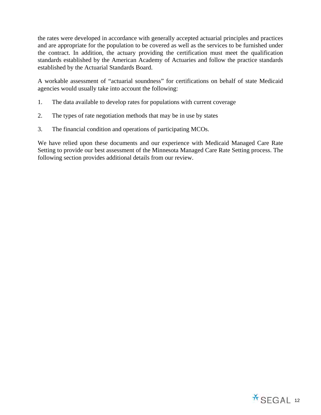the rates were developed in accordance with generally accepted actuarial principles and practices and are appropriate for the population to be covered as well as the services to be furnished under the contract. In addition, the actuary providing the certification must meet the qualification standards established by the American Academy of Actuaries and follow the practice standards established by the Actuarial Standards Board.

A workable assessment of "actuarial soundness" for certifications on behalf of state Medicaid agencies would usually take into account the following:

- 1. The data available to develop rates for populations with current coverage
- 2. The types of rate negotiation methods that may be in use by states
- 3. The financial condition and operations of participating MCOs.

We have relied upon these documents and our experience with Medicaid Managed Care Rate Setting to provide our best assessment of the Minnesota Managed Care Rate Setting process. The following section provides additional details from our review.

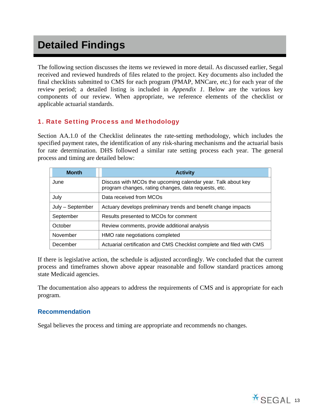## **Detailed Findings**

The following section discusses the items we reviewed in more detail. As discussed earlier, Segal received and reviewed hundreds of files related to the project. Key documents also included the final checklists submitted to CMS for each program (PMAP, MNCare, etc.) for each year of the review period; a detailed listing is included in *Appendix 1*. Below are the various key components of our review. When appropriate, we reference elements of the checklist or applicable actuarial standards.

## 1. Rate Setting Process and Methodology

Section AA.1.0 of the Checklist delineates the rate-setting methodology, which includes the specified payment rates, the identification of any risk-sharing mechanisms and the actuarial basis for rate determination. DHS followed a similar rate setting process each year. The general process and timing are detailed below:

| <b>Month</b>     | <b>Activity</b>                                                                                                      |
|------------------|----------------------------------------------------------------------------------------------------------------------|
| June             | Discuss with MCOs the upcoming calendar year. Talk about key<br>program changes, rating changes, data requests, etc. |
| July             | Data received from MCOs                                                                                              |
| July - September | Actuary develops preliminary trends and benefit change impacts                                                       |
| September        | Results presented to MCOs for comment                                                                                |
| October          | Review comments, provide additional analysis                                                                         |
| November         | HMO rate negotiations completed                                                                                      |
| December         | Actuarial certification and CMS Checklist complete and filed with CMS                                                |

If there is legislative action, the schedule is adjusted accordingly. We concluded that the current process and timeframes shown above appear reasonable and follow standard practices among state Medicaid agencies.

The documentation also appears to address the requirements of CMS and is appropriate for each program.

#### **Recommendation**

Segal believes the process and timing are appropriate and recommends no changes.

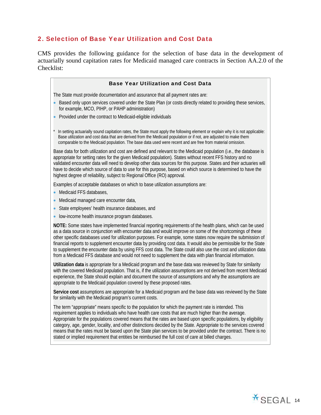## 2. Selection of Base Year Utilization and Cost Data

CMS provides the following guidance for the selection of base data in the development of actuarially sound capitation rates for Medicaid managed care contracts in Section AA.2.0 of the Checklist:

| <b>Base Year Utilization and Cost Data</b>                                                                                                                                                                                                                                                                                                                                                                                                                                                                                                                                                                                                                                                    |
|-----------------------------------------------------------------------------------------------------------------------------------------------------------------------------------------------------------------------------------------------------------------------------------------------------------------------------------------------------------------------------------------------------------------------------------------------------------------------------------------------------------------------------------------------------------------------------------------------------------------------------------------------------------------------------------------------|
| The State must provide documentation and assurance that all payment rates are:                                                                                                                                                                                                                                                                                                                                                                                                                                                                                                                                                                                                                |
| Based only upon services covered under the State Plan (or costs directly related to providing these services,<br>for example, MCO, PIHP, or PAHP administration)                                                                                                                                                                                                                                                                                                                                                                                                                                                                                                                              |
| Provided under the contract to Medicaid-eligible individuals                                                                                                                                                                                                                                                                                                                                                                                                                                                                                                                                                                                                                                  |
| In setting actuarially sound capitation rates, the State must apply the following element or explain why it is not applicable:<br>Base utilization and cost data that are derived from the Medicaid population or if not, are adjusted to make them<br>comparable to the Medicaid population. The base data used were recent and are free from material omission.                                                                                                                                                                                                                                                                                                                             |
| Base data for both utilization and cost are defined and relevant to the Medicaid population (i.e., the database is<br>appropriate for setting rates for the given Medicaid population). States without recent FFS history and no<br>validated encounter data will need to develop other data sources for this purpose. States and their actuaries will<br>have to decide which source of data to use for this purpose, based on which source is determined to have the<br>highest degree of reliability, subject to Regional Office (RO) approval.                                                                                                                                            |
| Examples of acceptable databases on which to base utilization assumptions are:                                                                                                                                                                                                                                                                                                                                                                                                                                                                                                                                                                                                                |
| Medicaid FFS databases,                                                                                                                                                                                                                                                                                                                                                                                                                                                                                                                                                                                                                                                                       |
| Medicaid managed care encounter data,<br>$\bullet$                                                                                                                                                                                                                                                                                                                                                                                                                                                                                                                                                                                                                                            |
| State employees' health insurance databases, and<br>$\bullet$                                                                                                                                                                                                                                                                                                                                                                                                                                                                                                                                                                                                                                 |
| low-income health insurance program databases.                                                                                                                                                                                                                                                                                                                                                                                                                                                                                                                                                                                                                                                |
| NOTE: Some states have implemented financial reporting requirements of the health plans, which can be used<br>as a data source in conjunction with encounter data and would improve on some of the shortcomings of these<br>other specific databases used for utilization purposes. For example, some states now require the submission of<br>financial reports to supplement encounter data by providing cost data. It would also be permissible for the State<br>to supplement the encounter data by using FFS cost data. The State could also use the cost and utilization data<br>from a Medicaid FFS database and would not need to supplement the data with plan financial information. |
| Utilization data is appropriate for a Medicaid program and the base data was reviewed by State for similarity<br>with the covered Medicaid population. That is, if the utilization assumptions are not derived from recent Medicaid<br>experience, the State should explain and document the source of assumptions and why the assumptions are<br>appropriate to the Medicaid population covered by these proposed rates.                                                                                                                                                                                                                                                                     |

**Service cost** assumptions are appropriate for a Medicaid program and the base data was reviewed by the State for similarity with the Medicaid program's current costs.

The term "appropriate" means specific to the population for which the payment rate is intended. This requirement applies to individuals who have health care costs that are much higher than the average. Appropriate for the populations covered means that the rates are based upon specific populations, by eligibility category, age, gender, locality, and other distinctions decided by the State. Appropriate to the services covered means that the rates must be based upon the State plan services to be provided under the contract. There is no stated or implied requirement that entities be reimbursed the full cost of care at billed charges.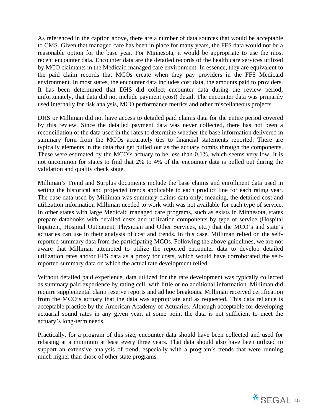As referenced in the caption above, there are a number of data sources that would be acceptable to CMS. Given that managed care has been in place for many years, the FFS data would not be a reasonable option for the base year. For Minnesota, it would be appropriate to use the most recent encounter data. Encounter data are the detailed records of the health care services utilized by MCO claimants in the Medicaid managed care environment. In essence, they are equivalent to the paid claim records that MCOs create when they pay providers in the FFS Medicaid environment. In most states, the encounter data includes cost data, the amounts paid to providers. It has been determined that DHS did collect encounter data during the review period; unfortunately, that data did not include payment (cost) detail. The encounter data was primarily used internally for risk analysis, MCO performance metrics and other miscellaneous projects.

DHS or Milliman did not have access to detailed paid claims data for the entire period covered by this review. Since the detailed payment data was never collected, there has not been a reconciliation of the data used in the rates to determine whether the base information delivered in summary form from the MCOs accurately ties to financial statements reported. There are typically elements in the data that get pulled out as the actuary combs through the components. These were estimated by the MCO's actuary to be less than 0.1%, which seems very low. It is not uncommon for states to find that 2% to 4% of the encounter data is pulled out during the validation and quality check stage.

Milliman's Trend and Surplus documents include the base claims and enrollment data used in setting the historical and projected trends applicable to each product line for each rating year. The base data used by Milliman was summary claims data only; meaning, the detailed cost and utilization information Milliman needed to work with was not available for each type of service. In other states with large Medicaid managed care programs, such as exists in Minnesota, states prepare databooks with detailed costs and utilization components by type of service (Hospital Inpatient, Hospital Outpatient, Physician and Other Services, etc.) that the MCO's and state's actuaries can use in their analysis of cost and trends. In this case, Milliman relied on the selfreported summary data from the participating MCOs. Following the above guidelines, we are not aware that Milliman attempted to utilize the reported encounter data to develop detailed utilization rates and/or FFS data as a proxy for costs, which would have corroborated the selfreported summary data on which the actual rate development relied.

Without detailed paid experience, data utilized for the rate development was typically collected as summary paid experience by rating cell, with little or no additional information. Milliman did require supplemental claim reserve reports and ad hoc breakouts. Milliman received certification from the MCO's actuary that the data was appropriate and as requested. This data reliance is acceptable practice by the American Academy of Actuaries. Although acceptable for developing actuarial sound rates in any given year, at some point the data is not sufficient to meet the actuary's long-term needs.

Practically, for a program of this size, encounter data should have been collected and used for rebasing at a minimum at least every three years. That data should also have been utilized to support an extensive analysis of trend, especially with a program's trends that were running much higher than those of other state programs.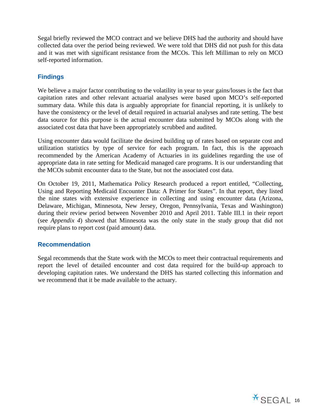Segal briefly reviewed the MCO contract and we believe DHS had the authority and should have collected data over the period being reviewed. We were told that DHS did not push for this data and it was met with significant resistance from the MCOs. This left Milliman to rely on MCO self-reported information.

## **Findings**

We believe a major factor contributing to the volatility in year to year gains/losses is the fact that capitation rates and other relevant actuarial analyses were based upon MCO's self-reported summary data. While this data is arguably appropriate for financial reporting, it is unlikely to have the consistency or the level of detail required in actuarial analyses and rate setting. The best data source for this purpose is the actual encounter data submitted by MCOs along with the associated cost data that have been appropriately scrubbed and audited.

Using encounter data would facilitate the desired building up of rates based on separate cost and utilization statistics by type of service for each program. In fact, this is the approach recommended by the American Academy of Actuaries in its guidelines regarding the use of appropriate data in rate setting for Medicaid managed care programs. It is our understanding that the MCOs submit encounter data to the State, but not the associated cost data.

On October 19, 2011, Mathematica Policy Research produced a report entitled, "Collecting, Using and Reporting Medicaid Encounter Data: A Primer for States". In that report, they listed the nine states with extensive experience in collecting and using encounter data (Arizona, Delaware, Michigan, Minnesota, New Jersey, Oregon, Pennsylvania, Texas and Washington) during their review period between November 2010 and April 2011. Table III.1 in their report (see *Appendix 4*) showed that Minnesota was the only state in the study group that did not require plans to report cost (paid amount) data.

## **Recommendation**

Segal recommends that the State work with the MCOs to meet their contractual requirements and report the level of detailed encounter and cost data required for the build-up approach to developing capitation rates. We understand the DHS has started collecting this information and we recommend that it be made available to the actuary.

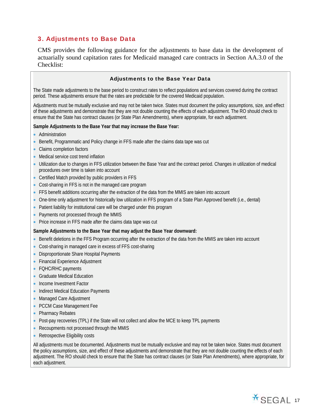## 3. Adjustments to Base Data

CMS provides the following guidance for the adjustments to base data in the development of actuarially sound capitation rates for Medicaid managed care contracts in Section AA.3.0 of the Checklist:

#### Adjustments to the Base Year Data

The State made adjustments to the base period to construct rates to reflect populations and services covered during the contract period. These adjustments ensure that the rates are predictable for the covered Medicaid population.

Adjustments must be mutually exclusive and may not be taken twice. States must document the policy assumptions, size, and effect of these adjustments and demonstrate that they are not double counting the effects of each adjustment. The RO should check to ensure that the State has contract clauses (or State Plan Amendments), where appropriate, for each adjustment.

#### **Sample Adjustments to the Base Year that may increase the Base Year:**

- Administration
- Benefit, Programmatic and Policy change in FFS made after the claims data tape was cut
- Claims completion factors
- Medical service cost trend inflation
- Utilization due to changes in FFS utilization between the Base Year and the contract period. Changes in utilization of medical procedures over time is taken into account
- Certified Match provided by public providers in FFS
- Cost-sharing in FFS is not in the managed care program
- FFS benefit additions occurring after the extraction of the data from the MMIS are taken into account
- One-time only adjustment for historically low utilization in FFS program of a State Plan Approved benefit (i.e., dental)
- Patient liability for institutional care will be charged under this program
- Payments not processed through the MMIS
- Price increase in FFS made after the claims data tape was cut

#### **Sample Adjustments to the Base Year that may adjust the Base Year downward:**

- Benefit deletions in the FFS Program occurring after the extraction of the data from the MMIS are taken into account
- Cost-sharing in managed care in excess of FFS cost-sharing
- **Disproportionate Share Hospital Payments**
- Financial Experience Adjustment
- FQHC/RHC payments
- **Graduate Medical Education**
- Income Investment Factor
- Indirect Medical Education Payments
- Managed Care Adjustment
- PCCM Case Management Fee
- Pharmacy Rebates
- Post-pay recoveries (TPL) if the State will not collect and allow the MCE to keep TPL payments
- Recoupments not processed through the MMIS
- Retrospective Eligibility costs

All adjustments must be documented. Adjustments must be mutually exclusive and may not be taken twice. States must document the policy assumptions, size, and effect of these adjustments and demonstrate that they are not double counting the effects of each adjustment. The RO should check to ensure that the State has contract clauses (or State Plan Amendments), where appropriate, for each adjustment.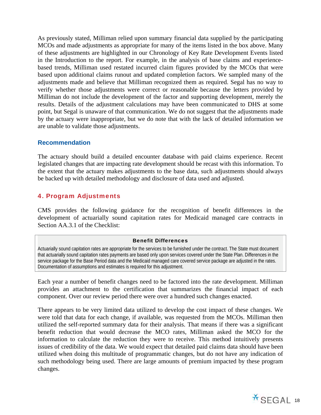As previously stated, Milliman relied upon summary financial data supplied by the participating MCOs and made adjustments as appropriate for many of the items listed in the box above. Many of these adjustments are highlighted in our Chronology of Key Rate Development Events listed in the Introduction to the report. For example, in the analysis of base claims and experiencebased trends, Milliman used restated incurred claim figures provided by the MCOs that were based upon additional claims runout and updated completion factors. We sampled many of the adjustments made and believe that Milliman recognized them as required. Segal has no way to verify whether those adjustments were correct or reasonable because the letters provided by Milliman do not include the development of the factor and supporting development, merely the results. Details of the adjustment calculations may have been communicated to DHS at some point, but Segal is unaware of that communication. We do not suggest that the adjustments made by the actuary were inappropriate, but we do note that with the lack of detailed information we are unable to validate those adjustments.

## **Recommendation**

The actuary should build a detailed encounter database with paid claims experience. Recent legislated changes that are impacting rate development should be recast with this information. To the extent that the actuary makes adjustments to the base data, such adjustments should always be backed up with detailed methodology and disclosure of data used and adjusted.

## 4. Program Adjustments

CMS provides the following guidance for the recognition of benefit differences in the development of actuarially sound capitation rates for Medicaid managed care contracts in Section AA.3.1 of the Checklist:

#### Benefit Differences

Actuarially sound capitation rates are appropriate for the services to be furnished under the contract. The State must document that actuarially sound capitation rates payments are based only upon services covered under the State Plan. Differences in the service package for the Base Period data and the Medicaid managed care covered service package are adjusted in the rates. Documentation of assumptions and estimates is required for this adjustment.

Each year a number of benefit changes need to be factored into the rate development. Milliman provides an attachment to the certification that summarizes the financial impact of each component. Over our review period there were over a hundred such changes enacted.

There appears to be very limited data utilized to develop the cost impact of these changes. We were told that data for each change, if available, was requested from the MCOs. Milliman then utilized the self-reported summary data for their analysis. That means if there was a significant benefit reduction that would decrease the MCO rates, Milliman asked the MCO for the information to calculate the reduction they were to receive. This method intuitively presents issues of credibility of the data. We would expect that detailed paid claims data should have been utilized when doing this multitude of programmatic changes, but do not have any indication of such methodology being used. There are large amounts of premium impacted by these program changes.

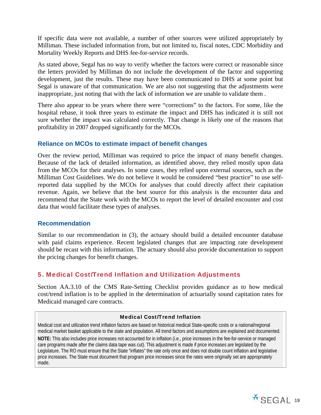If specific data were not available, a number of other sources were utilized appropriately by Milliman. These included information from, but not limited to, fiscal notes, CDC Morbidity and Mortality Weekly Reports and DHS fee-for-service records.

As stated above, Segal has no way to verify whether the factors were correct or reasonable since the letters provided by Milliman do not include the development of the factor and supporting development, just the results. These may have been communicated to DHS at some point but Segal is unaware of that communication. We are also not suggesting that the adjustments were inappropriate, just noting that with the lack of information we are unable to validate them .

There also appear to be years where there were "corrections" to the factors. For some, like the hospital rebase, it took three years to estimate the impact and DHS has indicated it is still not sure whether the impact was calculated correctly. That change is likely one of the reasons that profitability in 2007 dropped significantly for the MCOs.

## **Reliance on MCOs to estimate impact of benefit changes**

Over the review period, Milliman was required to price the impact of many benefit changes. Because of the lack of detailed information, as identified above, they relied mostly upon data from the MCOs for their analyses. In some cases, they relied upon external sources, such as the Milliman Cost Guidelines. We do not believe it would be considered "best practice" to use selfreported data supplied by the MCOs for analyses that could directly affect their capitation revenue. Again, we believe that the best source for this analysis is the encounter data and recommend that the State work with the MCOs to report the level of detailed encounter and cost data that would facilitate these types of analyses.

#### **Recommendation**

Similar to our recommendation in (3), the actuary should build a detailed encounter database with paid claims experience. Recent legislated changes that are impacting rate development should be recast with this information. The actuary should also provide documentation to support the pricing changes for benefit changes.

## 5. Medical Cost/Trend Inflation and Utilization Adjustments

Section AA.3.10 of the CMS Rate-Setting Checklist provides guidance as to how medical cost/trend inflation is to be applied in the determination of actuarially sound capitation rates for Medicaid managed care contracts.

#### Medical Cost/Trend Inflation

Medical cost and utilization trend inflation factors are based on historical medical State-specific costs or a national/regional medical market basket applicable to the state and population. All trend factors and assumptions are explained and documented.

**NOTE:** This also includes price increases not accounted for in inflation (i.e., price increases in the fee-for-service or managed care programs made after the claims data tape was cut). This adjustment is made if price increases are legislated by the Legislature. The RO must ensure that the State "inflates" the rate only once and does not double count inflation and legislative price increases. The State must document that program price increases since the rates were originally set are appropriately made.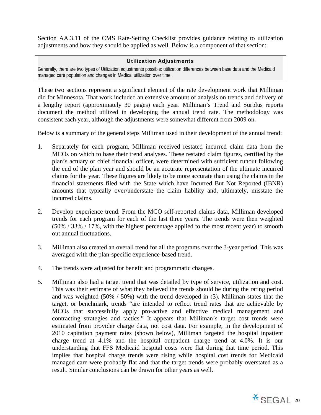Section AA.3.11 of the CMS Rate-Setting Checklist provides guidance relating to utilization adjustments and how they should be applied as well. Below is a component of that section:

#### Utilization Adjustments

Generally, there are two types of Utilization adjustments possible: utilization differences between base data and the Medicaid managed care population and changes in Medical utilization over time.

These two sections represent a significant element of the rate development work that Milliman did for Minnesota. That work included an extensive amount of analysis on trends and delivery of a lengthy report (approximately 30 pages) each year. Milliman's Trend and Surplus reports document the method utilized in developing the annual trend rate. The methodology was consistent each year, although the adjustments were somewhat different from 2009 on.

Below is a summary of the general steps Milliman used in their development of the annual trend:

- 1. Separately for each program, Milliman received restated incurred claim data from the MCOs on which to base their trend analyses. These restated claim figures, certified by the plan's actuary or chief financial officer, were determined with sufficient runout following the end of the plan year and should be an accurate representation of the ultimate incurred claims for the year. These figures are likely to be more accurate than using the claims in the financial statements filed with the State which have Incurred But Not Reported (IBNR) amounts that typically over/understate the claim liability and, ultimately, misstate the incurred claims.
- 2. Develop experience trend: From the MCO self-reported claims data, Milliman developed trends for each program for each of the last three years. The trends were then weighted (50% / 33% / 17%, with the highest percentage applied to the most recent year) to smooth out annual fluctuations.
- 3. Milliman also created an overall trend for all the programs over the 3-year period. This was averaged with the plan-specific experience-based trend.
- 4. The trends were adjusted for benefit and programmatic changes.
- 5. Milliman also had a target trend that was detailed by type of service, utilization and cost. This was their estimate of what they believed the trends should be during the rating period and was weighted (50% / 50%) with the trend developed in (3). Milliman states that the target, or benchmark, trends "are intended to reflect trend rates that are achievable by MCOs that successfully apply pro-active and effective medical management and contracting strategies and tactics." It appears that Milliman's target cost trends were estimated from provider charge data, not cost data. For example, in the development of 2010 capitation payment rates (shown below), Milliman targeted the hospital inpatient charge trend at 4.1% and the hospital outpatient charge trend at 4.0%. It is our understanding that FFS Medicaid hospital costs were flat during that time period. This implies that hospital charge trends were rising while hospital cost trends for Medicaid managed care were probably flat and that the target trends were probably overstated as a result. Similar conclusions can be drawn for other years as well.

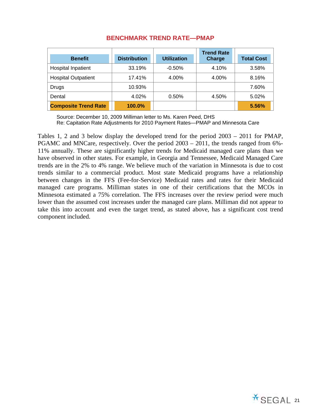|                             |                     |                    | <b>Trend Rate</b> |                   |
|-----------------------------|---------------------|--------------------|-------------------|-------------------|
| <b>Benefit</b>              | <b>Distribution</b> | <b>Utilization</b> | <b>Charge</b>     | <b>Total Cost</b> |
| <b>Hospital Inpatient</b>   | 33.19%              | $-0.50\%$          | 4.10%             | 3.58%             |
| <b>Hospital Outpatient</b>  | 17.41%              | 4.00%              | 4.00%             | 8.16%             |
| Drugs                       | 10.93%              |                    |                   | 7.60%             |
| Dental                      | 4.02%               | 0.50%              | 4.50%             | 5.02%             |
| <b>Composite Trend Rate</b> | 100.0%              |                    |                   | 5.56%             |

## **BENCHMARK TREND RATE—PMAP**

Source: December 10, 2009 Milliman letter to Ms. Karen Peed, DHS

Re: Capitation Rate Adjustments for 2010 Payment Rates—PMAP and Minnesota Care

Tables 1, 2 and 3 below display the developed trend for the period 2003 – 2011 for PMAP, PGAMC and MNCare, respectively. Over the period 2003 – 2011, the trends ranged from 6%- 11% annually. These are significantly higher trends for Medicaid managed care plans than we have observed in other states. For example, in Georgia and Tennessee, Medicaid Managed Care trends are in the 2% to 4% range. We believe much of the variation in Minnesota is due to cost trends similar to a commercial product. Most state Medicaid programs have a relationship between changes in the FFS (Fee-for-Service) Medicaid rates and rates for their Medicaid managed care programs. Milliman states in one of their certifications that the MCOs in Minnesota estimated a 75% correlation. The FFS increases over the review period were much lower than the assumed cost increases under the managed care plans. Milliman did not appear to take this into account and even the target trend, as stated above, has a significant cost trend component included.

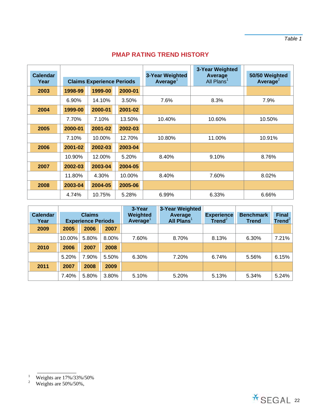## **PMAP RATING TREND HISTORY**

|                         |                                  |         |         | 3-Year Weighted                         |                                   |                                        |
|-------------------------|----------------------------------|---------|---------|-----------------------------------------|-----------------------------------|----------------------------------------|
| <b>Calendar</b><br>Year | <b>Claims Experience Periods</b> |         |         | 3-Year Weighted<br>Average <sup>1</sup> | Average<br>All Plans <sup>1</sup> | 50/50 Weighted<br>Average <sup>2</sup> |
| 2003                    | 1998-99                          | 1999-00 | 2000-01 |                                         |                                   |                                        |
|                         | 6.90%                            | 14.10%  | 3.50%   | 7.6%                                    | 8.3%                              | 7.9%                                   |
| 2004                    | 1999-00                          | 2000-01 | 2001-02 |                                         |                                   |                                        |
|                         | 7.70%                            | 7.10%   | 13.50%  | 10.40%                                  | 10.60%                            | 10.50%                                 |
| 2005                    | 2000-01                          | 2001-02 | 2002-03 |                                         |                                   |                                        |
|                         | 7.10%                            | 10.00%  | 12.70%  | 10.80%                                  | 11.00%                            | 10.91%                                 |
| 2006                    | 2001-02                          | 2002-03 | 2003-04 |                                         |                                   |                                        |
|                         | 10.90%                           | 12.00%  | 5.20%   | 8.40%                                   | 9.10%                             | 8.76%                                  |
| 2007                    | 2002-03                          | 2003-04 | 2004-05 |                                         |                                   |                                        |
|                         | 11.80%                           | 4.30%   | 10.00%  | 8.40%                                   | 7.60%                             | 8.02%                                  |
| 2008                    | 2003-04                          | 2004-05 | 2005-06 |                                         |                                   |                                        |
|                         | 4.74%                            | 10.75%  | 5.28%   | 6.99%                                   | 6.33%                             | 6.66%                                  |

| <b>Calendar</b> | <b>Claims</b>             |       | 3-Year<br>Weighted | 3-Year Weighted<br>Average | <b>Experience</b> | <b>Benchmark</b> | <b>Final</b> |            |
|-----------------|---------------------------|-------|--------------------|----------------------------|-------------------|------------------|--------------|------------|
| Year            | <b>Experience Periods</b> |       |                    | <b>Average</b>             | All Plans         | Trend $^2$       | <b>Trend</b> | Trend $^2$ |
| 2009            | 2005                      | 2006  | 2007               |                            |                   |                  |              |            |
|                 | 10.00%                    | 5.80% | 8.00%              | 7.60%                      | 8.70%             | 8.13%            | 6.30%        | 7.21%      |
| 2010            | 2006                      | 2007  | 2008               |                            |                   |                  |              |            |
|                 | 5.20%                     | 7.90% | 5.50%              | 6.30%                      | 7.20%             | 6.74%            | 5.56%        | 6.15%      |
| 2011            | 2007                      | 2008  | 2009               |                            |                   |                  |              |            |
|                 | 7.40%                     | 5.80% | 3.80%              | 5.10%                      | 5.20%             | 5.13%            | 5.34%        | 5.24%      |

 $1\,$ Weights are 17%/33%/50%<br>Weights are 50%/50%,

 $\overline{2}$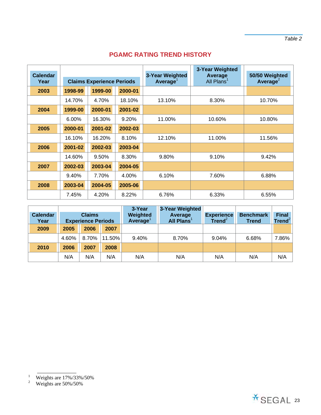## **PGAMC RATING TREND HISTORY**

|                         |                                  |         |         |                                                | 3-Year Weighted                   |                               |
|-------------------------|----------------------------------|---------|---------|------------------------------------------------|-----------------------------------|-------------------------------|
| <b>Calendar</b><br>Year | <b>Claims Experience Periods</b> |         |         | <b>3-Year Weighted</b><br>Average <sup>1</sup> | Average<br>All Plans <sup>1</sup> | 50/50 Weighted<br>Average $2$ |
| 2003                    | 1998-99                          | 1999-00 | 2000-01 |                                                |                                   |                               |
|                         | 14.70%                           | 4.70%   | 18.10%  | 13.10%                                         | 8.30%                             | 10.70%                        |
| 2004                    | 1999-00                          | 2000-01 | 2001-02 |                                                |                                   |                               |
|                         | 6.00%                            | 16.30%  | 9.20%   | 11.00%                                         | 10.60%                            | 10.80%                        |
| 2005                    | 2000-01                          | 2001-02 | 2002-03 |                                                |                                   |                               |
|                         | 16.10%                           | 16.20%  | 8.10%   | 12.10%                                         | 11.00%                            | 11.56%                        |
| 2006                    | 2001-02                          | 2002-03 | 2003-04 |                                                |                                   |                               |
|                         | 14.60%                           | 9.50%   | 8.30%   | 9.80%                                          | 9.10%                             | 9.42%                         |
| 2007                    | 2002-03                          | 2003-04 | 2004-05 |                                                |                                   |                               |
|                         | 9.40%                            | 7.70%   | 4.00%   | 6.10%                                          | 7.60%                             | 6.88%                         |
| 2008                    | 2003-04                          | 2004-05 | 2005-06 |                                                |                                   |                               |
|                         | 7.45%                            | 4.20%   | 8.22%   | 6.76%                                          | 6.33%                             | 6.55%                         |

|                         |                                            |       | 3-Year                           | 3-Year Weighted                   |                                         |                                  |                                    |       |
|-------------------------|--------------------------------------------|-------|----------------------------------|-----------------------------------|-----------------------------------------|----------------------------------|------------------------------------|-------|
| <b>Calendar</b><br>Year | <b>Claims</b><br><b>Experience Periods</b> |       | Weighted<br>Average <sup>1</sup> | Average<br>All Plans <sup>1</sup> | <b>Experience</b><br>Trend <sup>2</sup> | <b>Benchmark</b><br><b>Trend</b> | <b>Final</b><br>Trend <sup>2</sup> |       |
| 2009                    | 2005                                       | 2006  | 2007                             |                                   |                                         |                                  |                                    |       |
|                         | 4.60%                                      | 8.70% | 11.50%                           | 9.40%                             | 8.70%                                   | 9.04%                            | 6.68%                              | 7.86% |
| 2010                    | 2006                                       | 2007  | 2008                             |                                   |                                         |                                  |                                    |       |
|                         | N/A                                        | N/A   | N/A                              | N/A                               | N/A                                     | N/A                              | N/A                                | N/A   |



 $1\,$ Weights are 17%/33%/50%<br>Weights are 50%/50%

 $\overline{2}$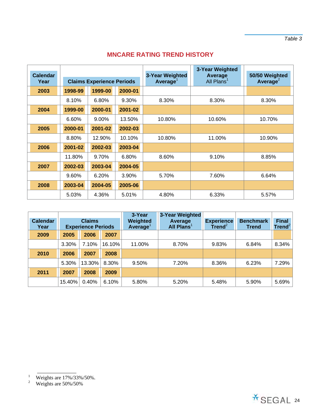## **MNCARE RATING TREND HISTORY**

|                         |                                  |          |         |                                                | 3-Year Weighted                   |                                        |
|-------------------------|----------------------------------|----------|---------|------------------------------------------------|-----------------------------------|----------------------------------------|
| <b>Calendar</b><br>Year | <b>Claims Experience Periods</b> |          |         | <b>3-Year Weighted</b><br>Average <sup>1</sup> | Average<br>All Plans <sup>1</sup> | 50/50 Weighted<br>Average <sup>2</sup> |
| 2003                    | 1998-99                          | 1999-00  | 2000-01 |                                                |                                   |                                        |
|                         | 8.10%                            | 6.80%    | 9.30%   | 8.30%                                          | 8.30%                             | 8.30%                                  |
| 2004                    | 1999-00                          | 2000-01  | 2001-02 |                                                |                                   |                                        |
|                         | 6.60%                            | $9.00\%$ | 13.50%  | 10.80%                                         | 10.60%                            | 10.70%                                 |
| 2005                    | 2000-01                          | 2001-02  | 2002-03 |                                                |                                   |                                        |
|                         | 8.80%                            | 12.90%   | 10.10%  | 10.80%                                         | 11.00%                            | 10.90%                                 |
| 2006                    | 2001-02                          | 2002-03  | 2003-04 |                                                |                                   |                                        |
|                         | 11.80%                           | 9.70%    | 6.80%   | 8.60%                                          | 9.10%                             | 8.85%                                  |
| 2007                    | 2002-03                          | 2003-04  | 2004-05 |                                                |                                   |                                        |
|                         | 9.60%                            | 6.20%    | 3.90%   | 5.70%                                          | 7.60%                             | 6.64%                                  |
| 2008                    | 2003-04                          | 2004-05  | 2005-06 |                                                |                                   |                                        |
|                         | 5.03%                            | 4.36%    | 5.01%   | 4.80%                                          | 6.33%                             | 5.57%                                  |

| <b>Calendar</b><br>Year | <b>Claims</b><br><b>Experience Periods</b> |        |        | 3-Year<br>Weighted<br>Average <sup>1</sup> | 3-Year Weighted<br><b>Average</b><br>All Plans | <b>Experience</b><br>Trend <sup>2</sup> | <b>Benchmark</b><br><b>Trend</b> | <b>Final</b><br>Trend $^2$ |
|-------------------------|--------------------------------------------|--------|--------|--------------------------------------------|------------------------------------------------|-----------------------------------------|----------------------------------|----------------------------|
| 2009                    | 2005                                       | 2006   | 2007   |                                            |                                                |                                         |                                  |                            |
|                         | 3.30%                                      | 7.10%  | 16.10% | 11.00%                                     | 8.70%                                          | 9.83%                                   | 6.84%                            | 8.34%                      |
| 2010                    | 2006                                       | 2007   | 2008   |                                            |                                                |                                         |                                  |                            |
|                         | 5.30%                                      | 13.30% | 8.30%  | 9.50%                                      | 7.20%                                          | 8.36%                                   | 6.23%                            | 7.29%                      |
| 2011                    | 2007                                       | 2008   | 2009   |                                            |                                                |                                         |                                  |                            |
|                         | 15.40%                                     | 0.40%  | 6.10%  | 5.80%                                      | 5.20%                                          | 5.48%                                   | 5.90%                            | 5.69%                      |



<sup>&</sup>lt;sup>1</sup> Weights are  $17\%/33\%/50\%$ .<br><sup>2</sup> Weights are 50%/50%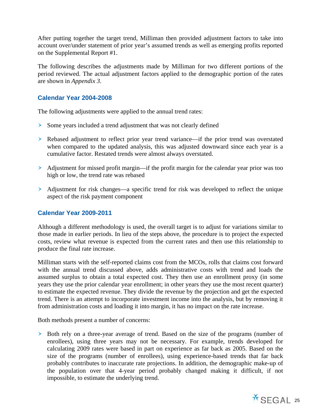After putting together the target trend, Milliman then provided adjustment factors to take into account over/under statement of prior year's assumed trends as well as emerging profits reported on the Supplemental Report #1.

The following describes the adjustments made by Milliman for two different portions of the period reviewed. The actual adjustment factors applied to the demographic portion of the rates are shown in *Appendix 3*.

## **Calendar Year 2004-2008**

The following adjustments were applied to the annual trend rates:

- Some years included a trend adjustment that was not clearly defined
- Rebased adjustment to reflect prior year trend variance—if the prior trend was overstated when compared to the updated analysis, this was adjusted downward since each year is a cumulative factor. Restated trends were almost always overstated.
- Adjustment for missed profit margin—if the profit margin for the calendar year prior was too high or low, the trend rate was rebased
- Adjustment for risk changes—a specific trend for risk was developed to reflect the unique aspect of the risk payment component

## **Calendar Year 2009-2011**

Although a different methodology is used, the overall target is to adjust for variations similar to those made in earlier periods. In lieu of the steps above, the procedure is to project the expected costs, review what revenue is expected from the current rates and then use this relationship to produce the final rate increase.

Milliman starts with the self-reported claims cost from the MCOs, rolls that claims cost forward with the annual trend discussed above, adds administrative costs with trend and loads the assumed surplus to obtain a total expected cost. They then use an enrollment proxy (in some years they use the prior calendar year enrollment; in other years they use the most recent quarter) to estimate the expected revenue. They divide the revenue by the projection and get the expected trend. There is an attempt to incorporate investment income into the analysis, but by removing it from administration costs and loading it into margin, it has no impact on the rate increase.

Both methods present a number of concerns:

 Both rely on a three-year average of trend. Based on the size of the programs (number of enrollees), using three years may not be necessary. For example, trends developed for calculating 2009 rates were based in part on experience as far back as 2005. Based on the size of the programs (number of enrollees), using experience-based trends that far back probably contributes to inaccurate rate projections. In addition, the demographic make-up of the population over that 4-year period probably changed making it difficult, if not impossible, to estimate the underlying trend.

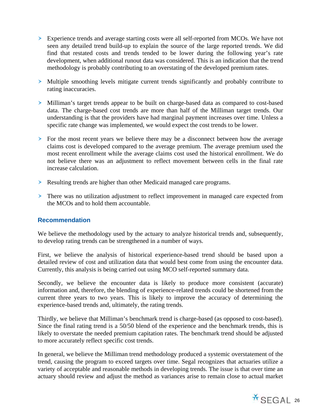- Experience trends and average starting costs were all self-reported from MCOs. We have not seen any detailed trend build-up to explain the source of the large reported trends. We did find that restated costs and trends tended to be lower during the following year's rate development, when additional runout data was considered. This is an indication that the trend methodology is probably contributing to an overstating of the developed premium rates.
- Multiple smoothing levels mitigate current trends significantly and probably contribute to rating inaccuracies.
- Milliman's target trends appear to be built on charge-based data as compared to cost-based data. The charge-based cost trends are more than half of the Milliman target trends. Our understanding is that the providers have had marginal payment increases over time. Unless a specific rate change was implemented, we would expect the cost trends to be lower.
- For the most recent years we believe there may be a disconnect between how the average claims cost is developed compared to the average premium. The average premium used the most recent enrollment while the average claims cost used the historical enrollment. We do not believe there was an adjustment to reflect movement between cells in the final rate increase calculation.
- Resulting trends are higher than other Medicaid managed care programs.
- There was no utilization adjustment to reflect improvement in managed care expected from the MCOs and to hold them accountable.

## **Recommendation**

We believe the methodology used by the actuary to analyze historical trends and, subsequently, to develop rating trends can be strengthened in a number of ways.

First, we believe the analysis of historical experience-based trend should be based upon a detailed review of cost and utilization data that would best come from using the encounter data. Currently, this analysis is being carried out using MCO self-reported summary data.

Secondly, we believe the encounter data is likely to produce more consistent (accurate) information and, therefore, the blending of experience-related trends could be shortened from the current three years to two years. This is likely to improve the accuracy of determining the experience-based trends and, ultimately, the rating trends.

Thirdly, we believe that Milliman's benchmark trend is charge-based (as opposed to cost-based). Since the final rating trend is a 50/50 blend of the experience and the benchmark trends, this is likely to overstate the needed premium capitation rates. The benchmark trend should be adjusted to more accurately reflect specific cost trends.

In general, we believe the Milliman trend methodology produced a systemic overstatement of the trend, causing the program to exceed targets over time. Segal recognizes that actuaries utilize a variety of acceptable and reasonable methods in developing trends. The issue is that over time an actuary should review and adjust the method as variances arise to remain close to actual market

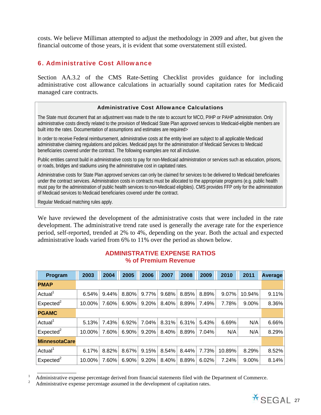costs. We believe Milliman attempted to adjust the methodology in 2009 and after, but given the financial outcome of those years, it is evident that some overstatement still existed.

## 6. Administrative Cost Allowance

Section AA.3.2 of the CMS Rate-Setting Checklist provides guidance for including administrative cost allowance calculations in actuarially sound capitation rates for Medicaid managed care contracts.

#### Administrative Cost Allowance Calculations

The State must document that an adjustment was made to the rate to account for MCO, PIHP or PAHP administration. Only administrative costs directly related to the provision of Medicaid State Plan approved services to Medicaid-eligible members are built into the rates. Documentation of assumptions and estimates are required>

In order to receive Federal reimbursement, administrative costs at the entity level are subject to all applicable Medicaid administrative claiming regulations and policies. Medicaid pays for the administration of Medicaid Services to Medicaid beneficiaries covered under the contract. The following examples are not all inclusive.

Public entities cannot build in administrative costs to pay for non-Medicaid administration or services such as education, prisons, or roads, bridges and stadiums using the administrative cost in capitated rates.

Administrative costs for State Plan approved services can only be claimed for services to be delivered to Medicaid beneficiaries under the contract services. Administration costs in contracts must be allocated to the appropriate programs (e.g. public health must pay for the administration of public health services to non-Medicaid eligibles). CMS provides FFP only for the administration of Medicaid services to Medicaid beneficiaries covered under the contract.

Regular Medicaid matching rules apply.

We have reviewed the development of the administrative costs that were included in the rate development. The administrative trend rate used is generally the average rate for the experience period, self-reported, trended at 2% to 4%, depending on the year. Both the actual and expected administrative loads varied from 6% to 11% over the period as shown below.

| Program               | 2003   | 2004  | 2005  | 2006  | 2007  | 2008  | 2009  | 2010   | 2011   | Average |
|-----------------------|--------|-------|-------|-------|-------|-------|-------|--------|--------|---------|
| <b>PMAP</b>           |        |       |       |       |       |       |       |        |        |         |
| Actual <sup>1</sup>   | 6.54%  | 9.44% | 8.80% | 9.77% | 9.68% | 8.85% | 8.89% | 9.07%  | 10.94% | 9.11%   |
| Expected <sup>2</sup> | 10.00% | 7.60% | 6.90% | 9.20% | 8.40% | 8.89% | 7.49% | 7.78%  | 9.00%  | 8.36%   |
| <b>PGAMC</b>          |        |       |       |       |       |       |       |        |        |         |
| Actual <sup>1</sup>   | 5.13%  | 7.43% | 6.92% | 7.04% | 8.31% | 6.31% | 5.43% | 6.69%  | N/A    | 6.66%   |
| Expected <sup>2</sup> | 10.00% | 7.60% | 6.90% | 9.20% | 8.40% | 8.89% | 7.04% | N/A    | N/A    | 8.29%   |
| <b>MinnesotaCare</b>  |        |       |       |       |       |       |       |        |        |         |
| Actual                | 6.17%  | 8.82% | 8.67% | 9.15% | 8.54% | 8.44% | 7.73% | 10.89% | 8.29%  | 8.52%   |
| Expected <sup>2</sup> | 10.00% | 7.60% | 6.90% | 9.20% | 8.40% | 8.89% | 6.02% | 7.24%  | 9.00%  | 8.14%   |

## **ADMINISTRATIVE EXPENSE RATIOS % of Premium Revenue**



<sup>&</sup>lt;sup>1</sup> Administrative expense percentage derived from financial statements filed with the Department of Commerce.<br><sup>2</sup> Administrative expense percentage assumed in the development of capitation rates.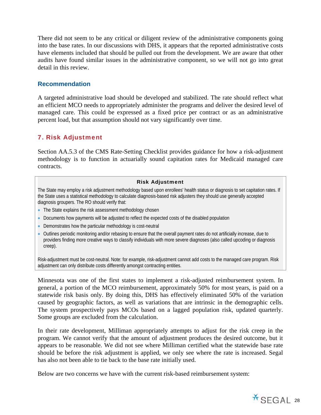There did not seem to be any critical or diligent review of the administrative components going into the base rates. In our discussions with DHS, it appears that the reported administrative costs have elements included that should be pulled out from the development. We are aware that other audits have found similar issues in the administrative component, so we will not go into great detail in this review.

## **Recommendation**

A targeted administrative load should be developed and stabilized. The rate should reflect what an efficient MCO needs to appropriately administer the programs and deliver the desired level of managed care. This could be expressed as a fixed price per contract or as an administrative percent load, but that assumption should not vary significantly over time.

## 7. Risk Adjustment

Section AA.5.3 of the CMS Rate-Setting Checklist provides guidance for how a risk-adjustment methodology is to function in actuarially sound capitation rates for Medicaid managed care contracts.

#### Risk Adjustment

The State may employ a risk adjustment methodology based upon enrollees' health status or diagnosis to set capitation rates. If the State uses a statistical methodology to calculate diagnosis-based risk adjusters they should use generally accepted diagnosis groupers. The RO should verify that:

- The State explains the risk assessment methodology chosen
- Documents how payments will be adjusted to reflect the expected costs of the disabled population
- Demonstrates how the particular methodology is cost-neutral
- Outlines periodic monitoring and/or rebasing to ensure that the overall payment rates do not artificially increase, due to providers finding more creative ways to classify individuals with more severe diagnoses (also called upcoding or diagnosis creep).

Risk-adjustment must be cost-neutral. Note: for example, risk-adjustment cannot add costs to the managed care program. Risk adjustment can only distribute costs differently amongst contracting entities.

Minnesota was one of the first states to implement a risk-adjusted reimbursement system. In general, a portion of the MCO reimbursement, approximately 50% for most years, is paid on a statewide risk basis only. By doing this, DHS has effectively eliminated 50% of the variation caused by geographic factors, as well as variations that are intrinsic in the demographic cells. The system prospectively pays MCOs based on a lagged population risk, updated quarterly. Some groups are excluded from the calculation.

In their rate development, Milliman appropriately attempts to adjust for the risk creep in the program. We cannot verify that the amount of adjustment produces the desired outcome, but it appears to be reasonable. We did not see where Milliman certified what the statewide base rate should be before the risk adjustment is applied, we only see where the rate is increased. Segal has also not been able to tie back to the base rate initially used.

Below are two concerns we have with the current risk-based reimbursement system:

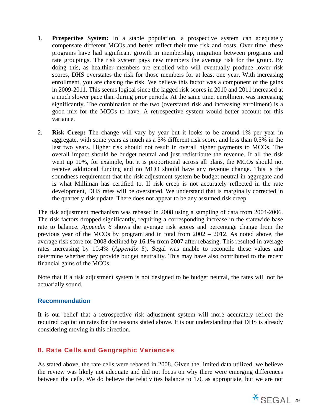- 1. **Prospective System:** In a stable population, a prospective system can adequately compensate different MCOs and better reflect their true risk and costs. Over time, these programs have had significant growth in membership, migration between programs and rate groupings. The risk system pays new members the average risk for the group. By doing this, as healthier members are enrolled who will eventually produce lower risk scores, DHS overstates the risk for those members for at least one year. With increasing enrollment, you are chasing the risk. We believe this factor was a component of the gains in 2009-2011. This seems logical since the lagged risk scores in 2010 and 2011 increased at a much slower pace than during prior periods. At the same time, enrollment was increasing significantly. The combination of the two (overstated risk and increasing enrollment) is a good mix for the MCOs to have. A retrospective system would better account for this variance.
- 2. **Risk Creep:** The change will vary by year but it looks to be around 1% per year in aggregate, with some years as much as a 5% different risk score, and less than 0.5% in the last two years. Higher risk should not result in overall higher payments to MCOs. The overall impact should be budget neutral and just redistribute the revenue. If all the risk went up 10%, for example, but it is proportional across all plans, the MCOs should not receive additional funding and no MCO should have any revenue change. This is the soundness requirement that the risk adjustment system be budget neutral in aggregate and is what Milliman has certified to. If risk creep is not accurately reflected in the rate development, DHS rates will be overstated. We understand that is marginally corrected in the quarterly risk update. There does not appear to be any assumed risk creep.

The risk adjustment mechanism was rebased in 2008 using a sampling of data from 2004-2006. The risk factors dropped significantly, requiring a corresponding increase in the statewide base rate to balance. *Appendix 6* shows the average risk scores and percentage change from the previous year of the MCOs by program and in total from 2002 – 2012. As noted above, the average risk score for 2008 declined by 16.1% from 2007 after rebasing. This resulted in average rates increasing by 10.4% (*Appendix 5*). Segal was unable to reconcile these values and determine whether they provide budget neutrality. This may have also contributed to the recent financial gains of the MCOs.

Note that if a risk adjustment system is not designed to be budget neutral, the rates will not be actuarially sound.

## **Recommendation**

It is our belief that a retrospective risk adjustment system will more accurately reflect the required capitation rates for the reasons stated above. It is our understanding that DHS is already considering moving in this direction.

## 8. Rate Cells and Geographic Variances

As stated above, the rate cells were rebased in 2008. Given the limited data utilized, we believe the review was likely not adequate and did not focus on why there were emerging differences between the cells. We do believe the relativities balance to 1.0, as appropriate, but we are not

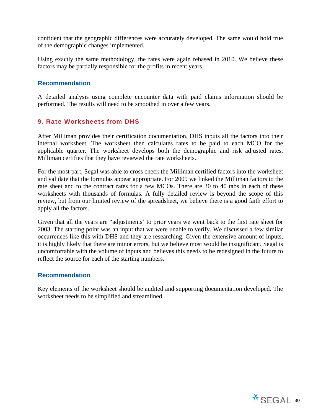confident that the geographic differences were accurately developed. The same would hold true of the demographic changes implemented.

Using exactly the same methodology, the rates were again rebased in 2010. We believe these factors may be partially responsible for the profits in recent years.

## **Recommendation**

A detailed analysis using complete encounter data with paid claims information should be performed. The results will need to be smoothed in over a few years.

## 9. Rate Worksheets from DHS

After Milliman provides their certification documentation, DHS inputs all the factors into their internal worksheet. The worksheet then calculates rates to be paid to each MCO for the applicable quarter. The worksheet develops both the demographic and risk adjusted rates. Milliman certifies that they have reviewed the rate worksheets.

For the most part, Segal was able to cross check the Milliman certified factors into the worksheet and validate that the formulas appear appropriate. For 2009 we linked the Milliman factors to the rate sheet and to the contract rates for a few MCOs. There are 30 to 40 tabs in each of these worksheets with thousands of formulas. A fully detailed review is beyond the scope of this review, but from our limited review of the spreadsheet, we believe there is a good faith effort to apply all the factors.

Given that all the years are "adjustments' to prior years we went back to the first rate sheet for 2003. The starting point was an input that we were unable to verify. We discussed a few similar occurrences like this with DHS and they are researching. Given the extensive amount of inputs, it is highly likely that there are minor errors, but we believe most would be insignificant. Segal is uncomfortable with the volume of inputs and believes this needs to be redesigned in the future to reflect the source for each of the starting numbers.

## **Recommendation**

Key elements of the worksheet should be audited and supporting documentation developed. The worksheet needs to be simplified and streamlined.

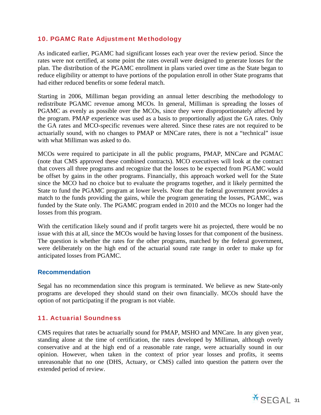## 10. PGAMC Rate Adjustment Methodology

As indicated earlier, PGAMC had significant losses each year over the review period. Since the rates were not certified, at some point the rates overall were designed to generate losses for the plan. The distribution of the PGAMC enrollment in plans varied over time as the State began to reduce eligibility or attempt to have portions of the population enroll in other State programs that had either reduced benefits or some federal match.

Starting in 2006, Milliman began providing an annual letter describing the methodology to redistribute PGAMC revenue among MCOs. In general, Milliman is spreading the losses of PGAMC as evenly as possible over the MCOs, since they were disproportionately affected by the program. PMAP experience was used as a basis to proportionally adjust the GA rates. Only the GA rates and MCO-specific revenues were altered. Since these rates are not required to be actuarially sound, with no changes to PMAP or MNCare rates, there is not a "technical" issue with what Milliman was asked to do.

MCOs were required to participate in all the public programs, PMAP, MNCare and PGMAC (note that CMS approved these combined contracts). MCO executives will look at the contract that covers all three programs and recognize that the losses to be expected from PGAMC would be offset by gains in the other programs. Financially, this approach worked well for the State since the MCO had no choice but to evaluate the programs together, and it likely permitted the State to fund the PGAMC program at lower levels. Note that the federal government provides a match to the funds providing the gains, while the program generating the losses, PGAMC, was funded by the State only. The PGAMC program ended in 2010 and the MCOs no longer had the losses from this program.

With the certification likely sound and if profit targets were hit as projected, there would be no issue with this at all, since the MCOs would be having losses for that component of the business. The question is whether the rates for the other programs, matched by the federal government, were deliberately on the high end of the actuarial sound rate range in order to make up for anticipated losses from PGAMC.

## **Recommendation**

Segal has no recommendation since this program is terminated. We believe as new State-only programs are developed they should stand on their own financially. MCOs should have the option of not participating if the program is not viable.

## 11. Actuarial Soundness

CMS requires that rates be actuarially sound for PMAP, MSHO and MNCare. In any given year, standing alone at the time of certification, the rates developed by Milliman, although overly conservative and at the high end of a reasonable rate range, were actuarially sound in our opinion. However, when taken in the context of prior year losses and profits, it seems unreasonable that no one (DHS, Actuary, or CMS) called into question the pattern over the extended period of review.

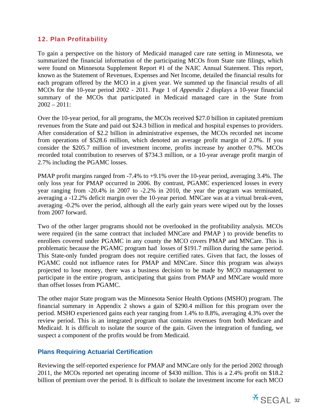## 12. Plan Profitability

To gain a perspective on the history of Medicaid managed care rate setting in Minnesota, we summarized the financial information of the participating MCOs from State rate filings, which were found on Minnesota Supplement Report #1 of the NAIC Annual Statement. This report, known as the Statement of Revenues, Expenses and Net Income, detailed the financial results for each program offered by the MCO in a given year. We summed up the financial results of all MCOs for the 10-year period 2002 - 2011. Page 1 of *Appendix 2* displays a 10-year financial summary of the MCOs that participated in Medicaid managed care in the State from  $2002 - 2011$ :

Over the 10-year period, for all programs, the MCOs received \$27.0 billion in capitated premium revenues from the State and paid out \$24.3 billion in medical and hospital expenses to providers. After consideration of \$2.2 billion in administrative expenses, the MCOs recorded net income from operations of \$528.6 million, which denoted an average profit margin of 2.0%. If you consider the \$205.7 million of investment income, profits increase by another 0.7%. MCOs recorded total contribution to reserves of \$734.3 million, or a 10-year average profit margin of 2.7% including the PGAMC losses.

PMAP profit margins ranged from -7.4% to +9.1% over the 10-year period, averaging 3.4%. The only loss year for PMAP occurred in 2006. By contrast, PGAMC experienced losses in every year ranging from -20.4% in 2007 to -2.2% in 2010, the year the program was terminated, averaging a -12.2% deficit margin over the 10-year period. MNCare was at a virtual break-even, averaging -0.2% over the period, although all the early gain years were wiped out by the losses from 2007 forward.

Two of the other larger programs should not be overlooked in the profitability analysis. MCOs were required (in the same contract that included MNCare and PMAP ) to provide benefits to enrollees covered under PGAMC in any county the MCO covers PMAP and MNCare. This is problematic because the PGAMC program had losses of \$191.7 million during the same period. This State-only funded program does not require certified rates. Given that fact, the losses of PGAMC could not influence rates for PMAP and MNCare. Since this program was always projected to lose money, there was a business decision to be made by MCO management to participate in the entire program, anticipating that gains from PMAP and MNCare would more than offset losses from PGAMC.

The other major State program was the Minnesota Senior Health Options (MSHO) program. The financial summary in Appendix 2 shows a gain of \$290.4 million for this program over the period. MSHO experienced gains each year ranging from 1.4% to 8.8%, averaging 4.3% over the review period. This is an integrated program that contains revenues from both Medicare and Medicaid. It is difficult to isolate the source of the gain. Given the integration of funding, we suspect a component of the profits would be from Medicaid.

## **Plans Requiring Actuarial Certification**

Reviewing the self-reported experience for PMAP and MNCare only for the period 2002 through 2011, the MCOs reported net operating income of \$430 million. This is a 2.4% profit on \$18.2 billion of premium over the period. It is difficult to isolate the investment income for each MCO

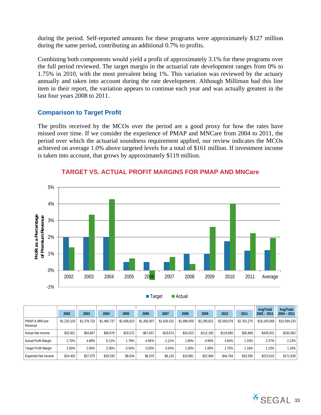during the period. Self-reported amounts for these programs were approximately \$127 million during the same period, contributing an additional 0.7% to profits.

Combining both components would yield a profit of approximately 3.1% for these programs over the full period reviewed. The target margin in the actuarial rate development ranges from 0% to 1.75% in 2010, with the most prevalent being 1%. This variation was reviewed by the actuary annually and taken into account during the rate development. Although Milliman had this line item in their report, the variation appears to continue each year and was actually greatest in the last four years 2008 to 2011.

# **Comparison to Target Profit**

The profits received by the MCOs over the period are a good proxy for how the rates have missed over time. If we consider the experience of PMAP and MNCare from 2004 to 2011, the period over which the actuarial soundness requirement applied, our review indicates the MCOs achieved on average 1.0% above targeted levels for a total of \$161 million. If investment income is taken into account, that grows by approximately \$119 million.



## **TARGET VS. ACTUAL PROFIT MARGINS FOR PMAP AND MNCare**

■ Target ■ Actual

|                             |             |             |             |             |             |             |             |             |             |             | Avg/Total     | Avg/Total     |
|-----------------------------|-------------|-------------|-------------|-------------|-------------|-------------|-------------|-------------|-------------|-------------|---------------|---------------|
|                             | 2002        | 2003        | 2004        | 2005        | 2006        | 2007        | 2008        | 2009        | 2010        | 2011        | $2002 - 2011$ | $2004 - 2011$ |
| PMAP & MNCare<br>Revenue    | \$1,220,103 | \$1,378,732 | \$1.466.737 | \$1,606,823 | \$1.393.907 | \$1,626,532 | \$1,888,059 | \$2.290.822 | \$2,559,078 | \$2.762.275 | \$18,193,068  | \$15,594,233  |
| Actual Net Income           | \$32.951    | \$64.687    | \$89.676    | \$28.572    | $-$67.657$  | -\$19.674   | \$34.023    | \$112.195   | \$118,860   | \$36.868    | \$430.501     | \$332,863     |
| Actual Profit Margin        | 2.70%       | 4.69%       | 6.11%       | .78%        | $-4.85%$    | $-1.21%$    | $.80\%$     | 4.90%       | 4.64%       | $1.33\%$    | 2.37%         | 2.13%         |
| <b>Target Profit Margin</b> | 2.00%       | 2.00%       | 2.00%       | 0.50%       | 0.50%       | 0.50%       | $.00\%$     | 1.00%       | 1.75%       | .18%        | .23%          | 1.10%         |
| <b>Expected Net Income</b>  | \$24,402    | \$27,575    | \$29.335    | \$8,034     | \$6,970     | \$8,133     | \$18.881    | \$22,908    | \$44.784    | \$32.595    | \$223,615     | \$171,639     |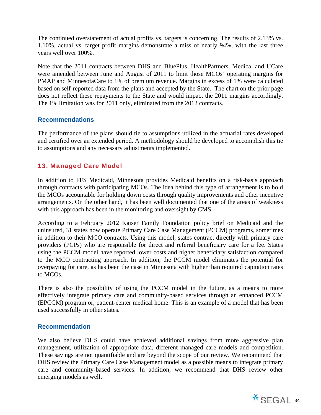The continued overstatement of actual profits vs. targets is concerning. The results of 2.13% vs. 1.10%, actual vs. target profit margins demonstrate a miss of nearly 94%, with the last three years well over 100%.

Note that the 2011 contracts between DHS and BluePlus, HealthPartners, Medica, and UCare were amended between June and August of 2011 to limit those MCOs' operating margins for PMAP and MinnesotaCare to 1% of premium revenue. Margins in excess of 1% were calculated based on self-reported data from the plans and accepted by the State. The chart on the prior page does not reflect these repayments to the State and would impact the 2011 margins accordingly. The 1% limitation was for 2011 only, eliminated from the 2012 contracts.

# **Recommendations**

The performance of the plans should tie to assumptions utilized in the actuarial rates developed and certified over an extended period. A methodology should be developed to accomplish this tie to assumptions and any necessary adjustments implemented.

# 13. Managed Care Model

In addition to FFS Medicaid, Minnesota provides Medicaid benefits on a risk-basis approach through contracts with participating MCOs. The idea behind this type of arrangement is to hold the MCOs accountable for holding down costs through quality improvements and other incentive arrangements. On the other hand, it has been well documented that one of the areas of weakness with this approach has been in the monitoring and oversight by CMS.

According to a February 2012 Kaiser Family Foundation policy brief on Medicaid and the uninsured, 31 states now operate Primary Care Case Management (PCCM) programs, sometimes in addition to their MCO contracts. Using this model, states contract directly with primary care providers (PCPs) who are responsible for direct and referral beneficiary care for a fee. States using the PCCM model have reported lower costs and higher beneficiary satisfaction compared to the MCO contracting approach. In addition, the PCCM model eliminates the potential for overpaying for care, as has been the case in Minnesota with higher than required capitation rates to MCOs.

There is also the possibility of using the PCCM model in the future, as a means to more effectively integrate primary care and community-based services through an enhanced PCCM (EPCCM) program or, patient-center medical home. This is an example of a model that has been used successfully in other states.

# **Recommendation**

We also believe DHS could have achieved additional savings from more aggressive plan management, utilization of appropriate data, different managed care models and competition. These savings are not quantifiable and are beyond the scope of our review. We recommend that DHS review the Primary Care Case Management model as a possible means to integrate primary care and community-based services. In addition, we recommend that DHS review other emerging models as well.

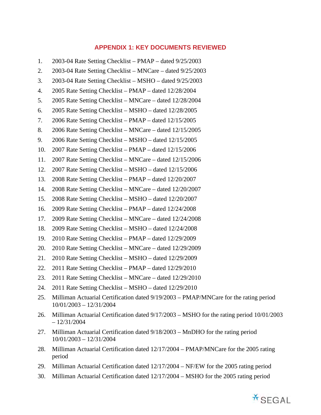### **APPENDIX 1: KEY DOCUMENTS REVIEWED**

2.  $2003-04$  Rate Setting Checklist – MNCare – dated  $9/25/2003$ 3. 2003-04 Rate Setting Checklist – MSHO – dated 9/25/2003 4. 2005 Rate Setting Checklist – PMAP – dated 12/28/2004 5. 2005 Rate Setting Checklist – MNCare – dated 12/28/2004 6. 2005 Rate Setting Checklist – MSHO – dated 12/28/2005 7. 2006 Rate Setting Checklist – PMAP – dated 12/15/2005 8. 2006 Rate Setting Checklist – MNCare – dated 12/15/2005 9. 2006 Rate Setting Checklist – MSHO – dated 12/15/2005 10. 2007 Rate Setting Checklist – PMAP – dated 12/15/2006 11. 2007 Rate Setting Checklist – MNCare – dated 12/15/2006 12. 2007 Rate Setting Checklist – MSHO – dated 12/15/2006 13. 2008 Rate Setting Checklist – PMAP – dated 12/20/2007 14. 2008 Rate Setting Checklist – MNCare – dated 12/20/2007 15. 2008 Rate Setting Checklist – MSHO – dated 12/20/2007 16. 2009 Rate Setting Checklist – PMAP – dated 12/24/2008 17. 2009 Rate Setting Checklist – MNCare – dated 12/24/2008 18. 2009 Rate Setting Checklist – MSHO – dated 12/24/2008 19. 2010 Rate Setting Checklist – PMAP – dated 12/29/2009

1.  $2003-04$  Rate Setting Checklist – PMAP – dated  $9/25/2003$ 

- 20. 2010 Rate Setting Checklist MNCare dated 12/29/2009
- 21. 2010 Rate Setting Checklist MSHO dated 12/29/2009
- 22. 2011 Rate Setting Checklist PMAP dated 12/29/2010
- 23. 2011 Rate Setting Checklist MNCare dated 12/29/2010
- 24. 2011 Rate Setting Checklist MSHO dated 12/29/2010
- 25. Milliman Actuarial Certification dated  $9/19/2003$  PMAP/MNCare for the rating period 10/01/2003 – 12/31/2004
- 26. Milliman Actuarial Certification dated 9/17/2003 MSHO for the rating period 10/01/2003  $-12/31/2004$
- 27. Milliman Actuarial Certification dated  $9/18/2003 MnDHO$  for the rating period 10/01/2003 – 12/31/2004
- 28. Milliman Actuarial Certification dated 12/17/2004 PMAP/MNCare for the 2005 rating period
- 29. Milliman Actuarial Certification dated  $12/17/2004 NF/EW$  for the 2005 rating period
- 30. Milliman Actuarial Certification dated 12/17/2004 MSHO for the 2005 rating period

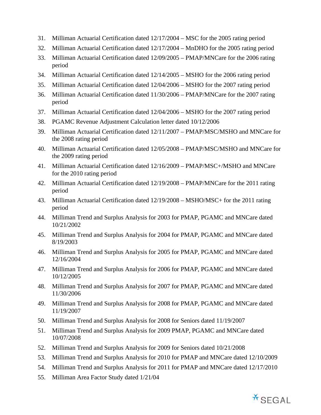- 31. Milliman Actuarial Certification dated  $12/17/2004 \text{MSC}$  for the 2005 rating period
- 32. Milliman Actuarial Certification dated  $12/17/2004 MnDHO$  for the 2005 rating period
- 33. Milliman Actuarial Certification dated 12/09/2005 PMAP/MNCare for the 2006 rating period
- 34. Milliman Actuarial Certification dated  $12/14/2005 MSHO$  for the 2006 rating period
- 35. Milliman Actuarial Certification dated 12/04/2006 MSHO for the 2007 rating period
- 36. Milliman Actuarial Certification dated 11/30/2006 PMAP/MNCare for the 2007 rating period
- 37. Milliman Actuarial Certification dated  $12/04/2006 MSHO$  for the 2007 rating period
- 38. PGAMC Revenue Adjustment Calculation letter dated 10/12/2006
- 39. Milliman Actuarial Certification dated 12/11/2007 PMAP/MSC/MSHO and MNCare for the 2008 rating period
- 40. Milliman Actuarial Certification dated 12/05/2008 PMAP/MSC/MSHO and MNCare for the 2009 rating period
- 41. Milliman Actuarial Certification dated  $12/16/2009 PMAP/MSC+/MSHO$  and MNCare for the 2010 rating period
- 42. Milliman Actuarial Certification dated  $12/19/2008$  PMAP/MNCare for the 2011 rating period
- 43. Milliman Actuarial Certification dated  $12/19/2008 MSHO/MSC+$  for the 2011 rating period
- 44. Milliman Trend and Surplus Analysis for 2003 for PMAP, PGAMC and MNCare dated 10/21/2002
- 45. Milliman Trend and Surplus Analysis for 2004 for PMAP, PGAMC and MNCare dated 8/19/2003
- 46. Milliman Trend and Surplus Analysis for 2005 for PMAP, PGAMC and MNCare dated 12/16/2004
- 47. Milliman Trend and Surplus Analysis for 2006 for PMAP, PGAMC and MNCare dated 10/12/2005
- 48. Milliman Trend and Surplus Analysis for 2007 for PMAP, PGAMC and MNCare dated 11/30/2006
- 49. Milliman Trend and Surplus Analysis for 2008 for PMAP, PGAMC and MNCare dated 11/19/2007
- 50. Milliman Trend and Surplus Analysis for 2008 for Seniors dated 11/19/2007
- 51. Milliman Trend and Surplus Analysis for 2009 PMAP, PGAMC and MNCare dated 10/07/2008
- 52. Milliman Trend and Surplus Analysis for 2009 for Seniors dated  $10/21/2008$
- 53. Milliman Trend and Surplus Analysis for 2010 for PMAP and MNCare dated 12/10/2009
- 54. Milliman Trend and Surplus Analysis for 2011 for PMAP and MNCare dated 12/17/2010
- 55. Milliman Area Factor Study dated 1/21/04

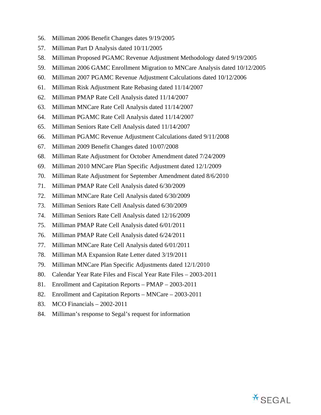- 56. Milliman 2006 Benefit Changes dates 9/19/2005
- 57. Milliman Part D Analysis dated 10/11/2005
- 58. Milliman Proposed PGAMC Revenue Adjustment Methodology dated 9/19/2005
- 59. Milliman 2006 GAMC Enrollment Migration to MNCare Analysis dated 10/12/2005
- 60. Milliman 2007 PGAMC Revenue Adjustment Calculations dated 10/12/2006
- 61. Milliman Risk Adjustment Rate Rebasing dated 11/14/2007
- 62. Milliman PMAP Rate Cell Analysis dated 11/14/2007
- 63. Milliman MNCare Rate Cell Analysis dated 11/14/2007
- 64. Milliman PGAMC Rate Cell Analysis dated 11/14/2007
- 65. Milliman Seniors Rate Cell Analysis dated 11/14/2007
- 66. Milliman PGAMC Revenue Adjustment Calculations dated 9/11/2008
- 67. Milliman 2009 Benefit Changes dated 10/07/2008
- 68. Milliman Rate Adjustment for October Amendment dated 7/24/2009
- 69. Milliman 2010 MNCare Plan Specific Adjustment dated 12/1/2009
- 70. Milliman Rate Adjustment for September Amendment dated 8/6/2010
- 71. Milliman PMAP Rate Cell Analysis dated 6/30/2009
- 72. Milliman MNCare Rate Cell Analysis dated 6/30/2009
- 73. Milliman Seniors Rate Cell Analysis dated 6/30/2009
- 74. Milliman Seniors Rate Cell Analysis dated 12/16/2009
- 75. Milliman PMAP Rate Cell Analysis dated 6/01/2011
- 76. Milliman PMAP Rate Cell Analysis dated 6/24/2011
- 77. Milliman MNCare Rate Cell Analysis dated 6/01/2011
- 78. Milliman MA Expansion Rate Letter dated 3/19/2011
- 79. Milliman MNCare Plan Specific Adjustments dated 12/1/2010
- 80. Calendar Year Rate Files and Fiscal Year Rate Files 2003-2011
- 81. Enrollment and Capitation Reports PMAP 2003-2011
- 82. Enrollment and Capitation Reports MNCare 2003-2011
- 83. MCO Financials 2002-2011
- 84. Milliman's response to Segal's request for information

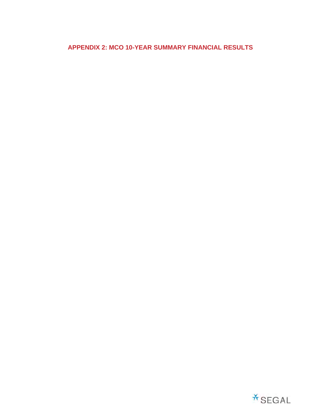# **APPENDIX 2: MCO 10-YEAR SUMMARY FINANCIAL RESULTS**

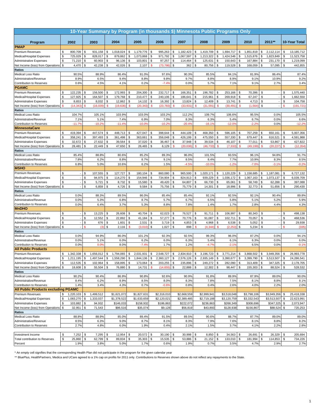|                                                             |                          |                        |              |                        |               |                      |          |                        |                    |                        |                    |                        |          | 10-Year Summary by Program (in thousands \$) Minnesota Public Programs Only |                    |                        |                    |                        |          |                        |                    |                          |
|-------------------------------------------------------------|--------------------------|------------------------|--------------|------------------------|---------------|----------------------|----------|------------------------|--------------------|------------------------|--------------------|------------------------|----------|-----------------------------------------------------------------------------|--------------------|------------------------|--------------------|------------------------|----------|------------------------|--------------------|--------------------------|
| Program                                                     |                          | 2002                   |              | 2003                   |               | 2004                 |          | 2005                   |                    | 2006                   |                    | 2007                   |          | 2008                                                                        |                    | 2009                   |                    | 2010                   |          | 2011**                 |                    | 10-Year Total            |
| <b>PMAP</b>                                                 |                          |                        |              |                        |               |                      |          |                        |                    |                        |                    |                        |          |                                                                             |                    |                        |                    |                        |          |                        |                    |                          |
| <b>Premium Revenues</b>                                     | \$                       | 800,709                | \$           | 931,158                | \$            | 1,018,024            | \$       | 1,179,776              | \$                 | 995,263                | \$                 | 1,182,423              | \$       | 1,419,709                                                                   | \$                 | 1,694,717              | \$                 | 1,851,819              | \$       | 2,112,114              | \$                 | 13, 185, 712             |
| Medical/Hospital Expenses                                   | \$                       | 725,029                | \$           | 828,017                | \$            | 879,862              | \$       | 1,073,868              | \$                 | 971,792                | \$                 | 1.067.597              | \$       | 1,213,322                                                                   | \$                 | 1,424,546              | \$                 | 1,515,876              | \$       | 1,823,849              | \$                 | 11.523.758               |
| <b>Administrative Expenses</b>                              | \$                       | 71,210                 | \$           | 60,903                 | \$            | 96,136               | \$       | 103,801                | \$<br><b>S</b>     | 97,257                 | \$                 | 114,464                | \$       | 125,631                                                                     | \$<br>\$           | 150,643                | \$                 | 167,884                | \$       | 231,170                | \$                 | 1,219,099                |
| Net Income (loss) from Operations<br><b>Ratios</b>          | <b>S</b>                 | 4,470                  | \$           | 42,238                 | \$            | 42,026               | \$       | 2,107                  |                    | (73, 786)              | \$                 | 362                    | \$       | 80,756                                                                      |                    | 119,528                | \$                 | 168,059                | \$       | 57,095                 | \$                 | 442,855                  |
| Medical Loss Ratio                                          |                          | 90.5%                  |              | 88.9%                  |               | 86.4%                |          | 91.0%                  |                    | 97.6%                  |                    | 90.3%                  |          | 85.5%                                                                       |                    | 84.1%                  |                    | 81.9%                  |          | 86.4%                  |                    | 87.4%                    |
| Administrative/Revenue                                      |                          | 8.9%                   |              | 6.5%                   |               | 9.4%                 |          | 8.8%                   |                    | 9.8%                   |                    | 9.7%                   |          | 8.8%                                                                        |                    | 8.9%                   |                    | 9.1%                   |          | 10.9%                  |                    | 9.2%                     |
| <b>Contribution to Reserves</b>                             |                          | 0.6%                   |              | 4.5%                   |               | 4.1%                 |          | 0.2%                   |                    | $-7.49$                |                    | 0.0%                   |          | 5.7%                                                                        |                    | 7.1%                   |                    | 9.1%                   |          | 2.7%                   |                    | 3.4%                     |
| <b>PGAMC</b>                                                |                          |                        |              |                        |               |                      |          |                        |                    |                        |                    |                        |          |                                                                             |                    |                        |                    |                        |          |                        |                    |                          |
| Premium Revenues                                            | \$                       | 122,235                | \$           | 156,500                | S             | 172,993              | \$       | 204,300                | \$                 | 232,717                | S                  | 166,351                | - \$     | 196,782                                                                     | \$                 | 253,166                | \$                 | 70,396                 | \$       |                        | \$                 | 1,575,440                |
| Medical/Hospital Expenses                                   | \$                       | 127,925                | \$           | 164,507                | \$            | 179,768              | \$       | 210,477                | \$                 | 240,106                | \$                 | 186,641                | \$       | 215,961                                                                     | \$                 | 269,918                | \$                 | 67,247                 | \$       |                        | \$                 | 1,662,550                |
| <b>Administrative Expenses</b>                              | \$                       | 8,653                  | \$           | 8,032                  | \$            | 12,862               | \$       | 14,132                 | \$                 | 16,392                 | $\mathsf{\$}$      | 13,824                 | \$       | 12,409                                                                      | \$                 | 13,741                 | \$                 | 4,713                  | \$       |                        | \$                 | 104,758                  |
| Net Income (loss) from Operations \$                        |                          | (14, 343)              | S            | (16,039)               | S             | (19,636)             | \$.      | (20, 343)              | $\mathsf{\$}$      | (23, 783)              | <b>S</b>           | (33, 93)               | <b>S</b> | (31, 591)                                                                   | <sup>\$</sup>      | (30, 491)              | <b>S</b>           | (1.564)                | \$       |                        | \$                 | (191, 721)               |
| <b>Ratios</b>                                               |                          |                        |              |                        |               |                      |          |                        |                    |                        |                    |                        |          |                                                                             |                    |                        |                    |                        |          |                        |                    |                          |
| <b>Medical Loss Ratio</b>                                   |                          | 104.7%                 |              | 105.1%                 |               | 103.9%               |          | 103.0%                 |                    | 103.2%                 |                    | 112.2%                 |          | 109.7%                                                                      |                    | 106.6%                 |                    | 95.5%                  |          | 0.0%                   |                    | 105.5%                   |
| Administrative/Revenue                                      |                          | 7.1%                   |              | 5.1%                   |               | 7.4%                 |          | 6.9%                   |                    | 7.0%                   |                    | 8.3%                   |          | 6.3%                                                                        |                    | 5.4%                   |                    | 6.7%                   |          | 0.0%                   |                    | 6.6%                     |
| Contribution to Reserves                                    |                          | $-11.7%$               |              | $-10.29$               |               | $-11.49$             |          | $-10.09$               |                    | $-10.29$               |                    | $-20.49$               |          | $-16.19$                                                                    |                    | $-12.0%$               |                    | $-2.2%$                |          | 0.0%                   |                    | $-12.2%$                 |
| <b>MinnesotaCare</b>                                        |                          |                        |              |                        |               |                      |          |                        |                    |                        |                    |                        |          |                                                                             |                    |                        |                    |                        |          |                        |                    |                          |
| Premium Revenues                                            | \$                       | 419,394                | S            | 447,574                |               | 448,713              | \$       | 427,047                | S                  | 398,644                |                    | 444,109                |          | 468,350                                                                     | \$                 | 596,105                | S                  | 707,259                | \$       | 650,161                | \$                 | 5,007,356                |
| Medical/Hospital Expenses                                   | \$                       | 358,241                | \$           | 397,493                | \$            | 361,498              | \$       | 363,661                | \$                 | 356,048                | S                  | 426,199                | \$       | 475,550                                                                     | \$                 | 557,330                | \$                 | 679,447                | \$       | 616,521                | \$                 | 4,591,988                |
| <b>Administrative Expenses</b>                              | \$                       | 32,672                 | \$           | 27,632                 | \$            | 39,564               | \$       | 37,020                 | \$                 | 36,467                 | \$                 | 37,948                 | \$       | 39,534                                                                      | \$                 | 46,107                 | \$                 | 77,011                 | \$       | 53,867                 | \$                 | 427,822                  |
| Net Income (loss) from Operations \$                        |                          | 28,481                 | \$           | 22,449                 | \$            | 47,650               | \$       | 26,465                 | $\mathbb S$        | 6,129                  |                    | (20.036                | \$.      | (46, 733)                                                                   | \$                 | (7, 333)               | <b>S</b>           | (49.199                | \$.      | (20, 227)              | \$                 | (12, 354)                |
| <b>Ratios</b>                                               |                          |                        |              |                        |               |                      |          |                        |                    |                        |                    |                        |          |                                                                             |                    |                        |                    |                        |          |                        |                    |                          |
| <b>Medical Loss Ratio</b>                                   |                          | 85.4%                  |              | 88.8%                  |               | 80.6%                |          | 85.2%                  |                    | 89.3%                  |                    | 96.0%                  |          | 101.5%                                                                      |                    | 93.5%                  |                    | 96.1%                  |          | 94.8%                  |                    | 91.7%                    |
| Administrative/Revenue                                      |                          | 7.8%                   |              | 6.2%                   |               | 8.8%                 |          | 8.7%                   |                    | 9.1%                   |                    | 8.5%<br>$-4.59$        |          | 8.4%                                                                        |                    | 7.7%                   |                    | 10.9%                  |          | 8.3%                   |                    | 8.5%                     |
| <b>Contribution to Reserves</b><br><b>MSHO</b>              |                          | 6.8%                   |              | 5.0%                   |               | 10.6%                |          | 6.2%                   |                    | 1.5%                   |                    |                        |          | $-10.09$                                                                    |                    | $-1.29$                |                    | $-7.09$                |          | $-3.19$                |                    | $-0.2%$                  |
|                                                             | \$                       |                        | \$           | 107,555                |               | 127,727              | \$       | 180,104                |                    |                        | \$.                |                        | \$       | 1,020,171                                                                   |                    |                        |                    |                        |          |                        |                    |                          |
| Premium Revenues<br>Medical/Hospital Expenses               | \$                       |                        | \$           | 94,975                 | \$<br>\$      | 114,270              | \$       | 154,946                | \$<br>\$           | 860,080<br>734,904     | \$                 | 965,500<br>824,913     | \$       | 939,229                                                                     | \$<br>$\mathbb{S}$ | 1,120,229<br>1,036,172 | \$<br>\$           | 1,158,685<br>1,067,163 | \$<br>\$ | 1,187,081<br>1,073,137 | \$<br>\$           | 6,727,132<br>6,039,709   |
| <b>Administrative Expenses</b>                              | \$                       |                        | \$           | 5,721                  | \$            | 8,732                | \$       | 15,580                 | \$                 | 49,420                 | \$                 | 64,807                 | \$       | 66,730                                                                      | \$                 | 65,061                 | \$                 | 58,749                 | \$       | 62,288                 | \$                 | 397,088                  |
| Net Income (loss) from Operations \$                        |                          | $\sim$                 | \$           | 6,859                  | \$            | 4,726                | \$       | 9,584                  | \$                 | 75,756                 | \$                 | 75,779                 | \$       | 14,301                                                                      | \$                 | 18,996                 | \$                 | 32,773                 | \$       | 51,656                 | \$                 | 290,430                  |
| Ratios                                                      |                          |                        |              |                        |               |                      |          |                        |                    |                        |                    |                        |          |                                                                             |                    |                        |                    |                        |          |                        |                    |                          |
| <b>Medical Loss Ratio</b>                                   |                          | 0.0%                   |              | 88.3%                  |               | 89.5%                |          | 86.0%                  |                    | 85.4%                  |                    | 85.4%                  |          | 92.1%                                                                       |                    | 92.5%                  |                    | 92.1%                  |          | 90.4%                  |                    | 89.8%                    |
| Administrative/Revenue                                      |                          | 0.0%                   |              | 5.3%                   |               | 6.8%                 |          | 8.7%                   |                    | 5.7%                   |                    | 6.7%                   |          | 6.5%                                                                        |                    | 5.8%                   |                    | 5.1%                   |          | 5.2%                   |                    | 5.9%                     |
| Contribution to Reserves                                    |                          | 0.0%                   |              | 6.4%                   |               | 3.7%                 |          | 5.3%                   |                    | 8.8%                   |                    | 7.8%                   |          | 1.4%                                                                        |                    | 1.7%                   |                    | 2.8%                   |          | 4.4%                   |                    | 4.3%                     |
| <b>MnDHO</b>                                                |                          |                        |              |                        |               |                      |          |                        |                    |                        |                    |                        |          |                                                                             |                    |                        |                    |                        |          |                        |                    |                          |
| Premium Revenues                                            | \$                       |                        | \$           | 13,225                 | \$            | 26,608               | \$       | 40,704                 | \$                 | 62,023                 | \$                 | 76,527                 | \$       | 91,711                                                                      | \$                 | 106,997                | \$                 | 80,343                 | \$       |                        | \$                 | 498,138                  |
| Medical/Hospital Expenses                                   | \$                       | $\sim$                 | \$           | 12,552                 | \$            | 22,892               | \$       | 41,184                 | \$                 | 57,277                 | \$                 | 70,776                 | \$       | 91,087                                                                      | \$                 | 102,711                | \$                 | 70,057                 | \$       |                        | \$                 | 468,536                  |
| <b>Administrative Expenses</b>                              | \$                       |                        | $\mathbb{S}$ | 676                    | \$            | 1,601                | \$       | 2,531                  | \$                 | 3,719                  | \$                 | 4,853                  | \$       | 4,968                                                                       | \$                 | 6,538                  | \$                 | 5,052                  | \$       |                        | \$                 | 29,938                   |
| Net Income (loss) from Operations \$                        |                          |                        | \$.          | 13                     | $\mathsf{\$}$ | 2,116                | S        | (3,010)                | \$                 | 1,027                  | $\mathsf{\$}$      | 898                    |          | (4, 344)                                                                    | \$.                | (2.25)                 | \$                 | 5,234                  | \$       |                        | \$.                | (335)                    |
| <b>Ratios</b>                                               |                          |                        |              |                        |               |                      |          |                        |                    |                        |                    |                        |          |                                                                             |                    |                        |                    |                        |          |                        |                    |                          |
| <b>Medical Loss Ratio</b>                                   |                          | 0.0%                   |              | 94.9%                  |               | 86.0%                |          | 101.2%                 |                    | 92.3%                  |                    | 92.5%                  |          | 99.3%                                                                       |                    | 96.0%                  |                    | 87.2%                  |          | 0.0%                   |                    | 94.1%                    |
| Administrative/Revenue                                      |                          | 0.0%                   |              | 5.1%                   |               | 6.0%                 |          | 6.2%                   |                    | 6.0%                   |                    | 6.3%                   |          | 5.4%                                                                        |                    | 6.1%                   |                    | 6.3%                   |          | 0.0%                   |                    | 6.0%                     |
| Contribution to Reserves                                    |                          | 0.0%                   |              | 0.09                   |               | 8.0%                 |          | $-7.49$                |                    | 1.7%                   |                    | 1.2%                   |          | $-4.79$                                                                     |                    | $-2.19$                |                    | 6.5%                   |          | 0.0%                   |                    | $-0.1%$                  |
| <b>All Public Products</b>                                  |                          |                        |              |                        |               |                      |          |                        |                    |                        |                    |                        |          |                                                                             |                    |                        |                    |                        |          |                        |                    |                          |
| <b>Premium Revenues</b>                                     | \$                       | 1,342,338<br>1.211.195 | \$<br>\$     | 1,656,012<br>1,497,544 | \$<br>\$      | 1,794,065            | \$<br>\$ | 2,031,931<br>1,844,136 | \$<br>\$           | 2,548,727<br>2,360,127 | \$<br>\$           | 2,834,910<br>2,576,126 | \$<br>\$ | 3,196,723<br>2,935,149                                                      | \$<br>\$           | 3,771,214<br>3,390,677 | \$<br>\$           | 3,868,502<br>3,399,790 | \$<br>\$ | 3,949,356<br>3,513,507 | \$<br>\$           | 26,993,778<br>24,286,541 |
| Medical/Hospital Expenses<br><b>Administrative Expenses</b> | \$<br>$\mathbf{\hat{S}}$ | 112,535                | \$           | 102,964                | $\mathcal{S}$ | 1,558,290<br>158,895 | \$       | 173,064                | $\mathbf{\hat{S}}$ | 203,255                | $\mathbf{\hat{S}}$ | 235,896                | \$       | 249,272                                                                     | $\mathbf{\hat{S}}$ | 282,090                | $\mathbf{\hat{S}}$ | 313,409                | \$       | 347,325                | $\mathbf{\hat{S}}$ | 2,178,705                |
| Net Income (loss) from Operations \$                        |                          | 18,608                 | \$           | 55,504                 | \$            | 76,880               | \$       | 14,731                 | $\mathsf{\$}$      | (14, 655)              | \$                 | 22,888                 | \$       | 12,302                                                                      | $\mathfrak s$      | 98,447                 | \$                 | 155,303                | \$       | 88,524                 | \$                 | 528,532                  |
| <b>Ratios</b>                                               |                          |                        |              |                        |               |                      |          |                        |                    |                        |                    |                        |          |                                                                             |                    |                        |                    |                        |          |                        |                    |                          |
| Medical Loss Ratio                                          |                          | 90.2%                  |              | 90.4%                  |               | 86.9%                |          | 90.8%                  |                    | 92.6%                  |                    | 90.9%                  |          | 91.8%                                                                       |                    | 89.9%                  |                    | 87.9%                  |          | 89.0%                  |                    | 90.0%                    |
| Administrative/Revenue                                      |                          | 8.4%                   |              | 6.2%                   |               | 8.9%                 |          | 8.5%                   |                    | 8.0%                   |                    | 8.3%                   |          | 7.8%                                                                        |                    | 7.5%                   |                    | 8.1%                   |          | 8.8%                   |                    | 8.1%                     |
| Contribution to Reserves                                    |                          | 1.4%                   |              | 3.4%                   |               | 4.3%                 |          | 0.7%                   |                    | $-0.6%$                |                    | 0.8%                   |          | 0.4%                                                                        |                    | 2.6%                   |                    | 4.0%                   |          | 2.2%                   |                    | 2.0%                     |
| <b>All Public Products excluding PGAMC</b>                  |                          |                        |              |                        |               |                      |          |                        |                    |                        |                    |                        |          |                                                                             |                    |                        |                    |                        |          |                        |                    |                          |
| Premium Revenues                                            | \$                       | 1,220,103              | \$           | 1,499,512              |               | \$1,621,072          |          | \$1,827,631            |                    | \$2,316,010            |                    | \$2,668,559            |          | \$2,999,941                                                                 |                    | \$3,518,048            |                    | \$3,798,106            |          | \$3,949,356            | \$                 | 25,418,338               |
| Medical/Hospital Expenses                                   | $\,$                     | 1,083,270              | \$           | 1,333,037              |               | \$1,378,522          |          | \$1,633,659            |                    | \$2,120,021            |                    | \$2,389,485            |          | \$2,719,188                                                                 |                    | \$3,120,759            |                    | \$3,332,543            |          | \$3,513,507            | \$                 | 22,623,991               |
| <b>Administrative Expenses</b>                              | \$                       | 103,882                | \$           | 94,932                 |               | \$146,033            |          | \$158,932              |                    | \$186,863              |                    | \$222,072              |          | \$236,863                                                                   |                    | \$268,349              |                    | \$308,696              |          | \$347,325              | \$                 | 2,073,947                |
| Net Income (loss) from Operations \$                        |                          | 32,951                 | \$           | 71,543                 |               | \$96,516             |          | \$35,074               |                    | \$9,128                |                    | \$56,819               |          | \$43,893                                                                    |                    | \$128,938              |                    | \$156,867              |          | \$88,524               | \$                 | 720,253                  |
| <b>Ratios</b>                                               |                          |                        |              |                        |               |                      |          |                        |                    |                        |                    |                        |          |                                                                             |                    |                        |                    |                        |          |                        |                    |                          |
| Medical Loss Ratio                                          |                          | 88.8%                  |              | 88.9%                  |               | 85.0%                |          | 89.4%                  |                    | 91.5%                  |                    | 89.5%                  |          | 90.6%                                                                       |                    | 88.7%                  |                    | 87.7%                  |          | 89.0%                  |                    | 89.0%                    |
| Administrative/Revenue                                      |                          | 8.5%                   |              | 6.3%                   |               | 9.0%                 |          | 8.7%                   |                    | 8.1%                   |                    | 8.3%                   |          | 7.9%                                                                        |                    | 7.6%                   |                    | 8.1%                   |          | 8.8%                   |                    | 8.2%                     |
| Contribution to Reserves                                    |                          | 2.7%                   |              | 4.8%                   |               | 6.0%                 |          | 1.9%                   |                    | 0.4%                   |                    | 2.1%                   |          | 1.5%                                                                        |                    | 3.7%                   |                    | 4.1%                   |          | 2.2%                   |                    | 2.8%                     |
|                                                             |                          |                        |              |                        |               |                      |          |                        |                    |                        |                    |                        |          |                                                                             |                    |                        |                    |                        |          |                        |                    |                          |
| Investment Income                                           | \$                       | 7,252                  | \$           | 7,295                  | \$            | 12,954               | \$       | 20,572                 | \$                 | 30,190                 | S                  | 30,998                 | \$       | 8,850                                                                       | \$                 | 34,563                 | \$                 | 26,691                 | \$       | 26,329                 | \$                 | 205,694                  |
| Total contribution to Reserves                              | \$                       | 25,860                 | \$           | 62,799                 | \$            | 89,834               | \$       | 35,303                 | \$                 | 15,535                 | \$                 | 53,886                 | \$       | 21,152                                                                      | \$                 | 133,010                | \$                 | 181,994                | \$       | 114,853                | \$                 | 734,226                  |
| Percent                                                     |                          | 1.9%                   |              | 3.8%                   |               | 5.0%                 |          | 1.7%                   |                    | 0.6%                   |                    | 1.9%                   |          | 0.7%                                                                        |                    | 3.5%                   |                    | 4.7%                   |          | 2.9%                   |                    | 2.7%                     |

\*\* BluePlus, HealthPartners, Medica and UCare agreed to a 1% cap on profits for 2011 only. Contributions to Reserves shown above do not reflect any repayments to the State.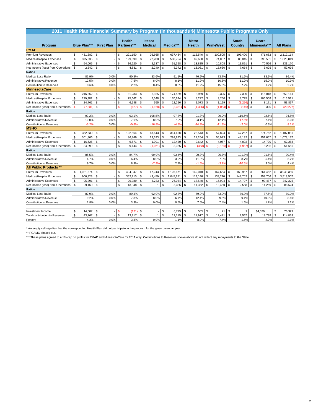| 2011 Health Plan Financial Summary by Program (in thousands \$) Minnesota Public Programs Only |                     |                |                   |                |                              |                |                                 |              |           |               |                               |                |                  |                |                         |               |                       |                |                  |
|------------------------------------------------------------------------------------------------|---------------------|----------------|-------------------|----------------|------------------------------|----------------|---------------------------------|--------------|-----------|---------------|-------------------------------|----------------|------------------|----------------|-------------------------|---------------|-----------------------|----------------|------------------|
| Program                                                                                        | <b>Blue Plus***</b> |                | <b>First Plan</b> |                | <b>Health</b><br>Partners*** |                | <b>Itasca</b><br><b>Medical</b> |              | Medica*** |               | <b>Metro</b><br><b>Health</b> |                | <b>PrimeWest</b> |                | <b>South</b><br>Country |               | Ucare<br>Minnesota*** |                | <b>All Plans</b> |
| <b>PMAP</b>                                                                                    |                     |                |                   |                |                              |                |                                 |              |           |               |                               |                |                  |                |                         |               |                       |                |                  |
| Premium Revenues                                                                               | \$<br>431,682       | \$             |                   | \$             | 221,150                      | \$             | 26,665                          | \$           | 637,484   | <b>S</b>      | 116,546                       | \$             | 100,505          | \$             | 106,400                 | \$            | 471,682               | \$             | 2,112,114        |
| Medical/Hospital Expenses                                                                      | \$<br>375,035       | $\mathbb{S}$   |                   | \$             | 199,699                      | \$             | 22,288                          | \$           | 580,754   | $\mathsf{\$}$ | 89,660                        | $\mathsf{\$}$  | 74,037           | $\mathbb{S}$   | 86,845                  | \$            | 395,531               | $\mathsf{\$}$  | 1,823,849        |
| <b>Administrative Expenses</b>                                                                 | \$<br>54,005        | \$             |                   | \$             | 16,620                       | \$             | 2,137                           | \$           | 51,358    | \$            | 13,825                        | $\mathsf{\$}$  | 10,808           | $\mathfrak s$  | 11,891                  | \$            | 70,526                | \$             | 231,170          |
| Net Income (loss) from Operations                                                              | \$<br>2,642         | $\mathfrak s$  |                   | \$             | 4,831                        | $\mathbb{S}$   | 2,240                           | \$           | 5,372     | $\mathbb{S}$  | 13,061                        | $\mathbb{S}$   | 15,660           | $\mathbb{S}$   | 7,664                   | \$            | 5,625                 | $\mathbb{S}$   | 57,095           |
| <b>Ratios</b>                                                                                  |                     |                |                   |                |                              |                |                                 |              |           |               |                               |                |                  |                |                         |               |                       |                |                  |
| Medical Loss Ratio                                                                             | 86.9%               |                | 0.0%              |                | 90.3%                        |                | 83.6%                           |              | 91.1%     |               | 76.9%                         |                | 73.7%            |                | 81.6%                   |               | 83.9%                 |                | 86.4%            |
| Administrative/Revenue                                                                         | 12.5%               |                | 0.0%              |                | 7.5%                         |                | 8.0%                            |              | 8.1%      |               | 11.9%                         |                | 10.8%            |                | 11.2%                   |               | 15.0%                 |                | 10.9%            |
| <b>Contribution to Reserves</b>                                                                | 0.6%                |                | 0.0%              |                | 2.2%                         |                | 8.4%                            |              | 0.8%      |               | 11.2%                         |                | 15.6%            |                | 7.2%                    |               | 1.2%                  |                | 2.7%             |
| <b>MinnesotaCare</b>                                                                           |                     |                |                   |                |                              |                |                                 |              |           |               |                               |                |                  |                |                         |               |                       |                |                  |
| <b>Premium Revenues</b>                                                                        | \$<br>246,862       | \$             |                   | \$             | 81,233                       | \$             | 6,935                           | \$           | 174,529   | <b>S</b>      | 8,959                         | \$             | 9,325            | $\mathfrak s$  | 7,300                   | \$            | 115,018               | \$             | 650,161          |
| Medical/Hospital Expenses                                                                      | \$<br>229,982       | $\mathbb{S}$   |                   | \$             | 75,662                       | \$             | 7,548                           | \$           | 170,624   | \$            | 8,222                         | \$             | 9,250            | $\mathfrak{s}$ | 8,725                   | \$            | 106,508               | \$             | 616,521          |
| <b>Administrative Expenses</b>                                                                 | \$<br>24,761        | $\mathsf{\$}$  |                   | \$             | 6,198                        | \$             | 555                             | $\mathbb{S}$ | 12,256    | $\mathbb{S}$  | 2,073                         | \$             | 1,129            | $\mathbf{s}$   | (1, 276)                | \$            | 8,171                 | \$             | 53,867           |
| Net Income (loss) from Operations                                                              | \$<br>(7,881)       | $\mathsf{\$}$  |                   | \$             | (627)                        | <b>S</b>       | (1, 168)                        | \$           | (8, 351)  | $\mathbf{s}$  | (1, 336)                      | s              | (1,054)          | $\mathbf{s}$   | (149)                   | \$            | 339                   | $\mathbf{s}$   | (20, 227)        |
| <b>Ratios</b>                                                                                  |                     |                |                   |                |                              |                |                                 |              |           |               |                               |                |                  |                |                         |               |                       |                |                  |
| <b>Medical Loss Ratio</b>                                                                      | 93.2%               |                | 0.0%              |                | 93.1%                        |                | 108.8%                          |              | 97.8%     |               | 91.8%                         |                | 99.2%            |                | 119.5%                  |               | 92.6%                 |                | 94.8%            |
| Administrative/Revenue                                                                         | 10.0%               |                | 0.0%              |                | 7.6%                         |                | 8.0%                            |              | 7.0%      |               | 23.1%                         |                | 12.1%            |                | $-17.5%$                |               | 7.1%                  |                | 8.3%             |
| Contribution to Reserves                                                                       | $-3.2%$             |                | 0.0%              |                | $-0.8%$                      |                | $-16.8%$                        |              | $-4.89$   |               | $-14.9%$                      |                | $-11.39$         |                | $-2.0%$                 |               | 0.3%                  |                | $-3.1%$          |
| <b>MSHO</b>                                                                                    |                     |                |                   |                |                              |                |                                 |              |           |               |                               |                |                  |                |                         |               |                       |                |                  |
| Premium Revenues                                                                               | \$<br>352,830       | \$             |                   | \$             | 102,564                      | \$             | 13,643                          | \$           | 314,658   | <b>S</b>      | 23,543                        | \$             | 57,824           | \$             | 47,267                  | \$            | 274,752               | \$             | 1,187,081        |
| Medical/Hospital Expenses                                                                      | \$<br>301,806       | \$             |                   | \$             | 86,849                       | $\mathfrak{s}$ | 13,623                          | \$           | 293,873   | s.            | 21,264                        | \$             | 55,923           | $\mathbb{S}$   | 48,132                  | \$            | 251,667               | \$             | 1,073,137        |
| <b>Administrative Expenses</b>                                                                 | \$<br>16,625        | $\mathsf{\$}$  |                   | \$             | 6,571                        | \$             | 1,091                           | \$           | 12,420    | <b>S</b>      | 2,642                         | \$             | 4,057            | $\mathfrak s$  | 4,092                   | \$            | 14,790                | \$             | 62,288           |
| Net Income (loss) from Operations                                                              | \$<br>34,399        | \$             |                   | \$             | 9,144                        | Ś              | (1,071)                         | \$           | 8,365     | $\mathbf{s}$  | (363)                         | \$.            | (2, 156)         | $\mathbf{s}$   | (4, 957)                | \$            | 8,295                 | $\mathfrak{s}$ | 51,656           |
| <b>Ratios</b>                                                                                  |                     |                |                   |                |                              |                |                                 |              |           |               |                               |                |                  |                |                         |               |                       |                |                  |
| <b>Medical Loss Ratio</b>                                                                      | 85.5%               |                | 0.0%              |                | 84.7%                        |                | 99.9%                           |              | 93.4%     |               | 90.3%                         |                | 96.7%            |                | 101.8%                  |               | 91.6%                 |                | 90.4%            |
| Administrative/Revenue                                                                         | 4.7%                |                | 0.0%              |                | 6.4%                         |                | 8.0%                            |              | 3.9%      |               | 11.2%                         |                | 7.0%             |                | 8.7%                    |               | 5.4%                  |                | 5.2%             |
| <b>Contribution to Reserves</b>                                                                | 9.7%                |                | 0.0%              |                | 8.9%                         |                | $-7.9%$                         |              | 2.7%      |               | $-1.5%$                       |                | $-3.7%$          |                | $-10.5%$                |               | 3.0%                  |                | 4.4%             |
| <b>All Public Products **</b>                                                                  |                     |                |                   |                |                              |                |                                 |              |           |               |                               |                |                  |                |                         |               |                       |                |                  |
| <b>Premium Revenues</b>                                                                        | \$<br>1,031,374     | \$             |                   | \$             | 404,947                      | \$             | 47,243                          | \$           | 1,126,671 | \$            | 149,048                       | \$             | 167,654          | \$             | 160,967                 | \$            | 861,452               | \$             | 3,949,356        |
| Medical/Hospital Expenses                                                                      | \$<br>906,823       | $\mathfrak{s}$ |                   | \$             | 362,210                      | $\mathfrak{s}$ | 43,459                          | \$           | 1,045,251 | <b>S</b>      | 119,146                       | $\mathsf{\$}$  | 139,210          | <b>S</b>       | 143,702                 | \$            | 753,706               | \$             | 3,513,507        |
| <b>Administrative Expenses</b>                                                                 | \$<br>95,391        | $\mathbb{S}$   |                   | \$             | 29,389                       | $\mathbb{S}$   | 3,783                           | \$           | 76,034    | $\mathbb{S}$  | 18,540                        | <sup>\$</sup>  | 15,994           | <b>S</b>       | 14,707                  | \$            | 93,487                | \$             | 347,325          |
| Net Income (loss) from Operations                                                              | \$<br>29,160        | $\mathfrak s$  |                   | $$\mathbb{S}$$ | 13,348                       | \$             | $\mathbf{1}$                    | \$           | 5,386     | <b>S</b>      | 11,362                        | \$             | 12,450           | $\mathbb{S}$   | 2,558                   | \$            | 14,259                | \$             | 88,524           |
| <b>Ratios</b>                                                                                  |                     |                |                   |                |                              |                |                                 |              |           |               |                               |                |                  |                |                         |               |                       |                |                  |
| <b>Medical Loss Ratio</b>                                                                      | 87.9%               |                | 0.0%              |                | 89.4%                        |                | 92.0%                           |              | 92.8%     |               | 79.9%                         |                | 83.0%            |                | 89.3%                   |               | 87.5%                 |                | 89.0%            |
| Administrative/Revenue                                                                         | 9.2%                |                | 0.0%              |                | 7.3%                         |                | 8.0%                            |              | 6.7%      |               | 12.4%                         |                | 9.5%             |                | 9.1%                    |               | 10.9%                 |                | 8.8%             |
| Contribution to Reserves                                                                       | 2.8%                |                | 0.0%              |                | 3.3%                         |                | 0.0%                            |              | 0.5%      |               | 7.6%                          |                | 7.4%             |                | 1.6%                    |               | 1.7%                  |                | 2.2%             |
|                                                                                                |                     |                |                   |                |                              |                |                                 |              |           |               |                               |                |                  |                |                         |               |                       |                |                  |
| Investment Income                                                                              | \$<br>14,607        | \$             |                   |                | (131)                        | \$             |                                 | \$           | 6,729     | <b>S</b>      | 555                           | \$             | 21               | \$             | 9                       |               | \$4.539               | \$             | 26.329           |
| <b>Total contribution to Reserves</b>                                                          | \$<br>43,767        | $\mathsf{\$}$  |                   | \$             | 13,217                       | \$             | $\overline{1}$                  | \$           | 12,115    | . \$          | 11,917                        | $\mathfrak{L}$ | 12,471           | \$             | 2,567                   | $\mathsf{\$}$ | 18,798                | \$             | 114,853          |
| Percent                                                                                        | 4.2%                |                | 0.0%              |                | 3.3%                         |                | 0.0%                            |              | 1.1%      |               | 8.0%                          |                | 7.4%             |                | 1.6%                    |               | 2.2%                  |                | 2.9%             |

\*\* PGAMC phased out.

\*\*\* These plans agreed to a 1% cap on profits for PMAP and MinnesotaCare for 2011 only. Contributions to Reserves shown above do not reflect any repayments to the State.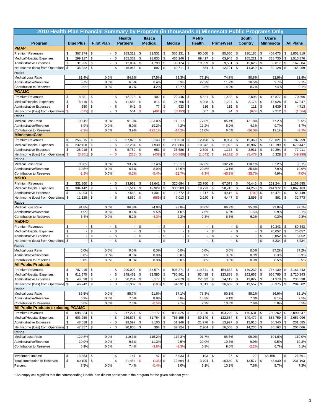| 2010 Health Plan Financial Summary by Program (in thousands \$) Minnesota Public Programs Only |              |                          |                                |          |                          |                           |                  |               |                 |               |                          |          |                          |                     |                 |          |                  |              |                  |
|------------------------------------------------------------------------------------------------|--------------|--------------------------|--------------------------------|----------|--------------------------|---------------------------|------------------|---------------|-----------------|---------------|--------------------------|----------|--------------------------|---------------------|-----------------|----------|------------------|--------------|------------------|
|                                                                                                |              |                          |                                |          | <b>Health</b>            |                           | Itasca           |               |                 |               | <b>Metro</b>             |          |                          |                     | <b>South</b>    |          | <b>Ucare</b>     |              |                  |
| Program                                                                                        |              | <b>Blue Plus</b>         | <b>First Plan</b>              |          | <b>Partners</b>          |                           | <b>Medical</b>   |               | <b>Medica</b>   |               | <b>Health</b>            |          | <b>PrimeWest</b>         |                     | Country         |          | <b>Minnesota</b> |              | <b>All Plans</b> |
| <b>PMAP</b>                                                                                    |              |                          |                                |          |                          |                           |                  |               |                 |               |                          |          |                          |                     |                 |          |                  |              |                  |
| <b>Premium Revenues</b>                                                                        | \$           | 367,274                  | \$                             | \$       | 183,312                  | \$                        | 21,531           | \$            | 565,131         | \$            | 90,060                   | \$       | 85,650                   | \$                  | 130,186         | \$       | 408,675          | \$           | 1,851,819        |
| Medical/Hospital Expenses                                                                      | \$           | 299,117                  | \$                             | \$       | 155,362                  | \$                        | 18,835           | \$            | 465,246         | $\mathsf{\$}$ | 69,417                   | \$       | 63,948                   | \$                  | 105,221         | \$       | 338,730          | \$           | 1,515,876        |
| <b>Administrative Expenses</b>                                                                 | \$           | 31,925                   | \$<br>$\overline{\phantom{a}}$ | \$       | 12,004                   | \$                        | 1,799            | \$            | 39,174          | \$            | 19,959                   | \$       | 9,581                    | \$                  | 13,625          | \$       | 39,817           | \$           | 167,884          |
| Net Income (loss) from Operations                                                              | \$           | 36,232                   | \$                             | \$       | 15,946                   | \$                        | 897              | \$            | 60,711          | \$            | 684                      | \$       | 12,121                   | \$                  | 11,340          | \$       | 30,128           | \$           | 168,059          |
| <b>Ratios</b>                                                                                  |              |                          |                                |          |                          |                           | 87.5%            |               |                 |               | 77.1%                    |          | 74.7%                    |                     |                 |          |                  |              |                  |
| <b>Medical Loss Ratio</b><br>Administrative/Revenue                                            |              | 81.4%<br>8.7%            | 0.0%<br>0.0%                   |          | 84.8%<br>6.5%            |                           | 8.4%             |               | 82.3%<br>6.9%   |               | 22.2%                    |          | 11.2%                    |                     | 80.8%<br>10.5%  |          | 82.9%<br>9.7%    |              | 81.9%<br>9.1%    |
| Contribution to Reserves                                                                       |              | 9.9%                     | 0.0%                           |          | 8.7%                     |                           | 4.2%             |               | 10.7%           |               | 0.8%                     |          | 14.2%                    |                     | 8.7%            |          | 7.4%             |              | 9.1%             |
| <b>PGAMC</b>                                                                                   |              |                          |                                |          |                          |                           |                  |               |                 |               |                          |          |                          |                     |                 |          |                  |              |                  |
| <b>Premium Revenues</b>                                                                        | \$           | 8,381                    | \$                             | \$       | 12,728                   | \$                        | 402              | \$            | 22,446          | \$            | 5,521                    | \$       | 1,433                    | \$                  | 2,608           | \$       | 16,877           | \$           | 70,396           |
| Medical/Hospital Expenses                                                                      | \$           | 8,416                    | \$                             | \$       | 11,585                   | \$                        | 816              | \$            | 24,706          | \$            | 4,298                    | \$       | 1,224                    | \$                  | 3,176           | \$       | 13,026           | \$           | 67,247           |
| <b>Administrative Expenses</b>                                                                 | \$           | 580                      | \$                             | \$       | 642                      | \$                        | 77               | \$            | 933             | \$            | 616                      | \$       | 115                      | \$                  | 111             | \$       | 1,639            | \$           | 4,713            |
| Net Income (loss) from Operations                                                              | $\mathbf{s}$ | (615)                    | \$                             | \$       | 501                      | $\mathsf{\$}$             | (491)            | $\mathbf{s}$  | (3, 193)        | \$            | 607                      | \$       | 94                       | $\mathbf{s}$        | (679)           | \$       | 2,212            | $\mathbf{s}$ | (1, 564)         |
| <b>Ratios</b>                                                                                  |              |                          |                                |          |                          |                           |                  |               |                 |               |                          |          |                          |                     |                 |          |                  |              |                  |
| <b>Medical Loss Ratio</b>                                                                      |              | 100.4%                   | 0.0%                           |          | 91.0%                    |                           | 203.0%           |               | 110.1%          |               | 77.8%                    |          | 85.4%                    |                     | 121.8%          |          | 77.2%            |              | 95.5%            |
| Administrative/Revenue                                                                         |              | 6.9%                     | 0.0%                           |          | 5.0%                     |                           | 19.2%            |               | 4.2%            |               | 11.2%                    |          | 8.0%                     |                     | 4.3%            |          | 9.7%             |              | 6.7%             |
| <b>Contribution to Reserves</b><br><b>MinnesotaCare</b>                                        |              | $-7.3%$                  | 0.0%                           |          | 3.9%                     |                           | $-122.19$        |               | $-14.2%$        |               | 11.0%                    |          | 6.6%                     |                     | $-26.0%$        |          | 13.1%            |              | $-2.2%$          |
| <b>Premium Revenues</b>                                                                        | \$           | 256.015                  | \$                             | \$       | 87,828                   | \$                        | 8,143            | \$            | 188,610         | \$            | 12,498                   | \$       | 8,984                    | \$                  | 15,360          | \$       | 129,821          | \$           | 707,259          |
| Medical/Hospital Expenses                                                                      | \$           | 232,458                  | \$                             | \$       | 82,284                   | \$                        | 7,930            | \$            | 203,804         | \$            | 10,942                   | \$       | 11,923                   | \$                  | 16,907          | \$       | 113,199          | \$           | 679,447          |
| <b>Administrative Expenses</b>                                                                 | \$           | 26,918                   | \$                             | \$       | 5,759                    | \$                        | 651              | \$            | 25,686          | \$            | 2,599                    | \$       | 1,173                    | \$                  | 3,931           | \$       | 10,294           | \$           | 77,011           |
| Net Income (loss) from Operations                                                              | \$           | (3, 361)                 | \$                             | \$       | (215)                    | $\boldsymbol{\mathsf{s}}$ | (438)            | $\mathsf{\$}$ | (40, 880)       | \$            | (1,043)                  | \$       | (4, 112)                 | \$                  | (5, 478)        | \$       | 6,328            | \$           | (49, 199)        |
| <b>Ratios</b>                                                                                  |              |                          |                                |          |                          |                           |                  |               |                 |               |                          |          |                          |                     |                 |          |                  |              |                  |
| <b>Medical Loss Ratio</b>                                                                      |              | 90.8%                    | 0.0%                           |          | 93.7%                    |                           | 97.4%            |               | 108.1%          |               | 87.6%                    |          | 132.7%                   |                     | 110.1%          |          | 87.2%            |              | 96.1%            |
| Administrative/Revenue                                                                         |              | 10.5%                    | 0.0%                           |          | 6.6%                     |                           | 8.0%             |               | 13.6%           |               | 20.8%                    |          | 13.1%                    |                     | 25.6%           |          | 7.9%             |              | 10.9%            |
| Contribution to Reserves                                                                       |              | $-1.39$                  | 0.0%                           |          | $-0.2%$                  |                           | $-5.4%$          |               | $-21.79$        |               | $-8.3%$                  |          | $-45.89$                 |                     | $-35.7%$        |          | 4.9%             |              | $-7.0%$          |
| <b>MSHO</b>                                                                                    |              |                          |                                |          |                          |                           |                  |               |                 |               |                          |          |                          |                     |                 |          |                  |              |                  |
| <b>Premium Revenues</b>                                                                        | \$           | 331,360                  | \$<br>$\overline{\phantom{a}}$ | \$       | 93,962                   | \$                        | 13,641           | \$            | 320,694         | \$            | 23,760                   | \$       | 67,579                   | \$                  | 46,445          | \$       | 261,244          | \$           | 1,158,685        |
| Medical/Hospital Expenses                                                                      | \$           | 304,142                  | \$<br>\$                       | \$       | 81,514                   | \$                        | 12,929           | \$<br>\$      | 300,909         | \$            | 19,723                   | \$       | 58,716                   | \$<br>$\mathbf{\$}$ | 44,258          | \$<br>\$ | 244,972          | \$<br>\$     | 1,067,163        |
| <b>Administrative Expenses</b><br>Net Income (loss) from Operations                            | \$<br>\$     | 16,093<br>11,125         | \$                             | \$<br>\$ | 7,588<br>4,860           | \$<br>\$                  | 1,301<br>(589    | \$            | 12,772<br>7,013 | \$<br>\$      | 1,817<br>2,220           | \$<br>\$ | 4,416<br>4,447           | \$                  | (709)<br>2,896  | \$       | 15,471<br>801    | \$           | 58,749<br>32,773 |
| <b>Ratios</b>                                                                                  |              |                          |                                |          |                          |                           |                  |               |                 |               |                          |          |                          |                     |                 |          |                  |              |                  |
| <b>Medical Loss Ratio</b>                                                                      |              | 91.8%                    | 0.0%                           |          | 86.8%                    |                           | 94.8%            |               | 93.8%           |               | 83.0%                    |          | 86.9%                    |                     | 95.3%           |          | 93.8%            |              | 92.1%            |
| Administrative/Revenue                                                                         |              | 4.9%                     | 0.0%                           |          | 8.1%                     |                           | 9.5%             |               | 4.0%            |               | 7.6%                     |          | 6.5%                     |                     | $-1.5%$         |          | 5.9%             |              | 5.1%             |
| Contribution to Reserves                                                                       |              | 3.4%                     | 0.0%                           |          | 5.2%                     |                           | $-4.3%$          |               | 2.2%            |               | 9.3%                     |          | 6.6%                     |                     | 6.2%            |          | 0.3%             |              | 2.8%             |
| <b>MnDHO</b>                                                                                   |              |                          |                                |          |                          |                           |                  |               |                 |               |                          |          |                          |                     |                 |          |                  |              |                  |
| <b>Premium Revenues</b>                                                                        | \$           |                          | \$                             | \$       | $\overline{\phantom{a}}$ | \$                        |                  | \$            |                 | \$            | $\overline{\phantom{a}}$ | \$       |                          | \$                  |                 | \$       | 80,343           | \$           | 80,343           |
| Medical/Hospital Expenses                                                                      | \$           |                          | \$                             | \$       |                          | \$                        |                  | \$            |                 | \$            | ÷,                       | \$       |                          | \$                  |                 | \$       | 70,057           | \$           | 70,057           |
| <b>Administrative Expenses</b>                                                                 | \$           | $\overline{\phantom{a}}$ | \$<br>\$                       | \$       |                          | \$                        |                  | \$            |                 | \$            | $\overline{\phantom{a}}$ | \$       | $\overline{\phantom{a}}$ | \$                  |                 | \$       | 5,052            | \$           | 5,052            |
| Net Income (loss) from Operations<br><b>Ratios</b>                                             | \$           |                          |                                | \$       |                          | \$                        |                  | \$            |                 | \$            |                          | \$       |                          | \$                  |                 | \$       | 5,234            | \$           | 5,234            |
| <b>Medical Loss Ratio</b>                                                                      |              | 0.0%                     | 0.0%                           |          | 0.0%                     |                           | 0.0%             |               | 0.0%            |               | 0.0%                     |          | 0.0%                     |                     | 0.0%            |          | 87.2%            |              | 87.2%            |
| Administrative/Revenue                                                                         |              | 0.0%                     | 0.0%                           |          | 0.0%                     |                           | 0.0%             |               | 0.0%            |               | 0.0%                     |          | 0.0%                     |                     | 0.0%            |          | 6.3%             |              | 6.3%             |
| Contribution to Reserves                                                                       |              | 0.0%                     | 0.0%                           |          | 0.0%                     |                           | 0.0%             |               | 0.0%            |               | 0.0%                     |          | 0.0%                     |                     | 0.0%            |          | 6.5%             |              | 6.5%             |
| <b>All Public Products</b>                                                                     |              |                          |                                |          |                          |                           |                  |               |                 |               |                          |          |                          |                     |                 |          |                  |              |                  |
| <b>Premium Revenues</b>                                                                        | \$           | 707,015 \$               |                                |          | \$<br>290,002            | \$                        | 35,574           | $\sqrt{3}$    | 908,271         | \$            | 119,341                  | \$       | 154,662                  | \$                  | 179,239         | \$       | 767,139          | \$           | 3,161,243        |
| Medical/Hospital Expenses                                                                      | \$           | 611,675                  | \$<br>$\overline{\phantom{a}}$ |          | \$<br>248,461            | \$                        | 32,580           | $\sqrt{3}$    | 790,861         | \$            | 93,438                   | \$       | 123,888                  | \$                  | 152,655         | \$       | 666,785          | \$           | 2,720,343        |
| <b>Administrative Expenses</b>                                                                 | \$           | 48,598 \$                |                                | \$       | 20,234                   | \$                        | 3,177            | l \$          | 52,879          | $\sqrt{3}$    | 22,392                   | \$       | 14,112                   | $\sqrt{3}$          | 13,027          | \$       | 61,979           | \$           | 236,398          |
| Net Income (loss) from Operations                                                              | \$           | $46,742$ \$              |                                | \$       | 21,307                   | $\mathbf{\$}$             | (183)            | \$            | 64,531          | \$            | 3,511                    | \$       | 16,662                   | \$                  | 13,557          | \$       | 38,375 \$        |              | 204,502          |
| <b>Ratios</b><br><b>Medical Loss Ratio</b>                                                     |              | 86.5%                    | 0.0%                           |          | 85.7%                    |                           | 91.6%            |               | 87.1%           |               | 78.3%                    |          | 80.1%                    |                     | 85.2%           |          | 86.9%            |              | 86.1%            |
| Administrative/Revenue                                                                         |              | 6.9%                     | 0.0%                           |          | 7.0%                     |                           | 8.9%             |               | 5.8%            |               | 18.8%                    |          | 9.1%                     |                     | 7.3%            |          | 8.1%             |              | 7.5%             |
| Contribution to Reserves                                                                       |              | 6.6%                     | 0.0%                           |          | 7.3%                     |                           | $-0.5%$          |               | 7.1%            |               | 2.9%                     |          | 10.8%                    |                     | 7.6%            |          | 5.0%             |              | 6.5%             |
| <b>All Public Products excluding PGAMC</b>                                                     |              |                          |                                |          |                          |                           |                  |               |                 |               |                          |          |                          |                     |                 |          |                  |              |                  |
| <b>Premium Revenues</b>                                                                        | \$           | 698,634                  | \$                             | \$       | 277,274                  | \$                        | 35,172           | \$            | 885,825         | \$            | 113,820                  | \$       | 153,229                  | \$                  | 176,631         | \$       | 750,262          | \$           | 3,090,847        |
| Medical/Hospital Expenses                                                                      | \$           | 603,259                  | \$                             | \$       | 236,876                  | \$                        | 31,764           | \$            | 766,155         | \$            | 89,140                   | \$       | 122,664                  | \$                  | 149,479         | \$       | 653,759          | \$           | 2,653,096        |
| <b>Administrative Expenses</b>                                                                 | \$           | 48,018                   | \$<br>$\overline{\phantom{a}}$ | \$       | 19,592                   | \$                        | 3,100            | $\sqrt{3}$    | 51,946          | $\sqrt{2}$    | 21,776                   | \$       | 13,997                   | \$                  | 12,916          | \$       | 60,340           | \$           | 231,685          |
| Net Income (loss) from Operations                                                              | \$           | 47,357                   | \$                             |          | \$<br>20,806             | \$                        | 308              | \$            | $67,724$ \$     |               | 2,904                    | \$       | 16,568                   | \$                  | 14,236          | \$       | 36,163           | \$           | 206,066          |
| <b>Ratios</b>                                                                                  |              |                          |                                |          |                          |                           |                  |               |                 |               |                          |          |                          |                     |                 |          |                  |              |                  |
| <b>Medical Loss Ratio</b>                                                                      |              | 120.8%                   | 0.0%                           |          | 119.3%                   |                           | 115.2%           |               | 112.3%          |               | 91.7%                    |          | 88.6%                    |                     | 96.0%           |          | 104.0%           |              | 110.0%           |
| Administrative/Revenue<br>Contribution to Reserves                                             |              | 10.9%<br>6.9%            | 0.0%<br>0.0%                   |          | 9.6%<br>7.4%             |                           | 11.3%<br>$-3.6%$ |               | 9.5%<br>$-2.3%$ |               | 22.0%<br>0.8%            |          | 10.3%<br>8.0%            |                     | 9.9%<br>$-2.2%$ |          | 9.5%<br>6.7%     |              | 10.3%<br>5.1%    |
|                                                                                                |              |                          |                                |          |                          |                           |                  |               |                 |               |                          |          |                          |                     |                 |          |                  |              |                  |
| Investment Income                                                                              | \$           | 13,363                   | \$                             |          | \$<br>147                | \$                        | 47               | \$            | 8,033           | \$            | 193                      | \$       | 27                       | \$                  | 20              |          | \$5,155          | \$           | 26,691           |
| Total contribution to Reserves                                                                 | \$           | $60,105$ \$              |                                |          | 21,454<br>\$             |                           | (136)            | \$            | 72,564          | \$            | 3,704                    | \$       | 16,689                   | \$                  | 13,577          | \$       | 43,530           | \$           | 231,193          |
| Percent                                                                                        |              | 8.5%                     | 0.0%                           |          | 7.4%                     |                           | $-0.4%$          |               | 8.0%            |               | 3.1%                     |          | 10.8%                    |                     | 7.6%            |          | 5.7%             |              | 7.3%             |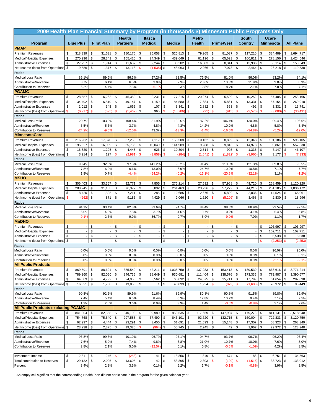| 2009 Health Plan Financial Summary by Program (in thousands \$) Minnesota Public Programs Only |              |                          |               |                   |                 |                          |               |                 |              |               |               |                          |               |                          |               |              |               |                  |               |                  |
|------------------------------------------------------------------------------------------------|--------------|--------------------------|---------------|-------------------|-----------------|--------------------------|---------------|-----------------|--------------|---------------|---------------|--------------------------|---------------|--------------------------|---------------|--------------|---------------|------------------|---------------|------------------|
|                                                                                                |              |                          |               |                   | <b>Health</b>   |                          |               | Itasca          |              |               |               | <b>Metro</b>             |               |                          |               | <b>South</b> |               | <b>Ucare</b>     |               |                  |
| Program                                                                                        |              | <b>Blue Plus</b>         |               | <b>First Plan</b> | <b>Partners</b> |                          |               | <b>Medical</b>  |              | <b>Medica</b> |               | <b>Health</b>            |               | <b>PrimeWest</b>         |               | Country      |               | <b>Minnesota</b> |               | <b>All Plans</b> |
| <b>PMAP</b>                                                                                    |              |                          |               |                   |                 |                          |               |                 |              |               |               |                          |               |                          |               |              |               |                  |               |                  |
| <b>Premium Revenues</b>                                                                        | \$           | 318,339                  | \$            | 31,631            | \$              | 180,175                  | \$            | 25,058          | \$           | 526,813       | \$            | 79,965                   | \$            | 81,037                   | \$            | 117,210      | \$            | 334,489          | \$            | 1,694,717        |
| Medical/Hospital Expenses                                                                      | \$           | 270,996                  | \$            | 28,341            | \$              | 155,425                  | \$            | 24,349          | \$           | 439,649       | $\mathsf{\$}$ | 61,196                   | \$            | 65,623                   | \$            | 100,811      | \$            | 278,156          | \$            | 1,424,546        |
| <b>Administrative Expenses</b>                                                                 | \$           | 27,757                   | \$            | 1,914             | \$              | 11,632                   | \$            | 2,244           | \$           | 38,202        | \$            | 16,503                   | \$            | 8,341                    | \$            | 13,936       | \$            | 30,114           | \$            | 150,643          |
| Net Income (loss) from Operations                                                              | \$           | 19,586                   | \$            | 1,377             | \$              | 13,118                   | $\mathbf s$   | (1, 535)        | \$           | 48,963        | \$            | 2,266                    | \$            | 7,073                    | \$            | 2,464        | \$            | 26,218           | \$            | 119,530          |
| <b>Ratios</b>                                                                                  |              |                          |               |                   |                 |                          |               |                 |              |               |               |                          |               |                          |               |              |               |                  |               |                  |
| <b>Medical Loss Ratio</b>                                                                      |              | 85.1%                    |               | 89.6%             |                 | 86.3%                    |               | 97.2%           |              | 83.5%         |               | 76.5%                    |               | 81.0%                    |               | 86.0%        |               | 83.2%            |               | 84.1%            |
| Administrative/Revenue                                                                         |              | 8.7%<br>6.2%             |               | 6.1%              |                 | 6.5%                     |               | 9.0%<br>$-6.1%$ |              | 7.3%<br>9.3%  |               | 20.6%<br>2.8%            |               | 10.3%<br>8.7%            |               | 11.9%        |               | 9.0%<br>7.8%     |               | 8.9%             |
| Contribution to Reserves<br><b>PGAMC</b>                                                       |              |                          |               | 4.4%              |                 | 7.3%                     |               |                 |              |               |               |                          |               |                          |               | 2.1%         |               |                  |               | 7.1%             |
| <b>Premium Revenues</b>                                                                        | \$           | 28,587                   | \$            | 6,263             | \$              | 45,350                   | \$            | 2,231           | \$           | 77,215        | \$            | 20,274                   | \$            | 5,509                    | \$            | 10,252       | \$            | 57,485           | \$            | 253,166          |
| <b>Medical/Hospital Expenses</b>                                                               | \$           | 34,492                   | \$            | 6,510             | \$              | 49,147                   | \$            | 1,159           | \$           | 84,580        | \$            | 17,684                   | \$            | 5,861                    | \$            | 13,331       | \$            | 57,154           | \$            | 269,918          |
| <b>Administrative Expenses</b>                                                                 | \$           | 1,012                    | \$            | 348               | \$              | 1,665                    | \$            | 107             | \$           | 3,341         | \$            | 2,882                    | \$            | 563                      | \$            | 492          | \$            | 3,331            | \$            | 13,741           |
| Net Income (loss) from Operations                                                              | $\mathbf{s}$ | (6, 917)                 | $\mathbf{\$}$ | (595)             | \$              | (5, 462)                 | \$            | 965             | $\mathbf{s}$ | (10, 706)     | \$            | (291)                    | \$            | (915)                    | \$            | (3,570)      | $\mathsf{s}$  | (3,000)          | $\mathbf{\$}$ | (30, 491)        |
| <b>Ratios</b>                                                                                  |              |                          |               |                   |                 |                          |               |                 |              |               |               |                          |               |                          |               |              |               |                  |               |                  |
| <b>Medical Loss Ratio</b>                                                                      |              | 120.7%                   |               | 103.9%            |                 | 108.4%                   |               | 51.9%           |              | 109.5%        |               | 87.2%                    |               | 106.4%                   |               | 130.0%       |               | 99.4%            |               | 106.6%           |
| Administrative/Revenue                                                                         |              | 3.5%                     |               | 5.6%              |                 | 3.7%                     |               | 4.8%            |              | 4.3%          |               | 14.2%                    |               | 10.2%                    |               | 4.8%         |               | 5.8%             |               | 5.4%             |
| <b>Contribution to Reserves</b>                                                                |              | $-24.29$                 |               | $-9.5%$           |                 | $-12.09$                 |               | 43.3%           |              | $-13.99$      |               | $-1.49$                  |               | $-16.69$                 |               | $-34.8%$     |               | $-5.2%$          |               | $-12.0%$         |
| <b>MinnesotaCare</b>                                                                           |              |                          |               |                   |                 |                          |               |                 |              |               |               |                          |               |                          |               |              |               |                  |               |                  |
| <b>Premium Revenues</b>                                                                        | \$           | 216,262                  | \$            | 17,370            | \$              | 67,253                   | \$            | 7,117           | \$           | 155,508       | \$            | 10,162                   | \$            | 8,899                    | \$            | 12,348       | \$            | 101,186          | \$            | 596,105          |
| Medical/Hospital Expenses                                                                      | \$           | 195,527                  | \$            | 16,039            | \$              | 65,786                   | \$            | 10,049          | \$           | 144,989       | \$            | 9,288                    | \$            | 9,813                    | \$            | 14,978       | \$            | 90,861           | \$            | 557,330          |
| <b>Administrative Expenses</b>                                                                 | \$           | 16,820                   | \$            | 1,205             | \$              | 4,448                    | \$            | 926             | \$           | 10,804        | \$            | 2,514                    | \$            | 908                      | \$            | 1,335        | \$            | 7,147            | \$            | 46,107           |
| Net Income (loss) from Operations                                                              | \$           | 3,914                    | \$            | 127               | $\mathsf{s}$    | (2,981)                  | $\mathsf{s}$  | (3,858)         | \$           | (284)         | \$            | (1,641)                  | \$            | (1, 822)                 | \$            | (3,965)      | \$            | 3,177            | $\mathsf{\$}$ | (7, 333)         |
| <b>Ratios</b><br><b>Medical Loss Ratio</b>                                                     |              | 90.4%                    |               | 92.3%             |                 | 97.8%                    |               | 141.2%          |              | 93.2%         |               | 91.4%                    |               | 110.3%                   |               | 121.3%       |               | 89.8%            |               | 93.5%            |
| Administrative/Revenue                                                                         |              | 7.8%                     |               | 6.9%              |                 | 6.6%                     |               | 13.0%           |              | 6.9%          |               | 24.7%                    |               | 10.2%                    |               | 10.8%        |               | 7.1%             |               | 7.7%             |
| <b>Contribution to Reserves</b>                                                                |              | 1.8%                     |               | 0.7%              |                 | $-4.4%$                  |               | $-54.29$        |              | $-0.29$       |               | $-16.1%$                 |               | $-20.5%$                 |               | $-32.1%$     |               | 3.1%             |               | $-1.2%$          |
| <b>MSHO</b>                                                                                    |              |                          |               |                   |                 |                          |               |                 |              |               |               |                          |               |                          |               |              |               |                  |               |                  |
| <b>Premium Revenues</b>                                                                        | \$           | 306,403                  | \$            | 33,357            | \$              | 92,771                   | \$            | 7,805           | \$           | 276,214       | \$            | 27,532                   | \$            | 57,968                   | \$            | 49,720       | \$            | 268,459          | \$            | 1,120,229        |
| Medical/Hospital Expenses                                                                      | \$           | 288,245                  | \$            | 31,160            | \$              | 76,377                   | \$            | 3,092           | \$           | 261,463       | \$            | 23,236                   | \$            | 57,279                   | \$            | 44,215       | \$            | 251,105          | \$            | 1,036,172        |
| <b>Administrative Expenses</b>                                                                 | \$           | 18,420                   | \$            | 1,325             | \$              | 7,211                    | \$            | 285             | \$           | 12,685        | \$            | 2,676                    | \$            | 5,899                    | \$            | 2,036        | \$            | 14,524           | \$            | 65,061           |
| Net Income (loss) from Operations                                                              | \$           | (262)                    | \$            | 871               | \$              | 9,183                    | \$            | 4,429           | \$           | 2,066         | \$            | 1,620                    | \$            | (5, 209)                 | \$            | 3,468        | \$            | 2,830            | \$            | 18,996           |
| <b>Ratios</b>                                                                                  |              |                          |               |                   |                 |                          |               |                 |              |               |               |                          |               |                          |               |              |               |                  |               |                  |
| <b>Medical Loss Ratio</b>                                                                      |              | 94.1%                    |               | 93.4%             |                 | 82.3%                    |               | 39.6%           |              | 94.7%         |               | 84.4%                    |               | 98.8%                    |               | 88.9%        |               | 93.5%            |               | 92.5%            |
| Administrative/Revenue                                                                         |              | 6.0%                     |               | 4.0%              |                 | 7.8%                     |               | 3.7%            |              | 4.6%          |               | 9.7%                     |               | 10.2%                    |               | 4.1%         |               | 5.4%             |               | 5.8%             |
| Contribution to Reserves<br><b>MnDHO</b>                                                       |              | $-0.1%$                  |               | 2.6%              |                 | 9.9%                     |               | 56.7%           |              | 0.7%          |               | 5.9%                     |               | $-9.0%$                  |               | 7.0%         |               | 1.1%             |               | 1.7%             |
| <b>Premium Revenues</b>                                                                        | \$           |                          | \$            |                   | \$              | $\overline{\phantom{a}}$ | \$            |                 | \$           |               | \$            | $\overline{\phantom{a}}$ | \$            |                          | \$            |              | \$            | 106,997          | \$            | 106,997          |
| Medical/Hospital Expenses                                                                      | \$           | $\overline{\phantom{a}}$ | \$            |                   | \$              |                          | \$            |                 | \$           |               | \$            | ÷,                       | \$            |                          | \$            |              | \$            | 102,711          | \$            | 102,711          |
| <b>Administrative Expenses</b>                                                                 | \$           | $\overline{\phantom{a}}$ | \$            |                   | \$              |                          | \$            |                 | \$           |               | \$            | $\overline{\phantom{a}}$ | \$            | $\overline{\phantom{a}}$ | \$            |              | \$            | 6,538            | \$            | 6,538            |
| Net Income (loss) from Operations                                                              | \$           |                          | \$            |                   | \$              |                          | \$            |                 | \$           |               | \$            |                          | \$            |                          | \$            |              | $\mathbf{\$}$ | (2, 253)         | $\mathbf{s}$  | (2, 253)         |
| <b>Ratios</b>                                                                                  |              |                          |               |                   |                 |                          |               |                 |              |               |               |                          |               |                          |               |              |               |                  |               |                  |
| <b>Medical Loss Ratio</b>                                                                      |              | 0.0%                     |               | 0.0%              |                 | 0.0%                     |               | 0.0%            |              | 0.0%          |               | 0.0%                     |               | 0.0%                     |               | 0.0%         |               | 96.0%            |               | 96.0%            |
| Administrative/Revenue                                                                         |              | 0.0%                     |               | 0.0%              |                 | 0.0%                     |               | 0.0%            |              | 0.0%          |               | 0.0%                     |               | 0.0%                     |               | 0.0%         |               | 6.1%             |               | 6.1%             |
| <b>Contribution to Reserves</b>                                                                |              | 0.0%                     |               | 0.0%              |                 | 0.0%                     |               | 0.0%            |              | 0.0%          |               | 0.0%                     |               | 0.0%                     |               | 0.0%         |               | $-2.1%$          |               | $-2.1%$          |
| <b>All Public Products</b>                                                                     |              |                          |               |                   |                 |                          |               |                 |              |               |               |                          |               |                          |               |              |               |                  |               |                  |
| <b>Premium Revenues</b>                                                                        | \$           | 869,591                  | \$            | 88,621            | \$              | 385,549                  | \$            | 42,211          | \$           | 1,035,750     | \$            | 137,933                  | \$            | 153,413                  | \$            | 189,530      | \$            | 868,616          | \$            | 3,771,214        |
| Medical/Hospital Expenses                                                                      | \$           | 789,260                  | \$            | 82,050            | \$              | 346,735                  | \$            | 38,649          | \$           | 930,681       | \$            | 111,404                  | \$            | 138,576                  | \$            | 173,335      | \$            | 779,987          | \$            | 3,390,677        |
| <b>Administrative Expenses</b>                                                                 | \$           | 64,009 \$                |               | 4,792             | \$              | 24,956                   | \$            | 3,562           | l \$         | 65,032        | \$            | 24,575                   | \$            | 15,711                   | \$            | 17,799       | \$            | 61,654           | \$            | 282,090          |
| Net Income (loss) from Operations                                                              | \$           | 16,321                   | \$            | 1,780             | \$              | 13,858                   | \$            | $1 \quad$       |              | 40,039        | \$            | 1,954                    | $\mathsf{\$}$ | (873)                    | $\mathbf{\$}$ | (1,603)      | \$            | 26,972 \$        |               | 98,449           |
| <b>Ratios</b><br><b>Medical Loss Ratio</b>                                                     |              | 90.8%                    |               | 92.6%             |                 | 89.9%                    |               | 91.6%           |              | 89.9%         |               | 80.8%                    |               | 90.3%                    |               | 91.5%        |               | 89.8%            |               | 89.9%            |
| Administrative/Revenue                                                                         |              | 7.4%                     |               | 5.4%              |                 | 6.5%                     |               | 8.4%            |              | 6.3%          |               | 17.8%                    |               | 10.2%                    |               | 9.4%         |               | 7.1%             |               | 7.5%             |
| Contribution to Reserves                                                                       |              | 1.9%                     |               | 2.0%              |                 | 3.6%                     |               | 0.0%            |              | 3.9%          |               | 1.4%                     |               | $-0.6%$                  |               | $-0.8%$      |               | 3.1%             |               | 2.6%             |
| <b>All Public Products excluding PGAMC</b>                                                     |              |                          |               |                   |                 |                          |               |                 |              |               |               |                          |               |                          |               |              |               |                  |               |                  |
| <b>Premium Revenues</b>                                                                        | \$           | 841,004                  | \$            | 82,358            | \$              | 340,199                  | \$            | 39,980          | \$           | 958,535       | \$            | 117,659                  | \$            | 147,904                  | \$            | 179,278      | \$            | 811,131          | \$            | 3,518,048        |
| Medical/Hospital Expenses                                                                      | \$           | 754,768                  | \$            | 75,540            | \$              | 297,588                  | \$            | 37,490          | \$           | 846,101       | \$            | 93,720                   | \$            | 132,715                  | \$            | 160,004      | \$            | 722,833          | \$            | 3,120,759        |
| <b>Administrative Expenses</b>                                                                 | \$           | 62,997                   | \$            | 4,444             | \$              | 23,291                   | \$            | 3,455           | $\sqrt{3}$   | 61,691        | $\sqrt{2}$    | 21,693                   | \$            | 15,148                   | \$            | 17,307       | \$            | 58,323           | \$            | 268,349          |
| Net Income (loss) from Operations                                                              | \$           | 23,238                   | \$            | 2,375             | \$              | 19,320                   | $\mathbf{\$}$ | (964            | \$           | $50,745$ \$   |               | 2,245                    | \$            | 42                       | \$            | 1,967        | \$            | 29,972           | \$            | 128,940          |
| <b>Ratios</b>                                                                                  |              |                          |               |                   |                 |                          |               |                 |              |               |               |                          |               |                          |               |              |               |                  |               |                  |
| <b>Medical Loss Ratio</b>                                                                      |              | 93.8%                    |               | 99.6%             |                 | 101.9%                   |               | 96.7%           |              | 97.1%         |               | 94.7%                    |               | 93.7%                    |               | 96.7%        |               | 96.2%            |               | 96.4%            |
| Administrative/Revenue                                                                         |              | 7.6%                     |               | 5.9%              |                 | 7.4%                     |               | 9.8%            |              | 6.8%          |               | 21.0%                    |               | 10.7%                    |               | 10.0%        |               | 7.6%             |               | 8.0%             |
| Contribution to Reserves                                                                       |              | 2.8%                     |               | 2.1%              |                 | 5.0%                     |               | $-12.5%$        |              | 5.1%          |               | 0.8%                     |               | $-0.5%$                  |               | $-1.0%$      |               | 4.2%             |               | 3.5%             |
| Investment Income                                                                              | \$           | 12,811                   | \$            | 246               | \$              | (253)                    | \$            | 41              | \$           | 13,856        | \$            | 349                      | \$            | 674                      | \$            | 88           | \$            | 6,751            | \$            | 34,563           |
| Total contribution to Reserves                                                                 | \$           | 29,132                   | \$            | 2,026             | \$              | 13,605                   | \$            | 42              | \$           | 53,895        | \$            | 2,303                    | $\mathsf{s}$  | (199)                    | \$            | (1, 515)     | \$            | 33,723           | \$            | 133,012          |
| Percent                                                                                        |              | 3.4%                     |               | 2.3%              |                 | 3.5%                     |               | 0.1%            |              | 5.2%          |               | 1.7%                     |               | $-0.1%$                  |               | $-0.8%$      |               | 3.9%             |               | 3.5%             |
|                                                                                                |              |                          |               |                   |                 |                          |               |                 |              |               |               |                          |               |                          |               |              |               |                  |               |                  |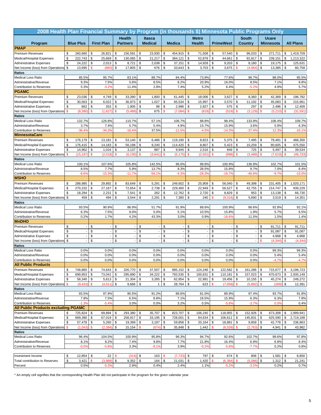| 2008 Health Plan Financial Summary by Program (in thousands \$) Minnesota Public Programs Only |               |                          |               |                   |                              |                          |                            |               |                    |               |                                |              |                          |                     |                 |               |                  |               |                    |
|------------------------------------------------------------------------------------------------|---------------|--------------------------|---------------|-------------------|------------------------------|--------------------------|----------------------------|---------------|--------------------|---------------|--------------------------------|--------------|--------------------------|---------------------|-----------------|---------------|------------------|---------------|--------------------|
|                                                                                                |               |                          |               |                   | <b>Health</b>                |                          | Itasca                     |               |                    |               | <b>Metro</b>                   |              |                          |                     | <b>South</b>    |               | <b>Ucare</b>     |               |                    |
| Program                                                                                        |               | <b>Blue Plus</b>         |               | <b>First Plan</b> | <b>Partners</b>              |                          | <b>Medical</b>             |               | <b>Medica</b>      |               | <b>Health</b>                  |              | <b>PrimeWest</b>         |                     | Country         |               | <b>Minnesota</b> |               | <b>All Plans</b>   |
| <b>PMAP</b>                                                                                    |               |                          |               |                   |                              |                          |                            |               |                    |               |                                |              |                          |                     |                 |               |                  |               |                    |
| <b>Premium Revenues</b>                                                                        | \$            | 260,660                  | \$            | 26,821            | \$<br>156,591                |                          | 23,930<br>\$               | \$            | 454,915            | \$            | 71,508                         | \$           | 57,540                   | \$                  | 96,033          | \$            | 271,711          | \$            | 1,419,709          |
| Medical/Hospital Expenses                                                                      | \$            | 222,743                  | \$            | 25,669            | \$<br>130,065                |                          | \$<br>21,217               | \$            | 384,121            | $\mathsf{\$}$ | 52,878                         | \$           | 44,661                   | \$                  | 92,817          | \$            | 239,151          | \$            | 1,213,322          |
| <b>Administrative Expenses</b>                                                                 | \$            | 24,222                   | \$            | 2,013             | \$<br>8,721                  |                          | \$<br>2,038                | \$            | 37,151             | \$            | 14,928                         | \$           | 9,203                    | \$                  | 8,180           | \$            | 19,175           | \$            | 125,631            |
| Net Income (loss) from Operations                                                              | \$            | 13,695                   | \$            | (860)             | \$<br>17,805                 |                          | \$<br>676                  | \$            | 33,643             | \$            | 3,703                          | \$           | 3,675                    | $\mathbf{s}$        | (4, 964)        | \$            | 13,385           | \$            | 80,758             |
| <b>Ratios</b>                                                                                  |               |                          |               |                   |                              |                          |                            |               |                    |               |                                |              |                          |                     |                 |               |                  |               |                    |
| <b>Medical Loss Ratio</b>                                                                      |               | 85.5%                    |               | 95.7%             | 83.1%                        |                          | 88.7%                      |               | 84.4%              |               | 73.9%                          |              | 77.6%                    |                     | 96.7%           |               | 88.0%            |               | 85.5%              |
| Administrative/Revenue                                                                         |               | 9.3%                     |               | 7.5%              | 5.6%                         |                          | 8.5%                       |               | 8.2%               |               | 20.9%                          |              | 16.0%                    |                     | 8.5%            |               | 7.1%             |               | 8.8%               |
| Contribution to Reserves<br><b>PGAMC</b>                                                       |               | 5.3%                     |               | $-3.2%$           | 11.4%                        |                          | 2.8%                       |               | 7.4%               |               | 5.2%                           |              | 6.4%                     |                     | $-5.2%$         |               | 4.9%             |               | 5.7%               |
| <b>Premium Revenues</b>                                                                        |               |                          |               |                   |                              |                          |                            | \$            |                    |               |                                |              |                          | \$                  |                 |               |                  | \$            |                    |
| Medical/Hospital Expenses                                                                      | \$<br>\$      | 23,036<br>30,563         | \$<br>\$      | 4,749<br>6,022    | \$<br>33,390<br>\$<br>36,973 |                          | \$<br>1,800<br>\$<br>1,027 | \$            | 61,445<br>65,534   | \$<br>\$      | 18,006<br>15,997               | \$<br>\$     | 3,627<br>3,570           | \$                  | 8,360<br>11,192 | \$<br>\$      | 42,369<br>45,083 | \$            | 196,782<br>215,961 |
| <b>Administrative Expenses</b>                                                                 | \$            | 862                      | \$            | 353               | \$<br>1,905                  |                          | \$<br>98                   | \$            | 2,996              | \$            | 2,827                          | \$           | 575                      | \$                  | 297             | \$            | 2,496            | \$            | 12,409             |
| Net Income (loss) from Operations                                                              | \$            | (8, 390)                 | $\mathbf{\$}$ | (1,627)           | \$<br>(5, 488)               |                          | \$<br>675                  | $\mathbf{\$}$ | (7,084)            | \$            | (819)                          | \$           | (519)                    | \$                  | (3, 129)        | $\mathsf{s}$  | (5, 210)         | $\mathbf{\$}$ | (31, 591)          |
| <b>Ratios</b>                                                                                  |               |                          |               |                   |                              |                          |                            |               |                    |               |                                |              |                          |                     |                 |               |                  |               |                    |
| <b>Medical Loss Ratio</b>                                                                      |               | 132.7%                   |               | 126.8%            | 110.7%                       |                          | 57.1%                      |               | 106.7%             |               | 88.8%                          |              | 98.4%                    |                     | 133.9%          |               | 106.4%           |               | 109.7%             |
| Administrative/Revenue                                                                         |               | 3.7%                     |               | 7.4%              | 5.7%                         |                          | 5.4%                       |               | 4.9%               |               | 15.7%                          |              | 15.9%                    |                     | 3.6%            |               | 5.9%             |               | 6.3%               |
| <b>Contribution to Reserves</b>                                                                |               | $-36.4%$                 |               | $-34.3%$          | $-16.49$                     |                          | 37.5%                      |               | $-11.59$           |               | $-4.5%$                        |              | $-14.3%$                 |                     | $-37.4%$        |               | $-12.39$         |               | $-16.1%$           |
| <b>MinnesotaCare</b>                                                                           |               |                          |               |                   |                              |                          |                            |               |                    |               |                                |              |                          |                     |                 |               |                  |               |                    |
| <b>Premium Revenues</b>                                                                        | \$            | 176,179                  | \$            | 13,181            | \$<br>53,140                 |                          | 6,486<br>\$                | \$            | 119,190            | \$            | 8,823                          | \$           | 5,375                    | \$                  | 7,495           | \$            | 78,481           | \$            | 468,350            |
| Medical/Hospital Expenses                                                                      | \$            | 176,415                  | \$            | 14,183            | \$<br>56,198                 |                          | \$<br>9,240                | \$            | 114,420            | \$            | 8,807                          | \$           | 5,423                    | \$                  | 10,259          | \$            | 80,605           | \$            | 475,550            |
| <b>Administrative Expenses</b>                                                                 | \$            | 14,962                   | \$            | 1,016             | \$<br>3,137                  |                          | \$<br>887                  | \$            | 9,945              | \$            | 2,516                          | \$           | 849                      | \$                  | 725             | \$            | 5,497            | \$            | 39,534             |
| Net Income (loss) from Operations                                                              | \$            | (15, 197)                | \$            | (2,018)           | \$<br>(6, 195)               |                          | $\mathbf s$<br>(3,641)     | \$            | (5, 175)           | \$            | (2, 501)                       | \$           | (898                     | \$                  | (3, 489)        | \$            | (7,619)          | $\mathbf{\$}$ | (46, 733)          |
| <b>Ratios</b>                                                                                  |               | 100.1%                   |               |                   |                              |                          |                            |               |                    |               |                                |              |                          |                     |                 |               |                  |               |                    |
| <b>Medical Loss Ratio</b><br>Administrative/Revenue                                            |               | 8.5%                     |               | 107.6%<br>7.7%    | 105.8%<br>5.9%               |                          | 142.5%<br>13.7%            |               | 96.0%<br>8.3%      |               | 99.8%<br>28.5%                 |              | 100.9%<br>15.8%          |                     | 136.9%<br>9.7%  |               | 102.7%<br>7.0%   |               | 101.5%<br>8.4%     |
| Contribution to Reserves                                                                       |               | $-8.6%$                  |               | $-15.3%$          | $-11.79$                     |                          | $-56.19$                   |               | $-4.39$            |               | $-28.3%$                       |              | $-16.79$                 |                     | $-46.6%$        |               | $-9.7%$          |               | $-10.0%$           |
| <b>MSHO</b>                                                                                    |               |                          |               |                   |                              |                          |                            |               |                    |               |                                |              |                          |                     |                 |               |                  |               |                    |
| <b>Premium Revenues</b>                                                                        | \$            | 288,985                  | \$            | 29,892            | \$<br>83,649                 |                          | 5,291<br>\$                | \$            | 249,602            | \$            | 25,909                         | \$           | 56,040                   | \$                  | 49,398          | \$            | 231,405          | \$            | 1,020,171          |
| Medical/Hospital Expenses                                                                      | \$            | 270,232                  | \$            | 27,167            | \$<br>72,654                 |                          | \$<br>2,738                | \$            | 229,460            | \$            | 22,949                         | \$           | 56,527                   | \$                  | 42,755          | \$            | 214,747          | \$            | 939,229            |
| <b>Administrative Expenses</b>                                                                 | \$            | 18,294                   | \$            | 2,231             | \$<br>7,541                  |                          | \$<br>262                  | \$            | 12,762             | \$            | 2,720                          | \$           | 8,829                    | \$                  | 953             | \$            | 13,138           | \$            | 66,730             |
| Net Income (loss) from Operations                                                              | \$            | 459                      | \$            | 494               | \$<br>3,544                  |                          | \$<br>2,291                | \$            | 7,380              | \$            | 240                            | \$           | (9,316)                  | \$                  | 5,690           | \$            | 3,519            | \$            | 14,301             |
| <b>Ratios</b>                                                                                  |               |                          |               |                   |                              |                          |                            |               |                    |               |                                |              |                          |                     |                 |               |                  |               |                    |
| <b>Medical Loss Ratio</b>                                                                      |               | 93.5%                    |               | 90.9%             | 86.9%                        |                          | 51.7%                      |               | 91.9%              |               | 88.6%                          |              | 100.9%                   |                     | 86.6%           |               | 92.8%            |               | 92.1%              |
| Administrative/Revenue                                                                         |               | 6.3%                     |               | 7.5%              | 9.0%                         |                          | 5.0%                       |               | 5.1%               |               | 10.5%                          |              | 15.8%                    |                     | 1.9%            |               | 5.7%             |               | 6.5%               |
| Contribution to Reserves                                                                       |               | 0.2%                     |               | 1.7%              | 4.2%                         |                          | 43.3%                      |               | 3.0%               |               | 0.9%                           |              | $-16.6%$                 |                     | 11.5%           |               | 1.5%             |               | 1.4%               |
| <b>MnDHO</b>                                                                                   |               |                          |               |                   |                              |                          |                            |               |                    |               |                                |              |                          |                     |                 |               |                  |               |                    |
| <b>Premium Revenues</b><br>Medical/Hospital Expenses                                           | \$<br>\$      |                          | \$<br>\$      |                   | \$<br>\$                     | $\overline{\phantom{a}}$ | \$<br>\$                   | \$<br>\$      |                    | \$<br>\$      | $\overline{\phantom{a}}$<br>÷, | \$<br>\$     |                          | \$<br>\$            |                 | \$<br>\$      | 91,711<br>91,087 | \$<br>\$      | 91,711<br>91,087   |
| <b>Administrative Expenses</b>                                                                 | \$            | $\overline{\phantom{a}}$ | \$            |                   | \$                           |                          | \$                         | \$            |                    | \$            | $\overline{\phantom{a}}$       | \$           | $\overline{\phantom{a}}$ | \$                  |                 | \$            | 4,968            | \$            | 4,968              |
| Net Income (loss) from Operations                                                              | \$            |                          | \$            |                   | \$                           |                          | \$                         | \$            |                    | \$            |                                | \$           |                          | \$                  |                 | $\mathbf{\$}$ | (4, 344)         | $\mathbf{s}$  | (4, 344)           |
| <b>Ratios</b>                                                                                  |               |                          |               |                   |                              |                          |                            |               |                    |               |                                |              |                          |                     |                 |               |                  |               |                    |
| <b>Medical Loss Ratio</b>                                                                      |               | 0.0%                     |               | 0.0%              | 0.0%                         |                          | 0.0%                       |               | 0.0%               |               | 0.0%                           |              | 0.0%                     |                     | 0.0%            |               | 99.3%            |               | 99.3%              |
| Administrative/Revenue                                                                         |               | 0.0%                     |               | 0.0%              | 0.0%                         |                          | 0.0%                       |               | 0.0%               |               | 0.0%                           |              | 0.0%                     |                     | 0.0%            |               | 5.4%             |               | 5.4%               |
| <b>Contribution to Reserves</b>                                                                |               | 0.0%                     |               | 0.0%              | 0.0%                         |                          | 0.0%                       |               | 0.0%               |               | 0.0%                           |              | 0.0%                     |                     | 0.0%            |               | $-4.7%$          |               | $-4.7%$            |
| <b>All Public Products</b>                                                                     |               |                          |               |                   |                              |                          |                            |               |                    |               |                                |              |                          |                     |                 |               |                  |               |                    |
| <b>Premium Revenues</b>                                                                        | \$            | 748,860                  | \$            | 74,643            | \$<br>326,770                |                          | \$<br>37,507               | \$            | 885,152            | \$            | 124,246                        | \$           | 122,582                  | \$                  | 161,286         | \$            | 715,677          | \$            | 3,196,723          |
| Medical/Hospital Expenses                                                                      | \$            | 699,953                  | \$            | 73,041            | \$<br>295,890                |                          | \$<br>34,222               | \$            | 793,535            | \$            | 100,631                        | \$           | 110,181                  | \$                  | 157,023         | \$            | 670,673          | \$            | 2,935,149          |
| <b>Administrative Expenses</b>                                                                 | \$            | 58,340                   | \$            | 5,613             | \$<br>21,304                 |                          | \$<br>$3,285$ \$           |               | 62,854             | \$            | 22,991                         | \$           | 19,456                   | \$                  | 10,155          | \$            | 45,274           | \$            | 249,272            |
| Net Income (loss) from Operations                                                              | $\mathbf{\$}$ | (9, 433)                 | $\mathbf{\$}$ | (4,011)           | \$<br>9,666                  |                          | \$<br>$\mathbf{1}$         | <b>\$</b>     | 28,764             | \$            | 623                            | $\mathbf{s}$ | (7,058)                  | $\mathbf{\$}$       | (5,892)         | $\mathbf{\$}$ | (269)            | \$            | 12,391             |
| <b>Ratios</b><br><b>Medical Loss Ratio</b>                                                     |               | 93.5%                    |               | 97.9%             | 90.5%                        |                          | 91.2%                      |               | 89.6%              |               | 81.0%                          |              | 89.9%                    |                     | 97.4%           |               | 93.7%            |               | 91.8%              |
| Administrative/Revenue                                                                         |               | 7.8%                     |               | 7.5%              | 6.5%                         |                          | 8.8%                       |               | 7.1%               |               | 18.5%                          |              | 15.9%                    |                     | 6.3%            |               | 6.3%             |               | 7.8%               |
| Contribution to Reserves                                                                       |               | $-1.3%$                  |               | $-5.4%$           | 3.0%                         |                          | 0.0%                       |               | 3.2%               |               | 0.5%                           |              | $-5.8%$                  |                     | $-3.7%$         |               | 0.0%             |               | 0.4%               |
| <b>All Public Products excluding PGAMC</b>                                                     |               |                          |               |                   |                              |                          |                            |               |                    |               |                                |              |                          |                     |                 |               |                  |               |                    |
| <b>Premium Revenues</b>                                                                        | \$            | 725,824                  | \$            | 69,894            | \$<br>293,380                |                          | 35,707<br>\$               | \$            | 823,707            | \$            | 106,240                        | \$           | 118,955                  | \$                  | 152,926         | \$            | 673,308          | \$            | 2,999,941          |
| Medical/Hospital Expenses                                                                      | \$            | 669,390                  | \$            | 67,019            | \$<br>258,917                |                          | 33,195<br>\$               | \$            | 728,001            | \$            | 84,634                         | \$           | 106,611                  | \$                  | 145,831         | \$            | 625,590          | \$            | 2,719,188          |
| <b>Administrative Expenses</b>                                                                 | \$            | 57,478                   | \$            | 5,260             | \$<br>19,399                 |                          | 3,187<br>\$                | $\sqrt{3}$    | 59,858             | \$            | 20,164                         | \$           | 18,881                   | \$                  | 9,858           | \$            | 42,778           | \$            | 236,863            |
| Net Income (loss) from Operations                                                              | $\mathbf{\$}$ | (1,043)                  | \$            | (2, 384)          | \$<br>15,154                 |                          | $\mathbf{\$}$<br>(674)     | \$            | 35,848             | \$            | 1,442                          | \$           | (6, 539)                 | \$                  | (2,763)         | \$            | 4,941            | \$            | 43,982             |
| <b>Ratios</b>                                                                                  |               |                          |               |                   |                              |                          |                            |               |                    |               |                                |              |                          |                     |                 |               |                  |               |                    |
| <b>Medical Loss Ratio</b>                                                                      |               | 96.4%                    |               | 104.5%            | 100.9%                       |                          | 95.8%                      |               | 96.3%              |               | 94.7%                          |              | 92.6%                    |                     | 102.7%          |               | 99.6%            |               | 97.8%              |
| Administrative/Revenue                                                                         |               | 8.1%                     |               | 8.2%              | 7.4%                         |                          | 9.8%                       |               | 7.7%               |               | 21.8%                          |              | 16.4%                    |                     | 6.9%            |               | 6.8%             |               | 8.4%               |
| Contribution to Reserves                                                                       |               | $-0.59$                  |               | $-5.8%$           | 3.3%                         |                          | $-9.1%$                    |               | 3.9%               |               | $-0.2%$                        |              | $-5.8%$                  |                     | $-7.7%$         |               | 0.2%             |               | 0.8%               |
|                                                                                                |               |                          |               |                   |                              |                          | \$                         | $\mathbf{\$}$ |                    |               |                                |              |                          |                     |                 |               |                  | \$            |                    |
| Investment Income<br>Total contribution to Reserves                                            | \$<br>\$      | 12,854<br>3,421          | \$<br>\$      | 22<br>(3,989)     | (314)<br>\$<br>\$<br>9,352   |                          | 163<br>\$<br>164           | \$            | (7, 733)<br>21,031 | \$<br>\$      | 797<br>1,420                   | \$<br>\$     | 674<br>(6, 384)          | \$<br>$\mathbf{\$}$ | 806<br>(5,086)  | \$<br>\$      | 1,581<br>1,312   | \$            | 8,850<br>21,241    |
| Percent                                                                                        |               | 0.5%                     |               | $-5.3%$           | 2.9%                         |                          | 0.4%                       |               | 2.4%               |               | 1.1%                           |              | $-5.2%$                  |                     | $-3.2%$         |               | 0.2%             |               | 0.7%               |
|                                                                                                |               |                          |               |                   |                              |                          |                            |               |                    |               |                                |              |                          |                     |                 |               |                  |               |                    |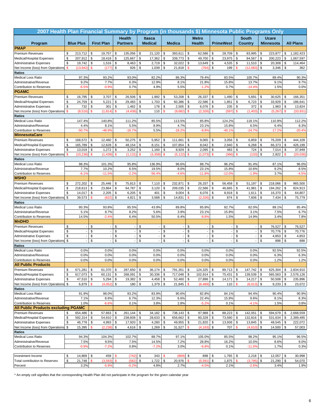| <b>Health</b><br><b>Itasca</b><br><b>Metro</b><br><b>South</b><br><b>Ucare</b><br><b>First Plan</b><br><b>Medical</b><br><b>Health</b><br><b>All Plans</b><br><b>Blue Plus</b><br><b>Partners</b><br><b>Medica</b><br><b>PrimeWest</b><br><b>Country</b><br><b>Minnesota</b><br>Program<br><b>PMAP</b><br>1,182,423<br>213,712<br>\$<br>19,757<br>\$<br>135,056<br>21,120<br>\$<br>393,611<br>\$<br>62,586<br>\$<br>28,709<br>\$<br>83,995<br>\$<br>223,877<br>Premium Revenues<br>\$<br>\$<br>\$<br>\$<br>\$<br>\$<br>\$<br>\$<br>\$<br>\$<br>207,912<br>18,418<br>125,667<br>\$<br>17,362<br>339,773<br>49,700<br>\$<br>23,975<br>84,567<br>200,223<br>\$<br>1,067,597<br>Medical/Hospital Expenses<br>\$<br>19,742<br>\$<br>1,516<br>\$<br>8,463<br>\$<br>2,719<br>\$<br>32,022<br>\$<br>\$<br>4,535<br>\$<br>\$<br>20,308<br>\$<br><b>Administrative Expenses</b><br>13,649<br>11,510<br>114,464<br>$\mathsf{\$}$<br>\$<br>\$<br>\$<br>\$<br>\$<br>\$<br>(13, 942)<br>(177)<br>926<br>1,039<br>21,818<br>$\mathsf{\$}$<br>199<br>\$<br>(12,083)<br>3,346<br>362<br>Net Income (loss) from Operations<br>-\$<br>(764)<br><b>Ratios</b><br>93.2%<br>82.2%<br>100.7%<br>90.3%<br><b>Medical Loss Ratio</b><br>97.3%<br>93.0%<br>86.3%<br>79.4%<br>83.5%<br>89.4%<br>12.9%<br>15.8%<br>Administrative/Revenue<br>9.2%<br>7.7%<br>6.3%<br>8.1%<br>21.8%<br>13.7%<br>9.1%<br>9.7%<br>$-6.5%$<br>5.5%<br>0.7%<br><b>Contribution to Reserves</b><br>$-0.9%$<br>0.7%<br>4.9%<br>$-1.2%$<br>$-14.4%$<br>1.5%<br>0.0%<br><b>PGAMC</b><br>\$<br>\$<br><b>Premium Revenues</b><br>\$<br>16,795<br>\$<br>3,707<br>\$<br>26,506<br>-\$<br>1,992<br>\$<br>53,208<br>\$<br>26,337<br>\$<br>1,490<br>\$<br>5,691<br>30,625<br>166,351<br>\$<br>\$<br>\$<br>\$<br>\$<br>\$<br>\$<br>24,759<br>5,221<br>29,483<br>\$<br>1,703<br>60,386<br>22,586<br>\$<br>1,851<br>6,723<br>33,929<br>\$<br>Medical/Hospital Expenses<br>186,641<br>\$<br>\$<br>\$<br>\$<br>\$<br>732<br>301<br>\$<br>1,462<br>178<br>2,505<br>\$<br>6,076<br>235<br>\$<br>372<br>\$<br>1,963<br>\$<br><b>Administrative Expenses</b><br>13,824<br>$\mathsf{\$}$<br>$\mathsf{\$}$<br>\$<br>$\mathbf{s}$<br>$\mathsf{\$}$<br>$\mathbf{s}$<br>(1,403)<br>$\mathbf S$<br>$\mathbf{\$}$<br>(8,516)<br>(1, 814)<br>(4, 436)<br>110<br>(9,682)<br>(2, 326)<br>$\mathsf{\$}$<br>(597<br>(5, 267)<br>$\mathbf{\$}$<br>(33, 931)<br>Net Income (loss) from Operations<br><b>Ratios</b><br>147.4%<br>111.2%<br><b>Medical Loss Ratio</b><br>140.8%<br>85.5%<br>113.5%<br>85.8%<br>124.2%<br>118.1%<br>110.8%<br>112.2%<br>5.5%<br>4.4%<br>8.1%<br>8.9%<br>4.7%<br>23.1%<br>15.8%<br>6.5%<br>6.4%<br>8.3%<br>Administrative/Revenue<br>$-50.79$<br>$-48.9%$<br>$-16.7%$<br>5.5%<br>$-18.2%$<br>$-8.8%$<br>$-40.1%$<br>$-24.7%$<br>$-17.29$<br>$-20.4%$<br><b>Contribution to Reserves</b><br><b>MinnesotaCare</b><br>12,460<br>\$<br>50,275<br>5,952<br>\$<br>9,065<br>\$<br>76,209<br><b>Premium Revenues</b><br>\$<br>168,572<br>\$<br>\$<br>\$<br>111,661<br>\$<br>3,056<br>\$<br>6,859<br>\$<br>444,109<br>\$<br>\$<br>\$<br>\$<br>\$<br>165,789<br>\$<br>12,628<br>\$<br>48,154<br>\$<br>8,151<br>\$<br>107,854<br>8,042<br>\$<br>2,940<br>6,268<br>66,373<br>Medical/Hospital Expenses<br>426,199<br>\$<br>\$<br>\$<br>\$<br>\$<br>\$<br>\$<br>724<br>\$<br>\$<br>13,019<br>1,272<br>3,252<br>1,160<br>8,929<br>2,095<br>483<br>7,014<br>\$<br>37,948<br><b>Administrative Expenses</b><br>\$<br>\$<br>\$<br>$\mathsf{\$}$<br>(10, 236)<br>\$<br>(1, 439)<br>(1, 131)<br>\$<br>\$<br>(5, 122)<br>(1,073)<br>\$<br>(366<br>\$<br>(133)<br>2,822<br>$\mathbf{\$}$<br>(20, 036)<br>(3, 358)<br>Net Income (loss) from Operations<br>Ratios<br>87.1%<br>Medical Loss Ratio<br>98.3%<br>101.3%<br>95.8%<br>136.9%<br>96.6%<br>88.7%<br>96.2%<br>91.4%<br>96.0%<br>7.7%<br>10.2%<br>23.1%<br>15.8%<br>10.6%<br>9.2%<br>Administrative/Revenue<br>6.5%<br>19.5%<br>8.0%<br>8.5%<br>$-6.1%$<br>$-11.5%$<br>$-2.2%$<br>$-56.4%$<br>$-4.6%$<br>$-11.8%$<br>$-12.0%$<br>$-1.9%$<br>3.7%<br>$-4.5%$<br>Contribution to Reserves<br><b>MSHO</b><br>\$<br>272,202<br>\$<br>25,446<br>\$<br>\$<br>\$<br>26,337<br>\$<br>Premium Revenues<br>75,813<br>\$<br>7,110<br>232,871<br>\$<br>56,458<br>\$<br>51,197<br>218,066<br>\$<br>965,500<br>\$<br>\$<br>218,613<br>\$<br>23,864<br>\$<br>64,787<br>\$<br>3,120<br>\$<br>209,035<br>\$<br>22,586<br>\$<br>41,981<br>\$<br>46,665<br>194,262<br>\$<br>Medical/Hospital Expenses<br>824,913<br>\$<br>2,205<br>\$<br>\$<br>\$<br>\$<br>\$<br>\$<br>\$<br>\$<br>14,017<br>6,205<br>401<br>9,004<br>6,076<br>8,918<br>1,611<br>16,370<br>\$<br>64,807<br><b>Administrative Expenses</b><br>\$<br>\$<br>\$<br>\$<br>\$<br>39,573<br>$\mathbf{s}$<br>4,821<br>3,588<br>\$<br>14,831<br>\$<br>874<br>7,606<br>\$<br>7,434<br>\$<br>(622)<br>(2, 326)<br>75,779<br>Net Income (loss) from Operations<br>Ratios<br><b>Medical Loss Ratio</b><br>80.3%<br>93.8%<br>85.5%<br>43.9%<br>89.8%<br>85.8%<br>82.7%<br>82.0%<br>89.1%<br>85.4%<br>5.1%<br>3.9%<br>15.8%<br>3.1%<br>7.5%<br>Administrative/Revenue<br>8.7%<br>8.2%<br>5.6%<br>23.1%<br>Contribution to Reserves<br>14.5%<br>$-2.4%$<br>6.4%<br>50.5%<br>6.4%<br>$-8.8%$<br>1.5%<br>14.9%<br>3.4%<br><b>MnDHO</b><br>\$<br>\$<br>\$<br>\$<br>\$<br>\$<br>\$<br>\$<br>76,527<br>76,527<br>Premium Revenues<br>\$<br>\$<br>$\overline{\phantom{a}}$<br>$\overline{\phantom{a}}$<br>$\overline{\phantom{a}}$<br>\$<br>\$<br>\$<br>\$<br>\$<br>\$<br>\$<br>\$<br>\$<br>70,776<br>\$<br>70,776<br>Medical/Hospital Expenses<br>$\overline{\phantom{a}}$<br>$\overline{a}$<br>\$<br>\$<br>\$<br>\$<br>\$<br>\$<br>\$<br>\$<br>\$<br>\$<br>4,853<br>4,853<br><b>Administrative Expenses</b><br>$\overline{\phantom{a}}$<br>$\overline{\phantom{a}}$<br>$\overline{\phantom{a}}$<br>\$<br>\$<br>\$<br>\$<br>\$<br>\$<br>\$<br>\$<br>\$<br>\$<br>898<br>Net Income (loss) from Operations<br>898<br><b>Ratios</b><br><b>Medical Loss Ratio</b><br>0.0%<br>0.0%<br>0.0%<br>0.0%<br>0.0%<br>0.0%<br>0.0%<br>0.0%<br>92.5%<br>92.5%<br>0.0%<br>6.3%<br>0.0%<br>0.0%<br>0.0%<br>0.0%<br>0.0%<br>0.0%<br>0.0%<br>6.3%<br>Administrative/Revenue<br>0.0%<br>0.0%<br>0.0%<br>1.2%<br>0.0%<br>0.0%<br>0.0%<br>0.0%<br>0.0%<br>1.2%<br><b>Contribution to Reserves</b><br><b>All Public Products</b><br>\$<br>671,281<br>\$<br>61,370<br>\$<br>287,650<br>\$<br>791,351<br>124,325<br>\$<br>89,713<br>$\sqrt{3}$<br>147,742<br>\$<br>625,304<br>\$<br>2,834,910<br><b>Premium Revenues</b><br>$36,174$ \$<br>\$<br>\$<br>$$\mathfrak{s}$$<br>\$<br>$30,336$ \$<br>\$<br>\$<br>\$<br>\$<br>Medical/Hospital Expenses<br>617,073<br>60,131<br>268,091<br>\$<br>717,048<br>102,914<br>75,431<br>139,539<br>565,563<br>\$<br>2,576,126<br>\$<br>\$<br>47,510<br><b>S</b><br>5,294<br>\$<br>\$<br>$4,458$ \$<br>52,460 \$<br>27,896<br>\$<br>14,217<br>\$<br>\$<br><b>Administrative Expenses</b><br>19,382<br>14,171<br>50,508<br>235,896<br>6,879<br>$\mathbf{\$}$<br>(4,052)<br>\$<br>\$<br>$1,379$ \$<br>21,845<br>$\mathbf{\hat{s}}$<br>\$<br>$\mathbf{\$}$<br>\$<br>$9,233$ \$<br>Net Income (loss) from Operations<br>\$<br>180<br>(6, 489)<br>110<br>(6,013)<br>23,072<br>Ratios<br>Medical Loss Ratio<br>91.9%<br>98.0%<br>93.2%<br>83.9%<br>90.6%<br>82.8%<br>84.1%<br>94.4%<br>90.4%<br>Administrative/Revenue<br>7.1%<br>6.7%<br>8.6%<br>12.3%<br>6.6%<br>22.4%<br>15.8%<br>9.6%<br>8.1%<br>Contribution to Reserves<br>1.0%<br>0.1%<br>3.8%<br>2.8%<br>$-5.2%$<br>0.1%<br>$-4.1%$<br>1.5%<br>$-6.6%$<br><b>All Public Products excluding PGAMC</b><br>Premium Revenues<br>654,486<br>\$<br>261,144<br>34,182<br>738,143<br>97,988<br>88,223<br>142,051<br>\$<br>594,679<br>2,668,559<br>\$<br>\$<br>57,663<br>\$<br>\$<br>\$<br>\$<br>\$<br>\$<br>\$<br>\$<br>\$<br>Medical/Hospital Expenses<br>592,314<br>54,910<br>\$<br>238,608<br>28,633<br>\$<br>656,662<br>\$<br>80,328<br>\$<br>73,580<br>132,816<br>\$<br>531,634<br>\$<br>2,389,485<br>\$<br>\$<br><b>Administrative Expenses</b><br>46,778<br>4,993<br>\$<br>17,920<br>4,280<br>$\sqrt{3}$<br>49,955<br>$\sqrt{3}$<br>21,820<br>\$<br>13,936<br>\$<br>13,845<br>\$<br>\$<br>\$<br>\$<br>48,545<br>222,072<br>\$<br>\$<br>15,395<br>\$<br>(2, 238)<br>\$<br>4,616<br>\$<br>1,269<br>\$<br>31,527<br>\$<br>(4, 163)<br>707<br>\$<br>(4,610)<br>\$<br>14,500<br>\$<br>Net Income (loss) from Operations<br>57,003<br>Ratios<br>Medical Loss Ratio<br>94.3%<br>104.3%<br>102.7%<br>88.7%<br>97.1%<br>105.0%<br>85.5%<br>98.2%<br>95.1%<br>96.5%<br>7.5%<br>Administrative/Revenue<br>9.5%<br>7.5%<br>14.5%<br>7.2%<br>28.8%<br>16.2%<br>10.5%<br>8.6%<br>9.0%<br>$-0.9%$<br>$-7.2%$<br>0.8%<br>$-7.2%$<br>3.0%<br>0.1%<br>$-11.09$<br>1.7%<br>Contribution to Reserves<br>$-6.8%$<br>0.3%<br>Investment Income<br>\$<br>14,869<br>\$<br>459<br>(742)<br>\$<br>343<br>(869<br>\$<br>898<br>\$<br>1,765<br>\$<br>2,218<br>\$<br>12,057<br>\$<br>30,998<br>\$<br><b>S</b><br>21,748<br>\$<br>\$<br>\$<br>\$<br>$\mathbf{\$}$<br>(3, 593)<br>$\mathbf{s}$<br>(562)<br>\$<br>1,722<br>20,976<br>(5, 591)<br>1,875<br>$\mathbf{\$}$<br>(3,795)<br>21,290<br>\$<br>54,070<br>Total contribution to Reserves<br>\$<br>3.2%<br>$-5.9%$<br>$-0.2%$<br>4.8%<br>2.7%<br>$-4.5%$<br>2.1%<br>$-2.6%$<br>3.4%<br>Percent | 2007 Health Plan Financial Summary by Program (in thousands \$) Minnesota Public Programs Only |  |  |  |  |  |  |  |  |  |       |
|---------------------------------------------------------------------------------------------------------------------------------------------------------------------------------------------------------------------------------------------------------------------------------------------------------------------------------------------------------------------------------------------------------------------------------------------------------------------------------------------------------------------------------------------------------------------------------------------------------------------------------------------------------------------------------------------------------------------------------------------------------------------------------------------------------------------------------------------------------------------------------------------------------------------------------------------------------------------------------------------------------------------------------------------------------------------------------------------------------------------------------------------------------------------------------------------------------------------------------------------------------------------------------------------------------------------------------------------------------------------------------------------------------------------------------------------------------------------------------------------------------------------------------------------------------------------------------------------------------------------------------------------------------------------------------------------------------------------------------------------------------------------------------------------------------------------------------------------------------------------------------------------------------------------------------------------------------------------------------------------------------------------------------------------------------------------------------------------------------------------------------------------------------------------------------------------------------------------------------------------------------------------------------------------------------------------------------------------------------------------------------------------------------------------------------------------------------------------------------------------------------------------------------------------------------------------------------------------------------------------------------------------------------------------------------------------------------------------------------------------------------------------------------------------------------------------------------------------------------------------------------------------------------------------------------------------------------------------------------------------------------------------------------------------------------------------------------------------------------------------------------------------------------------------------------------------------------------------------------------------------------------------------------------------------------------------------------------------------------------------------------------------------------------------------------------------------------------------------------------------------------------------------------------------------------------------------------------------------------------------------------------------------------------------------------------------------------------------------------------------------------------------------------------------------------------------------------------------------------------------------------------------------------------------------------------------------------------------------------------------------------------------------------------------------------------------------------------------------------------------------------------------------------------------------------------------------------------------------------------------------------------------------------------------------------------------------------------------------------------------------------------------------------------------------------------------------------------------------------------------------------------------------------------------------------------------------------------------------------------------------------------------------------------------------------------------------------------------------------------------------------------------------------------------------------------------------------------------------------------------------------------------------------------------------------------------------------------------------------------------------------------------------------------------------------------------------------------------------------------------------------------------------------------------------------------------------------------------------------------------------------------------------------------------------------------------------------------------------------------------------------------------------------------------------------------------------------------------------------------------------------------------------------------------------------------------------------------------------------------------------------------------------------------------------------------------------------------------------------------------------------------------------------------------------------------------------------------------------------------------------------------------------------------------------------------------------------------------------------------------------------------------------------------------------------------------------------------------------------------------------------------------------------------------------------------------------------------------------------------------------------------------------------------------------------------------------------------------------------------------------------------------------------------------------------------------------------------------------------------------------------------------------------------------------------------------------------------------------------------------------------------------------------------------------------------------------------------------------------------------------------------------------------------------------------------------------------------------------------------------------------------------------------------------------------------------------------------------------------------------------------------------------------------------------------------------------------------------------------------------------------------------------------------------------------------------------------------------------------------------------------------------------------------------------------------------------------------------------------------------------------------------------------------------------------------------------------------------------------------------------------------------------------------------------------------------------------------------------------------------------------------------------------------------------------------------------------------------------------------------------------------------------------------------------------------------------------------------------------------------------------------------------------------------------------------------------------------------------------------------------------------------------------------------------------------------------------------------------------------------------------------------------------------------------------------------------------------------------------------------------------------------------------------------------------------------------------------------------------------------------------------------------------------------------------------------------------------------------------------------------------------------------------------------------------------------------------------------------------------------------------------------------------------------------------------------------------------------------------------------------------------------------------------------------------------------------------------------------------------------------------------------------------------------------------------------------------------------------------------------------------------------------------------------------------------------------------------------------------------------------------------------------------------------------------------------------------------------------------------------------------------------------------|------------------------------------------------------------------------------------------------|--|--|--|--|--|--|--|--|--|-------|
|                                                                                                                                                                                                                                                                                                                                                                                                                                                                                                                                                                                                                                                                                                                                                                                                                                                                                                                                                                                                                                                                                                                                                                                                                                                                                                                                                                                                                                                                                                                                                                                                                                                                                                                                                                                                                                                                                                                                                                                                                                                                                                                                                                                                                                                                                                                                                                                                                                                                                                                                                                                                                                                                                                                                                                                                                                                                                                                                                                                                                                                                                                                                                                                                                                                                                                                                                                                                                                                                                                                                                                                                                                                                                                                                                                                                                                                                                                                                                                                                                                                                                                                                                                                                                                                                                                                                                                                                                                                                                                                                                                                                                                                                                                                                                                                                                                                                                                                                                                                                                                                                                                                                                                                                                                                                                                                                                                                                                                                                                                                                                                                                                                                                                                                                                                                                                                                                                                                                                                                                                                                                                                                                                                                                                                                                                                                                                                                                                                                                                                                                                                                                                                                                                                                                                                                                                                                                                                                                                                                                                                                                                                                                                                                                                                                                                                                                                                                                                                                                                                                                                                                                                                                                                                                                                                                                                                                                                                                                                                                                                                                                                                                                                                                                                                                                                                                                                                                                                                                                                                                                                                                                                                                                                                                                                                                                                                                                                                                                                                                                                                                                                                                                                                                                                                                                                 |                                                                                                |  |  |  |  |  |  |  |  |  |       |
|                                                                                                                                                                                                                                                                                                                                                                                                                                                                                                                                                                                                                                                                                                                                                                                                                                                                                                                                                                                                                                                                                                                                                                                                                                                                                                                                                                                                                                                                                                                                                                                                                                                                                                                                                                                                                                                                                                                                                                                                                                                                                                                                                                                                                                                                                                                                                                                                                                                                                                                                                                                                                                                                                                                                                                                                                                                                                                                                                                                                                                                                                                                                                                                                                                                                                                                                                                                                                                                                                                                                                                                                                                                                                                                                                                                                                                                                                                                                                                                                                                                                                                                                                                                                                                                                                                                                                                                                                                                                                                                                                                                                                                                                                                                                                                                                                                                                                                                                                                                                                                                                                                                                                                                                                                                                                                                                                                                                                                                                                                                                                                                                                                                                                                                                                                                                                                                                                                                                                                                                                                                                                                                                                                                                                                                                                                                                                                                                                                                                                                                                                                                                                                                                                                                                                                                                                                                                                                                                                                                                                                                                                                                                                                                                                                                                                                                                                                                                                                                                                                                                                                                                                                                                                                                                                                                                                                                                                                                                                                                                                                                                                                                                                                                                                                                                                                                                                                                                                                                                                                                                                                                                                                                                                                                                                                                                                                                                                                                                                                                                                                                                                                                                                                                                                                                                                 |                                                                                                |  |  |  |  |  |  |  |  |  |       |
|                                                                                                                                                                                                                                                                                                                                                                                                                                                                                                                                                                                                                                                                                                                                                                                                                                                                                                                                                                                                                                                                                                                                                                                                                                                                                                                                                                                                                                                                                                                                                                                                                                                                                                                                                                                                                                                                                                                                                                                                                                                                                                                                                                                                                                                                                                                                                                                                                                                                                                                                                                                                                                                                                                                                                                                                                                                                                                                                                                                                                                                                                                                                                                                                                                                                                                                                                                                                                                                                                                                                                                                                                                                                                                                                                                                                                                                                                                                                                                                                                                                                                                                                                                                                                                                                                                                                                                                                                                                                                                                                                                                                                                                                                                                                                                                                                                                                                                                                                                                                                                                                                                                                                                                                                                                                                                                                                                                                                                                                                                                                                                                                                                                                                                                                                                                                                                                                                                                                                                                                                                                                                                                                                                                                                                                                                                                                                                                                                                                                                                                                                                                                                                                                                                                                                                                                                                                                                                                                                                                                                                                                                                                                                                                                                                                                                                                                                                                                                                                                                                                                                                                                                                                                                                                                                                                                                                                                                                                                                                                                                                                                                                                                                                                                                                                                                                                                                                                                                                                                                                                                                                                                                                                                                                                                                                                                                                                                                                                                                                                                                                                                                                                                                                                                                                                                                 |                                                                                                |  |  |  |  |  |  |  |  |  |       |
|                                                                                                                                                                                                                                                                                                                                                                                                                                                                                                                                                                                                                                                                                                                                                                                                                                                                                                                                                                                                                                                                                                                                                                                                                                                                                                                                                                                                                                                                                                                                                                                                                                                                                                                                                                                                                                                                                                                                                                                                                                                                                                                                                                                                                                                                                                                                                                                                                                                                                                                                                                                                                                                                                                                                                                                                                                                                                                                                                                                                                                                                                                                                                                                                                                                                                                                                                                                                                                                                                                                                                                                                                                                                                                                                                                                                                                                                                                                                                                                                                                                                                                                                                                                                                                                                                                                                                                                                                                                                                                                                                                                                                                                                                                                                                                                                                                                                                                                                                                                                                                                                                                                                                                                                                                                                                                                                                                                                                                                                                                                                                                                                                                                                                                                                                                                                                                                                                                                                                                                                                                                                                                                                                                                                                                                                                                                                                                                                                                                                                                                                                                                                                                                                                                                                                                                                                                                                                                                                                                                                                                                                                                                                                                                                                                                                                                                                                                                                                                                                                                                                                                                                                                                                                                                                                                                                                                                                                                                                                                                                                                                                                                                                                                                                                                                                                                                                                                                                                                                                                                                                                                                                                                                                                                                                                                                                                                                                                                                                                                                                                                                                                                                                                                                                                                                                                 |                                                                                                |  |  |  |  |  |  |  |  |  |       |
|                                                                                                                                                                                                                                                                                                                                                                                                                                                                                                                                                                                                                                                                                                                                                                                                                                                                                                                                                                                                                                                                                                                                                                                                                                                                                                                                                                                                                                                                                                                                                                                                                                                                                                                                                                                                                                                                                                                                                                                                                                                                                                                                                                                                                                                                                                                                                                                                                                                                                                                                                                                                                                                                                                                                                                                                                                                                                                                                                                                                                                                                                                                                                                                                                                                                                                                                                                                                                                                                                                                                                                                                                                                                                                                                                                                                                                                                                                                                                                                                                                                                                                                                                                                                                                                                                                                                                                                                                                                                                                                                                                                                                                                                                                                                                                                                                                                                                                                                                                                                                                                                                                                                                                                                                                                                                                                                                                                                                                                                                                                                                                                                                                                                                                                                                                                                                                                                                                                                                                                                                                                                                                                                                                                                                                                                                                                                                                                                                                                                                                                                                                                                                                                                                                                                                                                                                                                                                                                                                                                                                                                                                                                                                                                                                                                                                                                                                                                                                                                                                                                                                                                                                                                                                                                                                                                                                                                                                                                                                                                                                                                                                                                                                                                                                                                                                                                                                                                                                                                                                                                                                                                                                                                                                                                                                                                                                                                                                                                                                                                                                                                                                                                                                                                                                                                                                 |                                                                                                |  |  |  |  |  |  |  |  |  |       |
|                                                                                                                                                                                                                                                                                                                                                                                                                                                                                                                                                                                                                                                                                                                                                                                                                                                                                                                                                                                                                                                                                                                                                                                                                                                                                                                                                                                                                                                                                                                                                                                                                                                                                                                                                                                                                                                                                                                                                                                                                                                                                                                                                                                                                                                                                                                                                                                                                                                                                                                                                                                                                                                                                                                                                                                                                                                                                                                                                                                                                                                                                                                                                                                                                                                                                                                                                                                                                                                                                                                                                                                                                                                                                                                                                                                                                                                                                                                                                                                                                                                                                                                                                                                                                                                                                                                                                                                                                                                                                                                                                                                                                                                                                                                                                                                                                                                                                                                                                                                                                                                                                                                                                                                                                                                                                                                                                                                                                                                                                                                                                                                                                                                                                                                                                                                                                                                                                                                                                                                                                                                                                                                                                                                                                                                                                                                                                                                                                                                                                                                                                                                                                                                                                                                                                                                                                                                                                                                                                                                                                                                                                                                                                                                                                                                                                                                                                                                                                                                                                                                                                                                                                                                                                                                                                                                                                                                                                                                                                                                                                                                                                                                                                                                                                                                                                                                                                                                                                                                                                                                                                                                                                                                                                                                                                                                                                                                                                                                                                                                                                                                                                                                                                                                                                                                                                 |                                                                                                |  |  |  |  |  |  |  |  |  |       |
|                                                                                                                                                                                                                                                                                                                                                                                                                                                                                                                                                                                                                                                                                                                                                                                                                                                                                                                                                                                                                                                                                                                                                                                                                                                                                                                                                                                                                                                                                                                                                                                                                                                                                                                                                                                                                                                                                                                                                                                                                                                                                                                                                                                                                                                                                                                                                                                                                                                                                                                                                                                                                                                                                                                                                                                                                                                                                                                                                                                                                                                                                                                                                                                                                                                                                                                                                                                                                                                                                                                                                                                                                                                                                                                                                                                                                                                                                                                                                                                                                                                                                                                                                                                                                                                                                                                                                                                                                                                                                                                                                                                                                                                                                                                                                                                                                                                                                                                                                                                                                                                                                                                                                                                                                                                                                                                                                                                                                                                                                                                                                                                                                                                                                                                                                                                                                                                                                                                                                                                                                                                                                                                                                                                                                                                                                                                                                                                                                                                                                                                                                                                                                                                                                                                                                                                                                                                                                                                                                                                                                                                                                                                                                                                                                                                                                                                                                                                                                                                                                                                                                                                                                                                                                                                                                                                                                                                                                                                                                                                                                                                                                                                                                                                                                                                                                                                                                                                                                                                                                                                                                                                                                                                                                                                                                                                                                                                                                                                                                                                                                                                                                                                                                                                                                                                                                 |                                                                                                |  |  |  |  |  |  |  |  |  |       |
|                                                                                                                                                                                                                                                                                                                                                                                                                                                                                                                                                                                                                                                                                                                                                                                                                                                                                                                                                                                                                                                                                                                                                                                                                                                                                                                                                                                                                                                                                                                                                                                                                                                                                                                                                                                                                                                                                                                                                                                                                                                                                                                                                                                                                                                                                                                                                                                                                                                                                                                                                                                                                                                                                                                                                                                                                                                                                                                                                                                                                                                                                                                                                                                                                                                                                                                                                                                                                                                                                                                                                                                                                                                                                                                                                                                                                                                                                                                                                                                                                                                                                                                                                                                                                                                                                                                                                                                                                                                                                                                                                                                                                                                                                                                                                                                                                                                                                                                                                                                                                                                                                                                                                                                                                                                                                                                                                                                                                                                                                                                                                                                                                                                                                                                                                                                                                                                                                                                                                                                                                                                                                                                                                                                                                                                                                                                                                                                                                                                                                                                                                                                                                                                                                                                                                                                                                                                                                                                                                                                                                                                                                                                                                                                                                                                                                                                                                                                                                                                                                                                                                                                                                                                                                                                                                                                                                                                                                                                                                                                                                                                                                                                                                                                                                                                                                                                                                                                                                                                                                                                                                                                                                                                                                                                                                                                                                                                                                                                                                                                                                                                                                                                                                                                                                                                                                 |                                                                                                |  |  |  |  |  |  |  |  |  |       |
|                                                                                                                                                                                                                                                                                                                                                                                                                                                                                                                                                                                                                                                                                                                                                                                                                                                                                                                                                                                                                                                                                                                                                                                                                                                                                                                                                                                                                                                                                                                                                                                                                                                                                                                                                                                                                                                                                                                                                                                                                                                                                                                                                                                                                                                                                                                                                                                                                                                                                                                                                                                                                                                                                                                                                                                                                                                                                                                                                                                                                                                                                                                                                                                                                                                                                                                                                                                                                                                                                                                                                                                                                                                                                                                                                                                                                                                                                                                                                                                                                                                                                                                                                                                                                                                                                                                                                                                                                                                                                                                                                                                                                                                                                                                                                                                                                                                                                                                                                                                                                                                                                                                                                                                                                                                                                                                                                                                                                                                                                                                                                                                                                                                                                                                                                                                                                                                                                                                                                                                                                                                                                                                                                                                                                                                                                                                                                                                                                                                                                                                                                                                                                                                                                                                                                                                                                                                                                                                                                                                                                                                                                                                                                                                                                                                                                                                                                                                                                                                                                                                                                                                                                                                                                                                                                                                                                                                                                                                                                                                                                                                                                                                                                                                                                                                                                                                                                                                                                                                                                                                                                                                                                                                                                                                                                                                                                                                                                                                                                                                                                                                                                                                                                                                                                                                                                 |                                                                                                |  |  |  |  |  |  |  |  |  |       |
|                                                                                                                                                                                                                                                                                                                                                                                                                                                                                                                                                                                                                                                                                                                                                                                                                                                                                                                                                                                                                                                                                                                                                                                                                                                                                                                                                                                                                                                                                                                                                                                                                                                                                                                                                                                                                                                                                                                                                                                                                                                                                                                                                                                                                                                                                                                                                                                                                                                                                                                                                                                                                                                                                                                                                                                                                                                                                                                                                                                                                                                                                                                                                                                                                                                                                                                                                                                                                                                                                                                                                                                                                                                                                                                                                                                                                                                                                                                                                                                                                                                                                                                                                                                                                                                                                                                                                                                                                                                                                                                                                                                                                                                                                                                                                                                                                                                                                                                                                                                                                                                                                                                                                                                                                                                                                                                                                                                                                                                                                                                                                                                                                                                                                                                                                                                                                                                                                                                                                                                                                                                                                                                                                                                                                                                                                                                                                                                                                                                                                                                                                                                                                                                                                                                                                                                                                                                                                                                                                                                                                                                                                                                                                                                                                                                                                                                                                                                                                                                                                                                                                                                                                                                                                                                                                                                                                                                                                                                                                                                                                                                                                                                                                                                                                                                                                                                                                                                                                                                                                                                                                                                                                                                                                                                                                                                                                                                                                                                                                                                                                                                                                                                                                                                                                                                                                 |                                                                                                |  |  |  |  |  |  |  |  |  |       |
|                                                                                                                                                                                                                                                                                                                                                                                                                                                                                                                                                                                                                                                                                                                                                                                                                                                                                                                                                                                                                                                                                                                                                                                                                                                                                                                                                                                                                                                                                                                                                                                                                                                                                                                                                                                                                                                                                                                                                                                                                                                                                                                                                                                                                                                                                                                                                                                                                                                                                                                                                                                                                                                                                                                                                                                                                                                                                                                                                                                                                                                                                                                                                                                                                                                                                                                                                                                                                                                                                                                                                                                                                                                                                                                                                                                                                                                                                                                                                                                                                                                                                                                                                                                                                                                                                                                                                                                                                                                                                                                                                                                                                                                                                                                                                                                                                                                                                                                                                                                                                                                                                                                                                                                                                                                                                                                                                                                                                                                                                                                                                                                                                                                                                                                                                                                                                                                                                                                                                                                                                                                                                                                                                                                                                                                                                                                                                                                                                                                                                                                                                                                                                                                                                                                                                                                                                                                                                                                                                                                                                                                                                                                                                                                                                                                                                                                                                                                                                                                                                                                                                                                                                                                                                                                                                                                                                                                                                                                                                                                                                                                                                                                                                                                                                                                                                                                                                                                                                                                                                                                                                                                                                                                                                                                                                                                                                                                                                                                                                                                                                                                                                                                                                                                                                                                                                 |                                                                                                |  |  |  |  |  |  |  |  |  |       |
|                                                                                                                                                                                                                                                                                                                                                                                                                                                                                                                                                                                                                                                                                                                                                                                                                                                                                                                                                                                                                                                                                                                                                                                                                                                                                                                                                                                                                                                                                                                                                                                                                                                                                                                                                                                                                                                                                                                                                                                                                                                                                                                                                                                                                                                                                                                                                                                                                                                                                                                                                                                                                                                                                                                                                                                                                                                                                                                                                                                                                                                                                                                                                                                                                                                                                                                                                                                                                                                                                                                                                                                                                                                                                                                                                                                                                                                                                                                                                                                                                                                                                                                                                                                                                                                                                                                                                                                                                                                                                                                                                                                                                                                                                                                                                                                                                                                                                                                                                                                                                                                                                                                                                                                                                                                                                                                                                                                                                                                                                                                                                                                                                                                                                                                                                                                                                                                                                                                                                                                                                                                                                                                                                                                                                                                                                                                                                                                                                                                                                                                                                                                                                                                                                                                                                                                                                                                                                                                                                                                                                                                                                                                                                                                                                                                                                                                                                                                                                                                                                                                                                                                                                                                                                                                                                                                                                                                                                                                                                                                                                                                                                                                                                                                                                                                                                                                                                                                                                                                                                                                                                                                                                                                                                                                                                                                                                                                                                                                                                                                                                                                                                                                                                                                                                                                                                 |                                                                                                |  |  |  |  |  |  |  |  |  |       |
|                                                                                                                                                                                                                                                                                                                                                                                                                                                                                                                                                                                                                                                                                                                                                                                                                                                                                                                                                                                                                                                                                                                                                                                                                                                                                                                                                                                                                                                                                                                                                                                                                                                                                                                                                                                                                                                                                                                                                                                                                                                                                                                                                                                                                                                                                                                                                                                                                                                                                                                                                                                                                                                                                                                                                                                                                                                                                                                                                                                                                                                                                                                                                                                                                                                                                                                                                                                                                                                                                                                                                                                                                                                                                                                                                                                                                                                                                                                                                                                                                                                                                                                                                                                                                                                                                                                                                                                                                                                                                                                                                                                                                                                                                                                                                                                                                                                                                                                                                                                                                                                                                                                                                                                                                                                                                                                                                                                                                                                                                                                                                                                                                                                                                                                                                                                                                                                                                                                                                                                                                                                                                                                                                                                                                                                                                                                                                                                                                                                                                                                                                                                                                                                                                                                                                                                                                                                                                                                                                                                                                                                                                                                                                                                                                                                                                                                                                                                                                                                                                                                                                                                                                                                                                                                                                                                                                                                                                                                                                                                                                                                                                                                                                                                                                                                                                                                                                                                                                                                                                                                                                                                                                                                                                                                                                                                                                                                                                                                                                                                                                                                                                                                                                                                                                                                                                 |                                                                                                |  |  |  |  |  |  |  |  |  |       |
|                                                                                                                                                                                                                                                                                                                                                                                                                                                                                                                                                                                                                                                                                                                                                                                                                                                                                                                                                                                                                                                                                                                                                                                                                                                                                                                                                                                                                                                                                                                                                                                                                                                                                                                                                                                                                                                                                                                                                                                                                                                                                                                                                                                                                                                                                                                                                                                                                                                                                                                                                                                                                                                                                                                                                                                                                                                                                                                                                                                                                                                                                                                                                                                                                                                                                                                                                                                                                                                                                                                                                                                                                                                                                                                                                                                                                                                                                                                                                                                                                                                                                                                                                                                                                                                                                                                                                                                                                                                                                                                                                                                                                                                                                                                                                                                                                                                                                                                                                                                                                                                                                                                                                                                                                                                                                                                                                                                                                                                                                                                                                                                                                                                                                                                                                                                                                                                                                                                                                                                                                                                                                                                                                                                                                                                                                                                                                                                                                                                                                                                                                                                                                                                                                                                                                                                                                                                                                                                                                                                                                                                                                                                                                                                                                                                                                                                                                                                                                                                                                                                                                                                                                                                                                                                                                                                                                                                                                                                                                                                                                                                                                                                                                                                                                                                                                                                                                                                                                                                                                                                                                                                                                                                                                                                                                                                                                                                                                                                                                                                                                                                                                                                                                                                                                                                                                 |                                                                                                |  |  |  |  |  |  |  |  |  |       |
|                                                                                                                                                                                                                                                                                                                                                                                                                                                                                                                                                                                                                                                                                                                                                                                                                                                                                                                                                                                                                                                                                                                                                                                                                                                                                                                                                                                                                                                                                                                                                                                                                                                                                                                                                                                                                                                                                                                                                                                                                                                                                                                                                                                                                                                                                                                                                                                                                                                                                                                                                                                                                                                                                                                                                                                                                                                                                                                                                                                                                                                                                                                                                                                                                                                                                                                                                                                                                                                                                                                                                                                                                                                                                                                                                                                                                                                                                                                                                                                                                                                                                                                                                                                                                                                                                                                                                                                                                                                                                                                                                                                                                                                                                                                                                                                                                                                                                                                                                                                                                                                                                                                                                                                                                                                                                                                                                                                                                                                                                                                                                                                                                                                                                                                                                                                                                                                                                                                                                                                                                                                                                                                                                                                                                                                                                                                                                                                                                                                                                                                                                                                                                                                                                                                                                                                                                                                                                                                                                                                                                                                                                                                                                                                                                                                                                                                                                                                                                                                                                                                                                                                                                                                                                                                                                                                                                                                                                                                                                                                                                                                                                                                                                                                                                                                                                                                                                                                                                                                                                                                                                                                                                                                                                                                                                                                                                                                                                                                                                                                                                                                                                                                                                                                                                                                                                 |                                                                                                |  |  |  |  |  |  |  |  |  |       |
|                                                                                                                                                                                                                                                                                                                                                                                                                                                                                                                                                                                                                                                                                                                                                                                                                                                                                                                                                                                                                                                                                                                                                                                                                                                                                                                                                                                                                                                                                                                                                                                                                                                                                                                                                                                                                                                                                                                                                                                                                                                                                                                                                                                                                                                                                                                                                                                                                                                                                                                                                                                                                                                                                                                                                                                                                                                                                                                                                                                                                                                                                                                                                                                                                                                                                                                                                                                                                                                                                                                                                                                                                                                                                                                                                                                                                                                                                                                                                                                                                                                                                                                                                                                                                                                                                                                                                                                                                                                                                                                                                                                                                                                                                                                                                                                                                                                                                                                                                                                                                                                                                                                                                                                                                                                                                                                                                                                                                                                                                                                                                                                                                                                                                                                                                                                                                                                                                                                                                                                                                                                                                                                                                                                                                                                                                                                                                                                                                                                                                                                                                                                                                                                                                                                                                                                                                                                                                                                                                                                                                                                                                                                                                                                                                                                                                                                                                                                                                                                                                                                                                                                                                                                                                                                                                                                                                                                                                                                                                                                                                                                                                                                                                                                                                                                                                                                                                                                                                                                                                                                                                                                                                                                                                                                                                                                                                                                                                                                                                                                                                                                                                                                                                                                                                                                                                 |                                                                                                |  |  |  |  |  |  |  |  |  |       |
|                                                                                                                                                                                                                                                                                                                                                                                                                                                                                                                                                                                                                                                                                                                                                                                                                                                                                                                                                                                                                                                                                                                                                                                                                                                                                                                                                                                                                                                                                                                                                                                                                                                                                                                                                                                                                                                                                                                                                                                                                                                                                                                                                                                                                                                                                                                                                                                                                                                                                                                                                                                                                                                                                                                                                                                                                                                                                                                                                                                                                                                                                                                                                                                                                                                                                                                                                                                                                                                                                                                                                                                                                                                                                                                                                                                                                                                                                                                                                                                                                                                                                                                                                                                                                                                                                                                                                                                                                                                                                                                                                                                                                                                                                                                                                                                                                                                                                                                                                                                                                                                                                                                                                                                                                                                                                                                                                                                                                                                                                                                                                                                                                                                                                                                                                                                                                                                                                                                                                                                                                                                                                                                                                                                                                                                                                                                                                                                                                                                                                                                                                                                                                                                                                                                                                                                                                                                                                                                                                                                                                                                                                                                                                                                                                                                                                                                                                                                                                                                                                                                                                                                                                                                                                                                                                                                                                                                                                                                                                                                                                                                                                                                                                                                                                                                                                                                                                                                                                                                                                                                                                                                                                                                                                                                                                                                                                                                                                                                                                                                                                                                                                                                                                                                                                                                                                 |                                                                                                |  |  |  |  |  |  |  |  |  |       |
|                                                                                                                                                                                                                                                                                                                                                                                                                                                                                                                                                                                                                                                                                                                                                                                                                                                                                                                                                                                                                                                                                                                                                                                                                                                                                                                                                                                                                                                                                                                                                                                                                                                                                                                                                                                                                                                                                                                                                                                                                                                                                                                                                                                                                                                                                                                                                                                                                                                                                                                                                                                                                                                                                                                                                                                                                                                                                                                                                                                                                                                                                                                                                                                                                                                                                                                                                                                                                                                                                                                                                                                                                                                                                                                                                                                                                                                                                                                                                                                                                                                                                                                                                                                                                                                                                                                                                                                                                                                                                                                                                                                                                                                                                                                                                                                                                                                                                                                                                                                                                                                                                                                                                                                                                                                                                                                                                                                                                                                                                                                                                                                                                                                                                                                                                                                                                                                                                                                                                                                                                                                                                                                                                                                                                                                                                                                                                                                                                                                                                                                                                                                                                                                                                                                                                                                                                                                                                                                                                                                                                                                                                                                                                                                                                                                                                                                                                                                                                                                                                                                                                                                                                                                                                                                                                                                                                                                                                                                                                                                                                                                                                                                                                                                                                                                                                                                                                                                                                                                                                                                                                                                                                                                                                                                                                                                                                                                                                                                                                                                                                                                                                                                                                                                                                                                                                 |                                                                                                |  |  |  |  |  |  |  |  |  |       |
|                                                                                                                                                                                                                                                                                                                                                                                                                                                                                                                                                                                                                                                                                                                                                                                                                                                                                                                                                                                                                                                                                                                                                                                                                                                                                                                                                                                                                                                                                                                                                                                                                                                                                                                                                                                                                                                                                                                                                                                                                                                                                                                                                                                                                                                                                                                                                                                                                                                                                                                                                                                                                                                                                                                                                                                                                                                                                                                                                                                                                                                                                                                                                                                                                                                                                                                                                                                                                                                                                                                                                                                                                                                                                                                                                                                                                                                                                                                                                                                                                                                                                                                                                                                                                                                                                                                                                                                                                                                                                                                                                                                                                                                                                                                                                                                                                                                                                                                                                                                                                                                                                                                                                                                                                                                                                                                                                                                                                                                                                                                                                                                                                                                                                                                                                                                                                                                                                                                                                                                                                                                                                                                                                                                                                                                                                                                                                                                                                                                                                                                                                                                                                                                                                                                                                                                                                                                                                                                                                                                                                                                                                                                                                                                                                                                                                                                                                                                                                                                                                                                                                                                                                                                                                                                                                                                                                                                                                                                                                                                                                                                                                                                                                                                                                                                                                                                                                                                                                                                                                                                                                                                                                                                                                                                                                                                                                                                                                                                                                                                                                                                                                                                                                                                                                                                                                 |                                                                                                |  |  |  |  |  |  |  |  |  |       |
|                                                                                                                                                                                                                                                                                                                                                                                                                                                                                                                                                                                                                                                                                                                                                                                                                                                                                                                                                                                                                                                                                                                                                                                                                                                                                                                                                                                                                                                                                                                                                                                                                                                                                                                                                                                                                                                                                                                                                                                                                                                                                                                                                                                                                                                                                                                                                                                                                                                                                                                                                                                                                                                                                                                                                                                                                                                                                                                                                                                                                                                                                                                                                                                                                                                                                                                                                                                                                                                                                                                                                                                                                                                                                                                                                                                                                                                                                                                                                                                                                                                                                                                                                                                                                                                                                                                                                                                                                                                                                                                                                                                                                                                                                                                                                                                                                                                                                                                                                                                                                                                                                                                                                                                                                                                                                                                                                                                                                                                                                                                                                                                                                                                                                                                                                                                                                                                                                                                                                                                                                                                                                                                                                                                                                                                                                                                                                                                                                                                                                                                                                                                                                                                                                                                                                                                                                                                                                                                                                                                                                                                                                                                                                                                                                                                                                                                                                                                                                                                                                                                                                                                                                                                                                                                                                                                                                                                                                                                                                                                                                                                                                                                                                                                                                                                                                                                                                                                                                                                                                                                                                                                                                                                                                                                                                                                                                                                                                                                                                                                                                                                                                                                                                                                                                                                                                 |                                                                                                |  |  |  |  |  |  |  |  |  |       |
|                                                                                                                                                                                                                                                                                                                                                                                                                                                                                                                                                                                                                                                                                                                                                                                                                                                                                                                                                                                                                                                                                                                                                                                                                                                                                                                                                                                                                                                                                                                                                                                                                                                                                                                                                                                                                                                                                                                                                                                                                                                                                                                                                                                                                                                                                                                                                                                                                                                                                                                                                                                                                                                                                                                                                                                                                                                                                                                                                                                                                                                                                                                                                                                                                                                                                                                                                                                                                                                                                                                                                                                                                                                                                                                                                                                                                                                                                                                                                                                                                                                                                                                                                                                                                                                                                                                                                                                                                                                                                                                                                                                                                                                                                                                                                                                                                                                                                                                                                                                                                                                                                                                                                                                                                                                                                                                                                                                                                                                                                                                                                                                                                                                                                                                                                                                                                                                                                                                                                                                                                                                                                                                                                                                                                                                                                                                                                                                                                                                                                                                                                                                                                                                                                                                                                                                                                                                                                                                                                                                                                                                                                                                                                                                                                                                                                                                                                                                                                                                                                                                                                                                                                                                                                                                                                                                                                                                                                                                                                                                                                                                                                                                                                                                                                                                                                                                                                                                                                                                                                                                                                                                                                                                                                                                                                                                                                                                                                                                                                                                                                                                                                                                                                                                                                                                                                 |                                                                                                |  |  |  |  |  |  |  |  |  |       |
|                                                                                                                                                                                                                                                                                                                                                                                                                                                                                                                                                                                                                                                                                                                                                                                                                                                                                                                                                                                                                                                                                                                                                                                                                                                                                                                                                                                                                                                                                                                                                                                                                                                                                                                                                                                                                                                                                                                                                                                                                                                                                                                                                                                                                                                                                                                                                                                                                                                                                                                                                                                                                                                                                                                                                                                                                                                                                                                                                                                                                                                                                                                                                                                                                                                                                                                                                                                                                                                                                                                                                                                                                                                                                                                                                                                                                                                                                                                                                                                                                                                                                                                                                                                                                                                                                                                                                                                                                                                                                                                                                                                                                                                                                                                                                                                                                                                                                                                                                                                                                                                                                                                                                                                                                                                                                                                                                                                                                                                                                                                                                                                                                                                                                                                                                                                                                                                                                                                                                                                                                                                                                                                                                                                                                                                                                                                                                                                                                                                                                                                                                                                                                                                                                                                                                                                                                                                                                                                                                                                                                                                                                                                                                                                                                                                                                                                                                                                                                                                                                                                                                                                                                                                                                                                                                                                                                                                                                                                                                                                                                                                                                                                                                                                                                                                                                                                                                                                                                                                                                                                                                                                                                                                                                                                                                                                                                                                                                                                                                                                                                                                                                                                                                                                                                                                                                 |                                                                                                |  |  |  |  |  |  |  |  |  |       |
|                                                                                                                                                                                                                                                                                                                                                                                                                                                                                                                                                                                                                                                                                                                                                                                                                                                                                                                                                                                                                                                                                                                                                                                                                                                                                                                                                                                                                                                                                                                                                                                                                                                                                                                                                                                                                                                                                                                                                                                                                                                                                                                                                                                                                                                                                                                                                                                                                                                                                                                                                                                                                                                                                                                                                                                                                                                                                                                                                                                                                                                                                                                                                                                                                                                                                                                                                                                                                                                                                                                                                                                                                                                                                                                                                                                                                                                                                                                                                                                                                                                                                                                                                                                                                                                                                                                                                                                                                                                                                                                                                                                                                                                                                                                                                                                                                                                                                                                                                                                                                                                                                                                                                                                                                                                                                                                                                                                                                                                                                                                                                                                                                                                                                                                                                                                                                                                                                                                                                                                                                                                                                                                                                                                                                                                                                                                                                                                                                                                                                                                                                                                                                                                                                                                                                                                                                                                                                                                                                                                                                                                                                                                                                                                                                                                                                                                                                                                                                                                                                                                                                                                                                                                                                                                                                                                                                                                                                                                                                                                                                                                                                                                                                                                                                                                                                                                                                                                                                                                                                                                                                                                                                                                                                                                                                                                                                                                                                                                                                                                                                                                                                                                                                                                                                                                                                 |                                                                                                |  |  |  |  |  |  |  |  |  |       |
|                                                                                                                                                                                                                                                                                                                                                                                                                                                                                                                                                                                                                                                                                                                                                                                                                                                                                                                                                                                                                                                                                                                                                                                                                                                                                                                                                                                                                                                                                                                                                                                                                                                                                                                                                                                                                                                                                                                                                                                                                                                                                                                                                                                                                                                                                                                                                                                                                                                                                                                                                                                                                                                                                                                                                                                                                                                                                                                                                                                                                                                                                                                                                                                                                                                                                                                                                                                                                                                                                                                                                                                                                                                                                                                                                                                                                                                                                                                                                                                                                                                                                                                                                                                                                                                                                                                                                                                                                                                                                                                                                                                                                                                                                                                                                                                                                                                                                                                                                                                                                                                                                                                                                                                                                                                                                                                                                                                                                                                                                                                                                                                                                                                                                                                                                                                                                                                                                                                                                                                                                                                                                                                                                                                                                                                                                                                                                                                                                                                                                                                                                                                                                                                                                                                                                                                                                                                                                                                                                                                                                                                                                                                                                                                                                                                                                                                                                                                                                                                                                                                                                                                                                                                                                                                                                                                                                                                                                                                                                                                                                                                                                                                                                                                                                                                                                                                                                                                                                                                                                                                                                                                                                                                                                                                                                                                                                                                                                                                                                                                                                                                                                                                                                                                                                                                                                 |                                                                                                |  |  |  |  |  |  |  |  |  |       |
|                                                                                                                                                                                                                                                                                                                                                                                                                                                                                                                                                                                                                                                                                                                                                                                                                                                                                                                                                                                                                                                                                                                                                                                                                                                                                                                                                                                                                                                                                                                                                                                                                                                                                                                                                                                                                                                                                                                                                                                                                                                                                                                                                                                                                                                                                                                                                                                                                                                                                                                                                                                                                                                                                                                                                                                                                                                                                                                                                                                                                                                                                                                                                                                                                                                                                                                                                                                                                                                                                                                                                                                                                                                                                                                                                                                                                                                                                                                                                                                                                                                                                                                                                                                                                                                                                                                                                                                                                                                                                                                                                                                                                                                                                                                                                                                                                                                                                                                                                                                                                                                                                                                                                                                                                                                                                                                                                                                                                                                                                                                                                                                                                                                                                                                                                                                                                                                                                                                                                                                                                                                                                                                                                                                                                                                                                                                                                                                                                                                                                                                                                                                                                                                                                                                                                                                                                                                                                                                                                                                                                                                                                                                                                                                                                                                                                                                                                                                                                                                                                                                                                                                                                                                                                                                                                                                                                                                                                                                                                                                                                                                                                                                                                                                                                                                                                                                                                                                                                                                                                                                                                                                                                                                                                                                                                                                                                                                                                                                                                                                                                                                                                                                                                                                                                                                                                 |                                                                                                |  |  |  |  |  |  |  |  |  |       |
|                                                                                                                                                                                                                                                                                                                                                                                                                                                                                                                                                                                                                                                                                                                                                                                                                                                                                                                                                                                                                                                                                                                                                                                                                                                                                                                                                                                                                                                                                                                                                                                                                                                                                                                                                                                                                                                                                                                                                                                                                                                                                                                                                                                                                                                                                                                                                                                                                                                                                                                                                                                                                                                                                                                                                                                                                                                                                                                                                                                                                                                                                                                                                                                                                                                                                                                                                                                                                                                                                                                                                                                                                                                                                                                                                                                                                                                                                                                                                                                                                                                                                                                                                                                                                                                                                                                                                                                                                                                                                                                                                                                                                                                                                                                                                                                                                                                                                                                                                                                                                                                                                                                                                                                                                                                                                                                                                                                                                                                                                                                                                                                                                                                                                                                                                                                                                                                                                                                                                                                                                                                                                                                                                                                                                                                                                                                                                                                                                                                                                                                                                                                                                                                                                                                                                                                                                                                                                                                                                                                                                                                                                                                                                                                                                                                                                                                                                                                                                                                                                                                                                                                                                                                                                                                                                                                                                                                                                                                                                                                                                                                                                                                                                                                                                                                                                                                                                                                                                                                                                                                                                                                                                                                                                                                                                                                                                                                                                                                                                                                                                                                                                                                                                                                                                                                                                 |                                                                                                |  |  |  |  |  |  |  |  |  |       |
|                                                                                                                                                                                                                                                                                                                                                                                                                                                                                                                                                                                                                                                                                                                                                                                                                                                                                                                                                                                                                                                                                                                                                                                                                                                                                                                                                                                                                                                                                                                                                                                                                                                                                                                                                                                                                                                                                                                                                                                                                                                                                                                                                                                                                                                                                                                                                                                                                                                                                                                                                                                                                                                                                                                                                                                                                                                                                                                                                                                                                                                                                                                                                                                                                                                                                                                                                                                                                                                                                                                                                                                                                                                                                                                                                                                                                                                                                                                                                                                                                                                                                                                                                                                                                                                                                                                                                                                                                                                                                                                                                                                                                                                                                                                                                                                                                                                                                                                                                                                                                                                                                                                                                                                                                                                                                                                                                                                                                                                                                                                                                                                                                                                                                                                                                                                                                                                                                                                                                                                                                                                                                                                                                                                                                                                                                                                                                                                                                                                                                                                                                                                                                                                                                                                                                                                                                                                                                                                                                                                                                                                                                                                                                                                                                                                                                                                                                                                                                                                                                                                                                                                                                                                                                                                                                                                                                                                                                                                                                                                                                                                                                                                                                                                                                                                                                                                                                                                                                                                                                                                                                                                                                                                                                                                                                                                                                                                                                                                                                                                                                                                                                                                                                                                                                                                                                 |                                                                                                |  |  |  |  |  |  |  |  |  |       |
|                                                                                                                                                                                                                                                                                                                                                                                                                                                                                                                                                                                                                                                                                                                                                                                                                                                                                                                                                                                                                                                                                                                                                                                                                                                                                                                                                                                                                                                                                                                                                                                                                                                                                                                                                                                                                                                                                                                                                                                                                                                                                                                                                                                                                                                                                                                                                                                                                                                                                                                                                                                                                                                                                                                                                                                                                                                                                                                                                                                                                                                                                                                                                                                                                                                                                                                                                                                                                                                                                                                                                                                                                                                                                                                                                                                                                                                                                                                                                                                                                                                                                                                                                                                                                                                                                                                                                                                                                                                                                                                                                                                                                                                                                                                                                                                                                                                                                                                                                                                                                                                                                                                                                                                                                                                                                                                                                                                                                                                                                                                                                                                                                                                                                                                                                                                                                                                                                                                                                                                                                                                                                                                                                                                                                                                                                                                                                                                                                                                                                                                                                                                                                                                                                                                                                                                                                                                                                                                                                                                                                                                                                                                                                                                                                                                                                                                                                                                                                                                                                                                                                                                                                                                                                                                                                                                                                                                                                                                                                                                                                                                                                                                                                                                                                                                                                                                                                                                                                                                                                                                                                                                                                                                                                                                                                                                                                                                                                                                                                                                                                                                                                                                                                                                                                                                                                 |                                                                                                |  |  |  |  |  |  |  |  |  |       |
|                                                                                                                                                                                                                                                                                                                                                                                                                                                                                                                                                                                                                                                                                                                                                                                                                                                                                                                                                                                                                                                                                                                                                                                                                                                                                                                                                                                                                                                                                                                                                                                                                                                                                                                                                                                                                                                                                                                                                                                                                                                                                                                                                                                                                                                                                                                                                                                                                                                                                                                                                                                                                                                                                                                                                                                                                                                                                                                                                                                                                                                                                                                                                                                                                                                                                                                                                                                                                                                                                                                                                                                                                                                                                                                                                                                                                                                                                                                                                                                                                                                                                                                                                                                                                                                                                                                                                                                                                                                                                                                                                                                                                                                                                                                                                                                                                                                                                                                                                                                                                                                                                                                                                                                                                                                                                                                                                                                                                                                                                                                                                                                                                                                                                                                                                                                                                                                                                                                                                                                                                                                                                                                                                                                                                                                                                                                                                                                                                                                                                                                                                                                                                                                                                                                                                                                                                                                                                                                                                                                                                                                                                                                                                                                                                                                                                                                                                                                                                                                                                                                                                                                                                                                                                                                                                                                                                                                                                                                                                                                                                                                                                                                                                                                                                                                                                                                                                                                                                                                                                                                                                                                                                                                                                                                                                                                                                                                                                                                                                                                                                                                                                                                                                                                                                                                                                 |                                                                                                |  |  |  |  |  |  |  |  |  |       |
|                                                                                                                                                                                                                                                                                                                                                                                                                                                                                                                                                                                                                                                                                                                                                                                                                                                                                                                                                                                                                                                                                                                                                                                                                                                                                                                                                                                                                                                                                                                                                                                                                                                                                                                                                                                                                                                                                                                                                                                                                                                                                                                                                                                                                                                                                                                                                                                                                                                                                                                                                                                                                                                                                                                                                                                                                                                                                                                                                                                                                                                                                                                                                                                                                                                                                                                                                                                                                                                                                                                                                                                                                                                                                                                                                                                                                                                                                                                                                                                                                                                                                                                                                                                                                                                                                                                                                                                                                                                                                                                                                                                                                                                                                                                                                                                                                                                                                                                                                                                                                                                                                                                                                                                                                                                                                                                                                                                                                                                                                                                                                                                                                                                                                                                                                                                                                                                                                                                                                                                                                                                                                                                                                                                                                                                                                                                                                                                                                                                                                                                                                                                                                                                                                                                                                                                                                                                                                                                                                                                                                                                                                                                                                                                                                                                                                                                                                                                                                                                                                                                                                                                                                                                                                                                                                                                                                                                                                                                                                                                                                                                                                                                                                                                                                                                                                                                                                                                                                                                                                                                                                                                                                                                                                                                                                                                                                                                                                                                                                                                                                                                                                                                                                                                                                                                                                 |                                                                                                |  |  |  |  |  |  |  |  |  |       |
|                                                                                                                                                                                                                                                                                                                                                                                                                                                                                                                                                                                                                                                                                                                                                                                                                                                                                                                                                                                                                                                                                                                                                                                                                                                                                                                                                                                                                                                                                                                                                                                                                                                                                                                                                                                                                                                                                                                                                                                                                                                                                                                                                                                                                                                                                                                                                                                                                                                                                                                                                                                                                                                                                                                                                                                                                                                                                                                                                                                                                                                                                                                                                                                                                                                                                                                                                                                                                                                                                                                                                                                                                                                                                                                                                                                                                                                                                                                                                                                                                                                                                                                                                                                                                                                                                                                                                                                                                                                                                                                                                                                                                                                                                                                                                                                                                                                                                                                                                                                                                                                                                                                                                                                                                                                                                                                                                                                                                                                                                                                                                                                                                                                                                                                                                                                                                                                                                                                                                                                                                                                                                                                                                                                                                                                                                                                                                                                                                                                                                                                                                                                                                                                                                                                                                                                                                                                                                                                                                                                                                                                                                                                                                                                                                                                                                                                                                                                                                                                                                                                                                                                                                                                                                                                                                                                                                                                                                                                                                                                                                                                                                                                                                                                                                                                                                                                                                                                                                                                                                                                                                                                                                                                                                                                                                                                                                                                                                                                                                                                                                                                                                                                                                                                                                                                                                 |                                                                                                |  |  |  |  |  |  |  |  |  |       |
|                                                                                                                                                                                                                                                                                                                                                                                                                                                                                                                                                                                                                                                                                                                                                                                                                                                                                                                                                                                                                                                                                                                                                                                                                                                                                                                                                                                                                                                                                                                                                                                                                                                                                                                                                                                                                                                                                                                                                                                                                                                                                                                                                                                                                                                                                                                                                                                                                                                                                                                                                                                                                                                                                                                                                                                                                                                                                                                                                                                                                                                                                                                                                                                                                                                                                                                                                                                                                                                                                                                                                                                                                                                                                                                                                                                                                                                                                                                                                                                                                                                                                                                                                                                                                                                                                                                                                                                                                                                                                                                                                                                                                                                                                                                                                                                                                                                                                                                                                                                                                                                                                                                                                                                                                                                                                                                                                                                                                                                                                                                                                                                                                                                                                                                                                                                                                                                                                                                                                                                                                                                                                                                                                                                                                                                                                                                                                                                                                                                                                                                                                                                                                                                                                                                                                                                                                                                                                                                                                                                                                                                                                                                                                                                                                                                                                                                                                                                                                                                                                                                                                                                                                                                                                                                                                                                                                                                                                                                                                                                                                                                                                                                                                                                                                                                                                                                                                                                                                                                                                                                                                                                                                                                                                                                                                                                                                                                                                                                                                                                                                                                                                                                                                                                                                                                                                 |                                                                                                |  |  |  |  |  |  |  |  |  |       |
|                                                                                                                                                                                                                                                                                                                                                                                                                                                                                                                                                                                                                                                                                                                                                                                                                                                                                                                                                                                                                                                                                                                                                                                                                                                                                                                                                                                                                                                                                                                                                                                                                                                                                                                                                                                                                                                                                                                                                                                                                                                                                                                                                                                                                                                                                                                                                                                                                                                                                                                                                                                                                                                                                                                                                                                                                                                                                                                                                                                                                                                                                                                                                                                                                                                                                                                                                                                                                                                                                                                                                                                                                                                                                                                                                                                                                                                                                                                                                                                                                                                                                                                                                                                                                                                                                                                                                                                                                                                                                                                                                                                                                                                                                                                                                                                                                                                                                                                                                                                                                                                                                                                                                                                                                                                                                                                                                                                                                                                                                                                                                                                                                                                                                                                                                                                                                                                                                                                                                                                                                                                                                                                                                                                                                                                                                                                                                                                                                                                                                                                                                                                                                                                                                                                                                                                                                                                                                                                                                                                                                                                                                                                                                                                                                                                                                                                                                                                                                                                                                                                                                                                                                                                                                                                                                                                                                                                                                                                                                                                                                                                                                                                                                                                                                                                                                                                                                                                                                                                                                                                                                                                                                                                                                                                                                                                                                                                                                                                                                                                                                                                                                                                                                                                                                                                                                 |                                                                                                |  |  |  |  |  |  |  |  |  |       |
|                                                                                                                                                                                                                                                                                                                                                                                                                                                                                                                                                                                                                                                                                                                                                                                                                                                                                                                                                                                                                                                                                                                                                                                                                                                                                                                                                                                                                                                                                                                                                                                                                                                                                                                                                                                                                                                                                                                                                                                                                                                                                                                                                                                                                                                                                                                                                                                                                                                                                                                                                                                                                                                                                                                                                                                                                                                                                                                                                                                                                                                                                                                                                                                                                                                                                                                                                                                                                                                                                                                                                                                                                                                                                                                                                                                                                                                                                                                                                                                                                                                                                                                                                                                                                                                                                                                                                                                                                                                                                                                                                                                                                                                                                                                                                                                                                                                                                                                                                                                                                                                                                                                                                                                                                                                                                                                                                                                                                                                                                                                                                                                                                                                                                                                                                                                                                                                                                                                                                                                                                                                                                                                                                                                                                                                                                                                                                                                                                                                                                                                                                                                                                                                                                                                                                                                                                                                                                                                                                                                                                                                                                                                                                                                                                                                                                                                                                                                                                                                                                                                                                                                                                                                                                                                                                                                                                                                                                                                                                                                                                                                                                                                                                                                                                                                                                                                                                                                                                                                                                                                                                                                                                                                                                                                                                                                                                                                                                                                                                                                                                                                                                                                                                                                                                                                                                 |                                                                                                |  |  |  |  |  |  |  |  |  |       |
|                                                                                                                                                                                                                                                                                                                                                                                                                                                                                                                                                                                                                                                                                                                                                                                                                                                                                                                                                                                                                                                                                                                                                                                                                                                                                                                                                                                                                                                                                                                                                                                                                                                                                                                                                                                                                                                                                                                                                                                                                                                                                                                                                                                                                                                                                                                                                                                                                                                                                                                                                                                                                                                                                                                                                                                                                                                                                                                                                                                                                                                                                                                                                                                                                                                                                                                                                                                                                                                                                                                                                                                                                                                                                                                                                                                                                                                                                                                                                                                                                                                                                                                                                                                                                                                                                                                                                                                                                                                                                                                                                                                                                                                                                                                                                                                                                                                                                                                                                                                                                                                                                                                                                                                                                                                                                                                                                                                                                                                                                                                                                                                                                                                                                                                                                                                                                                                                                                                                                                                                                                                                                                                                                                                                                                                                                                                                                                                                                                                                                                                                                                                                                                                                                                                                                                                                                                                                                                                                                                                                                                                                                                                                                                                                                                                                                                                                                                                                                                                                                                                                                                                                                                                                                                                                                                                                                                                                                                                                                                                                                                                                                                                                                                                                                                                                                                                                                                                                                                                                                                                                                                                                                                                                                                                                                                                                                                                                                                                                                                                                                                                                                                                                                                                                                                                                                 |                                                                                                |  |  |  |  |  |  |  |  |  | 6.7%  |
|                                                                                                                                                                                                                                                                                                                                                                                                                                                                                                                                                                                                                                                                                                                                                                                                                                                                                                                                                                                                                                                                                                                                                                                                                                                                                                                                                                                                                                                                                                                                                                                                                                                                                                                                                                                                                                                                                                                                                                                                                                                                                                                                                                                                                                                                                                                                                                                                                                                                                                                                                                                                                                                                                                                                                                                                                                                                                                                                                                                                                                                                                                                                                                                                                                                                                                                                                                                                                                                                                                                                                                                                                                                                                                                                                                                                                                                                                                                                                                                                                                                                                                                                                                                                                                                                                                                                                                                                                                                                                                                                                                                                                                                                                                                                                                                                                                                                                                                                                                                                                                                                                                                                                                                                                                                                                                                                                                                                                                                                                                                                                                                                                                                                                                                                                                                                                                                                                                                                                                                                                                                                                                                                                                                                                                                                                                                                                                                                                                                                                                                                                                                                                                                                                                                                                                                                                                                                                                                                                                                                                                                                                                                                                                                                                                                                                                                                                                                                                                                                                                                                                                                                                                                                                                                                                                                                                                                                                                                                                                                                                                                                                                                                                                                                                                                                                                                                                                                                                                                                                                                                                                                                                                                                                                                                                                                                                                                                                                                                                                                                                                                                                                                                                                                                                                                                                 |                                                                                                |  |  |  |  |  |  |  |  |  | 7.8%  |
|                                                                                                                                                                                                                                                                                                                                                                                                                                                                                                                                                                                                                                                                                                                                                                                                                                                                                                                                                                                                                                                                                                                                                                                                                                                                                                                                                                                                                                                                                                                                                                                                                                                                                                                                                                                                                                                                                                                                                                                                                                                                                                                                                                                                                                                                                                                                                                                                                                                                                                                                                                                                                                                                                                                                                                                                                                                                                                                                                                                                                                                                                                                                                                                                                                                                                                                                                                                                                                                                                                                                                                                                                                                                                                                                                                                                                                                                                                                                                                                                                                                                                                                                                                                                                                                                                                                                                                                                                                                                                                                                                                                                                                                                                                                                                                                                                                                                                                                                                                                                                                                                                                                                                                                                                                                                                                                                                                                                                                                                                                                                                                                                                                                                                                                                                                                                                                                                                                                                                                                                                                                                                                                                                                                                                                                                                                                                                                                                                                                                                                                                                                                                                                                                                                                                                                                                                                                                                                                                                                                                                                                                                                                                                                                                                                                                                                                                                                                                                                                                                                                                                                                                                                                                                                                                                                                                                                                                                                                                                                                                                                                                                                                                                                                                                                                                                                                                                                                                                                                                                                                                                                                                                                                                                                                                                                                                                                                                                                                                                                                                                                                                                                                                                                                                                                                                                 |                                                                                                |  |  |  |  |  |  |  |  |  |       |
|                                                                                                                                                                                                                                                                                                                                                                                                                                                                                                                                                                                                                                                                                                                                                                                                                                                                                                                                                                                                                                                                                                                                                                                                                                                                                                                                                                                                                                                                                                                                                                                                                                                                                                                                                                                                                                                                                                                                                                                                                                                                                                                                                                                                                                                                                                                                                                                                                                                                                                                                                                                                                                                                                                                                                                                                                                                                                                                                                                                                                                                                                                                                                                                                                                                                                                                                                                                                                                                                                                                                                                                                                                                                                                                                                                                                                                                                                                                                                                                                                                                                                                                                                                                                                                                                                                                                                                                                                                                                                                                                                                                                                                                                                                                                                                                                                                                                                                                                                                                                                                                                                                                                                                                                                                                                                                                                                                                                                                                                                                                                                                                                                                                                                                                                                                                                                                                                                                                                                                                                                                                                                                                                                                                                                                                                                                                                                                                                                                                                                                                                                                                                                                                                                                                                                                                                                                                                                                                                                                                                                                                                                                                                                                                                                                                                                                                                                                                                                                                                                                                                                                                                                                                                                                                                                                                                                                                                                                                                                                                                                                                                                                                                                                                                                                                                                                                                                                                                                                                                                                                                                                                                                                                                                                                                                                                                                                                                                                                                                                                                                                                                                                                                                                                                                                                                                 |                                                                                                |  |  |  |  |  |  |  |  |  |       |
|                                                                                                                                                                                                                                                                                                                                                                                                                                                                                                                                                                                                                                                                                                                                                                                                                                                                                                                                                                                                                                                                                                                                                                                                                                                                                                                                                                                                                                                                                                                                                                                                                                                                                                                                                                                                                                                                                                                                                                                                                                                                                                                                                                                                                                                                                                                                                                                                                                                                                                                                                                                                                                                                                                                                                                                                                                                                                                                                                                                                                                                                                                                                                                                                                                                                                                                                                                                                                                                                                                                                                                                                                                                                                                                                                                                                                                                                                                                                                                                                                                                                                                                                                                                                                                                                                                                                                                                                                                                                                                                                                                                                                                                                                                                                                                                                                                                                                                                                                                                                                                                                                                                                                                                                                                                                                                                                                                                                                                                                                                                                                                                                                                                                                                                                                                                                                                                                                                                                                                                                                                                                                                                                                                                                                                                                                                                                                                                                                                                                                                                                                                                                                                                                                                                                                                                                                                                                                                                                                                                                                                                                                                                                                                                                                                                                                                                                                                                                                                                                                                                                                                                                                                                                                                                                                                                                                                                                                                                                                                                                                                                                                                                                                                                                                                                                                                                                                                                                                                                                                                                                                                                                                                                                                                                                                                                                                                                                                                                                                                                                                                                                                                                                                                                                                                                                                 |                                                                                                |  |  |  |  |  |  |  |  |  |       |
|                                                                                                                                                                                                                                                                                                                                                                                                                                                                                                                                                                                                                                                                                                                                                                                                                                                                                                                                                                                                                                                                                                                                                                                                                                                                                                                                                                                                                                                                                                                                                                                                                                                                                                                                                                                                                                                                                                                                                                                                                                                                                                                                                                                                                                                                                                                                                                                                                                                                                                                                                                                                                                                                                                                                                                                                                                                                                                                                                                                                                                                                                                                                                                                                                                                                                                                                                                                                                                                                                                                                                                                                                                                                                                                                                                                                                                                                                                                                                                                                                                                                                                                                                                                                                                                                                                                                                                                                                                                                                                                                                                                                                                                                                                                                                                                                                                                                                                                                                                                                                                                                                                                                                                                                                                                                                                                                                                                                                                                                                                                                                                                                                                                                                                                                                                                                                                                                                                                                                                                                                                                                                                                                                                                                                                                                                                                                                                                                                                                                                                                                                                                                                                                                                                                                                                                                                                                                                                                                                                                                                                                                                                                                                                                                                                                                                                                                                                                                                                                                                                                                                                                                                                                                                                                                                                                                                                                                                                                                                                                                                                                                                                                                                                                                                                                                                                                                                                                                                                                                                                                                                                                                                                                                                                                                                                                                                                                                                                                                                                                                                                                                                                                                                                                                                                                                                 |                                                                                                |  |  |  |  |  |  |  |  |  |       |
|                                                                                                                                                                                                                                                                                                                                                                                                                                                                                                                                                                                                                                                                                                                                                                                                                                                                                                                                                                                                                                                                                                                                                                                                                                                                                                                                                                                                                                                                                                                                                                                                                                                                                                                                                                                                                                                                                                                                                                                                                                                                                                                                                                                                                                                                                                                                                                                                                                                                                                                                                                                                                                                                                                                                                                                                                                                                                                                                                                                                                                                                                                                                                                                                                                                                                                                                                                                                                                                                                                                                                                                                                                                                                                                                                                                                                                                                                                                                                                                                                                                                                                                                                                                                                                                                                                                                                                                                                                                                                                                                                                                                                                                                                                                                                                                                                                                                                                                                                                                                                                                                                                                                                                                                                                                                                                                                                                                                                                                                                                                                                                                                                                                                                                                                                                                                                                                                                                                                                                                                                                                                                                                                                                                                                                                                                                                                                                                                                                                                                                                                                                                                                                                                                                                                                                                                                                                                                                                                                                                                                                                                                                                                                                                                                                                                                                                                                                                                                                                                                                                                                                                                                                                                                                                                                                                                                                                                                                                                                                                                                                                                                                                                                                                                                                                                                                                                                                                                                                                                                                                                                                                                                                                                                                                                                                                                                                                                                                                                                                                                                                                                                                                                                                                                                                                                                 |                                                                                                |  |  |  |  |  |  |  |  |  |       |
|                                                                                                                                                                                                                                                                                                                                                                                                                                                                                                                                                                                                                                                                                                                                                                                                                                                                                                                                                                                                                                                                                                                                                                                                                                                                                                                                                                                                                                                                                                                                                                                                                                                                                                                                                                                                                                                                                                                                                                                                                                                                                                                                                                                                                                                                                                                                                                                                                                                                                                                                                                                                                                                                                                                                                                                                                                                                                                                                                                                                                                                                                                                                                                                                                                                                                                                                                                                                                                                                                                                                                                                                                                                                                                                                                                                                                                                                                                                                                                                                                                                                                                                                                                                                                                                                                                                                                                                                                                                                                                                                                                                                                                                                                                                                                                                                                                                                                                                                                                                                                                                                                                                                                                                                                                                                                                                                                                                                                                                                                                                                                                                                                                                                                                                                                                                                                                                                                                                                                                                                                                                                                                                                                                                                                                                                                                                                                                                                                                                                                                                                                                                                                                                                                                                                                                                                                                                                                                                                                                                                                                                                                                                                                                                                                                                                                                                                                                                                                                                                                                                                                                                                                                                                                                                                                                                                                                                                                                                                                                                                                                                                                                                                                                                                                                                                                                                                                                                                                                                                                                                                                                                                                                                                                                                                                                                                                                                                                                                                                                                                                                                                                                                                                                                                                                                                                 |                                                                                                |  |  |  |  |  |  |  |  |  |       |
|                                                                                                                                                                                                                                                                                                                                                                                                                                                                                                                                                                                                                                                                                                                                                                                                                                                                                                                                                                                                                                                                                                                                                                                                                                                                                                                                                                                                                                                                                                                                                                                                                                                                                                                                                                                                                                                                                                                                                                                                                                                                                                                                                                                                                                                                                                                                                                                                                                                                                                                                                                                                                                                                                                                                                                                                                                                                                                                                                                                                                                                                                                                                                                                                                                                                                                                                                                                                                                                                                                                                                                                                                                                                                                                                                                                                                                                                                                                                                                                                                                                                                                                                                                                                                                                                                                                                                                                                                                                                                                                                                                                                                                                                                                                                                                                                                                                                                                                                                                                                                                                                                                                                                                                                                                                                                                                                                                                                                                                                                                                                                                                                                                                                                                                                                                                                                                                                                                                                                                                                                                                                                                                                                                                                                                                                                                                                                                                                                                                                                                                                                                                                                                                                                                                                                                                                                                                                                                                                                                                                                                                                                                                                                                                                                                                                                                                                                                                                                                                                                                                                                                                                                                                                                                                                                                                                                                                                                                                                                                                                                                                                                                                                                                                                                                                                                                                                                                                                                                                                                                                                                                                                                                                                                                                                                                                                                                                                                                                                                                                                                                                                                                                                                                                                                                                                                 |                                                                                                |  |  |  |  |  |  |  |  |  |       |
|                                                                                                                                                                                                                                                                                                                                                                                                                                                                                                                                                                                                                                                                                                                                                                                                                                                                                                                                                                                                                                                                                                                                                                                                                                                                                                                                                                                                                                                                                                                                                                                                                                                                                                                                                                                                                                                                                                                                                                                                                                                                                                                                                                                                                                                                                                                                                                                                                                                                                                                                                                                                                                                                                                                                                                                                                                                                                                                                                                                                                                                                                                                                                                                                                                                                                                                                                                                                                                                                                                                                                                                                                                                                                                                                                                                                                                                                                                                                                                                                                                                                                                                                                                                                                                                                                                                                                                                                                                                                                                                                                                                                                                                                                                                                                                                                                                                                                                                                                                                                                                                                                                                                                                                                                                                                                                                                                                                                                                                                                                                                                                                                                                                                                                                                                                                                                                                                                                                                                                                                                                                                                                                                                                                                                                                                                                                                                                                                                                                                                                                                                                                                                                                                                                                                                                                                                                                                                                                                                                                                                                                                                                                                                                                                                                                                                                                                                                                                                                                                                                                                                                                                                                                                                                                                                                                                                                                                                                                                                                                                                                                                                                                                                                                                                                                                                                                                                                                                                                                                                                                                                                                                                                                                                                                                                                                                                                                                                                                                                                                                                                                                                                                                                                                                                                                                                 |                                                                                                |  |  |  |  |  |  |  |  |  |       |
|                                                                                                                                                                                                                                                                                                                                                                                                                                                                                                                                                                                                                                                                                                                                                                                                                                                                                                                                                                                                                                                                                                                                                                                                                                                                                                                                                                                                                                                                                                                                                                                                                                                                                                                                                                                                                                                                                                                                                                                                                                                                                                                                                                                                                                                                                                                                                                                                                                                                                                                                                                                                                                                                                                                                                                                                                                                                                                                                                                                                                                                                                                                                                                                                                                                                                                                                                                                                                                                                                                                                                                                                                                                                                                                                                                                                                                                                                                                                                                                                                                                                                                                                                                                                                                                                                                                                                                                                                                                                                                                                                                                                                                                                                                                                                                                                                                                                                                                                                                                                                                                                                                                                                                                                                                                                                                                                                                                                                                                                                                                                                                                                                                                                                                                                                                                                                                                                                                                                                                                                                                                                                                                                                                                                                                                                                                                                                                                                                                                                                                                                                                                                                                                                                                                                                                                                                                                                                                                                                                                                                                                                                                                                                                                                                                                                                                                                                                                                                                                                                                                                                                                                                                                                                                                                                                                                                                                                                                                                                                                                                                                                                                                                                                                                                                                                                                                                                                                                                                                                                                                                                                                                                                                                                                                                                                                                                                                                                                                                                                                                                                                                                                                                                                                                                                                                                 |                                                                                                |  |  |  |  |  |  |  |  |  |       |
|                                                                                                                                                                                                                                                                                                                                                                                                                                                                                                                                                                                                                                                                                                                                                                                                                                                                                                                                                                                                                                                                                                                                                                                                                                                                                                                                                                                                                                                                                                                                                                                                                                                                                                                                                                                                                                                                                                                                                                                                                                                                                                                                                                                                                                                                                                                                                                                                                                                                                                                                                                                                                                                                                                                                                                                                                                                                                                                                                                                                                                                                                                                                                                                                                                                                                                                                                                                                                                                                                                                                                                                                                                                                                                                                                                                                                                                                                                                                                                                                                                                                                                                                                                                                                                                                                                                                                                                                                                                                                                                                                                                                                                                                                                                                                                                                                                                                                                                                                                                                                                                                                                                                                                                                                                                                                                                                                                                                                                                                                                                                                                                                                                                                                                                                                                                                                                                                                                                                                                                                                                                                                                                                                                                                                                                                                                                                                                                                                                                                                                                                                                                                                                                                                                                                                                                                                                                                                                                                                                                                                                                                                                                                                                                                                                                                                                                                                                                                                                                                                                                                                                                                                                                                                                                                                                                                                                                                                                                                                                                                                                                                                                                                                                                                                                                                                                                                                                                                                                                                                                                                                                                                                                                                                                                                                                                                                                                                                                                                                                                                                                                                                                                                                                                                                                                                                 |                                                                                                |  |  |  |  |  |  |  |  |  |       |
|                                                                                                                                                                                                                                                                                                                                                                                                                                                                                                                                                                                                                                                                                                                                                                                                                                                                                                                                                                                                                                                                                                                                                                                                                                                                                                                                                                                                                                                                                                                                                                                                                                                                                                                                                                                                                                                                                                                                                                                                                                                                                                                                                                                                                                                                                                                                                                                                                                                                                                                                                                                                                                                                                                                                                                                                                                                                                                                                                                                                                                                                                                                                                                                                                                                                                                                                                                                                                                                                                                                                                                                                                                                                                                                                                                                                                                                                                                                                                                                                                                                                                                                                                                                                                                                                                                                                                                                                                                                                                                                                                                                                                                                                                                                                                                                                                                                                                                                                                                                                                                                                                                                                                                                                                                                                                                                                                                                                                                                                                                                                                                                                                                                                                                                                                                                                                                                                                                                                                                                                                                                                                                                                                                                                                                                                                                                                                                                                                                                                                                                                                                                                                                                                                                                                                                                                                                                                                                                                                                                                                                                                                                                                                                                                                                                                                                                                                                                                                                                                                                                                                                                                                                                                                                                                                                                                                                                                                                                                                                                                                                                                                                                                                                                                                                                                                                                                                                                                                                                                                                                                                                                                                                                                                                                                                                                                                                                                                                                                                                                                                                                                                                                                                                                                                                                                                 |                                                                                                |  |  |  |  |  |  |  |  |  |       |
|                                                                                                                                                                                                                                                                                                                                                                                                                                                                                                                                                                                                                                                                                                                                                                                                                                                                                                                                                                                                                                                                                                                                                                                                                                                                                                                                                                                                                                                                                                                                                                                                                                                                                                                                                                                                                                                                                                                                                                                                                                                                                                                                                                                                                                                                                                                                                                                                                                                                                                                                                                                                                                                                                                                                                                                                                                                                                                                                                                                                                                                                                                                                                                                                                                                                                                                                                                                                                                                                                                                                                                                                                                                                                                                                                                                                                                                                                                                                                                                                                                                                                                                                                                                                                                                                                                                                                                                                                                                                                                                                                                                                                                                                                                                                                                                                                                                                                                                                                                                                                                                                                                                                                                                                                                                                                                                                                                                                                                                                                                                                                                                                                                                                                                                                                                                                                                                                                                                                                                                                                                                                                                                                                                                                                                                                                                                                                                                                                                                                                                                                                                                                                                                                                                                                                                                                                                                                                                                                                                                                                                                                                                                                                                                                                                                                                                                                                                                                                                                                                                                                                                                                                                                                                                                                                                                                                                                                                                                                                                                                                                                                                                                                                                                                                                                                                                                                                                                                                                                                                                                                                                                                                                                                                                                                                                                                                                                                                                                                                                                                                                                                                                                                                                                                                                                                                 |                                                                                                |  |  |  |  |  |  |  |  |  |       |
|                                                                                                                                                                                                                                                                                                                                                                                                                                                                                                                                                                                                                                                                                                                                                                                                                                                                                                                                                                                                                                                                                                                                                                                                                                                                                                                                                                                                                                                                                                                                                                                                                                                                                                                                                                                                                                                                                                                                                                                                                                                                                                                                                                                                                                                                                                                                                                                                                                                                                                                                                                                                                                                                                                                                                                                                                                                                                                                                                                                                                                                                                                                                                                                                                                                                                                                                                                                                                                                                                                                                                                                                                                                                                                                                                                                                                                                                                                                                                                                                                                                                                                                                                                                                                                                                                                                                                                                                                                                                                                                                                                                                                                                                                                                                                                                                                                                                                                                                                                                                                                                                                                                                                                                                                                                                                                                                                                                                                                                                                                                                                                                                                                                                                                                                                                                                                                                                                                                                                                                                                                                                                                                                                                                                                                                                                                                                                                                                                                                                                                                                                                                                                                                                                                                                                                                                                                                                                                                                                                                                                                                                                                                                                                                                                                                                                                                                                                                                                                                                                                                                                                                                                                                                                                                                                                                                                                                                                                                                                                                                                                                                                                                                                                                                                                                                                                                                                                                                                                                                                                                                                                                                                                                                                                                                                                                                                                                                                                                                                                                                                                                                                                                                                                                                                                                                                 |                                                                                                |  |  |  |  |  |  |  |  |  |       |
|                                                                                                                                                                                                                                                                                                                                                                                                                                                                                                                                                                                                                                                                                                                                                                                                                                                                                                                                                                                                                                                                                                                                                                                                                                                                                                                                                                                                                                                                                                                                                                                                                                                                                                                                                                                                                                                                                                                                                                                                                                                                                                                                                                                                                                                                                                                                                                                                                                                                                                                                                                                                                                                                                                                                                                                                                                                                                                                                                                                                                                                                                                                                                                                                                                                                                                                                                                                                                                                                                                                                                                                                                                                                                                                                                                                                                                                                                                                                                                                                                                                                                                                                                                                                                                                                                                                                                                                                                                                                                                                                                                                                                                                                                                                                                                                                                                                                                                                                                                                                                                                                                                                                                                                                                                                                                                                                                                                                                                                                                                                                                                                                                                                                                                                                                                                                                                                                                                                                                                                                                                                                                                                                                                                                                                                                                                                                                                                                                                                                                                                                                                                                                                                                                                                                                                                                                                                                                                                                                                                                                                                                                                                                                                                                                                                                                                                                                                                                                                                                                                                                                                                                                                                                                                                                                                                                                                                                                                                                                                                                                                                                                                                                                                                                                                                                                                                                                                                                                                                                                                                                                                                                                                                                                                                                                                                                                                                                                                                                                                                                                                                                                                                                                                                                                                                                                 |                                                                                                |  |  |  |  |  |  |  |  |  |       |
|                                                                                                                                                                                                                                                                                                                                                                                                                                                                                                                                                                                                                                                                                                                                                                                                                                                                                                                                                                                                                                                                                                                                                                                                                                                                                                                                                                                                                                                                                                                                                                                                                                                                                                                                                                                                                                                                                                                                                                                                                                                                                                                                                                                                                                                                                                                                                                                                                                                                                                                                                                                                                                                                                                                                                                                                                                                                                                                                                                                                                                                                                                                                                                                                                                                                                                                                                                                                                                                                                                                                                                                                                                                                                                                                                                                                                                                                                                                                                                                                                                                                                                                                                                                                                                                                                                                                                                                                                                                                                                                                                                                                                                                                                                                                                                                                                                                                                                                                                                                                                                                                                                                                                                                                                                                                                                                                                                                                                                                                                                                                                                                                                                                                                                                                                                                                                                                                                                                                                                                                                                                                                                                                                                                                                                                                                                                                                                                                                                                                                                                                                                                                                                                                                                                                                                                                                                                                                                                                                                                                                                                                                                                                                                                                                                                                                                                                                                                                                                                                                                                                                                                                                                                                                                                                                                                                                                                                                                                                                                                                                                                                                                                                                                                                                                                                                                                                                                                                                                                                                                                                                                                                                                                                                                                                                                                                                                                                                                                                                                                                                                                                                                                                                                                                                                                                                 |                                                                                                |  |  |  |  |  |  |  |  |  | 90.9% |
|                                                                                                                                                                                                                                                                                                                                                                                                                                                                                                                                                                                                                                                                                                                                                                                                                                                                                                                                                                                                                                                                                                                                                                                                                                                                                                                                                                                                                                                                                                                                                                                                                                                                                                                                                                                                                                                                                                                                                                                                                                                                                                                                                                                                                                                                                                                                                                                                                                                                                                                                                                                                                                                                                                                                                                                                                                                                                                                                                                                                                                                                                                                                                                                                                                                                                                                                                                                                                                                                                                                                                                                                                                                                                                                                                                                                                                                                                                                                                                                                                                                                                                                                                                                                                                                                                                                                                                                                                                                                                                                                                                                                                                                                                                                                                                                                                                                                                                                                                                                                                                                                                                                                                                                                                                                                                                                                                                                                                                                                                                                                                                                                                                                                                                                                                                                                                                                                                                                                                                                                                                                                                                                                                                                                                                                                                                                                                                                                                                                                                                                                                                                                                                                                                                                                                                                                                                                                                                                                                                                                                                                                                                                                                                                                                                                                                                                                                                                                                                                                                                                                                                                                                                                                                                                                                                                                                                                                                                                                                                                                                                                                                                                                                                                                                                                                                                                                                                                                                                                                                                                                                                                                                                                                                                                                                                                                                                                                                                                                                                                                                                                                                                                                                                                                                                                                                 |                                                                                                |  |  |  |  |  |  |  |  |  | 8.3%  |
|                                                                                                                                                                                                                                                                                                                                                                                                                                                                                                                                                                                                                                                                                                                                                                                                                                                                                                                                                                                                                                                                                                                                                                                                                                                                                                                                                                                                                                                                                                                                                                                                                                                                                                                                                                                                                                                                                                                                                                                                                                                                                                                                                                                                                                                                                                                                                                                                                                                                                                                                                                                                                                                                                                                                                                                                                                                                                                                                                                                                                                                                                                                                                                                                                                                                                                                                                                                                                                                                                                                                                                                                                                                                                                                                                                                                                                                                                                                                                                                                                                                                                                                                                                                                                                                                                                                                                                                                                                                                                                                                                                                                                                                                                                                                                                                                                                                                                                                                                                                                                                                                                                                                                                                                                                                                                                                                                                                                                                                                                                                                                                                                                                                                                                                                                                                                                                                                                                                                                                                                                                                                                                                                                                                                                                                                                                                                                                                                                                                                                                                                                                                                                                                                                                                                                                                                                                                                                                                                                                                                                                                                                                                                                                                                                                                                                                                                                                                                                                                                                                                                                                                                                                                                                                                                                                                                                                                                                                                                                                                                                                                                                                                                                                                                                                                                                                                                                                                                                                                                                                                                                                                                                                                                                                                                                                                                                                                                                                                                                                                                                                                                                                                                                                                                                                                                                 |                                                                                                |  |  |  |  |  |  |  |  |  | 0.8%  |
|                                                                                                                                                                                                                                                                                                                                                                                                                                                                                                                                                                                                                                                                                                                                                                                                                                                                                                                                                                                                                                                                                                                                                                                                                                                                                                                                                                                                                                                                                                                                                                                                                                                                                                                                                                                                                                                                                                                                                                                                                                                                                                                                                                                                                                                                                                                                                                                                                                                                                                                                                                                                                                                                                                                                                                                                                                                                                                                                                                                                                                                                                                                                                                                                                                                                                                                                                                                                                                                                                                                                                                                                                                                                                                                                                                                                                                                                                                                                                                                                                                                                                                                                                                                                                                                                                                                                                                                                                                                                                                                                                                                                                                                                                                                                                                                                                                                                                                                                                                                                                                                                                                                                                                                                                                                                                                                                                                                                                                                                                                                                                                                                                                                                                                                                                                                                                                                                                                                                                                                                                                                                                                                                                                                                                                                                                                                                                                                                                                                                                                                                                                                                                                                                                                                                                                                                                                                                                                                                                                                                                                                                                                                                                                                                                                                                                                                                                                                                                                                                                                                                                                                                                                                                                                                                                                                                                                                                                                                                                                                                                                                                                                                                                                                                                                                                                                                                                                                                                                                                                                                                                                                                                                                                                                                                                                                                                                                                                                                                                                                                                                                                                                                                                                                                                                                                                 |                                                                                                |  |  |  |  |  |  |  |  |  |       |
|                                                                                                                                                                                                                                                                                                                                                                                                                                                                                                                                                                                                                                                                                                                                                                                                                                                                                                                                                                                                                                                                                                                                                                                                                                                                                                                                                                                                                                                                                                                                                                                                                                                                                                                                                                                                                                                                                                                                                                                                                                                                                                                                                                                                                                                                                                                                                                                                                                                                                                                                                                                                                                                                                                                                                                                                                                                                                                                                                                                                                                                                                                                                                                                                                                                                                                                                                                                                                                                                                                                                                                                                                                                                                                                                                                                                                                                                                                                                                                                                                                                                                                                                                                                                                                                                                                                                                                                                                                                                                                                                                                                                                                                                                                                                                                                                                                                                                                                                                                                                                                                                                                                                                                                                                                                                                                                                                                                                                                                                                                                                                                                                                                                                                                                                                                                                                                                                                                                                                                                                                                                                                                                                                                                                                                                                                                                                                                                                                                                                                                                                                                                                                                                                                                                                                                                                                                                                                                                                                                                                                                                                                                                                                                                                                                                                                                                                                                                                                                                                                                                                                                                                                                                                                                                                                                                                                                                                                                                                                                                                                                                                                                                                                                                                                                                                                                                                                                                                                                                                                                                                                                                                                                                                                                                                                                                                                                                                                                                                                                                                                                                                                                                                                                                                                                                                                 |                                                                                                |  |  |  |  |  |  |  |  |  |       |
|                                                                                                                                                                                                                                                                                                                                                                                                                                                                                                                                                                                                                                                                                                                                                                                                                                                                                                                                                                                                                                                                                                                                                                                                                                                                                                                                                                                                                                                                                                                                                                                                                                                                                                                                                                                                                                                                                                                                                                                                                                                                                                                                                                                                                                                                                                                                                                                                                                                                                                                                                                                                                                                                                                                                                                                                                                                                                                                                                                                                                                                                                                                                                                                                                                                                                                                                                                                                                                                                                                                                                                                                                                                                                                                                                                                                                                                                                                                                                                                                                                                                                                                                                                                                                                                                                                                                                                                                                                                                                                                                                                                                                                                                                                                                                                                                                                                                                                                                                                                                                                                                                                                                                                                                                                                                                                                                                                                                                                                                                                                                                                                                                                                                                                                                                                                                                                                                                                                                                                                                                                                                                                                                                                                                                                                                                                                                                                                                                                                                                                                                                                                                                                                                                                                                                                                                                                                                                                                                                                                                                                                                                                                                                                                                                                                                                                                                                                                                                                                                                                                                                                                                                                                                                                                                                                                                                                                                                                                                                                                                                                                                                                                                                                                                                                                                                                                                                                                                                                                                                                                                                                                                                                                                                                                                                                                                                                                                                                                                                                                                                                                                                                                                                                                                                                                                                 |                                                                                                |  |  |  |  |  |  |  |  |  |       |
|                                                                                                                                                                                                                                                                                                                                                                                                                                                                                                                                                                                                                                                                                                                                                                                                                                                                                                                                                                                                                                                                                                                                                                                                                                                                                                                                                                                                                                                                                                                                                                                                                                                                                                                                                                                                                                                                                                                                                                                                                                                                                                                                                                                                                                                                                                                                                                                                                                                                                                                                                                                                                                                                                                                                                                                                                                                                                                                                                                                                                                                                                                                                                                                                                                                                                                                                                                                                                                                                                                                                                                                                                                                                                                                                                                                                                                                                                                                                                                                                                                                                                                                                                                                                                                                                                                                                                                                                                                                                                                                                                                                                                                                                                                                                                                                                                                                                                                                                                                                                                                                                                                                                                                                                                                                                                                                                                                                                                                                                                                                                                                                                                                                                                                                                                                                                                                                                                                                                                                                                                                                                                                                                                                                                                                                                                                                                                                                                                                                                                                                                                                                                                                                                                                                                                                                                                                                                                                                                                                                                                                                                                                                                                                                                                                                                                                                                                                                                                                                                                                                                                                                                                                                                                                                                                                                                                                                                                                                                                                                                                                                                                                                                                                                                                                                                                                                                                                                                                                                                                                                                                                                                                                                                                                                                                                                                                                                                                                                                                                                                                                                                                                                                                                                                                                                                                 |                                                                                                |  |  |  |  |  |  |  |  |  |       |
|                                                                                                                                                                                                                                                                                                                                                                                                                                                                                                                                                                                                                                                                                                                                                                                                                                                                                                                                                                                                                                                                                                                                                                                                                                                                                                                                                                                                                                                                                                                                                                                                                                                                                                                                                                                                                                                                                                                                                                                                                                                                                                                                                                                                                                                                                                                                                                                                                                                                                                                                                                                                                                                                                                                                                                                                                                                                                                                                                                                                                                                                                                                                                                                                                                                                                                                                                                                                                                                                                                                                                                                                                                                                                                                                                                                                                                                                                                                                                                                                                                                                                                                                                                                                                                                                                                                                                                                                                                                                                                                                                                                                                                                                                                                                                                                                                                                                                                                                                                                                                                                                                                                                                                                                                                                                                                                                                                                                                                                                                                                                                                                                                                                                                                                                                                                                                                                                                                                                                                                                                                                                                                                                                                                                                                                                                                                                                                                                                                                                                                                                                                                                                                                                                                                                                                                                                                                                                                                                                                                                                                                                                                                                                                                                                                                                                                                                                                                                                                                                                                                                                                                                                                                                                                                                                                                                                                                                                                                                                                                                                                                                                                                                                                                                                                                                                                                                                                                                                                                                                                                                                                                                                                                                                                                                                                                                                                                                                                                                                                                                                                                                                                                                                                                                                                                                                 |                                                                                                |  |  |  |  |  |  |  |  |  |       |
|                                                                                                                                                                                                                                                                                                                                                                                                                                                                                                                                                                                                                                                                                                                                                                                                                                                                                                                                                                                                                                                                                                                                                                                                                                                                                                                                                                                                                                                                                                                                                                                                                                                                                                                                                                                                                                                                                                                                                                                                                                                                                                                                                                                                                                                                                                                                                                                                                                                                                                                                                                                                                                                                                                                                                                                                                                                                                                                                                                                                                                                                                                                                                                                                                                                                                                                                                                                                                                                                                                                                                                                                                                                                                                                                                                                                                                                                                                                                                                                                                                                                                                                                                                                                                                                                                                                                                                                                                                                                                                                                                                                                                                                                                                                                                                                                                                                                                                                                                                                                                                                                                                                                                                                                                                                                                                                                                                                                                                                                                                                                                                                                                                                                                                                                                                                                                                                                                                                                                                                                                                                                                                                                                                                                                                                                                                                                                                                                                                                                                                                                                                                                                                                                                                                                                                                                                                                                                                                                                                                                                                                                                                                                                                                                                                                                                                                                                                                                                                                                                                                                                                                                                                                                                                                                                                                                                                                                                                                                                                                                                                                                                                                                                                                                                                                                                                                                                                                                                                                                                                                                                                                                                                                                                                                                                                                                                                                                                                                                                                                                                                                                                                                                                                                                                                                                                 |                                                                                                |  |  |  |  |  |  |  |  |  |       |
|                                                                                                                                                                                                                                                                                                                                                                                                                                                                                                                                                                                                                                                                                                                                                                                                                                                                                                                                                                                                                                                                                                                                                                                                                                                                                                                                                                                                                                                                                                                                                                                                                                                                                                                                                                                                                                                                                                                                                                                                                                                                                                                                                                                                                                                                                                                                                                                                                                                                                                                                                                                                                                                                                                                                                                                                                                                                                                                                                                                                                                                                                                                                                                                                                                                                                                                                                                                                                                                                                                                                                                                                                                                                                                                                                                                                                                                                                                                                                                                                                                                                                                                                                                                                                                                                                                                                                                                                                                                                                                                                                                                                                                                                                                                                                                                                                                                                                                                                                                                                                                                                                                                                                                                                                                                                                                                                                                                                                                                                                                                                                                                                                                                                                                                                                                                                                                                                                                                                                                                                                                                                                                                                                                                                                                                                                                                                                                                                                                                                                                                                                                                                                                                                                                                                                                                                                                                                                                                                                                                                                                                                                                                                                                                                                                                                                                                                                                                                                                                                                                                                                                                                                                                                                                                                                                                                                                                                                                                                                                                                                                                                                                                                                                                                                                                                                                                                                                                                                                                                                                                                                                                                                                                                                                                                                                                                                                                                                                                                                                                                                                                                                                                                                                                                                                                                                 |                                                                                                |  |  |  |  |  |  |  |  |  |       |
|                                                                                                                                                                                                                                                                                                                                                                                                                                                                                                                                                                                                                                                                                                                                                                                                                                                                                                                                                                                                                                                                                                                                                                                                                                                                                                                                                                                                                                                                                                                                                                                                                                                                                                                                                                                                                                                                                                                                                                                                                                                                                                                                                                                                                                                                                                                                                                                                                                                                                                                                                                                                                                                                                                                                                                                                                                                                                                                                                                                                                                                                                                                                                                                                                                                                                                                                                                                                                                                                                                                                                                                                                                                                                                                                                                                                                                                                                                                                                                                                                                                                                                                                                                                                                                                                                                                                                                                                                                                                                                                                                                                                                                                                                                                                                                                                                                                                                                                                                                                                                                                                                                                                                                                                                                                                                                                                                                                                                                                                                                                                                                                                                                                                                                                                                                                                                                                                                                                                                                                                                                                                                                                                                                                                                                                                                                                                                                                                                                                                                                                                                                                                                                                                                                                                                                                                                                                                                                                                                                                                                                                                                                                                                                                                                                                                                                                                                                                                                                                                                                                                                                                                                                                                                                                                                                                                                                                                                                                                                                                                                                                                                                                                                                                                                                                                                                                                                                                                                                                                                                                                                                                                                                                                                                                                                                                                                                                                                                                                                                                                                                                                                                                                                                                                                                                                                 |                                                                                                |  |  |  |  |  |  |  |  |  |       |
|                                                                                                                                                                                                                                                                                                                                                                                                                                                                                                                                                                                                                                                                                                                                                                                                                                                                                                                                                                                                                                                                                                                                                                                                                                                                                                                                                                                                                                                                                                                                                                                                                                                                                                                                                                                                                                                                                                                                                                                                                                                                                                                                                                                                                                                                                                                                                                                                                                                                                                                                                                                                                                                                                                                                                                                                                                                                                                                                                                                                                                                                                                                                                                                                                                                                                                                                                                                                                                                                                                                                                                                                                                                                                                                                                                                                                                                                                                                                                                                                                                                                                                                                                                                                                                                                                                                                                                                                                                                                                                                                                                                                                                                                                                                                                                                                                                                                                                                                                                                                                                                                                                                                                                                                                                                                                                                                                                                                                                                                                                                                                                                                                                                                                                                                                                                                                                                                                                                                                                                                                                                                                                                                                                                                                                                                                                                                                                                                                                                                                                                                                                                                                                                                                                                                                                                                                                                                                                                                                                                                                                                                                                                                                                                                                                                                                                                                                                                                                                                                                                                                                                                                                                                                                                                                                                                                                                                                                                                                                                                                                                                                                                                                                                                                                                                                                                                                                                                                                                                                                                                                                                                                                                                                                                                                                                                                                                                                                                                                                                                                                                                                                                                                                                                                                                                                                 |                                                                                                |  |  |  |  |  |  |  |  |  |       |
|                                                                                                                                                                                                                                                                                                                                                                                                                                                                                                                                                                                                                                                                                                                                                                                                                                                                                                                                                                                                                                                                                                                                                                                                                                                                                                                                                                                                                                                                                                                                                                                                                                                                                                                                                                                                                                                                                                                                                                                                                                                                                                                                                                                                                                                                                                                                                                                                                                                                                                                                                                                                                                                                                                                                                                                                                                                                                                                                                                                                                                                                                                                                                                                                                                                                                                                                                                                                                                                                                                                                                                                                                                                                                                                                                                                                                                                                                                                                                                                                                                                                                                                                                                                                                                                                                                                                                                                                                                                                                                                                                                                                                                                                                                                                                                                                                                                                                                                                                                                                                                                                                                                                                                                                                                                                                                                                                                                                                                                                                                                                                                                                                                                                                                                                                                                                                                                                                                                                                                                                                                                                                                                                                                                                                                                                                                                                                                                                                                                                                                                                                                                                                                                                                                                                                                                                                                                                                                                                                                                                                                                                                                                                                                                                                                                                                                                                                                                                                                                                                                                                                                                                                                                                                                                                                                                                                                                                                                                                                                                                                                                                                                                                                                                                                                                                                                                                                                                                                                                                                                                                                                                                                                                                                                                                                                                                                                                                                                                                                                                                                                                                                                                                                                                                                                                                                 |                                                                                                |  |  |  |  |  |  |  |  |  |       |
|                                                                                                                                                                                                                                                                                                                                                                                                                                                                                                                                                                                                                                                                                                                                                                                                                                                                                                                                                                                                                                                                                                                                                                                                                                                                                                                                                                                                                                                                                                                                                                                                                                                                                                                                                                                                                                                                                                                                                                                                                                                                                                                                                                                                                                                                                                                                                                                                                                                                                                                                                                                                                                                                                                                                                                                                                                                                                                                                                                                                                                                                                                                                                                                                                                                                                                                                                                                                                                                                                                                                                                                                                                                                                                                                                                                                                                                                                                                                                                                                                                                                                                                                                                                                                                                                                                                                                                                                                                                                                                                                                                                                                                                                                                                                                                                                                                                                                                                                                                                                                                                                                                                                                                                                                                                                                                                                                                                                                                                                                                                                                                                                                                                                                                                                                                                                                                                                                                                                                                                                                                                                                                                                                                                                                                                                                                                                                                                                                                                                                                                                                                                                                                                                                                                                                                                                                                                                                                                                                                                                                                                                                                                                                                                                                                                                                                                                                                                                                                                                                                                                                                                                                                                                                                                                                                                                                                                                                                                                                                                                                                                                                                                                                                                                                                                                                                                                                                                                                                                                                                                                                                                                                                                                                                                                                                                                                                                                                                                                                                                                                                                                                                                                                                                                                                                                                 |                                                                                                |  |  |  |  |  |  |  |  |  |       |
|                                                                                                                                                                                                                                                                                                                                                                                                                                                                                                                                                                                                                                                                                                                                                                                                                                                                                                                                                                                                                                                                                                                                                                                                                                                                                                                                                                                                                                                                                                                                                                                                                                                                                                                                                                                                                                                                                                                                                                                                                                                                                                                                                                                                                                                                                                                                                                                                                                                                                                                                                                                                                                                                                                                                                                                                                                                                                                                                                                                                                                                                                                                                                                                                                                                                                                                                                                                                                                                                                                                                                                                                                                                                                                                                                                                                                                                                                                                                                                                                                                                                                                                                                                                                                                                                                                                                                                                                                                                                                                                                                                                                                                                                                                                                                                                                                                                                                                                                                                                                                                                                                                                                                                                                                                                                                                                                                                                                                                                                                                                                                                                                                                                                                                                                                                                                                                                                                                                                                                                                                                                                                                                                                                                                                                                                                                                                                                                                                                                                                                                                                                                                                                                                                                                                                                                                                                                                                                                                                                                                                                                                                                                                                                                                                                                                                                                                                                                                                                                                                                                                                                                                                                                                                                                                                                                                                                                                                                                                                                                                                                                                                                                                                                                                                                                                                                                                                                                                                                                                                                                                                                                                                                                                                                                                                                                                                                                                                                                                                                                                                                                                                                                                                                                                                                                                                 |                                                                                                |  |  |  |  |  |  |  |  |  | 1.9%  |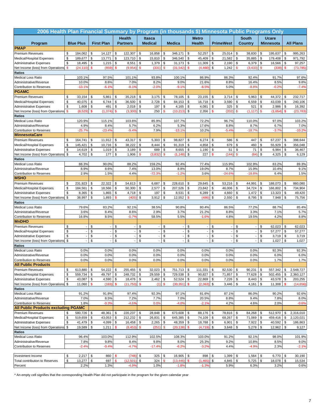| 2006 Health Plan Financial Summary by Program (in thousands \$) Minnesota Public Programs Only |          |                          |               |                   |               |                          |               |                   |               |                     |                         |                                |          |                          |              |                   |               |                  |               |                  |
|------------------------------------------------------------------------------------------------|----------|--------------------------|---------------|-------------------|---------------|--------------------------|---------------|-------------------|---------------|---------------------|-------------------------|--------------------------------|----------|--------------------------|--------------|-------------------|---------------|------------------|---------------|------------------|
|                                                                                                |          |                          |               |                   |               | <b>Health</b>            |               | Itasca            |               |                     |                         | <b>Metro</b>                   |          |                          |              | <b>South</b>      |               | <b>Ucare</b>     |               |                  |
| Program                                                                                        |          | <b>Blue Plus</b>         |               | <b>First Plan</b> |               | <b>Partners</b>          |               | <b>Medical</b>    |               | <b>Medica</b>       |                         | <b>Health</b>                  |          | <b>PrimeWest</b>         |              | Country           |               | <b>Minnesota</b> |               | <b>All Plans</b> |
| <b>PMAP</b>                                                                                    |          |                          |               |                   |               |                          |               |                   |               |                     |                         |                                |          |                          |              |                   |               |                  |               |                  |
| <b>Premium Revenues</b>                                                                        | \$       | 184,062                  | \$            | 14,127            | \$            | 122,307                  | \$            | 16,858            | \$            | 346,171             | \$                      | 52,257                         | \$       | 25,014                   | \$           | 38,830            | \$            | 195,637          | \$            | 995,263          |
| Medical/Hospital Expenses                                                                      | \$       | 189,677                  | \$            | 13,771            | \$            | 123,710                  | \$            | 15,810            | \$            | 346,540             | $\mathsf{\$}$           | 45,409                         | \$       | 21,582                   | \$           | 35,885            | \$            | 179,408          | \$            | 971,792          |
| <b>Administrative Expenses</b>                                                                 | \$       | 18,495                   | \$            | 1,215             | \$            | 8,551                    | \$            | 1,379             | \$            | 31,173              | \$                      | 11,309                         | \$       | 2,190                    | \$           | 6,379             | \$            | 16,566           | \$            | 97,257           |
| Net Income (loss) from Operations<br><b>Ratios</b>                                             | \$       | (24, 110)                | $\mathbf{s}$  | (859)             | \$            | (9,954)                  | $\mathsf{\$}$ | (331              | $\mathbf{s}$  | (31, 542)           | \$                      | (4,460)                        | \$       | 1,242                    | $\mathbf{s}$ | (3, 433)          | $\mathsf{\$}$ | (338)            | $\mathbf{s}$  | (73, 785)        |
| <b>Medical Loss Ratio</b>                                                                      |          | 103.1%                   |               | 97.5%             |               | 101.1%                   |               | 93.8%             |               | 100.1%              |                         | 86.9%                          |          | 86.3%                    |              | 92.4%             |               | 91.7%            |               | 97.6%            |
| Administrative/Revenue                                                                         |          | 10.0%                    |               | 8.6%              |               | 7.0%                     |               | 8.2%              |               | 9.0%                |                         | 21.6%                          |          | 8.8%                     |              | 16.4%             |               | 8.5%             |               | 9.8%             |
| Contribution to Reserves                                                                       |          | $-13.1%$                 |               | $-6.1%$           |               | $-8.19$                  |               | $-2.0%$           |               | $-9.1%$             |                         | $-8.5%$                        |          | 5.0%                     |              | $-8.8%$           |               | $-0.29$          |               | $-7.4%$          |
| <b>PGAMC</b>                                                                                   |          |                          |               |                   |               |                          |               |                   |               |                     |                         |                                |          |                          |              |                   |               |                  |               |                  |
| <b>Premium Revenues</b>                                                                        | \$       | 33,154                   | \$            | 5,861             | \$            | 35,218                   | \$            | 3,175             | \$            | 78,105              | \$                      | 23,155                         | \$       | 3,714                    | \$           | 5,963             | \$            | 44,372           | \$            | 232,717          |
| Medical/Hospital Expenses                                                                      | \$       | 40,075                   | \$            | 6,744             | \$            | 36,500                   | \$            | 2,728             | \$            | 84,153              | \$                      | 16,718                         | \$       | 3,590                    | \$           | 6,559             | \$            | 43,039           | \$            | 240,106          |
| <b>Administrative Expenses</b>                                                                 | \$       | 1,608                    | \$            | 491               | \$            | 2,018                    | \$            | 197               | \$            | 4,165               | \$                      | 4,081                          | \$       | 325                      | \$           | 521               | \$            | 2,986            | \$            | 16,392           |
| Net Income (loss) from Operations                                                              | \$.      | (8,529)                  | $\mathbf{\$}$ | (1, 374)          | \$            | (3,300)                  | \$            | 250               | $\mathbf{s}$  | (10, 213)           |                         | \$<br>2,356                    | \$       | (202)                    | \$           | (1, 117)          | $\mathsf{\$}$ | (1,654)          | $\mathbf{\$}$ | (23, 783)        |
| <b>Ratios</b>                                                                                  |          | 120.9%                   |               |                   |               |                          |               |                   |               |                     |                         |                                |          |                          |              |                   |               |                  |               |                  |
| <b>Medical Loss Ratio</b><br>Administrative/Revenue                                            |          | 4.9%                     |               | 115.1%<br>8.4%    |               | 103.6%<br>5.7%           |               | 85.9%<br>6.2%     |               | 107.7%<br>5.3%      |                         | 72.2%<br>17.6%                 |          | 96.7%<br>8.8%            |              | 110.0%<br>8.7%    |               | 97.0%<br>6.7%    |               | 103.2%<br>7.0%   |
| <b>Contribution to Reserves</b>                                                                |          | $-25.7%$                 |               | $-23.4%$          |               | $-9.49$                  |               | 7.9%              |               | $-13.1%$            |                         | 10.2%                          |          | $-5.4%$                  |              | $-18.7%$          |               | $-3.7%$          |               | $-10.2%$         |
| <b>MinnesotaCare</b>                                                                           |          |                          |               |                   |               |                          |               |                   |               |                     |                         |                                |          |                          |              |                   |               |                  |               |                  |
| <b>Premium Revenues</b>                                                                        | \$       | 164,741                  | \$            | 11,912            | \$            | 43,317                   | \$            | 5,303             | \$            | 98,827              |                         | \$<br>6,274                    | \$       | 586                      | \$           | 447               | \$            | 67,237           | \$            | 398,644          |
| Medical/Hospital Expenses                                                                      | \$       | 145,421                  | \$            | 10,716            | \$            | 38,222                   | \$            | 8,444             | \$            | 91,319              | \$                      | 4,858                          | \$       | 679                      | \$           | 460               | \$            | 55,929           | \$            | 356,048          |
| <b>Administrative Expenses</b>                                                                 | \$       | 14,619                   | \$            | 1,019             | \$            | 3,189                    | \$            | 689               | \$            | 8,655               | \$                      | 1,190                          | \$       | 51                       | \$           | 71                | \$            | 6,984            | \$            | 36,467           |
| Net Income (loss) from Operations                                                              | \$       | 4,702                    | \$            | 177               | \$            | 1,906                    | $\mathbf{s}$  | (3,832)           | \$            | (1, 148)            |                         | \$<br>227                      | \$       | (144)                    | \$           | (84)              | \$            | 4,325            | \$            | 6,129            |
| <b>Ratios</b>                                                                                  |          |                          |               |                   |               |                          |               |                   |               |                     |                         |                                |          |                          |              |                   |               |                  |               |                  |
| <b>Medical Loss Ratio</b><br>Administrative/Revenue                                            |          | 88.3%                    |               | 90.0%             |               | 88.2%                    |               | 159.2%            |               | 92.4%               |                         | 77.4%                          |          | 115.9%                   |              | 102.9%            |               | 83.2%            |               | 89.3%            |
| <b>Contribution to Reserves</b>                                                                |          | 8.9%<br>2.9%             |               | 8.6%<br>1.5%      |               | 7.4%<br>4.4%             |               | 13.0%<br>$-72.39$ |               | 8.8%<br>$-1.29$     |                         | 19.0%<br>3.6%                  |          | 8.7%<br>$-24.6%$         |              | 15.9%<br>$-18.8%$ |               | 10.4%<br>6.4%    |               | 9.1%<br>1.5%     |
| <b>MSHO</b>                                                                                    |          |                          |               |                   |               |                          |               |                   |               |                     |                         |                                |          |                          |              |                   |               |                  |               |                  |
| <b>Premium Revenues</b>                                                                        | \$       | 231,923                  | \$            | 22,322            | \$            | 54,613                   | \$            | 6,687             | \$            | 228,610             |                         | \$<br>29,645                   | \$       | 53,216                   | \$           | 44,991            | \$            | 188,073          | \$            | 860,080          |
| Medical/Hospital Expenses                                                                      | \$       | 184,561                  | \$            | 18,566            | \$            | 50,300                   | \$            | 2,577             | \$            | 207,526             | \$                      | 23,842                         | \$       | 46,006                   | \$           | 34,724            | \$            | 166,802          | \$            | 734,904          |
| <b>Administrative Expenses</b>                                                                 | \$       | 8,365                    | \$            | 1,865             | \$            | 4,718                    | \$            | 197               | \$            | 8,531               | \$                      | 6,289                          | \$       | 4,660                    | \$           | 1,472             | \$            | 13,323           | \$            | 49,420           |
| Net Income (loss) from Operations                                                              | \$       | 38,997                   | \$            | 1,893             | \$            | (405)                    | \$            | 3,912             | \$            | 12,552              | \$                      | (486)                          | \$       | 2,550                    | \$           | 8,795             | \$            | 7,948            | \$            | 75,756           |
| <b>Ratios</b>                                                                                  |          |                          |               |                   |               |                          |               |                   |               |                     |                         |                                |          |                          |              |                   |               |                  |               |                  |
| <b>Medical Loss Ratio</b>                                                                      |          | 79.6%                    |               | 83.2%             |               | 92.1%                    |               | 38.5%             |               | 90.8%               |                         | 80.4%                          |          | 86.5%                    |              | 77.2%             |               | 88.7%            |               | 85.4%            |
| Administrative/Revenue<br>Contribution to Reserves                                             |          | 3.6%<br>16.8%            |               | 8.4%<br>8.5%      |               | 8.6%<br>$-0.7%$          |               | 2.9%<br>58.5%     |               | 3.7%<br>5.5%        |                         | 21.2%<br>$-1.6%$               |          | 8.8%<br>4.8%             |              | 3.3%<br>19.5%     |               | 7.1%<br>4.2%     |               | 5.7%<br>8.8%     |
| <b>MnDHO</b>                                                                                   |          |                          |               |                   |               |                          |               |                   |               |                     |                         |                                |          |                          |              |                   |               |                  |               |                  |
| <b>Premium Revenues</b>                                                                        | \$       |                          | \$            |                   | \$            | $\overline{\phantom{a}}$ | \$            |                   | \$            |                     |                         | \$<br>$\overline{\phantom{a}}$ | \$       |                          | \$           |                   | \$            | 62,023           | \$            | 62,023           |
| Medical/Hospital Expenses                                                                      | \$       |                          | \$            |                   | \$            |                          | \$            |                   | \$            |                     | \$                      | ÷,                             | \$       |                          | \$           |                   | \$            | 57,277           | \$            | 57,277           |
| <b>Administrative Expenses</b>                                                                 | \$       | $\overline{\phantom{a}}$ | \$            |                   | \$            |                          | \$            |                   | \$            |                     | \$                      | $\overline{\phantom{a}}$       | \$       | $\overline{\phantom{a}}$ | \$           |                   | \$            | 3,719            | \$            | 3,719            |
| Net Income (loss) from Operations                                                              | \$       |                          | \$            |                   | \$            |                          | \$            |                   | \$            |                     | \$                      |                                | \$       |                          | \$           |                   | \$            | 1,027            | \$            | 1,027            |
| <b>Ratios</b>                                                                                  |          |                          |               |                   |               |                          |               |                   |               |                     |                         |                                |          |                          |              |                   |               |                  |               |                  |
| <b>Medical Loss Ratio</b>                                                                      |          | 0.0%                     |               | 0.0%              |               | 0.0%                     |               | 0.0%              |               | 0.0%                |                         | 0.0%                           |          | 0.0%                     |              | 0.0%              |               | 92.3%            |               | 92.3%            |
| Administrative/Revenue                                                                         |          | 0.0%                     |               | 0.0%              |               | 0.0%                     |               | 0.0%              |               | 0.0%                |                         | 0.0%                           |          | 0.0%<br>0.0%             |              | 0.0%              |               | 6.0%             |               | 6.0%             |
| Contribution to Reserves<br><b>All Public Products</b>                                         |          | 0.0%                     |               | 0.0%              |               | 0.0%                     |               | 0.0%              |               | 0.0%                |                         | 0.0%                           |          |                          |              | 0.0%              |               | 1.7%             |               | 1.7%             |
| <b>Premium Revenues</b>                                                                        | \$       | 613,880                  | \$            | 54,222            | \$            | 255,455                  | \$            | 32,023            | \$            | 751,713             | \$                      | 111,331                        | \$       | 82,530                   | \$           | 90,231            | \$            | 557,342          | \$            | 2,548,727        |
| Medical/Hospital Expenses                                                                      | \$       | 559,734                  | \$            | 49,797            | \$            | 248,732                  | \$            | 29,559            | $\sqrt{3}$    | 729,538             | \$                      | 90,827                         | \$       | 71,857                   | \$           | 77,628            | \$            | 502,455          | \$            | 2,360,127        |
| <b>Administrative Expenses</b>                                                                 | \$       | 43,087                   | \$            | 4,590             | \$            | 18,476                   | \$            | 2,462             | \$            | 52,524              | \$                      | 22,869                         | \$       | 7,226                    | \$           | 8,443             | \$            | 43,578           | \$            | 203,255          |
| Net Income (loss) from Operations                                                              | \$       | 11,060                   | $\mathbf{s}$  | (163)             | $\mathsf{\$}$ | (11, 753)                | $\mathbf{\$}$ | $(1)$ \$          |               | (30, 351)           | $\sqrt[6]{\frac{1}{2}}$ | (2, 363)                       | \$       | 3,446                    | \$           | 4,161             | \$            | 11,308           | $\mathbf{\$}$ | (14,656)         |
| <b>Ratios</b>                                                                                  |          |                          |               |                   |               |                          |               |                   |               |                     |                         |                                |          |                          |              |                   |               |                  |               |                  |
| <b>Medical Loss Ratio</b>                                                                      |          | 91.2%                    |               | 91.8%             |               | 97.4%                    |               | 92.3%             |               | 97.1%               |                         | 81.6%                          |          | 87.1%                    |              | 86.0%             |               | 90.2%            |               | 92.6%            |
| Administrative/Revenue                                                                         |          | 7.0%                     |               | 8.5%              |               | 7.2%                     |               | 7.7%              |               | 7.0%                |                         | 20.5%                          |          | 8.8%                     |              | 9.4%              |               | 7.8%             |               | 8.0%             |
| Contribution to Reserves<br><b>All Public Products excluding PGAMC</b>                         |          | 1.8%                     |               | $-0.3%$           |               | $-4.6%$                  |               | 0.0%              |               | $-4.0%$             |                         | $-2.1%$                        |          | 4.2%                     |              | 4.6%              |               | 2.0%             |               | $-0.6%$          |
| <b>Premium Revenues</b>                                                                        | \$       | 580,726                  | \$            | 48,361            | \$            | 220,237                  | \$            | 28,848            | \$            | 673,608             | \$                      | 88,176                         | \$       | 78,816                   | \$           | 84,268            | \$            | 512,970          | \$            | 2,316,010        |
| Medical/Hospital Expenses                                                                      | \$       | 519,659                  | \$            | 43,053            | \$            | 212,232                  | \$            | 26,831            | \$            | 645,385             | \$                      | 74,109                         | \$       | 68,267                   | \$           | 71,069            | \$            | 459,416          | \$            | 2,120,021        |
| <b>Administrative Expenses</b>                                                                 | \$       | 41,479                   | \$            | 4,099             | \$            | 16,458                   | \$            | 2,265             | $\sqrt{3}$    | 48,359              | \$                      | 18,788                         | \$       | 6,901                    | \$           | 7,922             | \$            | 40,592           | \$            | 186,863          |
| Net Income (loss) from Operations                                                              | \$       | 19,589                   | \$            | 1,211             | \$            | (8, 453)                 | $\sqrt{2}$    | (251)             | $\mathbf{\$}$ | (20, 138)           | \$                      | (4, 719)                       | \$       | 3,648                    | \$           | 5,278             | \$            | 12,962           | \$            | 9,127            |
| <b>Ratios</b>                                                                                  |          |                          |               |                   |               |                          |               |                   |               |                     |                         |                                |          |                          |              |                   |               |                  |               |                  |
| <b>Medical Loss Ratio</b>                                                                      |          | 96.4%                    |               | 103.0%            |               | 112.9%                   |               | 102.5%            |               | 108.3%              |                         | 103.0%                         |          | 91.2%                    |              | 92.1%             |               | 98.0%            |               | 101.9%           |
| Administrative/Revenue                                                                         |          | 7.8%                     |               | 9.8%              |               | 8.4%                     |               | 9.8%              |               | 8.0%                |                         | 25.3%                          |          | 9.2%                     |              | 10.8%             |               | 8.5%             |               | 9.0%             |
| Contribution to Reserves                                                                       |          | $-2.4%$                  |               | $-0.4%$           |               | $-4.7%$                  |               | $-17.4%$          |               | $-6.2%$             |                         | $-3.2%$                        |          | 4.4%                     |              | $-4.9%$           |               | 2.3%             |               | $-2.1%$          |
|                                                                                                |          |                          |               |                   |               |                          |               |                   |               |                     |                         |                                |          |                          |              |                   |               |                  |               |                  |
| Investment Income<br>Total contribution to Reserves                                            | \$<br>\$ | 2,217<br>13,277          | \$<br>\$      | 860<br>697        | \$<br>\$.     | (748)<br>(12, 501)       | \$<br>\$      | 325<br>324        | \$            | 16,905<br>(13, 446) | \$                      | 898<br>\$<br>(1, 465)          | \$<br>\$ | 1,399<br>4,845           | \$<br>\$     | 1,564<br>5,725    | \$<br>\$      | 6,770<br>18,078  | \$<br>\$      | 30,190<br>15,534 |
| Percent                                                                                        |          | 2.2%                     |               | 1.3%              |               | $-4.9%$                  |               | 1.0%              |               | $-1.8%$             |                         | $-1.3%$                        |          | 5.9%                     |              | 6.3%              |               | 3.2%             |               | 0.6%             |
|                                                                                                |          |                          |               |                   |               |                          |               |                   |               |                     |                         |                                |          |                          |              |                   |               |                  |               |                  |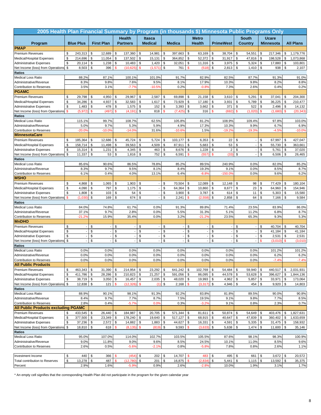| 2005 Health Plan Financial Summary by Program (in thousands \$) Minnesota Public Programs Only |                  |                          |                        |                                |                                 |              |                |                     |                          |          |                          |                         |               |                     |                  |               |                  |
|------------------------------------------------------------------------------------------------|------------------|--------------------------|------------------------|--------------------------------|---------------------------------|--------------|----------------|---------------------|--------------------------|----------|--------------------------|-------------------------|---------------|---------------------|------------------|---------------|------------------|
|                                                                                                |                  |                          |                        | <b>Health</b>                  | Itasca                          |              |                |                     | <b>Metro</b>             |          |                          |                         | <b>South</b>  |                     | <b>Ucare</b>     |               |                  |
| Program                                                                                        | <b>Blue Plus</b> |                          | <b>First Plan</b>      | <b>Partners</b>                | <b>Medical</b>                  |              | <b>Medica</b>  |                     | <b>Health</b>            |          | <b>PrimeWest</b>         |                         | Country       |                     | <b>Minnesota</b> |               | <b>All Plans</b> |
| <b>PMAP</b>                                                                                    |                  |                          |                        |                                |                                 |              |                |                     |                          |          |                          |                         |               |                     |                  |               |                  |
| <b>Premium Revenues</b>                                                                        | \$               | 243,313                  | \$<br>12,689           | \$<br>137,360                  | 14,981<br>\$                    | \$           | 397,663        | \$                  | 63,169                   | \$       | 38,704                   | \$                      | 54,551        | \$                  | 217,346          | \$            | 1,179,776        |
| Medical/Hospital Expenses                                                                      | \$               | 214,696                  | \$<br>11,054           | \$<br>137,502                  | \$<br>15,131                    | \$           | 364,852        | \$                  | 52,372                   | \$       | 31,917                   | \$                      | 47,816        | \$                  | 198,528          | \$            | 1,073,868        |
| <b>Administrative Expenses</b>                                                                 | \$               | 20,114                   | \$<br>1,238            | \$<br>10,483                   | \$<br>1,420                     | \$           | 32,051         | \$                  | 11,316                   | \$       | 3,975                    | \$                      | 5,324         | \$                  | 17,880           | \$            | 103,801          |
| Net Income (loss) from Operations                                                              | \$               | 8,503                    | \$<br>396              | $\mathbf{\$}$<br>(10, 625)     | $\mathbf{s}$<br>(1,571)         | \$           | 761            | \$                  | (518)                    | \$       | 2,813                    | \$                      | 1,410         | \$                  | 938              | \$            | 2,107            |
| <b>Ratios</b>                                                                                  |                  |                          |                        | 100.1%                         |                                 |              | 91.7%          |                     |                          |          | 82.5%                    |                         |               |                     | 91.3%            |               |                  |
| <b>Medical Loss Ratio</b><br>Administrative/Revenue                                            |                  | 88.2%<br>8.3%            | 87.1%<br>9.8%          | 7.6%                           | 101.0%<br>9.5%                  |              | 8.1%           |                     | 82.9%<br>17.9%           |          | 10.3%                    |                         | 87.7%<br>9.8% |                     | 8.2%             |               | 91.0%<br>8.8%    |
| Contribution to Reserves                                                                       |                  | 3.5%                     | 3.1%                   | $-7.7%$                        | $-10.5%$                        |              | 0.2%           |                     | $-0.8%$                  |          | 7.3%                     |                         | 2.6%          |                     | 0.4%             |               | 0.2%             |
| <b>PGAMC</b>                                                                                   |                  |                          |                        |                                |                                 |              |                |                     |                          |          |                          |                         |               |                     |                  |               |                  |
| <b>Premium Revenues</b>                                                                        | \$               | 29,798                   | \$<br>4,950            | 29,967<br>\$                   | \$<br>2,587                     | \$           | 69,898         | \$                  | 21,158                   | \$       | 3,610                    | \$                      | 5,291         | \$                  | 37,041           | \$            | 204,300          |
| <b>Medical/Hospital Expenses</b>                                                               | \$               | 34,286                   | \$<br>4,937            | \$<br>32,583                   | \$<br>1,617                     | \$           | 73,929         | \$                  | 17,180                   | \$       | 3,931                    | \$                      | 5,789         | \$                  | 36,225           | \$            | 210,477          |
| <b>Administrative Expenses</b>                                                                 | \$               | 1,483                    | \$<br>478              | \$<br>1,575                    | \$<br>152                       | \$           | 3,393          | \$                  | 3,662                    | \$       | 371                      | \$                      | 522           | \$                  | 2,496            | \$            | 14,132           |
| Net Income (loss) from Operations                                                              | $\mathbf{s}$     | (5, 972)                 | $\mathbf{\$}$<br>(497) | \$<br>(4, 191)                 | \$<br>818                       | $\mathbf{s}$ | (7, 425)       | \$                  | 316                      | \$       | (692)                    | $\mathbf{s}$            | (1,020)       | $\mathsf{s}$        | (1,680)          | $\mathbf{\$}$ | (20, 343)        |
| <b>Ratios</b>                                                                                  |                  |                          |                        |                                |                                 |              |                |                     |                          |          |                          |                         |               |                     |                  |               |                  |
| <b>Medical Loss Ratio</b>                                                                      |                  | 115.1%                   | 99.7%                  | 108.7%                         | 62.5%                           |              | 105.8%         |                     | 81.2%                    |          | 108.9%                   |                         | 109.4%        |                     | 97.8%            |               | 103.0%           |
| Administrative/Revenue                                                                         |                  | 5.0%                     | 9.7%                   | 5.3%                           | 5.9%                            |              | 4.9%           |                     | 17.3%                    |          | 10.3%                    |                         | 9.9%          |                     | 6.7%             |               | 6.9%             |
| <b>Contribution to Reserves</b><br><b>MinnesotaCare</b>                                        |                  | $-20.0%$                 | $-10.0%$               | $-14.09$                       | 31.6%                           |              | $-10.69$       |                     | 1.5%                     |          | $-19.29$                 |                         | $-19.3%$      |                     | $-4.5%$          |               | $-10.0%$         |
| <b>Premium Revenues</b>                                                                        | \$               | 185,364                  | 12,686<br>\$           | \$<br>45,724                   | 5,724<br>\$                     | \$           | 103,177        | \$                  | 6,353                    | \$       | 22                       | \$                      |               | \$                  | 67,997           | \$            | 427,047          |
| Medical/Hospital Expenses                                                                      | \$               | 158,714                  | \$<br>11,498           | \$<br>39,563                   | \$<br>4,509                     | \$           | 87,911         | \$                  | 5,683                    | \$       | 53                       | \$                      |               | \$                  | 55,730           | \$            | 363,661          |
| <b>Administrative Expenses</b>                                                                 | \$               | 15,314                   | \$<br>1,231            | \$<br>4,345                    | \$<br>463                       | \$           | 8,676          | \$                  | 1,228                    | \$       | $\mathbf 2$              | $\sqrt[6]{\frac{1}{2}}$ |               | \$                  | 5,761            | \$            | 37,020           |
| Net Income (loss) from Operations                                                              | \$               | 11,337                   | \$<br>53               | \$<br>1,816                    | 752<br>\$                       | \$           | 6,591          | \$                  | (557)                    | \$       | (33)                     | \$                      |               | \$                  | 6,506            | \$            | 26,465           |
| Ratios                                                                                         |                  |                          |                        |                                |                                 |              |                |                     |                          |          |                          |                         |               |                     |                  |               |                  |
| <b>Medical Loss Ratio</b>                                                                      |                  | 85.6%                    | 90.6%                  | 86.5%                          | 78.8%                           |              | 85.2%          |                     | 89.5%                    |          | 240.9%                   |                         | 0.0%          |                     | 82.0%            |               | 85.2%            |
| Administrative/Revenue                                                                         |                  | 8.3%                     | 9.7%                   | 9.5%                           | 8.1%                            |              | 8.4%           |                     | 19.3%                    |          | 9.1%                     |                         | 0.0%          |                     | 8.5%             |               | 8.7%             |
| <b>Contribution to Reserves</b>                                                                |                  | 6.1%                     | 0.4%                   | 4.0%                           | 13.1%                           |              | 6.4%           |                     | $-8.8%$                  |          | $-150.0%$                |                         | 0.0%          |                     | 9.6%             |               | 6.2%             |
| <b>MSHO</b>                                                                                    |                  |                          |                        |                                |                                 |              |                |                     |                          |          |                          |                         |               |                     |                  |               |                  |
| <b>Premium Revenues</b>                                                                        | \$               | 4,868                    | \$<br>1,065            | \$<br>1,903                    | \$                              | \$           | 70,504         | \$                  | 12,089                   | \$       | 12,148                   | \$                      | 98            | \$                  | 77,429           | \$            | 180,104          |
| Medical/Hospital Expenses                                                                      | \$<br>\$         | 4,090                    | \$<br>797<br>\$        | \$<br>1,175                    | \$<br>$\boldsymbol{\mathsf{s}}$ | \$<br>\$     | 64,364         | \$                  | 10,860                   | \$       | 8,677                    | \$<br>\$                | 23            | \$                  | 64,960           | \$<br>\$      | 154,946          |
| <b>Administrative Expenses</b><br>Net Income (loss) from Operations                            | \$               | 1,808<br>(1,030)         | 103<br>\$<br>169       | \$<br>54<br>\$<br>674          | $\mathsf{\$}$                   | \$           | 3,900<br>2,241 | \$<br>$\mathsf{\$}$ | 3,787<br>(2,558)         | \$<br>\$ | 614<br>2,858             | \$                      | 11<br>64      | \$<br>\$            | 5,303<br>7,166   | \$            | 15,580<br>9,584  |
| <b>Ratios</b>                                                                                  |                  |                          |                        |                                |                                 |              |                |                     |                          |          |                          |                         |               |                     |                  |               |                  |
| <b>Medical Loss Ratio</b>                                                                      |                  | 84.0%                    | 74.8%                  | 61.7%                          | 0.0%                            |              | 91.3%          |                     | 89.8%                    |          | 71.4%                    |                         | 23.5%         |                     | 83.9%            |               | 86.0%            |
| Administrative/Revenue                                                                         |                  | 37.1%                    | 9.7%                   | 2.8%                           | 0.0%                            |              | 5.5%           |                     | 31.3%                    |          | 5.1%                     |                         | 11.2%         |                     | 6.8%             |               | 8.7%             |
| Contribution to Reserves                                                                       |                  | $-21.2%$                 | 15.9%                  | 35.4%                          | 0.0%                            |              | 3.2%           |                     | $-21.2%$                 |          | 23.5%                    |                         | 65.3%         |                     | 9.3%             |               | 5.3%             |
| <b>MnDHO</b>                                                                                   |                  |                          |                        |                                |                                 |              |                |                     |                          |          |                          |                         |               |                     |                  |               |                  |
| <b>Premium Revenues</b>                                                                        | \$               |                          | \$                     | \$<br>$\overline{\phantom{a}}$ | \$                              | \$           |                | \$                  | $\overline{\phantom{a}}$ | \$       |                          | \$                      |               | \$                  | 40,704           | \$            | 40,704           |
| Medical/Hospital Expenses                                                                      | \$               |                          | \$                     | \$                             | \$                              | \$           |                | \$                  | ÷,                       | \$       |                          | \$                      |               | \$                  | 41,184           | \$            | 41,184           |
| <b>Administrative Expenses</b>                                                                 | \$               | $\overline{\phantom{a}}$ | \$<br>\$               | \$                             | \$                              | \$           |                | \$                  | $\overline{\phantom{a}}$ | \$       | $\overline{\phantom{a}}$ | \$                      |               | \$<br>$\mathbf{\$}$ | 2,531            | \$            | 2,531            |
| Net Income (loss) from Operations<br><b>Ratios</b>                                             | \$               |                          |                        | \$                             | \$                              | \$           |                | \$                  |                          | \$       |                          | \$                      |               |                     | (3,010)          | <b>S</b>      | (3,010)          |
| <b>Medical Loss Ratio</b>                                                                      |                  | 0.0%                     | 0.0%                   | 0.0%                           | 0.0%                            |              | 0.0%           |                     | 0.0%                     |          | 0.0%                     |                         | 0.0%          |                     | 101.2%           |               | 101.2%           |
| Administrative/Revenue                                                                         |                  | 0.0%                     | 0.0%                   | 0.0%                           | 0.0%                            |              | 0.0%           |                     | 0.0%                     |          | 0.0%                     |                         | 0.0%          |                     | 6.2%             |               | 6.2%             |
| Contribution to Reserves                                                                       |                  | 0.0%                     | 0.0%                   | 0.0%                           | 0.0%                            |              | 0.0%           |                     | 0.0%                     |          | 0.0%                     |                         | 0.0%          |                     | $-7.4%$          |               | $-7.4%$          |
| <b>All Public Products</b>                                                                     |                  |                          |                        |                                |                                 |              |                |                     |                          |          |                          |                         |               |                     |                  |               |                  |
| <b>Premium Revenues</b>                                                                        | \$               | 463,343                  | \$<br>31,390           | \$<br>214,954                  | \$<br>23,292                    | \$           | 641,242        | \$                  | 102,769                  | \$       | 54,484                   | \$                      | 59,940        | \$                  | 440,517          | \$            | 2,031,931        |
| Medical/Hospital Expenses                                                                      | \$               | 411,786                  | \$<br>28,286           | \$<br>210,823                  | \$<br>21,257                    | \$           | 591,056        | \$                  | 86,095                   | \$       | 44,578                   | \$                      | 53,628        | \$                  | 396,627          | \$            | 1,844,136        |
| <b>Administrative Expenses</b>                                                                 | \$               | 38,719 \$                | 3,050                  | \$<br>16,457                   | \$<br>$2,035$ \$                |              | 48,020 \$      |                     | 19,993                   | \$       | 4,962                    | \$                      | 5,857         | \$                  | 33,971           | \$            | 173,064          |
| Net Income (loss) from Operations                                                              | \$               | $12,838$ \$              | 121                    | $\mathsf{\$}$<br>(12, 326)     | $\mathbf{\$}$                   | $(1)$ \$     | 2,168          | $\mathbf{\$}$       | (3, 317)                 | \$       | 4,946                    | \$                      | 454           | \$                  | 9,920            | \$            | 14,803           |
| <b>Ratios</b><br><b>Medical Loss Ratio</b>                                                     |                  | 88.9%                    | 90.1%                  | 98.1%                          | 91.3%                           |              | 92.2%          |                     | 83.8%                    |          | 81.8%                    |                         | 89.5%         |                     | 90.0%            |               | 90.8%            |
| Administrative/Revenue                                                                         |                  | 8.4%                     | 9.7%                   | 7.7%                           | 8.7%                            |              | 7.5%           |                     | 19.5%                    |          | 9.1%                     |                         | 9.8%          |                     | 7.7%             |               | 8.5%             |
| Contribution to Reserves                                                                       |                  | 2.8%                     | 0.4%                   | $-5.7%$                        | 0.0%                            |              | 0.3%           |                     | $-3.2%$                  |          | 9.1%                     |                         | 0.8%          |                     | 2.3%             |               | 0.7%             |
| <b>All Public Products excluding PGAMC</b>                                                     |                  |                          |                        |                                |                                 |              |                |                     |                          |          |                          |                         |               |                     |                  |               |                  |
| <b>Premium Revenues</b>                                                                        | \$               | 433,545                  | 26,440<br>\$           | \$<br>184,987                  | 20,705<br>\$                    | \$           | 571,344        | \$                  | 81,611                   | \$       | 50,874                   | \$                      | 54,649        | \$                  | 403,476          | \$            | 1,827,631        |
| Medical/Hospital Expenses                                                                      | \$               | 377,500                  | \$<br>23,349           | 178,240<br>\$                  | \$<br>19,640                    | \$           | 517,127        | \$                  | 68,915                   | \$       | 40,647                   | \$                      | 47,839        | \$                  | 360,402          | \$            | 1,633,659        |
| <b>Administrative Expenses</b>                                                                 | \$               | 37,236                   | \$<br>2,572            | \$<br>14,882                   | 1,883<br>\$                     | $\sqrt{3}$   | 44,627         | \$                  | 16,331                   | \$       | 4,591                    | \$                      | 5,335         | \$                  | 31,475           | \$            | 158,932          |
| Net Income (loss) from Operations                                                              | \$               | 18,810                   | \$<br>618              | \$<br>(8, 135)                 | $\sqrt[6]{3}$<br>(819)          | \$           | 9,593          | \$                  | (3,633)                  | \$       | 5,638                    | \$                      | 1,474         | \$                  | 11,600           | \$            | 35,146           |
| <b>Ratios</b>                                                                                  |                  |                          |                        |                                |                                 |              |                |                     |                          |          |                          |                         |               |                     |                  |               |                  |
| <b>Medical Loss Ratio</b>                                                                      |                  | 95.0%                    | 107.0%                 | 114.0%                         | 102.7%                          |              | 103.5%         |                     | 105.5%                   |          | 87.6%                    |                         | 98.1%         |                     | 98.3%            |               | 100.9%           |
| Administrative/Revenue<br>Contribution to Reserves                                             |                  | 9.0%<br>2.6%             | 11.8%<br>0.5%          | 9.0%<br>$-5.6%$                | 9.6%<br>$-2.1%$                 |              | 8.5%<br>0.8%   |                     | 24.5%<br>$-5.8%$         |          | 10.1%<br>7.8%            |                         | 11.0%<br>0.8% |                     | 8.5%<br>2.6%     |               | 9.6%<br>1.1%     |
|                                                                                                |                  |                          |                        |                                |                                 |              |                |                     |                          |          |                          |                         |               |                     |                  |               |                  |
| Investment Income                                                                              | \$               | 440                      | \$<br>366              | (454)<br>\$                    | \$<br>202                       | \$           | 14,707         | \$                  | 483                      | \$       | 495                      | \$                      | 661           | \$                  | 3,672            | \$            | 20,572           |
| Total contribution to Reserves                                                                 | \$               | 13,278                   | $\mathfrak{S}$<br>487  | (12,780)<br>S                  | \$<br>201                       | \$           | 16,875         | \$                  | (2, 834)                 | \$       | 5,441                    | \$                      | 1,115         | \$                  | 13,592           | \$            | 35,375           |
| Percent                                                                                        |                  | 2.9%                     | 1.6%                   | $-5.9%$                        | 0.9%                            |              | 2.6%           |                     | $-2.8%$                  |          | 10.0%                    |                         | 1.9%          |                     | 3.1%             |               | 1.7%             |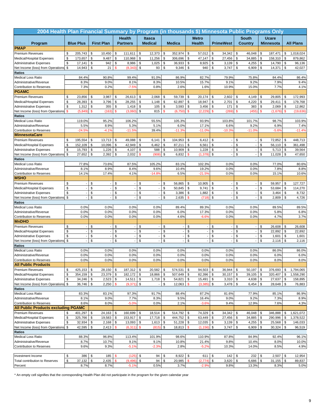| 2004 Health Plan Financial Summary by Program (in thousands \$) Minnesota Public Programs Only |               |                          |                  |                   |               |                          |               |                          |               |                |               |                          |              |                          |              |                |               |                  |               |                  |
|------------------------------------------------------------------------------------------------|---------------|--------------------------|------------------|-------------------|---------------|--------------------------|---------------|--------------------------|---------------|----------------|---------------|--------------------------|--------------|--------------------------|--------------|----------------|---------------|------------------|---------------|------------------|
|                                                                                                |               |                          |                  |                   |               | <b>Health</b>            |               | <b>Itasca</b>            |               |                |               | <b>Metro</b>             |              |                          |              | <b>South</b>   |               | <b>Ucare</b>     |               |                  |
| Program                                                                                        |               | <b>Blue Plus</b>         |                  | <b>First Plan</b> |               | <b>Partners</b>          |               | <b>Medical</b>           |               | <b>Medica</b>  |               | <b>Health</b>            |              | <b>PrimeWest</b>         |              | <b>Country</b> |               | <b>Minnesota</b> |               | <b>All Plans</b> |
| <b>PMAP</b>                                                                                    |               |                          |                  |                   |               |                          |               |                          |               |                |               |                          |              |                          |              |                |               |                  |               |                  |
| <b>Premium Revenues</b>                                                                        | \$            | 205,743                  | \$               | 10,450            | \$            | 111,611                  | \$            | 12,373                   | \$            | 352,974        | \$            | 57,012                   | \$           | 34,342                   | \$           | 46,048         | \$            | 187,471          | \$            | 1,018,024        |
| Medical/Hospital Expenses                                                                      | \$            | 173,657                  | \$               | 9,487             | \$            | 110,968                  | \$            | 11,256                   | \$            | 306,696        | \$            | 47,147                   | \$           | 27,456                   | \$           | 34,885         | \$            | 158,310          | \$            | 879,862          |
| <b>Administrative Expenses</b>                                                                 | \$            | 17,141                   | \$               | 942               | \$            | 8,986                    | \$            | 1,025                    | \$            | 36,933         | \$            | 8,925                    | \$           | 3,139                    | \$           | 4,255          | \$            | 14,790           | \$            | 96,136           |
| Net Income (loss) from Operations                                                              | \$            | 14,943                   | \$               | 21                | \$            | (8, 343)                 | \$            | 93                       | \$            | 9,346          | \$            | 940                      | \$           | 3,747                    | \$           | 6,909          | \$            | 14,371           | \$            | 42,027           |
| <b>Ratios</b>                                                                                  |               |                          |                  |                   |               |                          |               |                          |               |                |               |                          |              | 79.9%                    |              |                |               |                  |               |                  |
| <b>Medical Loss Ratio</b><br>Administrative/Revenue                                            |               | 84.4%<br>8.3%            |                  | 90.8%<br>9.0%     |               | 99.4%<br>8.1%            |               | 91.0%<br>8.3%            |               | 86.9%<br>10.5% |               | 82.7%<br>15.7%           |              | 9.1%                     |              | 75.8%<br>9.2%  |               | 84.4%<br>7.9%    |               | 86.4%<br>9.4%    |
| <b>Contribution to Reserves</b>                                                                |               | 7.3%                     |                  | 0.2%              |               | $-7.5%$                  |               | 0.8%                     |               | 2.6%           |               | 1.6%                     |              | 10.9%                    |              | 15.0%          |               | 7.7%             |               | 4.1%             |
| <b>PGAMC</b>                                                                                   |               |                          |                  |                   |               |                          |               |                          |               |                |               |                          |              |                          |              |                |               |                  |               |                  |
| <b>Premium Revenues</b>                                                                        | \$            | 23,856                   | \$               | 3,987             | \$            | 26,613                   | -\$           | 2,068                    | \$            | 59,739         | \$            | 20,174                   | \$           | 2,602                    | \$           | 4,149          | \$            | 29,805           | \$            | 172,993          |
| Medical/Hospital Expenses                                                                      | \$            | 28,393                   | \$               | 3,796             | \$            | 28,255                   | \$            | 1,148                    | \$            | 62,897         | \$            | 18,947                   | \$           | 2,701                    | \$           | 4,220          | \$            | 29,411           | \$            | 179,768          |
| <b>Administrative Expenses</b>                                                                 | \$            | 1,312                    | \$               | 355               | \$            | 1,418                    | \$            | 105                      | \$            | 3,593          | \$            | 3,456                    | \$           | 171                      | \$           | 383            | \$            | 2,069            | \$            | 12,862           |
| Net Income (loss) from Operations                                                              | $\mathbf{\$}$ | (5,849)                  | $\mathbf s$      | (163)             | $\mathsf{\$}$ | (3,060)                  | \$            | 815                      | $\mathbf{\$}$ | (6,750)        | $\mathsf{\$}$ | (2, 229)                 | \$           | (269)                    | $\mathbf{s}$ | (455)          | $\mathsf{\$}$ | (1,676)          | $\mathbf{\$}$ | (19, 636)        |
| <b>Ratios</b>                                                                                  |               |                          |                  |                   |               |                          |               |                          |               |                |               |                          |              |                          |              |                |               |                  |               |                  |
| <b>Medical Loss Ratio</b>                                                                      |               | 119.0%                   |                  | 95.2%             |               | 106.2%                   |               | 55.5%                    |               | 105.3%         |               | 93.9%                    |              | 103.8%                   |              | 101.7%         |               | 98.7%            |               | 103.9%           |
| Administrative/Revenue                                                                         |               | 5.5%                     |                  | 8.9%              |               | 5.3%                     |               | 5.1%                     |               | 6.0%           |               | 17.1%                    |              | 6.6%                     |              | 9.2%           |               | 6.9%             |               | 7.4%             |
| <b>Contribution to Reserves</b>                                                                |               | $-24.5%$                 |                  | $-4.1%$           |               | $-11.59$                 |               | 39.4%                    |               | $-11.3%$       |               | $-11.0%$                 |              | $-10.3%$                 |              | $-11.0%$       |               | $-5.69$          |               | $-11.4%$         |
| <b>MinnesotaCare</b><br><b>Premium Revenues</b>                                                | \$            | 195,554                  | \$               | 13,713            | \$            |                          | \$            |                          | \$            | 104,953        | \$            |                          | \$           | $\overline{\phantom{a}}$ | \$           |                | \$            | 72,852           | \$            | 448,713          |
| Medical/Hospital Expenses                                                                      | \$            | 152,109                  | \$               | 10,096            | \$            | 49,088<br>42,949         | \$            | 6,141<br>6,462           | $\mathsf{\$}$ | 87,211         | \$            | 6,412<br>6,561           | $\mathbb{S}$ |                          | \$           |                | \$            | 56,110           | \$            | 361,498          |
| <b>Administrative Expenses</b>                                                                 | \$            | 15,793                   | \$               | 1,226             | \$            | 4,107                    | \$            | 588                      | \$            | 10,909         | \$            | 1,228                    | \$           | $\overline{\phantom{a}}$ | \$           |                | \$            | 5,713            | \$            | 39,564           |
| Net Income (loss) from Operations                                                              | \$            | 27,652                   | \$               | 2,392             | \$            | 2,032                    | \$            | (908)                    |               | \$<br>6,832    | \$            | (1, 378)                 | \$           | $\overline{\phantom{a}}$ | \$           |                | \$            | 11,028           | \$            | 47,650           |
| Ratios                                                                                         |               |                          |                  |                   |               |                          |               |                          |               |                |               |                          |              |                          |              |                |               |                  |               |                  |
| Medical Loss Ratio                                                                             |               | 77.8%                    |                  | 73.6%             |               | 87.5%                    |               | 105.2%                   |               | 83.1%          |               | 102.3%                   |              | 0.0%                     |              | 0.0%           |               | 77.0%            |               | 80.6%            |
| Administrative/Revenue                                                                         |               | 8.1%                     |                  | 8.9%              |               | 8.4%                     |               | 9.6%                     |               | 10.4%          |               | 19.2%                    |              | 0.0%                     |              | 0.0%           |               | 7.8%             |               | 8.8%             |
| <b>Contribution to Reserves</b>                                                                |               | 14.1%                    |                  | 17.4%             |               | 4.1%                     |               | $-14.89$                 |               | 6.5%           |               | $-21.5%$                 |              | 0.0%                     |              | 0.0%           |               | 15.1%            |               | 10.6%            |
| <b>MSHO</b>                                                                                    |               |                          |                  |                   |               |                          |               |                          |               |                |               |                          |              |                          |              |                |               |                  |               |                  |
| Premium Revenues                                                                               | \$            | $\overline{\phantom{a}}$ | \$               |                   | \$            | $\overline{\phantom{a}}$ | \$            | $\overline{\phantom{a}}$ | \$            | 56,865         | \$            | 10,905                   | \$           | $\overline{\phantom{a}}$ | \$           |                | \$            | 59,957           | \$            | 127,727          |
| Medical/Hospital Expenses                                                                      | \$            | $\overline{\phantom{a}}$ | \$               |                   | \$            |                          | \$            |                          | \$            | 50,845         | \$            | 9,741                    | \$           | $\overline{\phantom{a}}$ | \$           |                | \$            | 53,684           | \$            | 114,270          |
| <b>Administrative Expenses</b>                                                                 | \$            | ÷,                       | \$               |                   | \$            |                          | \$            |                          | \$            | 3,386          | \$            | 1,882                    | \$           | $\overline{\phantom{a}}$ | \$           |                | \$            | 3,464            | \$            | 8,732            |
| Net Income (loss) from Operations<br>Ratios                                                    | \$            |                          | \$               |                   | \$            |                          | \$            |                          | \$            | 2,635          | $\mathbf{s}$  | (718)                    | \$           |                          | \$           |                | \$            | 2,809            | \$            | 4,726            |
| <b>Medical Loss Ratio</b>                                                                      |               | 0.0%                     |                  | 0.0%              |               | 0.0%                     |               | 0.0%                     |               | 89.4%          |               | 89.3%                    |              | 0.0%                     |              | 0.0%           |               | 89.5%            |               | 89.5%            |
| Administrative/Revenue                                                                         |               | 0.0%                     |                  | 0.0%              |               | 0.0%                     |               | 0.0%                     |               | 6.0%           |               | 17.3%                    |              | 0.0%                     |              | 0.0%           |               | 5.8%             |               | 6.8%             |
| Contribution to Reserves                                                                       |               | 0.0%                     |                  | 0.0%              |               | 0.0%                     |               | 0.0%                     |               | 4.6%           |               | $-6.6%$                  |              | 0.0%                     |              | 0.0%           |               | 4.7%             |               | 3.7%             |
| <b>MnDHO</b>                                                                                   |               |                          |                  |                   |               |                          |               |                          |               |                |               |                          |              |                          |              |                |               |                  |               |                  |
| Premium Revenues                                                                               | \$            | $\overline{\phantom{a}}$ | \$               |                   | \$            |                          | \$            |                          | \$            |                | \$            | $\overline{\phantom{a}}$ | \$           | $\overline{\phantom{a}}$ | \$           |                | \$            | 26,608           | \$            | 26,608           |
| Medical/Hospital Expenses                                                                      | \$            | $\overline{\phantom{a}}$ | \$               |                   | \$            |                          | \$            |                          | \$            |                | \$            | $\overline{a}$           | \$           |                          | \$           |                | \$            | 22,892           | \$            | 22,892           |
| <b>Administrative Expenses</b>                                                                 | \$            | $\overline{\phantom{a}}$ | \$               |                   | \$            |                          | \$            |                          | \$            |                | \$            | $\overline{\phantom{a}}$ | \$           | $\overline{\phantom{a}}$ | \$           |                | \$            | 1,601            | \$            | 1,601            |
| Net Income (loss) from Operations                                                              | \$            |                          | \$               |                   | \$            |                          | \$            |                          | \$            |                | \$            |                          | \$           |                          | \$           |                | \$            | 2,116            | \$            | 2,116            |
| <b>Ratios</b>                                                                                  |               |                          |                  |                   |               |                          |               |                          |               |                |               |                          |              |                          |              |                |               |                  |               |                  |
| <b>Medical Loss Ratio</b>                                                                      |               | 0.0%                     |                  | 0.0%              |               | 0.0%                     |               | 0.0%                     |               | 0.0%           |               | 0.0%<br>0.0%             |              | 0.0%                     |              | 0.0%           |               | 86.0%            |               | 86.0%            |
| Administrative/Revenue<br><b>Contribution to Reserves</b>                                      |               | 0.0%<br>0.0%             |                  | 0.0%<br>0.0%      |               | 0.0%<br>0.0%             |               | 0.0%<br>0.0%             |               | 0.0%<br>0.0%   |               | 0.0%                     |              | 0.0%<br>0.0%             |              | 0.0%<br>0.0%   |               | 6.0%<br>8.0%     |               | 6.0%<br>8.0%     |
| <b>All Public Products</b>                                                                     |               |                          |                  |                   |               |                          |               |                          |               |                |               |                          |              |                          |              |                |               |                  |               |                  |
| Premium Revenues                                                                               | \$            | 425,153                  | $\sqrt{3}$       | 28,150            | \$            | 187,312                  | \$            | 20,582                   | \$            | 574,531        | \$            | 94,503                   | \$           | 36,944                   | \$           | 50,197         | \$            | 376,693          | \$            | 1,794,065        |
| Medical/Hospital Expenses                                                                      | \$            | 354,159                  | $$\mathfrak{s}$$ | 23,379            | \$            | 182,172                  | \$            | 18,866                   | \$            | 507,649        | \$            | 82,396                   | \$           | 30,157                   | \$           | 39,105         | \$            | 320,407          | \$            | 1,558,290        |
| <b>Administrative Expenses</b>                                                                 | \$            | 34,246                   | \$               | 2,523             | \$            | 14,511                   | \$            | $1,718$ \$               |               | 54,821         | \$            | 15,491                   | \$           | 3,310                    | <b>S</b>     | 4,638          | \$            | 27,637           | \$            | 158,895          |
| Net Income (loss) from Operations                                                              | \$            | 36,746                   | \$               | 2,250             | $\mathbf{\$}$ | (9, 371)                 | \$            |                          | \$            | 12,063         | $\mathbf{\$}$ | (3, 385)                 | \$           | 3,478                    | \$           | 6,454          | \$            | 28,648 \$        |               | 76,883           |
| Ratios                                                                                         |               |                          |                  |                   |               |                          |               |                          |               |                |               |                          |              |                          |              |                |               |                  |               |                  |
| Medical Loss Ratio                                                                             |               | 83.3%                    |                  | 83.1%             |               | 97.3%                    |               | 91.7%                    |               | 88.4%          |               | 87.2%                    |              | 81.6%                    |              | 77.9%          |               | 85.1%            |               | 86.9%            |
| Administrative/Revenue                                                                         |               | 8.1%                     |                  | 9.0%              |               | 7.7%                     |               | 8.3%                     |               | 9.5%           |               | 16.4%                    |              | 9.0%                     |              | 9.2%           |               | 7.3%             |               | 8.9%             |
| Contribution to Reserves<br><b>All Public Products excluding PGAMC</b>                         |               | 8.6%                     |                  | 8.0%              |               | $-5.0%$                  |               | 0.0%                     |               | 2.1%           |               | $-3.6%$                  |              | 9.4%                     |              | 12.9%          |               | 7.6%             |               | 4.3%             |
| Premium Revenues                                                                               | \$            | 401,297                  | \$               | 24,163            | \$            | 160,699                  | \$            | 18,514                   | \$            | 514,792        | \$            | 74,329                   | \$           | 34,342                   | \$           | 46,048         | \$            | 346,888          | \$            | 1,621,072        |
| Medical/Hospital Expenses                                                                      | \$            | 325,766                  | \$               | 19,583            | \$            | 153,917                  | \$            | 17,718                   | \$            | 444,752        | \$            | 63,449                   | \$           | 27,456                   | \$           | 34,885         | \$            | 290,996          | \$            | 1,378,522        |
| <b>Administrative Expenses</b>                                                                 | \$            | 32,934                   | \$               | 2,168             | $\sqrt{2}$    | 13,093                   | \$            | $1,613$ \$               |               | $51,228$ \$    |               | 12,035                   | \$           | 3,139                    | \$           | 4,255          | \$            | 25,568           | \$            | 146,033          |
| Net Income (loss) from Operations                                                              | \$            | 42,595                   | \$               | 2,413             | \$            | (6, 311)                 | $\mathbf{\$}$ | (815)                    | \$            | 18,813         | $\sqrt{2}$    | (1, 156)                 | \$           | 3,747                    | \$           | 6,909          | \$            | 30,324           | \$            | 96,519           |
| Ratios                                                                                         |               |                          |                  |                   |               |                          |               |                          |               |                |               |                          |              |                          |              |                |               |                  |               |                  |
| Medical Loss Ratio                                                                             |               | 88.3%                    |                  | 96.8%             |               | 113.4%                   |               | 101.9%                   |               | 98.6%          |               | 110.9%                   |              | 87.8%                    |              | 84.9%          |               | 92.4%            |               | 96.1%            |
| Administrative/Revenue                                                                         |               | 8.7%                     |                  | 10.7%             |               | 9.1%                     |               | 9.1%                     |               | 10.8%          |               | 21.4%                    |              | 9.8%                     |              | 10.4%          |               | 8.0%             |               | 10.0%            |
| Contribution to Reserves                                                                       |               | 9.6%                     |                  | 9.3%              |               | $-5.1%$                  |               | $-2.3%$                  |               | 2.8%           |               | $-5.2%$                  |              | 10.3%                    |              | 14.0%          |               | 8.5%             |               | 4.9%             |
|                                                                                                |               |                          |                  |                   |               |                          |               |                          |               |                |               |                          |              |                          |              |                |               |                  |               |                  |
| Investment Income                                                                              | \$            | 386                      | \$               | 185               | \$            | (125)                    | \$            | 94                       | \$            | 8,922          | \$            | 611                      | \$           | 142                      | \$           | 232            | \$            | 2,507            | \$            | 12,954           |
| Total contribution to Reserves                                                                 | \$            | 37,132                   | \$               | 2,435             | $\mathsf{\$}$ | (9, 496)                 | \$            | 94                       | \$            | 20,985         | \$            | (2, 774)                 | \$           | 3,620                    | \$           | 6,686          | \$            | 31,155           | \$            | 89,837           |
| Percent                                                                                        |               | 8.7%                     |                  | 8.7%              |               | $-5.1%$                  |               | 0.5%                     |               | 3.7%           |               | $-2.9%$                  |              | 9.8%                     |              | 13.3%          |               | 8.3%             |               | 5.0%             |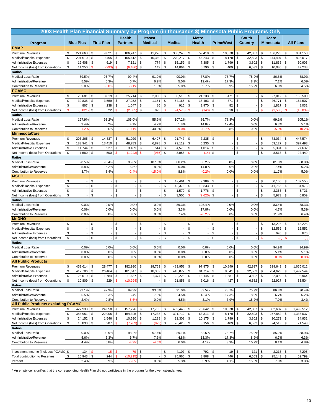| 2003 Health Plan Financial Summary by Program (in thousands \$) Minnesota Public Programs Only |               |                  |                          |                    |                     |                |                    |          |                 |               |                           |          |                  |               |                          |                     |                  |            |                   |
|------------------------------------------------------------------------------------------------|---------------|------------------|--------------------------|--------------------|---------------------|----------------|--------------------|----------|-----------------|---------------|---------------------------|----------|------------------|---------------|--------------------------|---------------------|------------------|------------|-------------------|
|                                                                                                |               |                  |                          |                    | <b>Health</b>       |                | <b>Itasca</b>      |          |                 |               | <b>Metro</b>              |          |                  |               | <b>South</b>             |                     | <b>Ucare</b>     |            |                   |
| Program                                                                                        |               | <b>Blue Plus</b> | <b>First Plan</b>        |                    | <b>Partners</b>     |                | <b>Medical</b>     |          | <b>Medica</b>   |               | <b>Health</b>             |          | <b>PrimeWest</b> |               | Country                  |                     | <b>Minnesota</b> |            | <b>All Plans</b>  |
| <b>PMAP</b>                                                                                    |               |                  |                          |                    |                     |                |                    |          |                 |               |                           |          |                  |               |                          |                     |                  |            |                   |
| <b>Premium Revenues</b>                                                                        | \$            | 224,668          | \$<br>9,821              | \$                 | 106,247             | \$             | 11,276             | \$       | 300,240         | \$            | 59,418                    | \$       | 10,378           | \$            | 42,837                   | \$                  | 166,273          | \$         | 931,158           |
| Medical/Hospital Expenses                                                                      | \$            | 201,010          | \$<br>9,495              | \$                 | 105,612             | $$\mathbb{S}$$ | 10,360             | \$       | 270,217         | \$            | 46,243                    | \$       | 8,170            | \$            | 32,503                   | \$                  | 144,407          | \$         | 828,017           |
| <b>Administrative Expenses</b>                                                                 | \$            | 12,408           | \$<br>619                | \$                 | 7,121               | \$             | 774                | \$       | 15,159          | \$            | 7,385                     | \$       | 1,799            | \$            | 3,802                    | \$                  | 11,836           | \$         | 60,903            |
| Net Income (loss) from Operations                                                              | \$            | 11,250           | $\mathbf{s}$<br>(293)    | <b>S</b>           | (6, 486)            | \$             | 142                | \$       | 14,864          | \$            | 5,790                     | \$       | 409              | \$            | 6,532                    | \$                  | 10,030           | \$         | 42,238            |
| <b>Ratios</b>                                                                                  |               |                  |                          |                    |                     |                |                    |          |                 |               |                           |          |                  |               |                          |                     |                  |            |                   |
| <b>Medical Loss Ratio</b><br>Administrative/Revenue                                            |               | 89.5%<br>5.5%    | 96.7%<br>6.3%            |                    | 99.4%<br>6.7%       |                | 91.9%<br>6.9%      |          | 90.0%<br>5.0%   |               | 77.8%<br>12.4%            |          | 78.7%<br>17.3%   |               | 75.9%<br>8.9%            |                     | 86.8%<br>7.1%    |            | 88.9%<br>6.5%     |
| Contribution to Reserves                                                                       |               | 5.0%             | $-3.0%$                  |                    | $-6.1%$             |                | 1.3%               |          | 5.0%            |               | 9.7%                      |          | 3.9%             |               | 15.2%                    |                     | 6.0%             |            | 4.5%              |
| <b>PGAMC</b>                                                                                   |               |                  |                          |                    |                     |                |                    |          |                 |               |                           |          |                  |               |                          |                     |                  |            |                   |
| <b>Premium Revenues</b>                                                                        | \$            | 25,681           | \$<br>3,819              | \$                 | 25,714              | \$             | 2,060              | \$       | 50,510          | \$            | 21,233                    | \$       | 471              | \$            |                          | \$                  | 27,012           | \$         | 156,500           |
| Medical/Hospital Expenses                                                                      | \$            | 32,835           | \$<br>3,559              | \$                 | 27,252              | \$             | 1,151              | \$       | 54,165          | \$            | 18,403                    | \$       | 371              | \$            |                          | \$                  | 26,771           | \$         | 164,507           |
| Administrative Expenses                                                                        | \$            | 867              | \$<br>238                | \$                 | 1,047               | $\sqrt[6]{3}$  | 86                 | \$       | 915             | \$            | 2,970                     | \$       | 82               | \$            |                          | \$                  | 1,827            | \$         | 8,032             |
| Net Income (loss) from Operations                                                              | $\mathsf{\$}$ | (8,021)          | 22<br>\$                 | $\mathbf{s}$       | (2,585)             | $\mathsf{\$}$  | 823                | \$       | (4,570)         | <sup>\$</sup> | (140)                     | \$       | 18               | \$            |                          | \$                  | (1,586)          | \$         | (16, 039)         |
| <b>Ratios</b>                                                                                  |               |                  |                          |                    |                     |                |                    |          |                 |               |                           |          |                  |               |                          |                     |                  |            |                   |
| <b>Medical Loss Ratio</b>                                                                      |               | 127.9%           | 93.2%                    |                    | 106.0%              |                | 55.9%              |          | 107.2%          |               | 86.7%                     |          | 78.8%            |               | 0.0%                     |                     | 99.1%            |            | 105.1%            |
| Administrative/Revenue                                                                         |               | 3.4%             | 6.2%                     |                    | 4.1%                |                | 4.2%               |          | 1.8%            |               | 14.0%                     |          | 17.4%            |               | 0.0%                     |                     | 6.8%             |            | 5.1%<br>$-10.2%$  |
| Contribution to Reserves<br><b>MinnesotaCare</b>                                               |               | $-31.29$         | 0.6%                     |                    | $-10.19$            |                | 40.0%              |          | $-9.0%$         |               | $-0.7%$                   |          | 3.8%             |               | 0.0%                     |                     | $-5.9%$          |            |                   |
| Premium Revenues                                                                               | \$            | 203,265          | \$<br>14,837             | \$                 | 51,029              | \$             | 6,427              | \$       | 91,747          | \$            | 7,235                     | \$       |                  | \$            |                          | \$                  | 73,034           | \$         | 447,574           |
| Medical/Hospital Expenses                                                                      | \$            | 183,941          | \$<br>13,410             | \$                 | 48,783              | \$             | 6,878              | \$       | 79,119          | \$            | 6,235                     | \$       |                  | \$            |                          | \$                  | 59,127           | \$         | 397,493           |
| <b>Administrative Expenses</b>                                                                 | \$            | 11,744           | \$<br>927                | \$                 | 3,469               | \$             | 514                | \$       | 4,570           | \$            | 1,014                     | \$       |                  | \$            | $\blacksquare$           | \$                  | 5,394            | \$         | 27,632            |
| Net Income (loss) from Operations                                                              | \$            | 7,580            | \$<br>500                | <b>S</b>           | (1, 22)             | \$             | (965)              | \$       | 8,058           | \$            | (14)                      | \$       |                  | \$            |                          | \$                  | 8,513            | \$         | 22,449            |
| <b>Ratios</b>                                                                                  |               |                  |                          |                    |                     |                |                    |          |                 |               |                           |          |                  |               |                          |                     |                  |            |                   |
| <b>Medical Loss Ratio</b>                                                                      |               | 90.5%            | 90.4%                    |                    | 95.6%               |                | 107.0%             |          | 86.2%           |               | 86.2%                     |          | 0.0%             |               | 0.0%                     |                     | 81.0%            |            | 88.8%             |
| Administrative/Revenue                                                                         |               | 5.8%             | 6.2%                     |                    | 6.8%                |                | 8.0%               |          | 5.0%            |               | 14.0%                     |          | 0.0%             |               | 0.0%                     |                     | 7.4%             |            | 6.2%              |
| Contribution to Reserves                                                                       |               | 3.7%             | 3.4%                     |                    | $-2.49$             |                | $-15.0%$           |          | 8.8%            |               | $-0.2%$                   |          | 0.0%             |               | 0.0%                     |                     | 11.7%            |            | 5.0%              |
| <b>MSHO</b>                                                                                    |               |                  |                          |                    |                     |                |                    |          |                 |               |                           |          |                  |               |                          |                     |                  |            |                   |
| <b>Premium Revenues</b>                                                                        | \$            |                  | \$                       | \$                 |                     | \$             |                    | \$       | 47,461          | \$            | 9,989                     | \$       |                  | \$            |                          | \$                  | 50,105           | \$         | 107,555           |
| Medical/Hospital Expenses<br><b>Administrative Expenses</b>                                    | \$<br>\$      |                  | \$<br>\$                 | \$<br>\$           |                     | \$<br>\$       |                    | \$<br>\$ | 42,376<br>1,579 | \$<br>\$      | 10,833<br>1,776           | \$<br>\$ |                  | \$<br>\$      | $\overline{\phantom{a}}$ | \$<br>\$            | 41,766<br>2,366  | \$<br>\$   | 94,975<br>5,721   |
| Net Income (loss) from Operations                                                              | \$            |                  | \$                       | \$                 |                     | \$             |                    | \$       | 3,506           |               | (2,620)                   | \$       |                  | \$            |                          | \$                  | 5,973            | \$         | 6,859             |
| <b>Ratios</b>                                                                                  |               |                  |                          |                    |                     |                |                    |          |                 |               |                           |          |                  |               |                          |                     |                  |            |                   |
| <b>Medical Loss Ratio</b>                                                                      |               | 0.0%             | 0.0%                     |                    | 0.0%                |                | 0.0%               |          | 89.3%           |               | 108.4%                    |          | 0.0%             |               | 0.0%                     |                     | 83.4%            |            | 88.3%             |
| Administrative/Revenue                                                                         |               | 0.0%             | 0.0%                     |                    | 0.0%                |                | 0.0%               |          | 3.3%            |               | 17.8%                     |          | 0.0%             |               | 0.0%                     |                     | 4.7%             |            | 5.3%              |
| Contribution to Reserves                                                                       |               | 0.0%             | 0.0%                     |                    | 0.0%                |                | 0.0%               |          | 7.4%            |               | $-26.2%$                  |          | 0.0%             |               | 0.0%                     |                     | 11.9%            |            | 6.4%              |
| <b>MnDHO</b>                                                                                   |               |                  |                          |                    |                     |                |                    |          |                 |               |                           |          |                  |               |                          |                     |                  |            |                   |
| <b>Premium Revenues</b>                                                                        | \$            |                  | \$                       | \$                 |                     | \$             |                    | \$       |                 | \$            |                           | \$       |                  | \$            | $\overline{a}$           | \$                  | 13,225           | \$         | 13,225            |
| Medical/Hospital Expenses                                                                      | \$<br>\$      |                  | \$                       | \$                 |                     | \$             |                    | \$       |                 | \$            |                           | \$       |                  | \$<br>\$      |                          | \$                  | 12,552           | \$         | 12,552            |
| <b>Administrative Expenses</b><br>Net Income (loss) from Operations                            | \$            |                  | \$<br>\$                 | \$<br>\$           |                     | \$<br>\$       |                    | \$<br>\$ |                 | \$<br>\$      |                           | \$<br>\$ |                  | \$            | $\overline{\phantom{a}}$ | \$<br><b>s</b>      | 676<br>(3)       | \$<br>\$   | 676<br>(3)        |
| <b>Ratios</b>                                                                                  |               |                  |                          |                    |                     |                |                    |          |                 |               |                           |          |                  |               |                          |                     |                  |            |                   |
| <b>Medical Loss Ratio</b>                                                                      |               | 0.0%             | 0.0%                     |                    | 0.0%                |                | 0.0%               |          | 0.0%            |               | 0.0%                      |          | 0.0%             |               | 0.0%                     |                     | 94.9%            |            | 94.9%             |
| Administrative/Revenue                                                                         |               | 0.0%             | 0.0%                     |                    | 0.0%                |                | 0.0%               |          | 0.0%            |               | 0.0%                      |          | 0.0%             |               | 0.0%                     |                     | 5.1%             |            | 5.1%              |
| Contribution to Reserves                                                                       |               | 0.0%             | 0.0%                     |                    | 0.0%                |                | 0.0%               |          | 0.0%            |               | 0.0%                      |          | 0.0%             |               | 0.0%                     |                     | 0.0%             |            | 0.0%              |
| <b>All Public Products</b>                                                                     |               |                  |                          |                    |                     |                |                    |          |                 |               |                           |          |                  |               |                          |                     |                  |            |                   |
| <b>Premium Revenues</b>                                                                        | \$            | 453,614          | \$<br>28,477             | \$                 | 182,990             | \$             | 19,763 \$          |          | 489,958         | \$            | 97,875                    | \$       | 10,849           | \$            | 42,837                   | \$                  | 329,649          | \$         | 1,656,012         |
| Medical/Hospital Expenses                                                                      | \$            | 417,786          | \$<br>26,464             | \$                 | 181,647             | \$             | 18,389 \$          |          | 445,877         | \$            | 81,714                    | \$       | 8,541            | \$            | 32,503                   | \$                  | 284,623          | \$         | 1,497,544         |
| <b>Administrative Expenses</b>                                                                 | \$<br>\$      | 25,019           | \$<br>1,784<br>\$<br>229 | \$<br>$\mathbf{s}$ | 11,637<br>(10, 294) | \$<br>\$       | $1,374$ \$<br>$-1$ | \$       | $22,223$ \$     |               | $13,145$ \$<br>$3,016$ \$ |          | 1,881<br>427     | \$<br>\$      | 3,802                    | \$<br>$\sqrt[6]{3}$ | 22,099           | \$<br>\$   | 102,964<br>55,504 |
| Net Income (loss) from Operations<br><b>Ratios</b>                                             |               | 10,809           |                          |                    |                     |                |                    |          | $21,858$ \$     |               |                           |          |                  |               | 6,532                    |                     | 22,927           |            |                   |
| <b>Medical Loss Ratio</b>                                                                      |               | 92.1%            | 92.9%                    |                    | 99.3%               |                | 93.0%              |          | 91.0%           |               | 83.5%                     |          | 78.7%            |               | 75.9%                    |                     | 86.3%            |            | 90.4%             |
| Administrative/Revenue                                                                         |               | 5.5%             | 6.3%                     |                    | 6.4%                |                | 7.0%               |          | 4.5%            |               | 13.4%                     |          | 17.3%            |               | 8.9%                     |                     | 6.7%             |            | 6.2%              |
| Contribution to Reserves                                                                       |               | 2.4%             | 0.8%                     |                    | $-5.6%$             |                | 0.0%               |          | 4.5%            |               | 3.1%                      |          | 3.9%             |               | 15.2%                    |                     | 7.0%             |            | 3.4%              |
| <b>All Public Products excluding PGAMC</b>                                                     |               |                  |                          |                    |                     |                |                    |          |                 |               |                           |          |                  |               |                          |                     |                  |            |                   |
| Premium Revenues                                                                               | \$            | 427,933          | \$<br>24,658             | \$                 | 157,276             | \$             | 17,703             | \$       | 439,448         | \$            | 76,642                    | \$       | 10,378           | \$            | 42,837                   | \$                  | 302,637          | \$         | 1,499,512         |
| Medical/Hospital Expenses                                                                      | \$            | 384,951          | \$<br>22,905             | \$                 | 154,395             | \$             | 17,238 \$          |          | 391,712 \$      |               | 63,311                    | \$       | 8,170            | \$            | $32,503$ \$              |                     | 257,852          | \$         | 1,333,037         |
| <b>Administrative Expenses</b>                                                                 | \$            | 24,152           | \$<br>1,546              | \$                 | 10,590              | \$             | $1,288$ \$         |          | $21,308$ \$     |               | 10,175                    | \$       | 1,799            | \$            | 3,802                    | \$                  | 20,272           | \$         | 94,932            |
| Net Income (loss) from Operations<br><b>Ratios</b>                                             | \$            | 18,830           | \$<br>207                | \$                 | (7,709)             | \$             | $(823)$ \$         |          | 26,428 \$       |               | $3,156$ \$                |          | 409              | \$            | $6,532$ \$               |                     | $24,513$ \$      |            | 71,543            |
| <b>Medical Loss Ratio</b>                                                                      |               | 90.0%            | 92.9%                    |                    | 98.2%               |                | 97.4%              |          | 89.1%           |               | 82.6%                     |          | 78.7%            |               | 75.9%                    |                     | 85.2%            |            | 88.9%             |
| Administrative/Revenue                                                                         |               | 5.6%             | 6.3%                     |                    | 6.7%                |                | 7.3%               |          | 4.8%            |               | 13.3%                     |          | 17.3%            |               | 8.9%                     |                     | 6.7%             |            | 6.3%              |
| Contribution to Reserves                                                                       |               | 4.4%             | 0.8%                     |                    | $-4.99$             |                | $-4.6%$            |          | 6.0%            |               | 4.1%                      |          | 3.9%             |               | 15.2%                    |                     | 8.1%             |            | 4.8%              |
|                                                                                                |               |                  |                          |                    |                     |                |                    |          |                 |               |                           |          |                  |               |                          |                     |                  |            |                   |
| Investment Income (includes PGAMC \$                                                           |               | 134              | 15<br>\$                 | \$                 | 79                  | \$             |                    | \$       | $4,107$ \$      |               | 792                       | \$       | $19$ \$          |               | 121S                     |                     | 2,216            | $\sqrt{3}$ | 7,295             |
| Total contribution to Reserves                                                                 | \$            | 10,943           | \$<br>244                |                    | (10, 215)           | $\mathbb S$    |                    | \$       | 25,965          | \$            | 3,808                     | \$       | 446              | $\mathfrak s$ | 6,653                    | \$                  | 25,143           | \$         | 62,799            |
| Percent                                                                                        |               | 2.4%             | 0.9%                     |                    | $-5.69$             |                | 0.0%               |          | 5.3%            |               | 3.9%                      |          | 4.1%             |               | 15.5%                    |                     | 7.6%             |            | 3.8%              |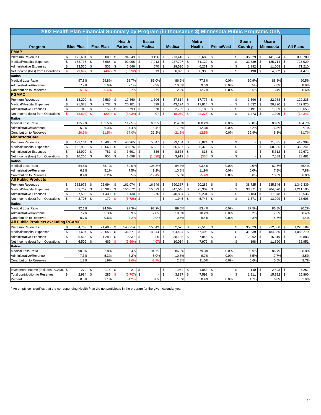|                                            |               |                  |                                  |       |                                  |               |                                 |               |               |               |                               | 2002 Health Plan Financial Summary by Program (in thousands \$) Minnesota Public Programs Only |                                |               |                                  |                |                  |
|--------------------------------------------|---------------|------------------|----------------------------------|-------|----------------------------------|---------------|---------------------------------|---------------|---------------|---------------|-------------------------------|------------------------------------------------------------------------------------------------|--------------------------------|---------------|----------------------------------|----------------|------------------|
| Program                                    |               | <b>Blue Plus</b> | <b>First Plan</b>                |       | <b>Health</b><br><b>Partners</b> |               | <b>Itasca</b><br><b>Medical</b> |               | <b>Medica</b> |               | <b>Metro</b><br><b>Health</b> | <b>PrimeWest</b>                                                                               | <b>South</b><br><b>Country</b> |               | <b>Ucare</b><br><b>Minnesota</b> |                | <b>All Plans</b> |
| <b>PMAP</b>                                |               |                  |                                  |       |                                  |               |                                 |               |               |               |                               |                                                                                                |                                |               |                                  |                |                  |
| Premium Revenues                           | \$            | 172,604          | $\sqrt[6]{\frac{1}{2}}$<br>9,000 |       | \$<br>94,249                     | $\mathbb{S}$  | 9,196                           | $\mathbb{S}$  | 273,418       | \$            | 65,689                        | \$                                                                                             | \$<br>35,029                   | \$            | 141,524                          | \$             | 800,709          |
| Medical/Hospital Expenses                  | \$            | 168,735          | \$<br>8,985                      |       | \$<br>92,995                     | \$            | 7,913                           | \$            | 237,727       | \$            | 51,120                        | \$<br>$\overline{\phantom{a}}$                                                                 | \$<br>31,839                   | \$            | 125,714                          | \$             | 725,029          |
| <b>Administrative Expenses</b>             | \$            | 13,566           | $\sqrt[6]{\frac{1}{2}}$          | 502   | \$<br>6,646                      | \$            | 670                             | \$            | 29,596        | \$            | 6,231                         | $\mathfrak s$<br>$\overline{\phantom{a}}$                                                      | \$<br>2,992                    | \$            | 11,008                           | \$             | 71,210           |
| Net Income (loss) from Operations          | \$            | (9,697)          | $\mathsf{\$}$                    | (487) | $\mathsf{\$}$<br>(5, 39)         | \$            | 613                             | $\mathfrak s$ | 6,095         | \$            | 8,338                         | \$                                                                                             | \$<br>198                      | $\mathfrak s$ | 4,802                            | \$             | 4,470            |
| Ratios                                     |               |                  |                                  |       |                                  |               |                                 |               |               |               |                               |                                                                                                |                                |               |                                  |                |                  |
| <b>Medical Loss Ratio</b>                  |               | 97.8%            | 99.8%                            |       | 98.7%                            |               | 86.0%                           |               | 86.9%         |               | 77.8%                         | 0.0%                                                                                           | 90.9%                          |               | 88.8%                            |                | 90.5%            |
| Administrative/Revenue                     |               | 7.9%             |                                  | 5.6%  | 7.1%                             |               | 7.3%                            |               | 10.8%         |               | 9.5%                          | 0.0%                                                                                           | 8.5%                           |               | 7.8%                             |                | 8.9%             |
| <b>Contribution to Reserves</b>            |               | $-5.69$          | $-5.49$                          |       | $-5.7%$                          |               | 6.7%                            |               | 2.2%          |               | 12.7%                         | 0.0%                                                                                           | 0.6%                           |               | 3.4%                             |                | 0.6%             |
| <b>PGAMC</b>                               |               |                  |                                  |       |                                  |               |                                 |               |               |               |                               |                                                                                                |                                |               |                                  |                |                  |
| Premium Revenues                           | \$            | 18,209           | $\sqrt[6]{2}$<br>2,589           |       | 17,860<br>\$                     | \$            | 1,306                           | \$            | 37,814        | \$            | 17,773                        | \$                                                                                             | \$<br>3,696                    | \$            | 22,988                           | \$             | 122,235          |
| Medical/Hospital Expenses                  | \$            | 21,073           | $\mathfrak s$<br>2,732           |       | \$<br>20,101                     | \$            | 829                             | $\mathfrak s$ | 43,124        | $\mathfrak s$ | 17,814                        | $\mathfrak s$                                                                                  | \$<br>2,032                    | \$            | 20,220                           | \$             | 127,925          |
| <b>Administrative Expenses</b>             | \$            | 940              | $\sqrt[6]{\frac{1}{2}}$          | 156   | \$<br>793                        | \$            | 70                              | $\mathbb{S}$  | 2,759         | \$            | 2,185                         | $\mathfrak s$                                                                                  | \$<br>191                      | \$            | 1,559                            | \$             | 8,653            |
| Net Income (loss) from Operations          | $\mathsf{\$}$ | (3,804)          | <sup>\$</sup>                    | (299  | $\mathsf{\$}$<br>(3,034)         | \$            | 407                             | $\mathbf{\$}$ | (8.069)       | $\mathbf{\$}$ | (2, 226)                      | \$<br>÷,                                                                                       | \$<br>1,473                    | \$            | 1,209                            | \$             | (14, 343)        |
| <b>Ratios</b>                              |               |                  |                                  |       |                                  |               |                                 |               |               |               |                               |                                                                                                |                                |               |                                  |                |                  |
| Medical Loss Ratio                         |               | 115.7%           | 105.5%                           |       | 112.5%                           |               | 63.5%                           |               | 114.0%        |               | 100.2%                        | 0.0%                                                                                           | 55.0%                          |               | 88.0%                            |                | 104.7%           |
| Administrative/Revenue                     |               | 5.2%             |                                  | 6.0%  | 4.4%                             |               | 5.4%                            |               | 7.3%          |               | 12.3%                         | 0.0%                                                                                           | 5.2%                           |               | 6.8%                             |                | 7.1%             |
| <b>Contribution to Reserves</b>            |               | $-20.99$         | $-11.59$                         |       | $-17.09$                         |               | 31.2%                           |               | $-21.39$      |               | $-12.5%$                      | 0.0%                                                                                           | 39.9%                          |               | 5.3%                             |                | $-11.7%$         |
| <b>MinnesotaCare</b>                       |               |                  |                                  |       |                                  |               |                                 |               |               |               |                               |                                                                                                |                                |               |                                  |                |                  |
| Premium Revenues                           | \$            | 192,164          | \$<br>15,405                     |       | \$<br>48,965                     | \$            | 5,847                           | \$            | 79,154        | \$            | 6,824                         | \$                                                                                             | \$                             | \$            | 71,035                           | \$             | 419,394          |
| Medical/Hospital Expenses                  | \$            | 162,959          | \$<br>13,668                     |       | \$<br>43,576                     | \$            | 6,331                           | $\mathbb{S}$  | 66,697        | \$            | 6,375                         | $\mathsf{\$}$                                                                                  | \$                             | \$            | 58,635                           | \$             | 358,241          |
| <b>Administrative Expenses</b>             | \$            | 12,999           | $\mathfrak s$                    | 781   | \$<br>3,691                      | \$            | 536                             | $\mathfrak s$ | 8,538         | \$            | 815                           | $\mathfrak{s}$<br>$\overline{a}$                                                               | \$<br>$\sim$                   | \$            | 5,312                            | \$             | 32,672           |
| Net Income (loss) from Operations          | \$            | 16,206           | \$                               | 956   | $$\mathbb{S}$$<br>1,698          | \$            | (1,020)                         | $\mathbb{S}$  | 3,919         | \$            | (366)                         | $\mathbb{S}$                                                                                   | \$                             | \$            | 7,088                            | \$             | 28,481           |
| <b>Ratios</b>                              |               |                  |                                  |       |                                  |               |                                 |               |               |               |                               |                                                                                                |                                |               |                                  |                |                  |
| Medical Loss Ratio                         |               | 84.8%            | 88.7%                            |       | 89.0%                            |               | 108.3%                          |               | 84.3%         |               | 93.4%                         | 0.0%                                                                                           | 0.0%                           |               | 82.5%                            |                | 85.4%            |
| Administrative/Revenue                     |               | 6.8%             |                                  | 5.1%  | 7.5%                             |               | 9.2%                            |               | 10.8%         |               | 11.9%                         | 0.0%                                                                                           | 0.0%                           |               | 7.5%                             |                | 7.8%             |
| <b>Contribution to Reserves</b>            |               | 8.4%             |                                  | 6.2%  | 3.5%                             |               | $-17.49$                        |               | 5.0%          |               | $-5.49$                       | 0.0%                                                                                           | 0.0%                           |               | 10.0%                            |                | 6.8%             |
| <b>All Public Products</b>                 |               |                  |                                  |       |                                  |               |                                 |               |               |               |                               |                                                                                                |                                |               |                                  |                |                  |
| <b>Premium Revenues</b>                    | \$            | 382,978          | 26,994<br>\$                     |       | 161,074<br>\$                    | \$            | 16,349                          | <b>S</b>      | 390,387       | \$            | 90,286                        | \$                                                                                             | \$<br>38,725                   | \$            | 235,546                          | \$             | 1,342,339        |
| Medical/Hospital Expenses                  | \$            | 352,767          | $\mathfrak s$<br>25,385          |       | \$<br>156,672                    | $\mathfrak s$ | 15,073                          | $\mathfrak s$ | 347,548       | \$            | 75,309                        | $\mathfrak s$                                                                                  | \$<br>33,871                   | \$            | 204,570                          | \$             | 1,211,195        |
| <b>Administrative Expenses</b>             | \$            | 27,505           | \$<br>1,439                      |       | \$<br>11,130                     | \$            | 1,276                           | \$            | 40,894        | \$            | 9,231                         | \$<br>$\overline{\phantom{a}}$                                                                 | \$<br>3,183                    | \$            | 17,878                           | \$             | 112,536          |
| Net Income (loss) from Operations          | \$            | 2,705            | \$                               | 170   | $\mathbf{s}$<br>(6, 728)         | $\mathsf{\$}$ |                                 | $\mathbb{S}$  | 1,945         | $\mathsf{\$}$ | 5,746                         | $\mathsf{\$}$                                                                                  | \$<br>1,671                    | \$            | 13,099                           | \$             | 18,608           |
| <b>Ratios</b>                              |               |                  |                                  |       |                                  |               |                                 |               |               |               |                               |                                                                                                |                                |               |                                  |                |                  |
| <b>Medical Loss Ratio</b>                  |               | 92.1%            | 94.0%                            |       | 97.3%                            |               | 92.2%                           |               | 89.0%         |               | 83.4%                         | 0.0%                                                                                           | 87.5%                          |               | 86.8%                            |                | 90.2%            |
| Administrative/Revenue                     |               | 7.2%             |                                  | 5.3%  | 6.9%                             |               | 7.8%                            |               | 10.5%         |               | 10.2%                         | 0.0%                                                                                           | 8.2%                           |               | 7.6%                             |                | 8.4%             |
| <b>Contribution to Reserves</b>            |               | 0.7%             |                                  | 0.6%  | $-4.29$                          |               | 0.0%                            |               | 0.5%          |               | 6.4%                          | 0.0%                                                                                           | 4.3%                           |               | 5.6%                             |                | 1.4%             |
| <b>All Public Products excluding PGAMC</b> |               |                  |                                  |       |                                  |               |                                 |               |               |               |                               |                                                                                                |                                |               |                                  |                |                  |
| <b>Premium Revenues</b>                    | \$            | 364,769          | \$<br>24,405                     |       | 143,214<br>\$                    | \$            | 15,043                          | \$            | 352,573       | \$            | 72,513                        | \$                                                                                             | \$<br>35,029                   | \$            | 212,558                          | \$             | 1,220,104        |
| Medical/Hospital Expenses                  | \$            | 331,694          | $\sqrt[6]{2}$<br>22,653          |       | \$<br>136,571                    | \$            | 14,244                          | \$            | 304,424       | \$            | 57,495                        | \$                                                                                             | \$<br>31,839                   | \$            | 184,350                          | \$             | 1,083,270        |
| <b>Administrative Expenses</b>             | \$            | 26,565           | \$<br>1,283                      |       | \$<br>10,337                     | \$            | 1,206                           | \$            | 38,135        | \$            | 7,046                         | \$<br>$\overline{\phantom{a}}$                                                                 | \$<br>2,992                    | \$            | 16,319                           | \$             | 103,883          |
| Net Income (loss) from Operations          | \$            | 6,509            | $\sqrt[6]{\frac{1}{2}}$          | 469   | \$<br>(3,694)                    | \$            | (407)                           | $\mathbb{S}$  | 10,014        | \$            | 7,972                         | $\sqrt[6]{\frac{1}{2}}$                                                                        | \$<br>198                      | \$            | 11,890                           | \$             | 32,951           |
| <b>Ratios</b>                              |               |                  |                                  |       |                                  |               |                                 |               |               |               |                               |                                                                                                |                                |               |                                  |                |                  |
| <b>Medical Loss Ratio</b>                  |               | 90.9%            | 92.8%                            |       | 95.4%                            |               | 94.7%                           |               | 86.3%         |               | 79.3%                         | 0.0%                                                                                           | 90.9%                          |               | 86.7%                            |                | 88.8%            |
| Administrative/Revenue                     |               | 7.3%             |                                  | 5.3%  | 7.2%                             |               | 8.0%                            |               | 10.8%         |               | 9.7%                          | 0.0%                                                                                           | 8.5%                           |               | 7.7%                             |                | 8.5%             |
| Contribution to Reserves                   |               | 1.8%             |                                  | 1.9%  | $-2.69$                          |               | $-2.79$                         |               | 2.8%          |               | 11.0%                         | 0.0%                                                                                           | 0.6%                           |               | 5.6%                             |                | 2.7%             |
|                                            |               |                  |                                  |       |                                  |               |                                 |               |               |               |                               |                                                                                                |                                |               |                                  |                |                  |
| Investment Income (includes PGAMO          | \$            | 279              | \$                               | 115   | \$<br>21                         | \$            |                                 | \$            | 1,952         | \$            | 1,853                         | \$                                                                                             | \$<br>140                      | \$            | 2,893                            | $\mathfrak{S}$ | 7,252            |
| <b>Total contribution to Reserves</b>      | \$            | 2,984            | $\sqrt[6]{\frac{1}{2}}$          | 285   | <sup>\$</sup><br>(6,707)         | $\mathbb{S}$  |                                 | \$            | 3,897         | \$            | 7,599                         | $\mathbb{S}$                                                                                   | \$<br>1,811                    | $\mathbb{S}$  | 15,992                           | \$             | 25,860           |
| Percent                                    |               | 0.8%             |                                  | 1.1%  | $-4.29$                          |               | 0.0%                            |               | 1.0%          |               | 8.4%                          | 0.0%                                                                                           | 4.7%                           |               | 6.8%                             |                | 1.9%             |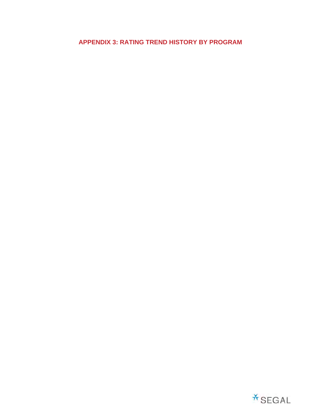**APPENDIX 3: RATING TREND HISTORY BY PROGRAM** 

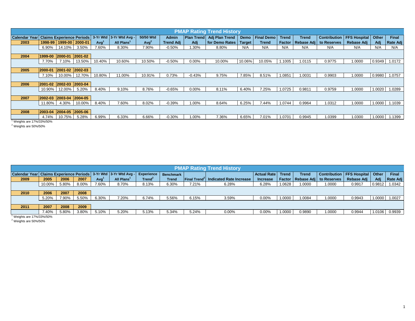|                         |                                  |                             |                             |                  |                              |                  |                  |          | <b>PMAP Rating Trend History</b> |               |                   |               |              |             |                             |        |                 |
|-------------------------|----------------------------------|-----------------------------|-----------------------------|------------------|------------------------------|------------------|------------------|----------|----------------------------------|---------------|-------------------|---------------|--------------|-------------|-----------------------------|--------|-----------------|
| <b>Calendar Year</b>    | <b>Claims Experience Periods</b> |                             |                             |                  | $3-Yr$ Wtd $ 3-Yr$ Wtd Avg - | 50/50 Wtd        | <b>Admin</b>     |          | Plan Trend Adj Plan Trend        |               | Demo   Final Demo | <b>Trend</b>  | <b>Trend</b> |             | Contribution   FFS Hospital | Other  | Final           |
| 2003                    |                                  |                             | 1998-99   1999-00   2000-01 | Avg <sup>1</sup> | All Plans <sup>1</sup>       | Avg <sup>2</sup> | <b>Trend Adj</b> | Adi      | for Demo Rates                   | <b>Target</b> | <b>Trend</b>      | <b>Factor</b> | Rebase Adj   | to Reserves | Rebase Adj                  | Adi    | <b>Rate Adj</b> |
|                         |                                  | 6.90% 14.10%                | 3.50%                       | 7.60%            | 8.30%                        | 7.90%            | $-0.50%$         | 1.30%    | 8.80%                            | N/A           | N/A               | N/A           | N/A          | N/A         | N/A                         | N/A    | N/A             |
|                         |                                  |                             |                             |                  |                              |                  |                  |          |                                  |               |                   |               |              |             |                             |        |                 |
| 2004                    | 1999-00                          | $ 2000-01 $ $ 2001-02 $     |                             |                  |                              |                  |                  |          |                                  |               |                   |               |              |             |                             |        |                 |
|                         | 7.70%                            | 7.10%                       | 13.50%                      | 10.40%           | 10.60%                       | 10.50%           | $-0.50%$         | 0.00%    | 10.00%                           | 10.06%        | 10.05%            | .1005         | 1.0115       | 0.9775      | 1.0000                      | 0.9349 | 1.0172          |
|                         |                                  |                             |                             |                  |                              |                  |                  |          |                                  |               |                   |               |              |             |                             |        |                 |
| 2005                    | 2000-01                          | $ 2001 - 02 $ $ 2002 - 03 $ |                             |                  |                              |                  |                  |          |                                  |               |                   |               |              |             |                             |        |                 |
|                         | 7.10%                            | 10.00%                      | 12.70%                      | 10.80%           | 11.00%                       | 10.91%           | 0.73%            | $-0.43%$ | 9.75%                            | 7.85%         | 8.51%             | 1.0851        | 1.0031       | 0.9903      | 1.0000                      | 0.9980 | 1.0757          |
|                         |                                  |                             |                             |                  |                              |                  |                  |          |                                  |               |                   |               |              |             |                             |        |                 |
| 2006                    | 2001-02 2002-03 2003-04          |                             |                             |                  |                              |                  |                  |          |                                  |               |                   |               |              |             |                             |        |                 |
|                         |                                  | 10.90% 12.00%               | 5.20%                       | 8.40%            | 9.10%                        | 8.76%            | $-0.65%$         | 0.00%    | 8.11%                            | 6.40%         | 7.25%             | 1.0725        | 0.9811       | 0.9759      | 1.0000                      | 1.0020 | 1.0289          |
|                         |                                  |                             |                             |                  |                              |                  |                  |          |                                  |               |                   |               |              |             |                             |        |                 |
| 2007                    | 2002-03 2003-04 2004-05          |                             |                             |                  |                              |                  |                  |          |                                  |               |                   |               |              |             |                             |        |                 |
|                         | 11.80%                           | 4.30%                       | 10.00%                      | 8.40%            | 7.60%                        | 8.02%            | $-0.39%$         | 1.00%    | 8.64%                            | 6.25%         | 7.44%             | 1.0744        | 0.9964       | 1.0312      | 1.0000                      | 1.0000 | 1.1039          |
|                         |                                  |                             |                             |                  |                              |                  |                  |          |                                  |               |                   |               |              |             |                             |        |                 |
| 2008                    | 2003-04                          | $ 2004-05 2005-06$          |                             |                  |                              |                  |                  |          |                                  |               |                   |               |              |             |                             |        |                 |
|                         | 4.74%                            | 10.75%                      | 5.28%                       | 6.99%            | 6.33%                        | 6.66%            | $-0.30\%$        | 1.00%    | 7.36%                            | 6.65%         | 7.01%             | 1.0701        | 0.9945       | 1.0399      | 1.0300                      | 1.0000 | 1.1399          |
| Weights are 17%/33%/50% |                                  |                             |                             |                  |                              |                  |                  |          |                                  |               |                   |               |              |             |                             |        |                 |

 $^2$  Weights are 50%/50%

|                                                                       |        |       |       |       |           |                    |                  |                                 | <b>PMAP Rating Trend History</b> |                    |              |        |                                   |                                     |        |                 |
|-----------------------------------------------------------------------|--------|-------|-------|-------|-----------|--------------------|------------------|---------------------------------|----------------------------------|--------------------|--------------|--------|-----------------------------------|-------------------------------------|--------|-----------------|
| Calendar Year   Claims Experience Periods   3-Yr Wtd   3-Yr Wtd Avg - |        |       |       |       |           | <b>Experience</b>  | <b>Benchmark</b> |                                 |                                  | <b>Actual Rate</b> | <b>Trend</b> | Trend  |                                   | Contribution   FFS Hospital   Other |        | Final           |
| 2009                                                                  | 2005   | 2006  | 2007  | Avg'  | All Plans | Trend <sup>2</sup> | <b>Trend</b>     | <b>Final Trend</b> <sup>2</sup> | Indicated Rate Increase          | <b>Increase</b>    |              |        | Factor   Rebase Adj   to Reserves | Rebase Adj                          | Adj    | <b>Rate Adj</b> |
|                                                                       | 10.00% | 5.80% | 8.00% | 7.60% | 8.70%     | 8.13%              | 6.30%            | 7.21%                           | 6.28%                            | 6.28%              | .0628        | 1.0000 | 1.0000                            | 0.9917                              | 0.9812 | 1.0342          |
|                                                                       |        |       |       |       |           |                    |                  |                                 |                                  |                    |              |        |                                   |                                     |        |                 |
| 2010                                                                  | 2006   | 2007  | 2008  |       |           |                    |                  |                                 |                                  |                    |              |        |                                   |                                     |        |                 |
|                                                                       | 5.20%  | 7.90% | 5.50% | 6.30% | 7.20%     | 6.74%              | 5.56%            | 6.15%                           | 3.59%                            | $0.00\%$           | .0000        | .0084  | 1.0000                            | 0.9943                              | 1.0000 | 1.0027          |
|                                                                       |        |       |       |       |           |                    |                  |                                 |                                  |                    |              |        |                                   |                                     |        |                 |
| 2011                                                                  | 2007   | 2008  | 2009  |       |           |                    |                  |                                 |                                  |                    |              |        |                                   |                                     |        |                 |
|                                                                       | 7.40%  | 5.80% | 3.80% | 5.10% | 5.20%     | 5.13%              | 5.34%            | 5.24%                           | $0.00\%$                         | 0.00%              | .0000        | 0.9890 | 1.0000                            | 0.9944                              |        | 1.0106 0.9939   |
| Weights are 17%/33%/50%                                               |        |       |       |       |           |                    |                  |                                 |                                  |                    |              |        |                                   |                                     |        |                 |

 $2$  Weights are 50%/50%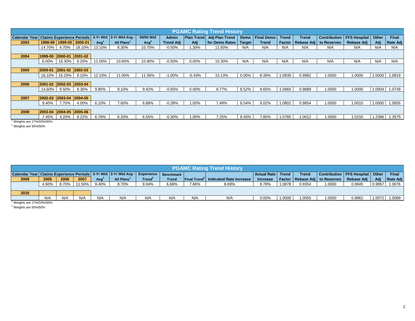|                         |                         |                         |        |                  |                                                   |                  |                  |          | <b>PGAMC Rating Trend History</b> |               |                   |              |              |                          |                     |              |                 |
|-------------------------|-------------------------|-------------------------|--------|------------------|---------------------------------------------------|------------------|------------------|----------|-----------------------------------|---------------|-------------------|--------------|--------------|--------------------------|---------------------|--------------|-----------------|
| <b>Calendar Year</b>    |                         |                         |        |                  | Claims Experience Periods 3-Yr Wtd 3-Yr Wtd Avg - | 50/50 Wtd        | <b>Admin</b>     |          | Plan Trend Adj Plan Trend         |               | Demo   Final Demo | <b>Trend</b> | <b>Trend</b> | Contribution             | <b>FFS Hospital</b> | <b>Other</b> | Final           |
| 2003                    |                         | 1998-99 1999-00 2000-01 |        | Avg <sup>1</sup> | All Plans                                         | Avg <sup>2</sup> | <b>Trend Adj</b> | Adi      | for Demo Rates                    | <b>Target</b> | <b>Trend</b>      | Factor       |              | Rebase Adj   to Reserves | Rebase Adj          | Adi          | <b>Rate Adj</b> |
|                         | 14.70%                  | 4.70%                   | 18.10% | 13.10%           | 8.30%                                             | 10.70%           | $-0.50%$         | .30%     | 11.50%                            | N/A           | N/A               | N/A          | N/A          | N/A                      | N/A                 | N/A          | N/A             |
|                         |                         |                         |        |                  |                                                   |                  |                  |          |                                   |               |                   |              |              |                          |                     |              |                 |
| 2004                    | 1999-00                 | 2000-01 2001-02         |        |                  |                                                   |                  |                  |          |                                   |               |                   |              |              |                          |                     |              |                 |
|                         | 6.00%                   | 16.30%                  | 9.20%  | 11.00%           | 10.60%                                            | 10.80%           | $-0.50%$         | 0.00%    | 10.30%                            | N/A           | N/A               | N/A          | N/A          | N/A                      | N/A                 | N/A          | N/A             |
|                         |                         |                         |        |                  |                                                   |                  |                  |          |                                   |               |                   |              |              |                          |                     |              |                 |
| 2005                    | 2000-01                 | 2001-02 2002-03         |        |                  |                                                   |                  |                  |          |                                   |               |                   |              |              |                          |                     |              |                 |
|                         | 16.10%                  | 16.20%                  | 8.10%  | 12.10%           | 11.00%                                            | 11.56%           | $-1.00%$         | $-0.43%$ | 10.13%                            | $0.00\%$      | 8.39%             | 1.0839       | 0.9982       | 1.0000                   | 1.0000              | 1.0000       | 1.0819          |
|                         |                         |                         |        |                  |                                                   |                  |                  |          |                                   |               |                   |              |              |                          |                     |              |                 |
| 2006                    | 2001-02                 | $ 2002-03 $ $ 2003-04 $ |        |                  |                                                   |                  |                  |          |                                   |               |                   |              |              |                          |                     |              |                 |
|                         | 14.60%                  | $9.50\%$                | 8.30%  | 9.80%            | 9.10%                                             | 9.42%            | $-0.65%$         | $0.00\%$ | 8.77%                             | 8.52%         | 8.65%             | 1.0865       | 0.9889       | 1.0000                   | 1.0000              | 1.0004       | 1.0749          |
|                         |                         |                         |        |                  |                                                   |                  |                  |          |                                   |               |                   |              |              |                          |                     |              |                 |
| 2007                    | 2002-03 2003-04 2004-05 |                         |        |                  |                                                   |                  |                  |          |                                   |               |                   |              |              |                          |                     |              |                 |
|                         | 9.40%                   | 7.70%                   | 4.00%  | 6.10%            | 7.60%                                             | 6.88%            | $-0.39%$         | 1.00%    | 7.49%                             | 8.54%         | 8.02%             | 1.0802       | 0.9854       | 1.0000                   | 1.0010              | 1.0000       | 1.0655          |
|                         |                         |                         |        |                  |                                                   |                  |                  |          |                                   |               |                   |              |              |                          |                     |              |                 |
| 2008                    | 2003-04                 | 2004-05 2005-06         |        |                  |                                                   |                  |                  |          |                                   |               |                   |              |              |                          |                     |              |                 |
|                         | 7.45%                   | 4.20%                   | 8.22%  | 6.76%            | 6.33%                                             | 6.55%            | $-0.30%$         | 1.00%    | 7.25%                             | 8.45%         | 7.85%             | 1.0785       | 1.0012       | 1.0000                   | 1.0150              |              | 1.2386 1.3575   |
| Weights are 17%/33%/50% |                         |                         |        |                  |                                                   |                  |                  |          |                                   |               |                   |              |              |                          |                     |              |                 |

 $^2$  Weights are 50%/50%

|                                                                                    |       |       |        |       |           |                    |                  |       | <b>PGAMC Rating Trend History</b>                      |                     |        |              |                                   |                                     |        |              |
|------------------------------------------------------------------------------------|-------|-------|--------|-------|-----------|--------------------|------------------|-------|--------------------------------------------------------|---------------------|--------|--------------|-----------------------------------|-------------------------------------|--------|--------------|
| Calendar Year   Claims Experience Periods   3-Yr Wtd   3-Yr Wtd Avg -   Experience |       |       |        |       |           |                    | <b>Benchmark</b> |       |                                                        | Actual Rate   Trend |        | <b>Trend</b> |                                   | Contribution   FFS Hospital   Other |        | <b>Final</b> |
| 2009                                                                               | 2005  | 2006  | 2007   | Avg   | All Plans | Trend <sup>2</sup> | <b>Trend</b>     |       | <b>Final Trend<sup>2</sup> Indicated Rate Increase</b> | <b>Increase</b>     |        |              | Factor   Rebase Adi   to Reserves | Rebase Adi                          |        | Rate Adi     |
|                                                                                    | 4.60% | 8.70% | 11.50% | 9.40% | 8.70%     | 9.04%              | 6.68%            | 7.86% | 8.69%                                                  | 8.78%               | 1.0878 | 0.9354       | 1.0000                            | 0.9945                              | 0.9957 | 1.0076       |
|                                                                                    |       |       |        |       |           |                    |                  |       |                                                        |                     |        |              |                                   |                                     |        |              |
| 2010                                                                               |       |       |        |       |           |                    |                  |       |                                                        |                     |        |              |                                   |                                     |        |              |
|                                                                                    | N/A   | N/A   | N/A    | N/A   | N/A       | N/A                | N/A              | N/A   | N/A                                                    | 0.00%               | 1.0000 | 1.0055       | 1.0000                            | 0.9962                              | 1.0072 | 1.0089       |
| Mainhte ara 17%/33%/50%                                                            |       |       |        |       |           |                    |                  |       |                                                        |                     |        |              |                                   |                                     |        |              |

1 Weights are 17%/33%/50%

 $^2$  Weights are 50%/50%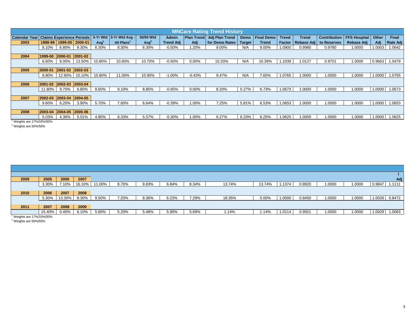|                         |         |                             |               |                  |                                                   |                  |                  |          | <b>MNCare Rating Trend History</b> |               |                   |              |              |                          |                     |        |                 |
|-------------------------|---------|-----------------------------|---------------|------------------|---------------------------------------------------|------------------|------------------|----------|------------------------------------|---------------|-------------------|--------------|--------------|--------------------------|---------------------|--------|-----------------|
| <b>Calendar Year</b>    |         |                             |               |                  | Claims Experience Periods 3-Yr Wtd 3-Yr Wtd Avg - | 50/50 Wtd        | <b>Admin</b>     |          | Plan Trend Adj Plan Trend          |               | Demo   Final Demo | <b>Trend</b> | <b>Trend</b> | <b>Contribution</b>      | <b>FFS Hospital</b> | Other  | Final           |
| 2003                    | 1998-99 | 1999-00 2000-01             |               | Avq <sup>1</sup> | All Plans                                         | Avg <sup>2</sup> | <b>Trend Adj</b> | Adj      | for Demo Rates                     | <b>Target</b> | <b>Trend</b>      | Factor       |              | Rebase Adj   to Reserves | Rebase Adj          | Adi    | <b>Rate Adj</b> |
|                         | 8.10%   | 6.80%                       | 9.30%         | 8.30%            | 8.30%                                             | 8.30%            | $-0.50%$         | 1.20%    | 9.00%                              | N/A           | 9.00%             | 1.0900       | 0.9980       | 0.9780                   | 1.0000              | 1.0003 | 1.0642          |
|                         |         |                             |               |                  |                                                   |                  |                  |          |                                    |               |                   |              |              |                          |                     |        |                 |
| 2004                    | 1999-00 | 2000-01                     | $ 2001 - 02 $ |                  |                                                   |                  |                  |          |                                    |               |                   |              |              |                          |                     |        |                 |
|                         | 6.60%   | 9.00%                       | 13.50%        | 10.80%           | 10.60%                                            | 10.70%           | $-0.50%$         | $0.00\%$ | 10.20%                             | N/A           | 10.39%            | .1039        | 1.0127       | 0.9701                   | 1.0000              | 0.9663 | 1.0479          |
|                         |         |                             |               |                  |                                                   |                  |                  |          |                                    |               |                   |              |              |                          |                     |        |                 |
| 2005                    | 2000-01 | $ 2001 - 02 $ $ 2002 - 03 $ |               |                  |                                                   |                  |                  |          |                                    |               |                   |              |              |                          |                     |        |                 |
|                         | 8.80%   | 12.90%                      | 10.10%        | 10.80%           | 11.00%                                            | 10.90%           | $-1.00%$         | $-0.43%$ | 9.47%                              | N/A           | 7.65%             | 1.0765       | 1.0000       | 1.0000                   | 1.0000              | 1.0000 | 1.0765          |
|                         |         |                             |               |                  |                                                   |                  |                  |          |                                    |               |                   |              |              |                          |                     |        |                 |
| 2006                    | 2001-02 | $ 2002-03 2003-04$          |               |                  |                                                   |                  |                  |          |                                    |               |                   |              |              |                          |                     |        |                 |
|                         | 11.80%  | 9.70%                       | 6.80%         | 8.60%            | 9.10%                                             | 8.85%            | $-0.65%$         | $0.00\%$ | 8.20%                              | 5.27%         | 6.73%             | 1.0673       | 1.0000       | 1.0000                   | 1.0000              | 1.0000 | 1.0673          |
|                         |         |                             |               |                  |                                                   |                  |                  |          |                                    |               |                   |              |              |                          |                     |        |                 |
| 2007                    | 2002-03 | $ 2003-04 2004-05 $         |               |                  |                                                   |                  |                  |          |                                    |               |                   |              |              |                          |                     |        |                 |
|                         | 9.60%   | 6.20%                       | 3.90%         | 5.70%            | 7.60%                                             | 6.64%            | $-0.39%$         | 1.00%    | 7.25%                              | 5.81%         | 6.53%             | 1.0653       | 1.0000       | 1.0000                   | 1.0000              | 1.0000 | 1.0653          |
|                         |         |                             |               |                  |                                                   |                  |                  |          |                                    |               |                   |              |              |                          |                     |        |                 |
| 2008                    | 2003-04 | 2004-05 2005-06             |               |                  |                                                   |                  |                  |          |                                    |               |                   |              |              |                          |                     |        |                 |
|                         | 5.03%   | 4.36%                       | 5.01%         | 4.80%            | 6.33%                                             | 5.57%            | $-0.30%$         | 1.00%    | 6.27%                              | 6.23%         | 6.25%             | 1.0625       | 1.0000       | 1.0000                   | 1.0000              |        | 1.0000 1.0625   |
| Weights are 17%/33%/50% |         |                             |               |                  |                                                   |                  |                  |          |                                    |               |                   |              |              |                          |                     |        |                 |

 $^2$  Weights are 50%/50%

| 2009                    | 2005   | 2006   | 2007   |          |       |       |       |       |        |        |        |        |        |        |        | Adj           |
|-------------------------|--------|--------|--------|----------|-------|-------|-------|-------|--------|--------|--------|--------|--------|--------|--------|---------------|
|                         | 3.30%  | 7.10%  | 16.10% | 11.00%   | 8.70% | 9.83% | 6.84% | 8.34% | 13.74% | 13.74% | 1374   | 0.9920 | 1.0000 | 1.0000 | 0.9847 | 1.1111        |
|                         |        |        |        |          |       |       |       |       |        |        |        |        |        |        |        |               |
| 2010                    | 2006   | 2007   | 2008   |          |       |       |       |       |        |        |        |        |        |        |        |               |
|                         | 5.30%  | 13.30% | 8.30%  | $9.50\%$ | 7.20% | 8.36% | 6.23% | 7.29% | 18.35% | 0.00%  | 1.0000 | 0.8450 | 1.0000 | 1.0000 |        | 1.0026 0.8472 |
|                         |        |        |        |          |       |       |       |       |        |        |        |        |        |        |        |               |
| 2011                    | 2007   | 2008   | 2009   |          |       |       |       |       |        |        |        |        |        |        |        |               |
|                         | 15.40% | 0.40%  | 6.10%  | 5.80%    | 5.20% | 5.48% | 5.90% | 5.69% | 1.14%  | l.14%  | 1.0114 | 0.9921 | 1.0000 | 1.0000 | 1.0029 | 1.0063        |
| Weights are 17%/33%/50% |        |        |        |          |       |       |       |       |        |        |        |        |        |        |        |               |

 $2$  Weights are 50%/50%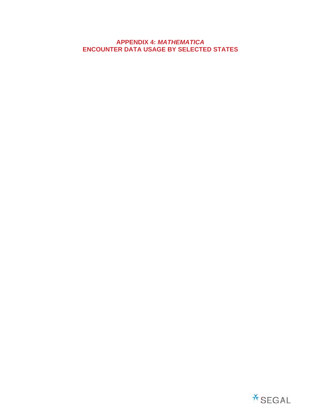## **APPENDIX 4:** *MATHEMATICA* **ENCOUNTER DATA USAGE BY SELECTED STATES**

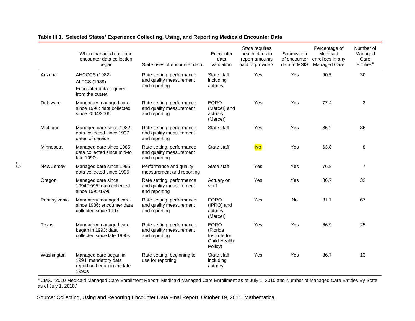|              | When managed care and<br>encounter data collection<br>began                               | State uses of encounter data                                          | Encounter<br>data<br>validation                                     | State requires<br>health plans to<br>report amounts<br>paid to providers | Submission<br>of encounter<br>data to MSIS | Percentage of<br>Medicaid<br>enrollees in any<br>Managed Care | Number of<br>Managed<br>Care<br>Entities <sup>a</sup> |
|--------------|-------------------------------------------------------------------------------------------|-----------------------------------------------------------------------|---------------------------------------------------------------------|--------------------------------------------------------------------------|--------------------------------------------|---------------------------------------------------------------|-------------------------------------------------------|
| Arizona      | <b>AHCCCS (1982)</b><br><b>ALTCS (1989)</b><br>Encounter data required<br>from the outset | Rate setting, performance<br>and quality measurement<br>and reporting | State staff<br>including<br>actuary                                 | Yes                                                                      | Yes                                        | 90.5                                                          | 30                                                    |
| Delaware     | Mandatory managed care<br>since 1996; data collected<br>since 2004/2005                   | Rate setting, performance<br>and quality measurement<br>and reporting | <b>EQRO</b><br>(Mercer) and<br>actuary<br>(Mercer)                  | Yes                                                                      | Yes                                        | 77.4                                                          | 3                                                     |
| Michigan     | Managed care since 1982;<br>data collected since 1997<br>dates of service                 | Rate setting, performance<br>and quality measurement<br>and reporting | State staff                                                         | Yes                                                                      | Yes                                        | 86.2                                                          | 36                                                    |
| Minnesota    | Managed care since 1985;<br>data collected since mid-to<br>late 1990s                     | Rate setting, performance<br>and quality measurement<br>and reporting | State staff                                                         | <b>No</b>                                                                | Yes                                        | 63.8                                                          | 8                                                     |
| New Jersey   | Managed care since 1995;<br>data collected since 1995                                     | Performance and quality<br>measurement and reporting                  | State staff                                                         | Yes                                                                      | Yes                                        | 76.8                                                          | 7                                                     |
| Oregon       | Managed care since<br>1994/1995; data collected<br>since 1995/1996                        | Rate setting, performance<br>and quality measurement<br>and reporting | Actuary on<br>staff                                                 | Yes                                                                      | Yes                                        | 86.7                                                          | 32                                                    |
| Pennsylvania | Mandatory managed care<br>since 1986; encounter data<br>collected since 1997              | Rate setting, performance<br>and quality measurement<br>and reporting | <b>EQRO</b><br>(IPRO) and<br>actuary<br>(Mercer)                    | Yes                                                                      | No.                                        | 81.7                                                          | 67                                                    |
| Texas        | Mandatory managed care<br>began in 1993; data<br>collected since late 1990s               | Rate setting, performance<br>and quality measurement<br>and reporting | <b>EQRO</b><br>(Florida<br>Institute for<br>Child Health<br>Policy) | Yes                                                                      | Yes                                        | 66.9                                                          | 25                                                    |
| Washington   | Managed care began in<br>1994; mandatory data<br>reporting began in the late<br>1990s     | Rate setting, beginning to<br>use for reporting                       | State staff<br>including<br>actuary                                 | Yes                                                                      | Yes                                        | 86.7                                                          | 13                                                    |

### **Table III.1. Selected States' Experience Collecting, Using, and Reporting Medicaid Encounter Data**

<sup>a</sup> CMS. "2010 Medicaid Managed Care Enrollment Report: Medicaid Managed Care Enrollment as of July 1, 2010 and Number of Managed Care Entities By State as of July 1, 2010."

Source: Collecting, Using and Reporting Encounter Data Final Report, October 19, 2011, Mathematica.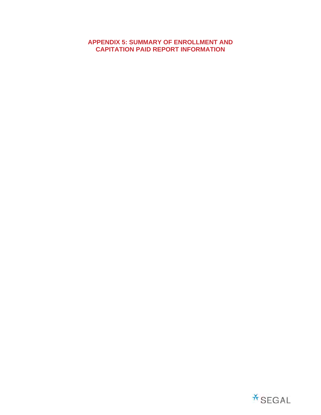# **APPENDIX 5: SUMMARY OF ENROLLMENT AND CAPITATION PAID REPORT INFORMATION**

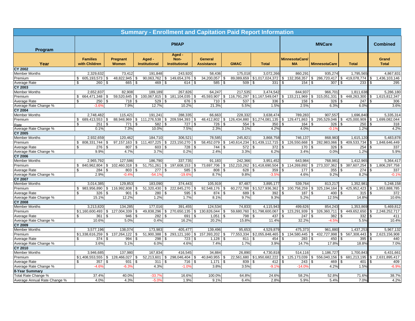|                                         |                                  |                                     |                                |                                        |                              |                                    | <b>Summary - Enrollment and Capitation Paid Report Information</b> |                      |                         |                                     |                                 |
|-----------------------------------------|----------------------------------|-------------------------------------|--------------------------------|----------------------------------------|------------------------------|------------------------------------|--------------------------------------------------------------------|----------------------|-------------------------|-------------------------------------|---------------------------------|
| Program                                 |                                  |                                     |                                | <b>PMAP</b>                            |                              |                                    |                                                                    |                      | <b>MNCare</b>           |                                     | <b>Combined</b>                 |
| Year                                    | <b>Families</b><br>with Children | Pregnant<br>Women                   | Aged -<br><b>Institutional</b> | Aged -<br>Non-<br><b>Institutional</b> | General<br><b>Assistance</b> | <b>GMAC</b>                        | <b>Total</b>                                                       | MinnesotaCare/<br>MA | <b>MinnesotaCare</b>    | <b>Total</b>                        | Grand<br><b>Total</b>           |
| <b>CY 2002</b>                          |                                  |                                     |                                |                                        |                              |                                    |                                                                    |                      |                         |                                     |                                 |
| <b>Member Months</b>                    | 2,329,632                        | 73,412                              | 191.848                        | 243,920                                | 58,436                       | 175,018                            | 3,072,266                                                          | 860,291              | 935,274                 | 1,795,565                           | 4,867,831                       |
| Premium                                 | \$ 605,193,573                   | 48,822,945<br>\$                    | 90,063,762<br>\$               | 149,654,376<br>$\sqrt{3}$              | 34,200,057<br>\$             | 89,089,659<br>S.                   | \$1,017,024,372                                                    | 132,358,357<br>\$    | 286,720,417<br>\$       | \$419,078,774                       | \$<br>1,436,103,146             |
| Average Rate                            | \$<br>260                        | 665<br>\$                           | 469 \$                         | 614 \$                                 | 585                          | \$                                 | 509<br>331                                                         | 154<br>\$.           | 307<br>\$               | 233<br>-S                           | 295                             |
| <b>CY 2003</b>                          |                                  |                                     |                                |                                        |                              |                                    |                                                                    |                      |                         |                                     |                                 |
| <b>Member Months</b>                    | 2,652,837                        | 82,908                              | 189,189                        | 267,826                                | 64,247                       | 217,535                            | 3,474,542                                                          | 844,937              | 966,701                 | 1,811,638                           | 5,286,180                       |
| Premium                                 | 664,471,348<br>\$                | 59,520,645<br>\$                    | 100,067,815 \$<br>S.           | 181,104,035                            | 45,593,907<br>\$             | \$                                 | 116,791,297 \$1,167,549,047                                        | 133,211,969<br>\$    | \$ 315,051,331          | 448,263,300<br>\$                   | 1,615,812,347<br>\$             |
| Average Rate                            | 250<br>\$                        | \$<br>718                           | 529 \$<br>- \$                 | 676                                    | \$<br>710                    | 537<br>\$.                         | 336<br>l \$                                                        | 158<br>-\$           | \$<br>326               | -S<br>247                           | 306                             |
| Average Rate Change %                   | $-3.6^{\circ}$                   | 7.9%                                | 12.7%                          | 10.2%                                  | 21.3%                        | 5.5%                               | 1.5%                                                               | 2.5%                 | 6.3%                    | 6.0%                                | 3.6%                            |
| <b>CY 2004</b>                          |                                  |                                     |                                |                                        |                              |                                    |                                                                    |                      |                         |                                     |                                 |
| <b>Member Months</b>                    | 2,748,482                        | 115,421                             | 191,241                        | 288,335                                | 66,663                       | 228,332                            | 3,638,474                                                          | 789,283              | 907,557                 | 1,696,840                           | 5,335,314                       |
| Premium                                 | \$<br>689,413,553                | 88,948,969<br>S.                    | $$111,276,538$ $$209,594,393$  |                                        | 48,412,802<br>\$             | 126,434,880<br>\$                  | \$1,274,081,135                                                    | \$<br>129,471,863    | \$295,529,046           | 425,000,909<br>\$                   | 1,699,082,044<br>\$             |
| Rate                                    | \$<br>251                        | 771<br>\$                           | 582                            | 727<br>l \$                            | 726<br>\$                    | 554<br>Я.                          | 350<br>l \$                                                        | 164                  | 326<br>\$.              | 250                                 | 318                             |
| Average Rate Change %                   | 0.1%                             | 7.3%                                | 10.0%                          | 7.5%                                   | 2.3%                         | 3.1%                               | 4.2%                                                               | 4.0%                 | $-0.1%$                 | 1.2%                                | 4.2%                            |
| <b>CY 2005</b>                          |                                  |                                     |                                |                                        |                              |                                    |                                                                    |                      |                         |                                     |                                 |
| <b>Member Months</b>                    | 2,932,659                        | 120,462                             | 184,710                        | 306,521                                | 78,585                       | 245,821                            | 3,868,758                                                          | 746,137              | 868,983                 | 1,615,120                           | 5,483,878                       |
| Premium                                 | \$ 808,331,744                   | 97, 157, 163<br>\$                  | $$111,407,225$ $$223,150,270$  |                                        | 58,452,079<br>\$             | \$                                 | 140,614,234 \$1,439,112,715                                        | 126,550,668<br>\$    | \$ 282,983,066          | 409,533,734<br>\$                   | 1,848,646,449<br>\$.            |
| Average Rate                            | \$<br>276                        | \$<br>807                           | 603<br>\$                      | 728                                    | \$<br>744                    | 572<br>\$.                         | 372<br>l S                                                         | 170                  | 326<br>\$.              | 254<br>£.                           | 337                             |
| Average Rate Change %                   | 9.9%                             | 4.7%                                | 3.7%                           | 0.2%                                   | 2.4%                         | 3.3%                               | 6.2%                                                               | 3.4%                 | 0.0%                    | 1.2%                                | 5.9%                            |
| <b>CY 2006</b>                          |                                  |                                     |                                |                                        |                              |                                    |                                                                    |                      |                         |                                     |                                 |
| <b>Member Months</b>                    | 2,965,792                        | 127,586                             | 186,790                        | 337,735                                | 91,183                       | 242,366                            | 3,951,452                                                          | 643,984              | 768,981                 | 1,412,96                            | 5,364,417                       |
| Premium                                 | \$<br>840,962,804                | 102,460,318<br>\$.                  | 51,751,261                     | 197,608,153<br>\$                      | 73,697,706<br>\$             | 152,210,262<br>\$                  | \$1,418,690,504                                                    | 114,269,892<br>\$    | 273,337,362<br>\$       | 387,607,254<br>\$                   | 1,806,297,758<br>ፍ              |
| Average Rate                            | \$<br>284                        | 803<br>\$                           | 277                            | 585                                    | 808<br>\$                    | 628                                | 359                                                                | 177                  | 355                     | 274                                 | 337                             |
| Average Rate Change %                   | 2.9%                             | $-0.4%$                             | $-54.19$                       | $-19.69$                               | 8.7%                         | 9.8%                               | $-3.5^{\circ}$                                                     | 4.6%                 | 9.2%                    | 8.2%                                | $-0.1%$                         |
| <b>CY 2007</b>                          |                                  |                                     |                                |                                        |                              |                                    |                                                                    |                      |                         |                                     |                                 |
| Member Months                           | 3,014,385                        | 129,853                             | 183,090                        | 374,443                                | 105,919                      | 87,487                             | 3,895,177                                                          | 539,764              | 813,217                 | 1,352,98                            | 5,248,158<br>$\mathbf{\hat{S}}$ |
| Premium                                 | \$<br>983,956,890                | \$<br>116,992,808<br>$\mathfrak{L}$ | $51,320,430$ \$<br>\$<br>\$    | 222,845,270                            | 92,548,176<br>\$             | 60,272,788<br>\$<br>$\mathfrak{L}$ | \$1,527,936,362                                                    | 100,758,259<br>\$    | \$<br>325,194,164<br>£. | 425,952,423<br>\$<br>$\mathfrak{L}$ | 1,953,888,785                   |
| Average Rate                            | 326<br>\$                        | 901<br>12.2%                        | 280 \$<br>1.2%                 | 595<br>1.7%                            | 874<br><b>S</b><br>8.1%      | 689<br>9.7%                        | 392<br>9.3%                                                        | 187<br>5.2%          | 400<br>12.5%            | 315<br>14.8%                        | 372<br>10.6%                    |
| Average Rate Change %<br><b>CY 2008</b> | 15.1%                            |                                     |                                |                                        |                              |                                    |                                                                    |                      |                         |                                     |                                 |
|                                         | 3,213,820                        | 134,285                             | 177,016                        | 391,455                                | 124,534                      | 74,833                             | 4,115,943                                                          | 499,626              | 854,243                 | 1,353,869                           | 5,469,812                       |
| <b>Member Months</b><br>Premium         | \$1,160,600,493                  | \$<br>127,004,339                   | 49,838,296 \$<br>\$            | 270,650,135                            | \$<br>130,826,044            | 59,680,760<br>\$                   | \$1,798,600,067                                                    | \$<br>123,291,939    | \$<br>326,360,711       | \$449,652,650                       | \$<br>2,248,252,717             |
|                                         | 361<br>\$                        | \$<br>946                           | 282<br>\$                      | 691<br>l \$                            | 1,051<br><b>\$</b>           | \$                                 | 798<br>437<br>l \$                                                 | 247S<br>\$.          | 382                     | 332<br>\$                           | 411                             |
| Average Rate<br>Average Rate Change %   | 10.6%                            | 5.0%                                | 0.4%                           | 16.2%                                  | 20.2%                        | 15.8%                              | 11.4%                                                              | 32.2%                | $-4.5%$                 | 5.5%                                | 10.4%                           |
| <b>CY 2009</b>                          |                                  |                                     |                                |                                        |                              |                                    |                                                                    |                      |                         |                                     |                                 |
| <b>Member Months</b>                    | 3,577,196                        | 138,074                             | 173,983                        | 405,477                                | 139,496                      | 95,653                             | 4,529,879                                                          | 475,373              | 961,880                 | 1,437,253                           | 5,967,132                       |
| Premium                                 | \$1,338,616,259                  | \$<br>137,264,122                   | 51,900,388<br>\$               | 293,121,160<br>\$                      | \$<br>157,393,202            | 77,553,334<br>\$                   | \$2,055,848,465                                                    | 134,580,445<br>\$    | 432,727,998<br>\$       | 567,308,443<br>\$                   | 2,623,156,908<br>\$             |
| Average Rate                            | 374<br>\$                        | 994<br>\$                           | 298                            | 723                                    | 1,128<br>\$                  | 811<br>. ጽ                         | 454<br>1 S                                                         | 283                  | 450                     | 395<br>£.                           | 440                             |
| Average Rate Change %                   | 3.6%                             | 5.1%                                | 6.0%                           | 4.6%                                   | 7.4%                         | 1.7%                               | 3.9%                                                               | 14.7%                | 17.8%                   | 18.8%                               | 7.0%                            |
| <b>CY 2010</b>                          |                                  |                                     |                                |                                        |                              |                                    |                                                                    |                      |                         |                                     |                                 |
| <b>Member Months</b>                    | 3,946,685                        | 137,980                             | 167,834                        | 416,545                                | 34,884                       | 26,890                             | 4,730,818                                                          | 514.116              | 1,186,727               | 1.700.84                            | 6,431,661                       |
| Premium                                 | \$1,408,553,555                  | 128,466,027<br><b>\$</b>            | \$                             | 52,213,601 \$ 298,046,404              | 40,840,955<br>S.             | 22,561,680<br>S.                   | \$1,950,682,222                                                    | 125,173,039<br>\$    | \$<br>556,040,156       | \$ 681,213,195                      | 2,631,895,417<br>\$             |
| Average Rate                            | \$<br>357                        | \$<br>931                           | 311S<br>\$                     | 716                                    | \$<br>1,171                  | \$                                 | 839<br>412                                                         | 243<br>R             | 469<br>\$               | 401<br>£.                           | 409                             |
| Average Rate Change %                   | $-4.6'$                          | $-6.39$                             | 4.3%                           | $-1.09$                                | 3.8%                         | 3.5%                               | $-9.1$                                                             | $-14.09$             | 4.2%                    | 1.5%                                | $-6.99$                         |
| 8-Year Summary                          |                                  |                                     |                                |                                        |                              |                                    |                                                                    |                      |                         |                                     |                                 |
| Total Rate Change %                     | 37.4%                            | 40.0%                               | $-33.79$                       | 16.6%                                  | 100.0%                       | 64.8%                              | 24.6%                                                              | 58.2%                | 52.8%                   | 71.6%                               | 38.7%                           |
| Average Annual Rate Change %            | 4.0%                             | 4.3%                                | $-5.09$                        | 1.9%                                   | 9.1%                         | 6.4%                               | 2.8%                                                               | 5.9%                 | 5.4%                    | 7.0%                                | 4.2%                            |
|                                         |                                  |                                     |                                |                                        |                              |                                    |                                                                    |                      |                         |                                     |                                 |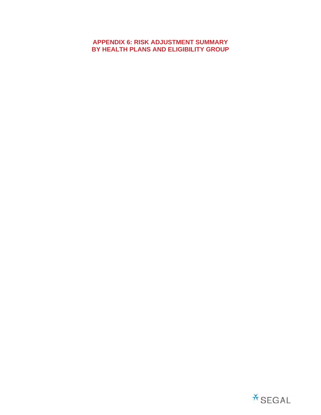# **APPENDIX 6: RISK ADJUSTMENT SUMMARY BY HEALTH PLANS AND ELIGIBILITY GROUP**

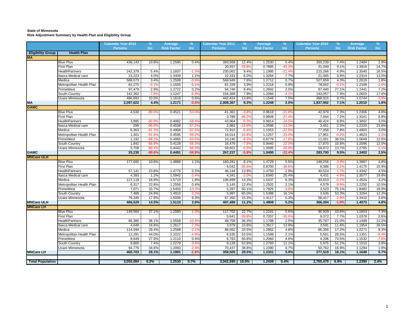### **State of Minnesota Risk Adjustment Summary by Health Plan and Eligibility Group**

|                          |                          | <b>Calendar Year 2012</b> | $\%$     | Average            | $\%$            | <b>Calendar Year 2011</b> | %               | Average            | $\frac{9}{6}$   | <b>Calendar Year 2010</b> | %       | Average            | %       |
|--------------------------|--------------------------|---------------------------|----------|--------------------|-----------------|---------------------------|-----------------|--------------------|-----------------|---------------------------|---------|--------------------|---------|
|                          |                          | <b>Persons</b>            | Inc.     | <b>Risk Factor</b> | <b>Inc</b>      | <b>Persons</b>            | <b>Inc</b>      | <b>Risk Factor</b> | <b>Inc</b>      | <b>Persons</b>            | Inc     | <b>Risk Factor</b> | Inc     |
| <b>Eligibility Group</b> | <b>Health Plan</b>       |                           |          |                    |                 |                           |                 |                    |                 |                           |         |                    |         |
| <b>MA</b>                |                          |                           |          |                    |                 |                           |                 |                    |                 |                           |         |                    |         |
|                          | <b>Blue Plus</b>         | 436,143                   | 10.8%    | 1.2585             | 0.4%            | 393,568                   | 12.4%           | 1.2530             | 0.4%            | 350,239                   | 7.4%    | 1.2484             | 2.9%    |
|                          | First Plan               |                           |          |                    |                 | 20,557                    | $-33.89$        | 0.7895             | $-43.3$         | 31,049                    | 9.1%    | 1.3916             | 14.7%   |
|                          | <b>HealthPartners</b>    | 242,379                   | 5.4%     | 1.1837             | $-1.39$         | 230,062                   | 9.4%            | 1.1995             | $-11.4'$        | 210,266                   | 4.9%    | 1.3540             | 16.5%   |
|                          | tasca Medical care       | 23,223                    | 4.0%     | 1.3409             | 1.1%            | 22,331                    | 6.0%            | 1.3264             | 7.7%            | 21,065                    | 3.9%    | 1.2314             | 13.0%   |
|                          | Medica                   | 588,073                   | 3.4%     | 1.2599             | $-0.99$         | 568,949                   | 7.8%            | 1.2712             | 0.7%            | 527,659                   | 4.3%    | 1.2619             | 1.8%    |
|                          | Metropolitan Health Plan | 81,270                    | $-0.19$  | 1.1593             | $-5.19$         | 81,339                    | 3.9%            | 1.2218             | 0.9%            | 78,262                    | $-0.1%$ | 1.2108             | $-1.69$ |
|                          | PrimeWest                | 97,479                    | 2.9%     | 1.2722             | 0.2%            | 94,748                    | 8.4%            | 1.2692             | 2.0%            | 87,440                    | 27.1%   | 1.2441             | 7.2%    |
|                          | South Country            | 142,362                   | $-7.89$  | 1.1247             | $-6.99$         | 154,389                   | 7.9%            | 1.2084             | $-4.19$         | 143,057                   | 7.9%    | 1.2603             | 17.6%   |
|                          | <b>Jcare Minnesota</b>   | 486,693                   | 10.0%    | 1.1618             | 0.6%            | 442,424                   | 13.8%           | 1.1548             | 7.5%            | 388,915                   | 9.7%    | 1.0744             | $-3.9%$ |
| <b>MA</b>                |                          | 2,097,622                 | 4.4%     | 1.2171             | $-0.6%$         | 2,008,367                 | 9.3%            | 1.2248             | 2.0%            | 1,837,952                 | 7.1%    | 1.2010             | 1.6%    |
| <b>GAMC</b>              |                          |                           |          |                    |                 |                           |                 |                    |                 |                           |         |                    |         |
|                          | <b>Blue Plus</b>         | 4,530                     | $-89.09$ | 0.4521             | $-53.0^{\circ}$ | 41,361                    | $-3.89$         | 0.9618             | $-21.8$         | 42,979                    | 7.3%    | 1.2306             | 4.8%    |
|                          | First Plan               |                           |          |                    |                 | 3,788                     | $-46.2^{\circ}$ | 0.9608             | $-27.4'$        | 7,044                     | 7.2%    | 1.3241             | 6.9%    |
|                          | <b>HealthPartners</b>    | 3,995                     | $-90.9$  | 0.4082             | $-58.4^{\circ}$ | 43,964                    | $-5.3o$         | 0.9814             | $-24.59$        | 46,424                    | 8.8%    | 1.3002             | 3.0%    |
|                          | tasca Medical care       | 299                       | $-90.0$  | 0.4538             | $-57.2^{\circ}$ | 2,983                     | $-13.6^{\circ}$ | 1.0596             | $-13.39$        | 3,451                     | 2.3%    | 1.2220             | 23.8%   |
|                          | Medica                   | 6,363                     | $-91.3'$ | 0.4908             | $-57.59$        | 72,910                    | $-5.4^{\circ}$  | 1.1553             | $-22.5$         | 77,058                    | 7.8%    | 1.4903             | 3.0%    |
|                          | Metropolitan Health Plan | 1,301                     | $-91.9o$ | 0.4595             | $-59.2$         | 16,014                    | $-10.8o$        | 1.1257             | $-23.0$         | 17,951                    | $-0.29$ | 1.4623             | $-1.29$ |
|                          | <sup>2</sup> rimeWest    | 1,192                     | $-88.2$  | 0.4085             | $-53.5$         | 10,140                    | $-8.2^{\circ}$  | 0.8776             | $-17.69$        | 11,051                    | 36.5%   | 1.0649             | 12.5%   |
|                          | South Country            | 1,842                     | $-88.8'$ | 0.4128             | $-56.3$         | 16,476                    | $-7.8^{\circ}$  | 0.9440             | $-22.0$         | 17,870                    | 10.8%   | 1.2096             | 12.0%   |
|                          | Jcare Minnesota          | 5,708                     | $-90.4$  | 0.4442             | $-56.0$         | 59,601                    | $-0.5o$         | 1.0095             | $-20.9$         | 59,872                    | 13.7%   | 1.2765             | $-1.19$ |
| <b>GAMC</b>              |                          | 25,230                    | $-90.6$  | 0.4491             | $-56.8$         | 267,237                   | $-5.8%$         | 1.0400             | $-22.4^{\circ}$ | 283,700                   | 9.5%    | 1.3402             | 2.5%    |
| <b>MNCare ULH</b>        |                          |                           |          |                    |                 |                           |                 |                    |                 |                           |         |                    |         |
|                          | <b>Blue Plus</b>         | 177,655                   | 10.8%    | 1.4888             | 1.1%            | 160,281                   | 8.1%            | 1.4729             | 5.5%            | 148,256                   | $-3.9%$ | 1.3967             | 4.8%    |
|                          | First Plan               |                           |          |                    |                 | 6,042                     | $-35.69$        | 0.8700             | $-38.69$        | 9,386                     | $-2.1%$ | 1.4175             | 10.9%   |
|                          | <b>HealthPartners</b>    | 57,141                    | 23.8%    | 1.4776             | 0.2%            | 46,144                    | 13.9%           | 1.4750             | 2.9%            | 40,524                    | $-1.7%$ | 1.4342             | 4.5%    |
|                          | tasca Medical care       | 4,393                     | 1.2%     | 1.5942             | $-2.49$         | 4,341                     | $-2.09$         | 1.6340             | 20.4%           | 4,431                     | $-4.6%$ | 1.3577             | 19.8%   |
|                          | Medica                   | 127,118                   | 18.9%    | 1.5710             | 1.8%            | 106,899                   | 14.3%           | 1.5437             | 6.3%            | 93,553                    | $-0.2%$ | 1.4524             | 3.2%    |
|                          | Metropolitan Health Plan | 6,317                     | 22.8%    | 1.2556             | 0.4%            | 5,145                     | 12.4%           | 1.2502             | 2.1%            | 4,579                     | $-9.9%$ | 1.2250             | 10.5%   |
|                          | PrimeWest                | 7,071                     | 33.7%    | 1.5450             | $-13.39$        | 5,287                     | 50.1%           | 1.7825             | $-3.69$         | 3,523                     | 75.1%   | 1.8482             | 18.9%   |
|                          | South Country            | 7,489                     | 24.9%    | 1.4910             | $-3.29$         | 5,997                     | 65.0%           | 1.5398             | 16.1%           | 3,635                     | 53.3%   | 1.3264             | 12.3%   |
|                          | Ucare Minnesota          | 79,345                    | 17.8%    | 1.5006             | 6.3%            | 67,350                    | 15.3%           | 1.4117             | 5.3%            | 58,417                    | $-2.8%$ | 1.3410             | 3.6%    |
| <b>MNCare ULH</b>        |                          | 466,529                   | 14.5%    | 1.5110             | 2.0%            | 407,486                   | 11.2%           | 1.4808             | 5.2%            | 366,304                   | $-1.8%$ | 1.4073             | 4.8%    |
| <b>MNCare LH</b>         |                          |                           |          |                    |                 |                           |                 |                    |                 |                           |         |                    |         |
|                          | <b>Blue Plus</b>         | 149,564                   | 27.1%    | 1.2080             | $-1.39$         | 117,702                   | 22.7%           | 1.2241             | 5.5%            | 95,929                    | 10.6%   | 1.1603             | 7.3%    |
|                          | First Plan               |                           |          |                    |                 | 5,641                     | $-39.89$        | 0.7207             | $-30.6$         | 9,372                     | 7.7%    | 1.0378             | 2.6%    |
|                          | <b>HealthPartners</b>    | 66,380                    | 36.1%    | 1.0558             | $-10.49$        | 48,758                    | 36.3%           | 1.1788             | 2.5%            | 35,767                    | 21.0%   | 1.1499             | 11.2%   |
|                          | tasca Medical care       | 4,649                     | 16.8%    | 1.2617             | $-7.39$         | 3,979                     | 10.8%           | 1.3617             | 13.9%           | 3,591                     | 11.6%   | 1.1954             | 26.5%   |
|                          | Medica                   | 114,594                   | 29.4%    | 1.2588             | $-2.19$         | 88,562                    | 33.5%           | 1.2862             | 4.8%            | 66,356                    | 17.2%   | 1.2271             | 8.3%    |
|                          | Metropolitan Health Plan | 12,291                    | 44.0%    | 1.1022             | $-4.99$         | 8,535                     | 53.5%           | 1.1589             | 2.1%            | 5,561                     | 28.5%   | 1.1351             | $-6.49$ |
|                          | PrimeWest                | 8,649                     | 27.9%    | 1.2110             | 0.4%            | 6,763                     | 60.8%           | 1.2060             | 4.6%            | 4,206                     | 74.5%   | 1.1532             | $-7.69$ |
|                          | South Country            | 9,800                     | 7.4%     | 1.2279             | $-3.99$         | 9,128                     | 52.8%           | 1.2783             | 11.1%           | 5,975                     | 51.2%   | 1.1510             | 3.9%    |
|                          | Ucare Minnesota          | 94,776                    | 34.6%    | 1.2093             | $-2.49$         | 70,437                    | 38.8%           | 1.2390             | 9.7%            | 50,762                    | 16.9%   | 1.1294             | 1.8%    |
| <b>MNCare LH</b>         |                          | 460,703                   | 28.1%    | 1.1991             | $-2.8%$         | 359,505                   | 29.5%           | 1.2331             | 5.9%            | 277,519                   | 16.1%   | 1.1648             | 6.7%    |
|                          |                          |                           |          |                    |                 |                           |                 |                    |                 |                           |         |                    |         |
| <b>Total Population</b>  |                          | 3,050,084                 | 0.2%     | 1.2530             | 0.7%            | $3,042,595$   10.0%       |                 | 1.2439             | 0.4%            | 2,765,475                 | 6.9%    | 1.2390             | 2.4%    |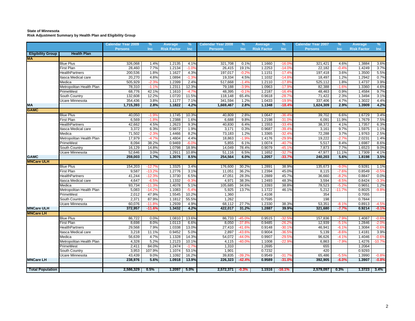### **State of Minnesota Risk Adjustment Summary by Health Plan and Eligibility Group**

|                          |                                         | <b>Calendar Year 2009</b> | %                 | Average            | %                | <b>Calendar Year 2008</b> | $\%$            | Average            | %                           | <b>Calendar Year 2007</b> | $\%$               | Average            | %                  |
|--------------------------|-----------------------------------------|---------------------------|-------------------|--------------------|------------------|---------------------------|-----------------|--------------------|-----------------------------|---------------------------|--------------------|--------------------|--------------------|
|                          |                                         | <b>Persons</b>            | Inc.              | <b>Risk Factor</b> | Inc              | <b>Persons</b>            | Inc             | <b>Risk Factor</b> | <b>Inc</b>                  | <b>Persons</b>            | Inc                | <b>Risk Factor</b> | Inc                |
| <b>Eligibility Group</b> | <b>Health Plan</b>                      |                           |                   |                    |                  |                           |                 |                    |                             |                           |                    |                    |                    |
| <b>MA</b>                |                                         |                           |                   |                    |                  |                           |                 |                    |                             |                           |                    |                    |                    |
|                          | <b>Blue Plus</b>                        | 326,068                   | 1.4%              | 1.2135             | 4.1%             | 321,708                   | 0.1%            | 1.1660             | $-16.09$                    | 321,421                   | 4.6%               | 1.3884             | 3.6%               |
|                          | <b>First Plan</b>                       | 28.460                    | 7.7%              | 1.2134             | $-1.09$          | 26,415                    | 19.1%           | 1.2253             | $-14.0$                     | 22.182                    | $-0.4%$            | 1.4249             | 3.7%               |
|                          | <b>HealthPartners</b>                   | 200,536                   | 1.8%              | 1.1627             | 4.3%             | 197,017                   | $-0.2%$         | 1.1151             | $-17.49$                    | 197,418                   | 3.6%               | 1.3500             | 5.5%               |
|                          | Itasca Medical care                     | 20,270                    | 4.8%              | 1.0894             | $-1.39$          | 19.334                    | 4.5%            | 1.1032             | $-14.89$                    | 18,497                    | 1.2%               | 1.2942             | 0.7%               |
|                          | Medica                                  | 505,929                   | $-2.39$           | 1.2399             | 2.4%             | 517,668                   | $-1.49$         | 1.2110             | $-17.8$                     | 525,112                   | 1.8%               | 1.4737             | 3.9%               |
|                          | Metropolitan Health Plan                | 78,310                    | $-1.19$           | 1.2311             | 12.3%            | 79,188                    | $-3.99$         | 1.0963             | $-17.9o$                    | 82,388                    | $-1.6%$            | 1.3360             | 4.6%               |
|                          | PrimeWest                               | 68,776                    | 42.1%             | 1.1610             | $-4.79$          | 48,395                    | $-0.19$         | 1.2187             | $-16.49$                    | 48,463                    | 0.9%               | 1.4584             | 9.7%               |
|                          | South Country                           | 132,608                   | 12.2%             | 1.0720             | 11.5%            | 118,148                   | 65.4%           | 0.9618             | $-28.79$                    | 71,422                    | 2.3%               | 1.3494             | 3.1%               |
|                          | Ucare Minnesota                         | 354,436                   | 3.8%              | 1.1177             | 7.1%             | 341,594                   | 1.2%            | 1.0433             | $-19.99$                    | 337,406                   | 4.7%               | 1.3022             | 4.4%               |
| MA<br>GAMC               |                                         | 1,715,393                 | 2.8%              | 1.1822             | 4.2%             | 1,669,467                 | 2.8%            | 1.1348             | $-18.49$                    | 1,624,309                 | 2.9%               | 1.3909             | 4.2%               |
|                          |                                         |                           |                   |                    |                  |                           |                 |                    |                             |                           |                    |                    |                    |
|                          | <b>Blue Plus</b>                        | 40,050                    | $-1.99$           | 1.1745             | 10.3%            | 40,809                    | 2.8%            | 1.0647             | $-36.49$                    | 39,702                    | 6.6%               | 1.6729             | 3.4%               |
|                          | <b>First Plan</b>                       | 6,569                     | $-1.89$           | 1.2388             | 1.6%             | 6,688                     | 9.8%            | 1.2198             | $-31.0$                     | 6,091                     | 11.9%              | 1.7679             | 7.5%               |
|                          | <b>HealthPartners</b>                   | 42,662                    | 4.5%              | 1.2623             | 9.3%             | 40,830                    | 6.4%            | 1.1553             | $-33.49$                    | 38,372                    | 4.1%               | 1.7357             | 6.3%               |
|                          | Itasca Medical care                     | 3,372                     | 6.3%              | 0.9872             | 1.9%             | 3,171                     | 0.3%            | 0.9687             | $-39.4'$                    | 3,161                     | 9.7%               | 1.5975             | 1.1%               |
|                          | Medica                                  | 71,502                    | $-2.39$           | 1.4466             | 8.2%             | 73,183                    | 1.2%            | 1.3365             | $-32.49$                    | 72,288                    | 3.7%               | 1.9763             | 2.5%               |
|                          | Metropolitan Health Plan                | 17,979                    | $-4.79$           | 1.4804             | 4.4%             | 18,863                    | $-1.99$         | 1.4176             | $-29.9$                     | 19,222                    | $-2.79$            | 2.0231             | 1.4%               |
|                          | PrimeWest                               | 8,094                     | 38.2%             | 0.9469             | $-6.09$          | 5,855                     | 6.1%            | 1.0074             | $-40.79$                    | 5,517                     | 8.4%               | 1.6987             | 8.6%               |
|                          | South Country                           | 16,129                    | 14.8%             | 1.0798             | 18.9%            | 14,049                    | 78.4%           | 0.9079             | $-45.1$                     | 7,873                     | 7.7%               | 1.6523             | 9.0%               |
|                          | <b>Jcare Minnesota</b>                  | 52,646                    | 3.0%              | 1.2911             | 10.8%            | 51,116                    | 6.5%            | 1.1652             | $-32.7o$                    | 47,977                    | 11.1%              | 1.7309             | 4.1%               |
| <b>GAMC</b>              |                                         | 259,003                   | 1.7%              | 1.3076             | 8.5%             | 254,564                   | 6.0%            | 1.2057             | $-33.79$                    | 240,203                   | 5.6%               | 1.8198             | 3.5%               |
| <b>MNCare ULH</b>        |                                         |                           |                   |                    |                  |                           |                 |                    |                             |                           |                    |                    |                    |
|                          | <b>Blue Plus</b>                        | 154,203                   | $-12.79$          | 1.3325             | 3.4%             | 176,600                   | 30.2%           | 1.2891             | 38.9%                       | 135,673                   | $-9.09$            | 0.9281             | 1.1%               |
|                          | First Plan                              | 9,587                     | $-13.29$          | 1.2776             | 3.1%             | 11,051                    | 36.2%           | 1.2394             | 45.0%                       | 8,115                     | $-7.69$            | 0.8549             | $-0.5%$            |
|                          | <b>HealthPartners</b>                   | 41,244                    | $-12.3$           | 1.3730             | 6.5%             | 47,051                    | 28.3%<br>38.3%  | 1.2889<br>1.2493   | 45.7%<br>48.3%              | 36,660<br>3,594           | $-8.29$            | 0.8847<br>0.8424   | 0.0%               |
|                          | tasca Medical care                      | 4,647                     | $-6.59$           | 1.1332             | $-9.39$          | 4,971                     |                 |                    | 38.8%                       |                           | $-8.59$            |                    | $-3.3%$            |
|                          | Medica                                  | 93,734                    | $-11.3$           | 1.4078             | 5.1%             | 105,685                   | 34.6%           | 1.3393             |                             | 78,523                    | $-5.29$            | 0.9651             | 1.2%               |
|                          | Metropolitan Health Plan<br>PrimeWest   | 5,083<br>2,012            | $-14.29$<br>47.9% | 1.1083<br>1.5545   | $-5.49$<br>10.2% | 5,925<br>1,360            | 13.7%           | 1.1722<br>1.4108   | 46.1%                       | 5,212<br>354              | $-11.7%$           | 0.8025<br>0.7055   | $-9.8%$            |
|                          |                                         | 2,371                     | 87.9%             | 1.1812             | 55.5%            | 1,262                     |                 | 0.7595             |                             | 198                       |                    | 0.7844             |                    |
|                          | South Country<br><b>Jcare Minnesota</b> | 60,076                    | $-11.8$           | 1.2939             | 4.9%             | 68,112                    | 27.7%           | 1.2330             | 38.3%                       | 53,351                    | $-8.19$            | 0.8913             | $-4.5%$            |
| <b>MNCare ULH</b>        |                                         | 372,957                   | $-11.69$          | 1.3432             | 4.2%             | 422,017                   | 31.2%           | 1.2887             | 39.9%                       | 321,680                   | $-7.7%$            | 0.9214             | $-0.1%$            |
| <b>MNCare LH</b>         |                                         |                           |                   |                    |                  |                           |                 |                    |                             |                           |                    |                    |                    |
|                          | <b>Blue Plus</b>                        | 86,722                    | 0.0%              | 1.0810             | 13.6%            | 86,733                    | $-45.0%$        | 0.9515             |                             | 157,836                   |                    | 1.4087             |                    |
|                          | First Plan                              | 8,698                     | 8.0%              | 1.0113             | 6.6%             | 8,050                     | $-37.89$        | 0.9485             | $-32.5^{\circ}$<br>$-26.29$ | 12,939                    | $-7.99$<br>$-5.19$ | 1.2846             | $-0.69$<br>$-2.0%$ |
|                          | <b>HealthPartners</b>                   | 29,568                    | 7.9%              | 1.0338             | 13.0%            | 27,410                    | $-41.69$        | 0.9148             | $-30.19$                    | 46,941                    | $-6.19$            | 1.3084             | $-0.69$            |
|                          | Itasca Medical care                     | 3,218                     | 11.1%             | 0.9452             | 5.0%             | 2,897                     | $-43.6^{\circ}$ | 0.9004             | $-36.5$                     | 5,139                     | $-8.6o$            | 1.4181             | 3.9%               |
|                          | Medica                                  | 56,639                    | 4.7%              | 1.1328             | 14.3%            | 54,072                    | $-44.0%$        | 0.9907             | $-29.5$                     | 96,626                    | $-4.19$            | 1.4046             | $-0.6%$            |
|                          | Metropolitan Health Plan                | 4,328                     | 5.2%              | 1.2123             | 10.1%            | 4,115                     | $-40.09$        | 1.1008             | $-22.9°$                    | 6,863                     | $-7.99$            | 1.4276             | $-10.7%$           |
|                          | PrimeWest                               | 2,411                     | 84.0%             | 1.2474             | $-1.79$          | 1,310                     |                 | 1.2695             |                             | 655                       |                    | 1.2064             |                    |
|                          | South Country                           | 3,953                     | 107.9%            | 1.1074             | 53.1%            | 1,901                     |                 | 0.7232             |                             | 420                       |                    | 0.9293             |                    |
|                          | Ucare Minnesota                         | 43,439                    | 9.0%              | 1.1092             | 16.2%            | 39,835                    | $-39.2%$        | 0.9549             | $-31.79$                    | 65,486                    | $-5.59$            | 1.3990             | $-0.8%$            |
| <b>MNCare LH</b>         |                                         | 238,976                   | 5.6%              | 1.0918             | 13.9%            | 226,323                   | $-42.4%$        | 0.9589             | $-31.0$                     | 392,905                   | $-6.0%$            | 1.3907             | $-0.8%$            |
|                          |                                         |                           |                   |                    |                  |                           |                 |                    |                             |                           |                    |                    |                    |
| <b>Total Population</b>  |                                         | 2,586,329                 | 0.5%              | 1.2097             | $5.0\%$          | $2,572,371$ -0.3%         |                 |                    | $1.1516 - 16.1%$            | 2,579,097                 | 0.3%               | $1.3723$ 3.4%      |                    |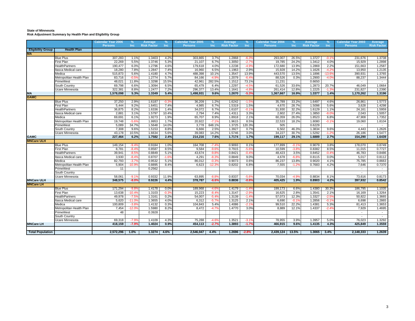#### **State of Minnesota Risk Adjustment Summary by Health Plan and Eligibility Group**

|                          |                          | <b>Calendar Year 2006</b> | $\%$           | Average            | %       | <b>Calendar Year 2005</b> | %               | Average            | $\%$    | <b>Calendar Year 2004</b> | $\frac{9}{6}$ | Average            | $\%$            | <b>Calendar Year 2003</b> | Average                  |
|--------------------------|--------------------------|---------------------------|----------------|--------------------|---------|---------------------------|-----------------|--------------------|---------|---------------------------|---------------|--------------------|-----------------|---------------------------|--------------------------|
|                          |                          | <b>Persons</b>            | Inc            | <b>Risk Factor</b> | Inc     | <b>Persons</b>            | Inc.            | <b>Risk Factor</b> | Inc     | <b>Persons</b>            | <b>Inc</b>    | <b>Risk Factor</b> | <b>Inc</b>      | <b>Persons</b>            | <b>Risk Factor</b>       |
| <b>Eligibility Group</b> | <b>Health Plan</b>       |                           |                |                    |         |                           |                 |                    |         |                           |               |                    |                 |                           |                          |
| <b>MA</b>                |                          |                           |                |                    |         |                           |                 |                    |         |                           |               |                    |                 |                           |                          |
|                          | <b>Blue Plus</b>         | 307,283                   | 1.1%           | 1.3403             | 4.2%    | 303,865                   | 3.7%            | 1.2868             | $-6.3$  | 293,007                   | 26.5%         | 1.3727             | $-0.1$          | 231,676                   | 1.3738                   |
|                          | First Plan               | 22,269                    | 5.5%           | 1.3746             | 5.3%    | 21,107                    | 6.7%            | 1.3050             | $-2.7'$ | 19,785                    | 24.2%         | 1.3412             | 4.0%            | 15,929                    | 1.2898                   |
|                          | <b>HealthPartners</b>    | 190,477                   | 6.0%           | 1.2796             | 4.6%    | 179,618                   | 4.0%            | 1.2238             | $-4.99$ | 172,680                   | 13.9%         | 1.2869             | 2.2%            | 151,663                   | 1.2587                   |
|                          | tasca Medical care       | 18,280                    | 7.8%           | 1.2847             | 7.4%    | 16,960                    | 6.5%            | 1.1963             | 2.9%    | 15,928                    | 14.2%         | 1.1626             | $-4.29$         | 13,950                    | 1.2135                   |
|                          | Medica                   | 515,873                   | 5.6%           | 1.4180             | 4.7%    | 488,398                   | 10.1%           | 1.3547             | 13.9%   | 443,570                   | 13.5%         | 1.1896             | $-13.6^{\circ}$ | 390,931                   | 1.3765                   |
|                          | Metropolitan Health Plan | 83,716                    | $-0.59$        | 1.2774             | 5.7%    | 84,166                    | $-4.9o$         | 1.2079             | $-6.49$ | 88,526                    | 0.3%          | 1.2900             | $-4.0$          | 88,237                    | 1.3444                   |
|                          | PrimeWest                | 48,021                    | 11.8%          | 1.3298             | 15.5%   | 42,961                    | 282.5%          | 1.1512             | 73.1%   | 11,231                    |               | 0.6650             |                 | $\sim$                    | $\sim$                   |
|                          | South Country            | 69,798                    | 6.6%           | 1.3094             | 6.5%    | 65,479                    | 6.4%            | 1.2297             | $-4.59$ | 61,526                    | 33.6%         | 1.2873             | 20.7%           | 46,049                    | 1.0664                   |
|                          | Jcare Minnesota          | 322,381                   | 8.8%           | 1.2477             | 7.2%    | 296,377                   | 13.4%           | 1.1641             | $-4.89$ | 261,414                   | 12.8%         | 1.2225             | $-1.3'$         | 231,827                   | 1.2390                   |
| MA<br>GAMC               |                          | 1,578,098                 | 5.3%           | 1.3349             | 5.4%    | 1,498,931                 | 9.6%            | 1.2670             | $-5.39$ | 1,367,667                 | 16.9%         | 1.3377             | 1.4%            | 1,170,262                 | 1.3196                   |
|                          |                          |                           |                |                    |         |                           |                 |                    |         |                           |               |                    |                 |                           |                          |
|                          | <b>Blue Plus</b>         | 37,250                    | 2.9%           | 1.6187             | $-0.39$ | 36,209                    | 1.2%            | 1.6242             | $-1.59$ | 35,789                    | 33.2%         | 1.6497             | 4.6%            | 26,861                    | 1.5773                   |
|                          | First Plan               | 5,444                     | 9.2%           | 1.6451             | 7.4%    | 4,985                     | 6.7%            | 1.5319             | 1.5%    | 4,670                     | 28.7%         | 1.5098             | 5.6%            | 3,628                     | 1.4298                   |
|                          | <b>HealthPartners</b>    | 36,875                    | 8.2%           | 1.6336             | 1.4%    | 34,072                    | 6.7%            | 1.6107             | $-0.19$ | 31,930                    | 32.2%         | 1.6129             | 1.1%            | 24,161                    | 1.5959                   |
|                          | tasca Medical care       | 2,881                     | 3.1%           | 1.5797             | 10.4%   | 2,794                     | 7.4%            | 1.4311             | 3.3%    | 2,602                     | 27.4%         | 1.3850             | $-8.09$         | 2,043                     | 1.5057                   |
|                          | Medica                   | 69,691                    | 6.1%           | 1.9273             | 1.9%    | 65,707                    | 8.9%            | 1.8918             | 2.1%    | 60,359                    | 26.0%         | 1.8523             | 6.8%            | 47,908                    | 1.7352                   |
|                          | Metropolitan Health Plan | 19,748                    | $-5.69$        | 1.9953             | 1.7%    | 20,922                    | $-7.19$         | 1.9615             | 8.5%    | 22,533                    | 18.2%         | 1.8080             | $-0.1$          | 19,060                    | 1.8104                   |
|                          | <b>PrimeWest</b>         | 5,089                     | 34.7%          | 1.5648             | 14.0%   | 3,778                     | 648.1%          | 1.3725             | 120.3%  | 505                       |               | 0.6229             |                 | $\sim$                    | $\sim$                   |
|                          | South Country            | 7,308                     | 9.6%           | 1.5153             | 8.8%    | 6,666                     | 2.5%            | 1.3927             | 0.7%    | 6,502                     | 46.3%         | 1.3834             | 9.6%            | 4,443                     | 1.2626                   |
|                          | Ucare Minnesota          | 43,178                    | 10.5%          | 1.6634             | 5.6%    | 39,083                    | 14.2%           | 1.5746             | 3.0%    | 34,227                    | 30.7%         | 1.5292             | $-1.29$         | 26,186                    | 1.5477                   |
| <b>GAMC</b>              |                          | 227,464                   | 6.2%           | 1.7582             | 2.4%    | 214,216                   | 7.6%            | 1.7174             | 1.7%    | 199,117                   | 29.1%         | 1.6889             | 2.7%            | 154,290                   | 1.6439                   |
| <b>MNCare ULH</b>        |                          |                           |                |                    |         |                           |                 |                    |         |                           |               |                    |                 |                           |                          |
|                          | <b>Blue Plus</b>         | 149,154                   | $-9.49$        | 0.9184             | 1.0%    | 164,708                   | $-7.49$         | 0.9093             | 0.1%    | 177,899                   | $-0.1%$       | 0.9079             | 3.8%            | 178,070                   | 0.8749                   |
|                          | First Plan               | 8.781                     | $-8.49$        | 0.8587             | 8.5%    | 9,584                     | $-9.6^{\circ}$  | 0.7915             | $-5.69$ | 10,599                    | $-3.89$       | 0.8382             | 8.5%            | 11,015                    | 0.7727                   |
|                          | HealthPartners           | 39,941                    | $-8.59$        | 0.8849             | 5.1%    | 43,674                    | $-9.8^{\circ}$  | 0.8421             | $-0.49$ | 48,423                    | 3.5%          | 0.8452             | $-0.49$         | 46,783                    | 0.8486                   |
|                          | tasca Medical care       | 3,930                     | $-8.49$        | 0.8707             | $-1.69$ | 4,291                     | $-8.3o$         | 0.8849             | 9.0%    | 4,678                     | $-6.89$       | 0.8115             | 0.0%            | 5,017                     | 0.8112                   |
|                          | Medica                   | 82,793                    | $-3.79$        | 0.9532             | 5.1%    | 86,012                    | $-0.3o$         | 0.9073             | 0.6%    | 86,237                    | 13.8%         | 0.9020             | 4.1%            | 75,785                    | 0.8663                   |
|                          | Metropolitan Health Plan | 5,904                     | $-10.99$       | 0.8895             | 8.4%    | 6,623                     | $-12.3^{\circ}$ | 0.8202             | 6.8%    | 7,555                     | $-1.29$       | 0.7683             | 4.2%            | 7,646                     | 0.7370                   |
|                          | PrimeWest                | 11                        |                | 0.2562             |         |                           |                 |                    |         |                           |               |                    |                 | $\sim$                    |                          |
|                          | <b>South Country</b>     |                           |                |                    |         |                           |                 |                    |         |                           |               |                    |                 |                           | $\sim$                   |
|                          | Ucare Minnesota          | 58,061                    | $-9.19$        | 0.9332             | 11.9%   | 63,895                    | $-8.89$         | 0.8337             | $-5.6$  | 70,034                    | $-4.99$       | 0.8834             | 8.1%            | 73,616                    | 0.8173                   |
| <b>MNCare ULH</b>        |                          | 348,575                   | $-8.0%$        | 0.9226             | 4.4%    | 378,787                   | $-6.6%$         | 0.8836             | $-0.89$ | 405,425                   | 1.9%          | 0.8903             | 4.2%            | 397,932                   | 0.8542                   |
| <b>MNCare LH</b>         |                          |                           |                |                    |         |                           |                 |                    |         |                           |               |                    |                 |                           |                          |
|                          | <b>Blue Plus</b>         | 171,294                   | $-9.89$        | 1.4178             | 0.0%    | 189,968                   | $-4.6^\circ$    | 1.4179             | $-1.4$  | 199,173                   | 6.6%          | 1.4380             | 30.3%           | 186,795                   | 1.1035                   |
|                          | First Plan               | 13,638                    | $-10.4'$       | 1.3103             | $-0.39$ | 15,223                    | $-8.4o$         | 1.3147             | $-2.9'$ | 16,625                    | 2.8%          | 1.3541             | 2.1%            | 16,169                    | 1.3264                   |
|                          | <b>lealthPartners</b>    | 49,978                    | $-7.59$        | 1.3161             | 0.2%    | 54,007                    | $-5.4o$         | 1.3139             | $-1.49$ | 57,073                    | 12.3%         | 1.3327             | $-2.5$          | 50,822                    | 1.3665                   |
|                          | tasca Medical care       | 5,620                     | $-11.09$       | 1.3655             | 4.0%    | 6,312                     | $-5.7o$         | 1.3125             | 2.1%    | 6,690                     | $-0.19$       | 1.2856             | $-0.1$          | 6,698                     | 1.2865                   |
|                          | Medica                   | 100,809                   | $-3.89$        | 1.4132             | 0.3%    | 104,843                   | 5.4%            | 1.4086             | $-2.1$  | 99,510                    | 22.2%         | 1.4381             | 5.3%            | 81,413                    | 1.3653                   |
|                          | Metropolitan Health Plan | 7,454                     | $-12.09$       | 1.5980             | 8.2%    | 8,472                     | $-4.79$         | 1.4770             | 3.0%    | 8,889                     | 12.1%         | 1.4337             | $-2.4'$         | 7,929                     | 1.4695                   |
|                          | <sup>2</sup> rimeWest    | 48                        |                | 0.3928             |         |                           |                 |                    |         |                           |               |                    |                 | $\sim$                    | $\overline{\phantom{a}}$ |
|                          | South Country            |                           |                |                    |         |                           |                 |                    |         |                           |               |                    |                 | $\sim$                    | $\sim$                   |
|                          | Jcare Minnesota          | 69,318                    | $-7.9^{\circ}$ | 1.4109             | 4.3%    | 75,288                    | $-4.69$         | 1.3521             | $-3.1$  | 78,955                    | 3.9%          | 1.3957             | 5.0%            | 76,023                    | 1.3292                   |
| <b>MNCare LH</b>         |                          | 418,159                   | $-7.9%$        | 1.4024             | 0.9%    | 454,113                   | $-2.7%$         | 1.3893             | $-1.7%$ | 466,915                   | 9.6%          | 1.4135             | 4.3%            | 425,849                   | 1.3559                   |
|                          |                          |                           |                |                    |         |                           |                 |                    |         |                           |               |                    |                 |                           |                          |
| <b>Total Population</b>  |                          | 2,572,296                 | 1.0%           | 1.3274             | 4.6%    | 2,546,047                 | 4.4%            | 1.2696             | $-2.8%$ | 2,439,124 13.5%           |               | 1.3065             | 3.4%            | 2,148,333                 | 1.2639                   |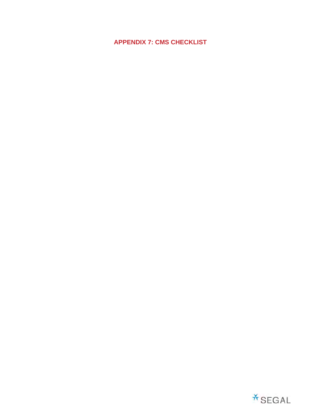**APPENDIX 7: CMS CHECKLIST**

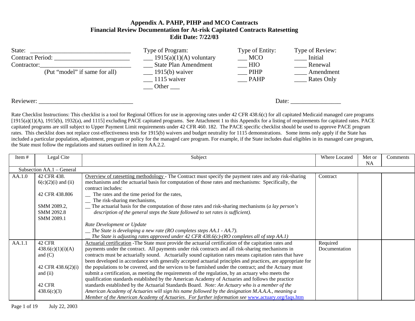### **Appendix A. PAHP, PIHP and MCO Contracts Financial Review Documentation for At-risk Capitated Contracts Ratesetting Edit Date: 7/22/03**

| State:<br><b>Contract Period:</b><br>Contractor:<br>(Put "model" if same for all) | Type of Program:<br>$\frac{1915(a)(1)(A)}{A}$ voluntary<br><b>State Plan Amendment</b><br>$\frac{1915(b)}{b}$ waiver<br>$\frac{1115}{ }$ waiver<br>Other | Type of Entity:<br>MCO<br>$\overline{\phantom{0}}$ HIO<br>$\blacksquare$ PIHP<br><b>PAHP</b> | Type of Review:<br>Initial<br>Renewal<br>Amendment<br>Rates Only |
|-----------------------------------------------------------------------------------|----------------------------------------------------------------------------------------------------------------------------------------------------------|----------------------------------------------------------------------------------------------|------------------------------------------------------------------|
| Reviewer:                                                                         |                                                                                                                                                          |                                                                                              | Date:                                                            |

Rate Checklist Instructions: This checklist is a tool for Regional Offices for use in approving rates under 42 CFR 438.6(c) for all capitated Medicaid managed care programs [1915(a)(1)(A), 1915(b), 1932(a), and 1115] excluding PACE capitated programs. See Attachment 1 to this Appendix for a listing of requirements for capitated rates. PACE capitated programs are still subject to Upper Payment Limit requirements under 42 CFR 460. 182. The PACE specific checklist should be used to approve PACE program rates. This checklist does not replace cost-effectiveness tests for 1915(b) waivers and budget neutrality for 1115 demonstrations. Some items only apply if the State has included a particular population, adjustment, program or policy for the managed care program. For example, if the State includes dual eligibles in its managed care program, the State must follow the regulations and statues outlined in item AA.2.2.

| Item # | Legal Cite                | Subject                                                                                                      | Where Located | Met or    | Comments |
|--------|---------------------------|--------------------------------------------------------------------------------------------------------------|---------------|-----------|----------|
|        |                           |                                                                                                              |               | <b>NA</b> |          |
|        | Subsection AA.1 - General |                                                                                                              |               |           |          |
| AA.1.0 | 42 CFR 438.               | Overview of ratesetting methodology - The Contract must specify the payment rates and any risk-sharing       | Contract      |           |          |
|        | $6(c)(2)(i)$ and (ii)     | mechanisms and the actuarial basis for computation of those rates and mechanisms: Specifically, the          |               |           |          |
|        |                           | contract includes:                                                                                           |               |           |          |
|        | 42 CFR 438.806            | The rates and the time period for the rates,                                                                 |               |           |          |
|        |                           | The risk-sharing mechanisms,                                                                                 |               |           |          |
|        | SMM 2089.2,               | $\Box$ The actuarial basis for the computation of those rates and risk-sharing mechanisms (a lay person's    |               |           |          |
|        | SMM 2092.8                | description of the general steps the State followed to set rates is sufficient).                             |               |           |          |
|        | SMM 2089.1                |                                                                                                              |               |           |          |
|        |                           | Rate Development or Update                                                                                   |               |           |          |
|        |                           | $\equiv$ The State is developing a new rate (RO completes steps AA.1 - AA.7).                                |               |           |          |
|        |                           | The State is adjusting rates approved under 42 CFR 438.6(c)-(RO completes all of step $AA.1$ )               |               |           |          |
| AA.1.1 | 42 CFR                    | Actuarial certification - The State must provide the actuarial certification of the capitation rates and     | Required      |           |          |
|        | 438.6(c)(1)(i)(A)         | payments under the contract. All payments under risk contracts and all risk-sharing mechanisms in            | Documentation |           |          |
|        | and $(C)$                 | contracts must be actuarially sound. Actuarially sound capitation rates means capitation rates that have     |               |           |          |
|        |                           | been developed in accordance with generally accepted actuarial principles and practices, are appropriate for |               |           |          |
|        | 42 CFR 438.6(2)(i)        | the populations to be covered, and the services to be furnished under the contract; and the Actuary must     |               |           |          |
|        | and $(ii)$                | submit a certification, as meeting the requirements of the regulation, by an actuary who meets the           |               |           |          |
|        |                           | qualification standards established by the American Academy of Actuaries and follows the practice            |               |           |          |
|        | <b>42 CFR</b>             | standards established by the Actuarial Standards Board. Note: An Actuary who is a member of the              |               |           |          |
|        | 438.6(c)(3)               | American Academy of Actuaries will sign his name followed by the designation M.A.A.A., meaning a             |               |           |          |
|        |                           | Member of the American Academy of Actuaries. For further information see www.actuary.org/faqs.htm            |               |           |          |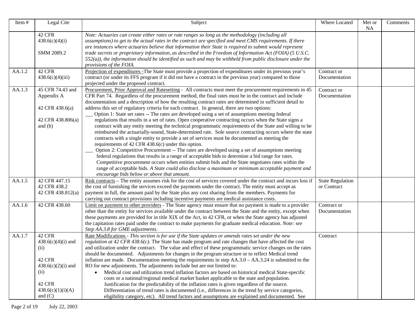| Item#  | Legal Cite                                                                                                                   | Subject                                                                                                                                                                                                                                                                                                                                                                                                                                                                                                                                                                                                                                                                                                                                                                                                                                                                                                                                                                                                                                                                                                                                                                                                                                                                                                                                                                                                                                                                                       | Where Located                          | Met or<br>NA | Comments |
|--------|------------------------------------------------------------------------------------------------------------------------------|-----------------------------------------------------------------------------------------------------------------------------------------------------------------------------------------------------------------------------------------------------------------------------------------------------------------------------------------------------------------------------------------------------------------------------------------------------------------------------------------------------------------------------------------------------------------------------------------------------------------------------------------------------------------------------------------------------------------------------------------------------------------------------------------------------------------------------------------------------------------------------------------------------------------------------------------------------------------------------------------------------------------------------------------------------------------------------------------------------------------------------------------------------------------------------------------------------------------------------------------------------------------------------------------------------------------------------------------------------------------------------------------------------------------------------------------------------------------------------------------------|----------------------------------------|--------------|----------|
|        | 42 CFR<br>438.6(c)(4)(i)<br>SMM 2089.2                                                                                       | Note: Actuaries can create either rates or rate ranges so long as the methodology (including all<br>assumptions) to get to the actual rates in the contract are specified and meet CMS requirements. If there<br>are instances where actuaries believe that information their State is required to submit would represent<br>trade secrets or proprietary information, as described in the Freedom of Information Act (FOIA) (5 U.S.C.<br>$552(a)$ ), the information should be identified as such and may be withheld from public disclosure under the<br>provisions of the FOIA.                                                                                                                                                                                                                                                                                                                                                                                                                                                                                                                                                                                                                                                                                                                                                                                                                                                                                                            |                                        |              |          |
| AA.1.2 | 42 CFR<br>438.6(c)(4)(iii)                                                                                                   | Projection of expenditures - The State must provide a projection of expenditures under its previous year's<br>contract (or under its FFS program if it did not have a contract in the previous year) compared to those<br>projected under the proposed contract.                                                                                                                                                                                                                                                                                                                                                                                                                                                                                                                                                                                                                                                                                                                                                                                                                                                                                                                                                                                                                                                                                                                                                                                                                              | Contract or<br>Documentation           |              |          |
| AA.1.3 | 45 CFR 74.43 and<br>Appendix A<br>42 CFR 438.6(a)<br>42 CFR 438.806(a)<br>and $(b)$                                          | Procurement, Prior Approval and Ratesetting - All contracts must meet the procurement requirements in 45<br>CFR Part 74. Regardless of the procurement method, the final rates must be in the contract and include<br>documentation and a description of how the resulting contract rates are determined in sufficient detail to<br>address this set of regulatory criteria for each contract. In general, there are two options:<br>Option 1: State set rates -- The rates are developed using a set of assumptions meeting federal<br>regulations that results in a set of rates. Open cooperative contracting occurs when the State signs a<br>contract with any entity meeting the technical programmatic requirements of the State and willing to be<br>reimbursed the actuarially-sound, State-determined rate. Sole source contracting occurs where the state<br>contracts with a single entity to provide a set of services must be documented as meeting the<br>requirements of 42 CFR 438.6(c) under this option.<br>Option 2: Competitive Procurement -- The rates are developed using a set of assumptions meeting<br>federal regulations that results in a range of acceptable bids to determine a bid range for rates.<br>Competitive procurement occurs when entities submit bids and the State negotiates rates within the<br>range of acceptable bids. A State could also disclose a maximum or minimum acceptable payment and<br>encourage bids below or above that amount. | Contract or<br>Documentation           |              |          |
| AA.1.5 | 42 CFR 447.15<br>42 CFR 438.2<br>42 CFR 438.812(a)                                                                           | Risk contracts – The entity assumes risk for the cost of services covered under the contract and incurs loss if<br>the cost of furnishing the services exceed the payments under the contract. The entity must accept as<br>payment in full, the amount paid by the State plus any cost sharing from the members. Payments for<br>carrying out contract provisions including incentive payments are medical assistance costs.                                                                                                                                                                                                                                                                                                                                                                                                                                                                                                                                                                                                                                                                                                                                                                                                                                                                                                                                                                                                                                                                 | <b>State Regulation</b><br>or Contract |              |          |
| AA.1.6 | 42 CFR 438.60                                                                                                                | Limit on payment to other providers - The State agency must ensure that no payment is made to a provider<br>other than the entity for services available under the contract between the State and the entity, except when<br>these payments are provided for in title XIX of the Act, in 42 CFR, or when the State agency has adjusted<br>the capitation rates paid under the contract to make payments for graduate medical education. Note: see<br>Step AA.3.8 for GME adjustments.                                                                                                                                                                                                                                                                                                                                                                                                                                                                                                                                                                                                                                                                                                                                                                                                                                                                                                                                                                                                         | Contract or<br>Documentation           |              |          |
| AA.1.7 | 42 CFR<br>$438.6(c)(4)(i)$ and<br>(ii)<br>42 CFR<br>$438.6(c)(2)(i)$ and<br>(ii)<br>42 CFR<br>438.6(c)(1)(i)(A)<br>and $(C)$ | Rate Modifications - This section is for use if the State updates or amends rates set under the new<br>regulation at 42 CFR 438.6(c). The State has made program and rate changes that have affected the cost<br>and utilization under the contract. The value and effect of these programmatic service changes on the rates<br>should be documented. Adjustments for changes in the program structure or to reflect Medical trend<br>inflation are made. Documentation meeting the requirements in step $AA.3.0 - AA.3.24$ is submitted to the<br>RO for new adjustments. The adjustments include but are not limited to:<br>Medical cost and utilization trend inflation factors are based on historical medical State-specific<br>$\bullet$<br>costs or a national/regional medical market basket applicable to the state and population.<br>Justification for the predictability of the inflation rates is given regardless of the source.<br>Differentiation of trend rates is documented (i.e., differences in the trend by service categories,<br>eligibility category, etc). All trend factors and assumptions are explained and documented. See                                                                                                                                                                                                                                                                                                                                      | Contract                               |              |          |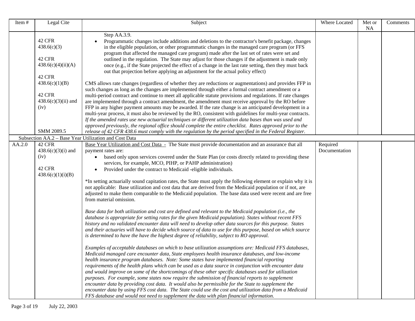| Item#  | Legal Cite                                                                                                                                 | Subject                                                                                                                                                                                                                                                                                                                                                                                                                                                                                                                                                                                                                                                                                                                                                                                                                                                                                                                                                                                                                                                                                                                                                                                                                                                                                                                                                                                                                                                                                                                                                                                                                                                                                                                                                                                                                                                                                                                                                                                                                                                                                                                                                                                                                                             | Where Located             | Met or<br><b>NA</b> | Comments |
|--------|--------------------------------------------------------------------------------------------------------------------------------------------|-----------------------------------------------------------------------------------------------------------------------------------------------------------------------------------------------------------------------------------------------------------------------------------------------------------------------------------------------------------------------------------------------------------------------------------------------------------------------------------------------------------------------------------------------------------------------------------------------------------------------------------------------------------------------------------------------------------------------------------------------------------------------------------------------------------------------------------------------------------------------------------------------------------------------------------------------------------------------------------------------------------------------------------------------------------------------------------------------------------------------------------------------------------------------------------------------------------------------------------------------------------------------------------------------------------------------------------------------------------------------------------------------------------------------------------------------------------------------------------------------------------------------------------------------------------------------------------------------------------------------------------------------------------------------------------------------------------------------------------------------------------------------------------------------------------------------------------------------------------------------------------------------------------------------------------------------------------------------------------------------------------------------------------------------------------------------------------------------------------------------------------------------------------------------------------------------------------------------------------------------------|---------------------------|---------------------|----------|
|        | 42 CFR<br>438.6(c)(3)<br>42 CFR<br>438.6(c)(4)(ii)(A)<br>42 CFR<br>438.6(c)(1)(B)<br>42 CFR<br>$438.6(c)(3)(ii)$ and<br>(iv)<br>SMM 2089.5 | Step AA.3.9.<br>Programmatic changes include additions and deletions to the contractor's benefit package, changes<br>in the eligible population, or other programmatic changes in the managed care program (or FFS<br>program that affected the managed care program) made after the last set of rates were set and<br>outlined in the regulation. The State may adjust for those changes if the adjustment is made only<br>once (e.g., if the State projected the effect of a change in the last rate setting, then they must back<br>out that projection before applying an adjustment for the actual policy effect)<br>CMS allows rate changes (regardless of whether they are reductions or augmentations) and provides FFP in<br>such changes as long as the changes are implemented through either a formal contract amendment or a<br>multi-period contract and continue to meet all applicable statute provisions and regulations. If rate changes<br>are implemented through a contract amendment, the amendment must receive approval by the RO before<br>FFP in any higher payment amounts may be awarded. If the rate change is an anticipated development in a<br>multi-year process, it must also be reviewed by the RO, consistent with guidelines for multi-year contracts.<br>If the amended rates use new actuarial techniques or different utilization data bases than was used and<br>approved previously, the regional office should complete the entire checklist. Rates approved prior to the<br>release of 42 CFR 438.6 must comply with the regulation by the period specified in the Federal Register.                                                                                                                                                                                                                                                                                                                                                                                                                                                                                                                                                                                                                    |                           |                     |          |
|        |                                                                                                                                            | Subsection AA.2 - Base Year Utilization and Cost Data                                                                                                                                                                                                                                                                                                                                                                                                                                                                                                                                                                                                                                                                                                                                                                                                                                                                                                                                                                                                                                                                                                                                                                                                                                                                                                                                                                                                                                                                                                                                                                                                                                                                                                                                                                                                                                                                                                                                                                                                                                                                                                                                                                                               |                           |                     |          |
| AA.2.0 | 42 CFR<br>$438.6(c)(3)(i)$ and<br>(iv)<br>42 CFR<br>438.6(c)(1)(i)(B)                                                                      | Base Year Utilization and Cost Data - The State must provide documentation and an assurance that all<br>payment rates are:<br>based only upon services covered under the State Plan (or costs directly related to providing these<br>$\bullet$<br>services, for example, MCO, PIHP, or PAHP administration)<br>Provided under the contract to Medicaid -eligible individuals.<br>*In setting actuarially sound capitation rates, the State must apply the following element or explain why it is<br>not applicable: Base utilization and cost data that are derived from the Medicaid population or if not, are<br>adjusted to make them comparable to the Medicaid population. The base data used were recent and are free<br>from material omission.<br>Base data for both utilization and cost are defined and relevant to the Medicaid population (i.e., the<br>database is appropriate for setting rates for the given Medicaid population). States without recent FFS<br>history and no validated encounter data will need to develop other data sources for this purpose. States<br>and their actuaries will have to decide which source of data to use for this purpose, based on which source<br>is determined to have the have the highest degree of reliability, subject to RO approval.<br>Examples of acceptable databases on which to base utilization assumptions are: Medicaid FFS databases,<br>Medicaid managed care encounter data, State employees health insurance databases, and low-income<br>health insurance program databases. Note: Some states have implemented financial reporting<br>requirements of the health plans which can be used as a data source in conjunction with encounter data<br>and would improve on some of the shortcomings of these other specific databases used for utilization<br>purposes. For example, some states now require the submission of financial reports to supplement<br>encounter data by providing cost data. It would also be permissible for the State to supplement the<br>encounter data by using FFS cost data. The State could use the cost and utilization data from a Medicaid<br>FFS database and would not need to supplement the data with plan financial information. | Required<br>Documentation |                     |          |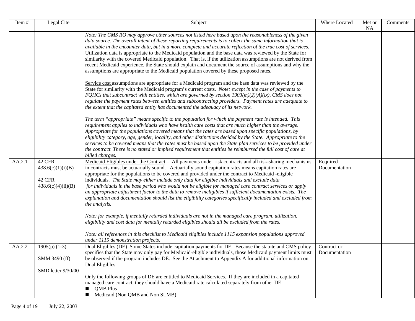| Item#  | Legal Cite                                                  | Subject                                                                                                                                                                                                                                                                                                                                                                                                                                                                                                                                                                                                                                                                                                                                                                                                                                                                                                                                                                                            | Where Located                | Met or<br><b>NA</b> | Comments |
|--------|-------------------------------------------------------------|----------------------------------------------------------------------------------------------------------------------------------------------------------------------------------------------------------------------------------------------------------------------------------------------------------------------------------------------------------------------------------------------------------------------------------------------------------------------------------------------------------------------------------------------------------------------------------------------------------------------------------------------------------------------------------------------------------------------------------------------------------------------------------------------------------------------------------------------------------------------------------------------------------------------------------------------------------------------------------------------------|------------------------------|---------------------|----------|
|        |                                                             | Note: The CMS RO may approve other sources not listed here based upon the reasonableness of the given<br>data source. The overall intent of these reporting requirements is to collect the same information that is<br>available in the encounter data, but in a more complete and accurate reflection of the true cost of services.<br>Utilization data is appropriate to the Medicaid population and the base data was reviewed by the State for<br>similarity with the covered Medicaid population. That is, if the utilization assumptions are not derived from<br>recent Medicaid experience, the State should explain and document the source of assumptions and why the<br>assumptions are appropriate to the Medicaid population covered by these proposed rates.                                                                                                                                                                                                                          |                              |                     |          |
|        |                                                             | Service cost assumptions are appropriate for a Medicaid program and the base data was reviewed by the<br>State for similarity with the Medicaid program's current costs. Note: except in the case of payments to<br>FQHCs that subcontract with entities, which are governed by section $1903(m)(2)(A)(ix)$ , CMS does not<br>regulate the payment rates between entities and subcontracting providers. Payment rates are adequate to<br>the extent that the capitated entity has documented the adequacy of its network.                                                                                                                                                                                                                                                                                                                                                                                                                                                                          |                              |                     |          |
|        |                                                             | The term "appropriate" means specific to the population for which the payment rate is intended. This<br>requirement applies to individuals who have health care costs that are much higher than the average.<br>Appropriate for the populations covered means that the rates are based upon specific populations, by<br>eligibility category, age, gender, locality, and other distinctions decided by the State. Appropriate to the<br>services to be covered means that the rates must be based upon the State plan services to be provided under<br>the contract. There is no stated or implied requirement that entities be reimbursed the full cost of care at<br>billed charges.                                                                                                                                                                                                                                                                                                             |                              |                     |          |
| AA.2.1 | 42 CFR<br>438.6(c)(1)(i)(B)<br>42 CFR<br>438.6(c)(4)(ii)(B) | Medicaid Eligibles under the Contract – All payments under risk contracts and all risk-sharing mechanisms<br>in contracts must be actuarially sound. Actuarially sound capitation rates means capitation rates are<br>appropriate for the populations to be covered and provided under the contract to Medicaid -eligible<br>individuals. The State may either include only data for eligible individuals and exclude data<br>for individuals in the base period who would not be eligible for managed care contract services or apply<br>an appropriate adjustment factor to the data to remove ineligibles if sufficient documentation exists. The<br>explanation and documentation should list the eligibility categories specifically included and excluded from<br>the analysis.<br>Note: for example, if mentally retarded individuals are not in the managed care program, utilization,<br>eligibility and cost data for mentally retarded eligibles should all be excluded from the rates. | Required<br>Documentation    |                     |          |
|        |                                                             | Note: all references in this checklist to Medicaid eligibles include 1115 expansion populations approved<br>under 1115 demonstration projects.                                                                                                                                                                                                                                                                                                                                                                                                                                                                                                                                                                                                                                                                                                                                                                                                                                                     |                              |                     |          |
| AA.2.2 | $1905(p)$ (1-3)<br>SMM 3490 (ff)<br>SMD letter 9/30/00      | Dual Eligibles (DE)–Some States include capitation payments for DE. Because the statute and CMS policy<br>specifies that the State may only pay for Medicaid-eligible individuals, those Medicaid payment limits must<br>be observed if the program includes DE. See the Attachment to Appendix A for additional information on<br>Dual Eligibles.                                                                                                                                                                                                                                                                                                                                                                                                                                                                                                                                                                                                                                                 | Contract or<br>Documentation |                     |          |
|        |                                                             | Only the following groups of DE are entitled to Medicaid Services. If they are included in a capitated<br>managed care contract, they should have a Medicaid rate calculated separately from other DE:<br><b>OMB</b> Plus<br>Medicaid (Non QMB and Non SLMB)                                                                                                                                                                                                                                                                                                                                                                                                                                                                                                                                                                                                                                                                                                                                       |                              |                     |          |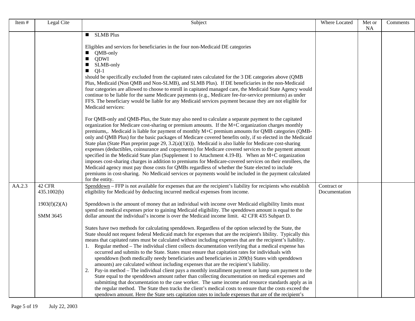| Item#  | Legal Cite      | Subject                                                                                                                                                                                                                  | Where Located | Met or | Comments |
|--------|-----------------|--------------------------------------------------------------------------------------------------------------------------------------------------------------------------------------------------------------------------|---------------|--------|----------|
|        |                 | <b>SLMB Plus</b><br>$\blacksquare$                                                                                                                                                                                       |               | NA     |          |
|        |                 |                                                                                                                                                                                                                          |               |        |          |
|        |                 | Eligibles and services for beneficiaries in the four non-Medicaid DE categories                                                                                                                                          |               |        |          |
|        |                 | QMB-only<br><b>QDWI</b>                                                                                                                                                                                                  |               |        |          |
|        |                 | SLMB-only                                                                                                                                                                                                                |               |        |          |
|        |                 | $QI-1$<br>ш                                                                                                                                                                                                              |               |        |          |
|        |                 | should be specifically excluded from the capitated rates calculated for the 3 DE categories above (QMB)                                                                                                                  |               |        |          |
|        |                 | Plus, Medicaid (Non QMB and Non-SLMB), and SLMB Plus). If DE beneficiaries in the non-Medicaid<br>four categories are allowed to choose to enroll in capitated managed care, the Medicaid State Agency would             |               |        |          |
|        |                 | continue to be liable for the same Medicare payments (e.g., Medicare fee-for-service premiums) as under                                                                                                                  |               |        |          |
|        |                 | FFS. The beneficiary would be liable for any Medicaid services payment because they are not eligible for                                                                                                                 |               |        |          |
|        |                 | Medicaid services:                                                                                                                                                                                                       |               |        |          |
|        |                 | For QMB-only and QMB-Plus, the State may also need to calculate a separate payment to the capitated                                                                                                                      |               |        |          |
|        |                 | organization for Medicare cost-sharing or premium amounts. If the M+C organization charges monthly                                                                                                                       |               |        |          |
|        |                 | premiums,. Medicaid is liable for payment of monthly M+C premium amounts for QMB categories (QMB-<br>only and QMB Plus) for the basic packages of Medicare covered benefits only, if so elected in the Medicaid          |               |        |          |
|        |                 | State plan (State Plan preprint page 29, $3.2(a)(1)(i)$ ). Medicaid is also liable for Medicare cost-sharing                                                                                                             |               |        |          |
|        |                 | expenses (deductibles, coinsurance and copayments) for Medicare covered services to the payment amount                                                                                                                   |               |        |          |
|        |                 | specified in the Medicaid State plan (Supplement 1 to Attachment 4.19-B). When an M+C organization<br>imposes cost-sharing charges in addition to premiums for Medicare-covered services on their enrollees, the         |               |        |          |
|        |                 | Medicaid agency must pay those costs for QMBs regardless of whether the State elected to include                                                                                                                         |               |        |          |
|        |                 | premiums in cost-sharing. No Medicaid services or payments would be included in the payment calculated                                                                                                                   |               |        |          |
|        | 42 CFR          | for the entity.<br>$Spenddown$ – FFP is not available for expenses that are the recipient's liability for recipients who establish                                                                                       | Contract or   |        |          |
| AA.2.3 | 435.1002(b)     | eligibility for Medicaid by deducting incurred medical expenses from income.                                                                                                                                             | Documentation |        |          |
|        |                 |                                                                                                                                                                                                                          |               |        |          |
|        | 1903(f)(2)(A)   | Spenddown is the amount of money that an individual with income over Medicaid eligibility limits must<br>spend on medical expenses prior to gaining Medicaid eligibility. The spenddown amount is equal to the           |               |        |          |
|        | <b>SMM 3645</b> | dollar amount the individual's income is over the Medicaid income limit. 42 CFR 435 Subpart D.                                                                                                                           |               |        |          |
|        |                 |                                                                                                                                                                                                                          |               |        |          |
|        |                 | States have two methods for calculating spenddown. Regardless of the option selected by the State, the<br>State should not request federal Medicaid match for expenses that are the recipient's libility. Typically this |               |        |          |
|        |                 | means that capitated rates must be calculated without including expenses that are the recipient's liability.                                                                                                             |               |        |          |
|        |                 | 1. Regular method – The individual client collects documentation verifying that a medical expense has                                                                                                                    |               |        |          |
|        |                 | occurred and submits to the State. States must ensure that capitation rates for individuals with                                                                                                                         |               |        |          |
|        |                 | spenddown (both medically needy beneficiaries and beneficiaries in 209(b) States with spenddown<br>amounts) are calculated without including expenses that are the recipient's liability.                                |               |        |          |
|        |                 | Pay-in method – The individual client pays a monthly installment payment or lump sum payment to the<br>2.                                                                                                                |               |        |          |
|        |                 | State equal to the spenddown amount rather than collecting documentation on medical expenses and                                                                                                                         |               |        |          |
|        |                 | submitting that documentation to the case worker. The same income and resource standards apply as in<br>the regular method. The State then tracks the client's medical costs to ensure that the costs exceed the         |               |        |          |
|        |                 | spendown amount. Here the State sets capitation rates to include expenses that are of the recipient's                                                                                                                    |               |        |          |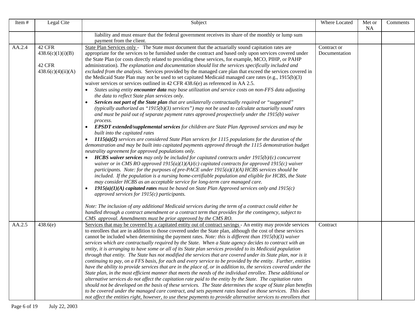| Item#  | Legal Cite                                                  | Subject                                                                                                                                                                                                                                                                                                                                                                                                                                                                                                                                                                                                                                                                                                                                                                                                                                                                                                                                                                                                                                                                                                                                                                                                                                                                                                                                                                                                                                                                                                                                                                                                                                                                                                                                                                                                                                                                                                                                                                                                                                                                                                                                                                                                                                                                                                                                                                                                                                                                                                                                                         | Where Located                | Met or<br><b>NA</b> | Comments |
|--------|-------------------------------------------------------------|-----------------------------------------------------------------------------------------------------------------------------------------------------------------------------------------------------------------------------------------------------------------------------------------------------------------------------------------------------------------------------------------------------------------------------------------------------------------------------------------------------------------------------------------------------------------------------------------------------------------------------------------------------------------------------------------------------------------------------------------------------------------------------------------------------------------------------------------------------------------------------------------------------------------------------------------------------------------------------------------------------------------------------------------------------------------------------------------------------------------------------------------------------------------------------------------------------------------------------------------------------------------------------------------------------------------------------------------------------------------------------------------------------------------------------------------------------------------------------------------------------------------------------------------------------------------------------------------------------------------------------------------------------------------------------------------------------------------------------------------------------------------------------------------------------------------------------------------------------------------------------------------------------------------------------------------------------------------------------------------------------------------------------------------------------------------------------------------------------------------------------------------------------------------------------------------------------------------------------------------------------------------------------------------------------------------------------------------------------------------------------------------------------------------------------------------------------------------------------------------------------------------------------------------------------------------|------------------------------|---------------------|----------|
|        |                                                             | liability and must ensure that the federal government receives its share of the monthly or lump sum<br>payment from the client.                                                                                                                                                                                                                                                                                                                                                                                                                                                                                                                                                                                                                                                                                                                                                                                                                                                                                                                                                                                                                                                                                                                                                                                                                                                                                                                                                                                                                                                                                                                                                                                                                                                                                                                                                                                                                                                                                                                                                                                                                                                                                                                                                                                                                                                                                                                                                                                                                                 |                              |                     |          |
| AA.2.4 | 42 CFR<br>438.6(c)(1)(i)(B)<br>42 CFR<br>438.6(c)(4)(ii)(A) | State Plan Services only - The State must document that the actuarially sound capitation rates are<br>appropriate for the services to be furnished under the contract and based only upon services covered under<br>the State Plan (or costs directly related to providing these services, for example, MCO, PIHP, or PAHP<br>administration). The explanation and documentation should list the services specifically included and<br>excluded from the analysis. Services provided by the managed care plan that exceed the services covered in<br>the Medicaid State Plan may not be used to set capitated Medicaid managed care rates (e.g., 1915(b)(3)<br>waiver services or services outlined in 42 CFR 438.6(e) as referenced in AA 2.5.<br>States using entity encounter data may base utilization and service costs on non-FFS data adjusting<br>the data to reflect State plan services only.<br>Services not part of the State plan that are unilaterally contractually required or "suggested"<br>(typically authorized as "1915(b)(3) services") may not be used to calculate actuarially sound rates<br>and must be paid out of separate payment rates approved prospectively under the 1915(b) waiver<br>process.<br><b>EPSDT</b> extended/supplemental services for children are State Plan Approved services and may be<br>$\bullet$<br>built into the capitated rates<br>$1115(a)(2)$ services are considered State Plan services for 1115 populations for the duration of the<br>$\bullet$<br>demonstration and may be built into capitated payments approved through the 1115 demonstration budget<br>neutrality agreement for approved populations only.<br><b>HCBS waiver services</b> may only be included for capitated contracts under $1915(b)/(c)$ concurrent<br>waiver or in CMS RO approved $1915(a)(1)(A)/(c)$ capitated contracts for approved $1915(c)$ waiver<br>participants. Note: for the purposes of pre-PACE under $1915(a)(1)(A)$ HCBS services should be<br>included. If the population is a nursing home-certifiable population and eligible for HCBS, the State<br>may consider HCBS as an acceptable service for long-term care managed care.<br>$1915(a)(1)(A)$ capitated rates must be based on State Plan Approved services only and $1915(c)$<br>approved services for $1915(c)$ participants.<br>Note: The inclusion of any additional Medicaid services during the term of a contract could either be<br>handled through a contract amendment or a contract term that provides for the contingency, subject to | Contract or<br>Documentation |                     |          |
| AA.2.5 | 438.6(e)                                                    | CMS approval. Amendments must be prior approved by the CMS RO.<br>Services that may be covered by a capitated entity out of contract savings - An entity may provide services<br>to enrollees that are in addition to those covered under the State plan, although the cost of these services<br>cannot be included when determining the payment rates. Note: this is different than $1915(b)(3)$ waiver<br>services which are contractually required by the State. When a State agency decides to contract with an<br>entity, it is arranging to have some or all of its State plan services provided to its Medicaid population<br>through that entity. The State has not modified the services that are covered under its State plan, nor is it<br>continuing to pay, on a FFS basis, for each and every service to be provided by the entity. Further, entities<br>have the ability to provide services that are in the place of, or in addition to, the services covered under the<br>State plan, in the most efficient manner that meets the needs of the individual enrollee. These additional or<br>alternative services do not affect the capitation rate paid to the entity by the State. The capitation rates<br>should not be developed on the basis of these services. The State determines the scope of State plan benefits<br>to be covered under the managed care contract, and sets payment rates based on those services. This does<br>not affect the entities right, however, to use these payments to provide alternative services to enrollees that                                                                                                                                                                                                                                                                                                                                                                                                                                                                                                                                                                                                                                                                                                                                                                                                                                                                                                                                                                                        | Contract                     |                     |          |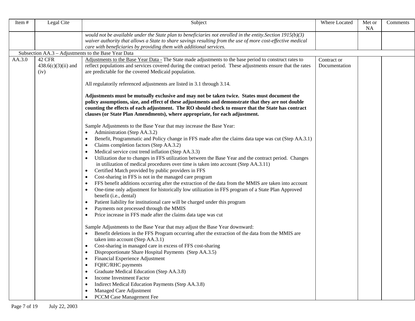| Legal Cite<br>Item#                               | Subject                                                                                                                                                                                                                                                                                                                                                                                                                                                                                                                                                                                                                                                                                                                                                                                                                                                                                                                                                                                                                                                                                                                                                                                                                                                                                                                                                                                                                                                                                                                                                                                                                                                                                                                                                      | Where Located                | Met or<br><b>NA</b> | Comments |
|---------------------------------------------------|--------------------------------------------------------------------------------------------------------------------------------------------------------------------------------------------------------------------------------------------------------------------------------------------------------------------------------------------------------------------------------------------------------------------------------------------------------------------------------------------------------------------------------------------------------------------------------------------------------------------------------------------------------------------------------------------------------------------------------------------------------------------------------------------------------------------------------------------------------------------------------------------------------------------------------------------------------------------------------------------------------------------------------------------------------------------------------------------------------------------------------------------------------------------------------------------------------------------------------------------------------------------------------------------------------------------------------------------------------------------------------------------------------------------------------------------------------------------------------------------------------------------------------------------------------------------------------------------------------------------------------------------------------------------------------------------------------------------------------------------------------------|------------------------------|---------------------|----------|
|                                                   | would not be available under the State plan to beneficiaries not enrolled in the entity. Section $1915(b)(3)$<br>waiver authority that allows a State to share savings resulting from the use of more cost-effective medical<br>care with beneficiaries by providing them with additional services.                                                                                                                                                                                                                                                                                                                                                                                                                                                                                                                                                                                                                                                                                                                                                                                                                                                                                                                                                                                                                                                                                                                                                                                                                                                                                                                                                                                                                                                          |                              |                     |          |
|                                                   | Subsection AA.3 - Adjustments to the Base Year Data                                                                                                                                                                                                                                                                                                                                                                                                                                                                                                                                                                                                                                                                                                                                                                                                                                                                                                                                                                                                                                                                                                                                                                                                                                                                                                                                                                                                                                                                                                                                                                                                                                                                                                          |                              |                     |          |
| 42 CFR<br>AA.3.0<br>$438.6(c)(3)(ii)$ and<br>(iv) | Adjustments to the Base Year Data - The State made adjustments to the base period to construct rates to<br>reflect populations and services covered during the contract period. These adjustments ensure that the rates<br>are predictable for the covered Medicaid population.                                                                                                                                                                                                                                                                                                                                                                                                                                                                                                                                                                                                                                                                                                                                                                                                                                                                                                                                                                                                                                                                                                                                                                                                                                                                                                                                                                                                                                                                              | Contract or<br>Documentation |                     |          |
|                                                   | All regulatorily referenced adjustments are listed in 3.1 through 3.14.                                                                                                                                                                                                                                                                                                                                                                                                                                                                                                                                                                                                                                                                                                                                                                                                                                                                                                                                                                                                                                                                                                                                                                                                                                                                                                                                                                                                                                                                                                                                                                                                                                                                                      |                              |                     |          |
|                                                   | Adjustments must be mutually exclusive and may not be taken twice. States must document the<br>policy assumptions, size, and effect of these adjustments and demonstrate that they are not double<br>counting the effects of each adjustment. The RO should check to ensure that the State has contract<br>clauses (or State Plan Amendments), where appropriate, for each adjustment.                                                                                                                                                                                                                                                                                                                                                                                                                                                                                                                                                                                                                                                                                                                                                                                                                                                                                                                                                                                                                                                                                                                                                                                                                                                                                                                                                                       |                              |                     |          |
|                                                   | Sample Adjustments to the Base Year that may increase the Base Year:<br>Administration (Step AA.3.2)<br>Benefit, Programmatic and Policy change in FFS made after the claims data tape was cut (Step AA.3.1)<br>٠<br>Claims completion factors (Step AA.3.2)<br>٠<br>Medical service cost trend inflation (Step AA.3.3)<br>٠<br>Utilization due to changes in FFS utilization between the Base Year and the contract period. Changes<br>٠<br>in utilization of medical procedures over time is taken into account (Step AA.3.11)<br>Certified Match provided by public providers in FFS<br>٠<br>Cost-sharing in FFS is not in the managed care program<br>٠<br>FFS benefit additions occurring after the extraction of the data from the MMIS are taken into account<br>٠<br>One-time only adjustment for historically low utilization in FFS program of a State Plan Approved<br>٠<br>benefit (i.e., dental)<br>Patient liability for institutional care will be charged under this program<br>٠<br>Payments not processed through the MMIS<br>٠<br>Price increase in FFS made after the claims data tape was cut<br>Sample Adjustments to the Base Year that may adjust the Base Year downward:<br>Benefit deletions in the FFS Program occurring after the extraction of the data from the MMIS are<br>taken into account (Step AA.3.1)<br>Cost-sharing in managed care in excess of FFS cost-sharing<br>٠<br>Disproportionate Share Hospital Payments (Step AA.3.5)<br>$\bullet$<br>Financial Experience Adjustment<br>FQHC/RHC payments<br>٠<br>Graduate Medical Education (Step AA.3.8)<br>٠<br>Income Investment Factor<br>٠<br>Indirect Medical Education Payments (Step AA.3.8)<br>Managed Care Adjustment<br>PCCM Case Management Fee<br>$\bullet$ |                              |                     |          |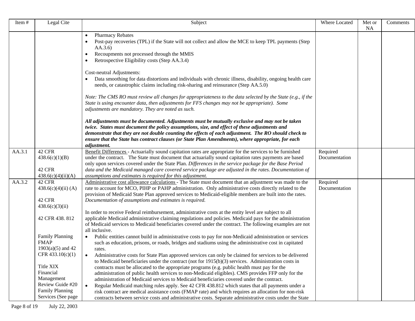| Item#  | Legal Cite                                   | Subject                                                                                                                                                                                                                                                                                                                                                                                                        | Where Located | Met or<br><b>NA</b> | Comments |
|--------|----------------------------------------------|----------------------------------------------------------------------------------------------------------------------------------------------------------------------------------------------------------------------------------------------------------------------------------------------------------------------------------------------------------------------------------------------------------------|---------------|---------------------|----------|
|        |                                              | <b>Pharmacy Rebates</b><br>$\bullet$<br>Post-pay recoveries (TPL) if the State will not collect and allow the MCE to keep TPL payments (Step<br>$\bullet$<br>AA.3.6<br>Recoupments not processed through the MMIS<br>$\bullet$<br>Retrospective Eligibility costs (Step AA.3.4)                                                                                                                                |               |                     |          |
|        |                                              | Cost-neutral Adjustments:<br>Data smoothing for data distortions and individuals with chronic illness, disability, ongoing health care<br>needs, or catastrophic claims including risk-sharing and reinsurance (Step AA.5.0)                                                                                                                                                                                   |               |                     |          |
|        |                                              | Note: The CMS RO must review all changes for appropriateness to the data selected by the State (e.g., if the<br>State is using encounter data, then adjustments for FFS changes may not be appropriate). Some<br>adjustments are mandatory. They are noted as such.                                                                                                                                            |               |                     |          |
|        |                                              | All adjustments must be documented. Adjustments must be mutually exclusive and may not be taken<br>twice. States must document the policy assumptions, size, and effect of these adjustments and<br>demonstrate that they are not double counting the effects of each adjustment. The RO should check to<br>ensure that the State has contract clauses (or State Plan Amendments), where appropriate, for each |               |                     |          |
| AA.3.1 | 42 CFR                                       | adjustment.<br>Benefit Differences - Actuarially sound capitation rates are appropriate for the services to be furnished                                                                                                                                                                                                                                                                                       | Required      |                     |          |
|        | 438.6(c)(1)(B)                               | under the contract. The State must document that actuarially sound capitation rates payments are based                                                                                                                                                                                                                                                                                                         | Documentation |                     |          |
|        |                                              | only upon services covered under the State Plan. Differences in the service package for the Base Period                                                                                                                                                                                                                                                                                                        |               |                     |          |
|        | 42 CFR<br>438.6(c)(4)(ii)(A)                 | data and the Medicaid managed care covered service package are adjusted in the rates. Documentation of<br>assumptions and estimates is required for this adjustment.                                                                                                                                                                                                                                           |               |                     |          |
| AA.3.2 | 42 CFR                                       | Administrative cost allowance calculations - The State must document that an adjustment was made to the                                                                                                                                                                                                                                                                                                        | Required      |                     |          |
|        | 438.6(c)(4)(ii) (A)                          | rate to account for MCO, PIHP or PAHP administration. Only administrative costs directly related to the                                                                                                                                                                                                                                                                                                        | Documentation |                     |          |
|        | 42 CFR                                       | provision of Medicaid State Plan approved services to Medicaid-eligible members are built into the rates.                                                                                                                                                                                                                                                                                                      |               |                     |          |
|        | 438.6(c)(3)(ii)                              | Documentation of assumptions and estimates is required.                                                                                                                                                                                                                                                                                                                                                        |               |                     |          |
|        | 42 CFR 438.812                               | In order to receive Federal reimbursement, administrative costs at the entity level are subject to all<br>applicable Medicaid administrative claiming regulations and policies. Medicaid pays for the administration<br>of Medicaid services to Medicaid beneficiaries covered under the contract. The following examples are not<br>all inclusive.                                                            |               |                     |          |
|        | <b>Family Planning</b>                       | Public entities cannot build in administrative costs to pay for non-Medicaid administration or services<br>$\bullet$                                                                                                                                                                                                                                                                                           |               |                     |          |
|        | <b>FMAP</b>                                  | such as education, prisons, or roads, bridges and stadiums using the administrative cost in capitated                                                                                                                                                                                                                                                                                                          |               |                     |          |
|        | $1903(a)(5)$ and 42                          | rates.                                                                                                                                                                                                                                                                                                                                                                                                         |               |                     |          |
|        | CFR 433.10(c)(1)                             | Administrative costs for State Plan approved services can only be claimed for services to be delivered<br>$\bullet$                                                                                                                                                                                                                                                                                            |               |                     |          |
|        | Title XIX                                    | to Medicaid beneficiaries under the contract (not for $1915(b)(3)$ services. Administration costs in<br>contracts must be allocated to the appropriate programs (e.g. public health must pay for the                                                                                                                                                                                                           |               |                     |          |
|        | Financial                                    | administration of public health services to non-Medicaid eligibles). CMS provides FFP only for the                                                                                                                                                                                                                                                                                                             |               |                     |          |
|        | Management                                   | administration of Medicaid services to Medicaid beneficiaries covered under the contract.                                                                                                                                                                                                                                                                                                                      |               |                     |          |
|        | Review Guide #20                             | $\bullet$<br>Regular Medicaid matching rules apply. See 42 CFR 438.812 which states that all payments under a                                                                                                                                                                                                                                                                                                  |               |                     |          |
|        | <b>Family Planning</b><br>Services (See page | risk contract are medical assistance costs (FMAP rate) and which requires an allocation for non-risk                                                                                                                                                                                                                                                                                                           |               |                     |          |
|        |                                              | contracts between service costs and administrative costs. Separate administrative costs under the State                                                                                                                                                                                                                                                                                                        |               |                     |          |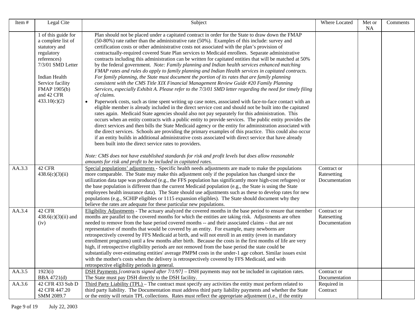| Item#  | Legal Cite                                                                                                                                                                                      | Subject                                                                                                                                                                                                                                                                                                                                                                                                                                                                                                                                                                                                                                                                                                                                                                                                                                                                                                                                                                                                                                                                                                                                                                                                                                                                                                                                                                                                                                                                                                                                                                                                                                                                                                                                                                                                                                                                                                   | Where Located                               | Met or    | Comments |
|--------|-------------------------------------------------------------------------------------------------------------------------------------------------------------------------------------------------|-----------------------------------------------------------------------------------------------------------------------------------------------------------------------------------------------------------------------------------------------------------------------------------------------------------------------------------------------------------------------------------------------------------------------------------------------------------------------------------------------------------------------------------------------------------------------------------------------------------------------------------------------------------------------------------------------------------------------------------------------------------------------------------------------------------------------------------------------------------------------------------------------------------------------------------------------------------------------------------------------------------------------------------------------------------------------------------------------------------------------------------------------------------------------------------------------------------------------------------------------------------------------------------------------------------------------------------------------------------------------------------------------------------------------------------------------------------------------------------------------------------------------------------------------------------------------------------------------------------------------------------------------------------------------------------------------------------------------------------------------------------------------------------------------------------------------------------------------------------------------------------------------------------|---------------------------------------------|-----------|----------|
|        | 1 of this guide for<br>a complete list of<br>statutory and<br>regulatory<br>references)<br>7/3/01 SMD Letter<br>Indian Health<br>Service facility<br>FMAP 1905(b)<br>and 42 CFR<br>433.10(c)(2) | Plan should not be placed under a capitated contract in order for the State to draw down the FMAP<br>(50-80%) rate rather than the administrative rate (50%). Examples of this include: survey and<br>certification costs or other administrative costs not associated with the plan's provision of<br>contractually-required covered State Plan services to Medicaid enrollees. Separate administrative<br>contracts including this administration can be written for capitated entities that will be matched at 50%<br>by the federal government. Note: Family planning and Indian health services enhanced matching<br>FMAP rates and rules do apply to family planning and Indian Health services in capitated contracts.<br>For family planning, the State must document the portion of its rates that are family planning<br>consistent with the CMS Title XIX Financial Management Review Guide #20 Family Planning<br>Services, especially Exhibit A. Please refer to the 7/3/01 SMD letter regarding the need for timely filing<br>of claims.<br>Paperwork costs, such as time spent writing up case notes, associated with face-to-face contact with an<br>$\bullet$<br>eligible member is already included in the direct service cost and should not be built into the capitated<br>rates again. Medicaid State agencies should also not pay separately for this administration. This<br>occurs when an entity contracts with a public entity to provide services. The public entity provides the<br>direct services and then bills the State Medicaid agency or the entity for administration associated with<br>the direct services. Schools are providing the primary examples of this practice. This could also occur<br>if an entity builds in additional administrative costs associated with direct service that have already<br>been built into the direct service rates to providers. |                                             | <b>NA</b> |          |
|        |                                                                                                                                                                                                 | Note: CMS does not have established standards for risk and profit levels but does allow reasonable<br>amounts for risk and profit to be included in capitated rates.                                                                                                                                                                                                                                                                                                                                                                                                                                                                                                                                                                                                                                                                                                                                                                                                                                                                                                                                                                                                                                                                                                                                                                                                                                                                                                                                                                                                                                                                                                                                                                                                                                                                                                                                      |                                             |           |          |
| AA.3.3 | 42 CFR<br>438.6(c)(3)(ii)                                                                                                                                                                       | Special populations' adjustments - Specific health needs adjustments are made to make the populations<br>more comparable. The State may make this adjustment only if the population has changed since the<br>utilization data tape was produced (e.g., the FFS population has significantly more high-cost refugees) or<br>the base population is different than the current Medicaid population (e.g., the State is using the State<br>employees health insurance data). The State should use adjustments such as these to develop rates for new<br>populations (e.g., SCHIP eligibles or 1115 expansion eligibles). The State should document why they<br>believe the rates are adequate for these particular new populations.                                                                                                                                                                                                                                                                                                                                                                                                                                                                                                                                                                                                                                                                                                                                                                                                                                                                                                                                                                                                                                                                                                                                                                          | Contract or<br>Ratesetting<br>Documentation |           |          |
| AA.3.4 | 42 CFR<br>$438.6(c)(3)(ii)$ and<br>(iv)                                                                                                                                                         | Eligibility Adjustments - The actuary analyzed the covered months in the base period to ensure that member<br>months are parallel to the covered months for which the entities are taking risk. Adjustments are often<br>needed to remove from the base period covered months -- and their associated claims - that are not<br>representative of months that would be covered by an entity. For example, many newborns are<br>retrospectively covered by FFS Medicaid at birth, and will not enroll in an entity (even in mandatory<br>enrollment programs) until a few months after birth. Because the costs in the first months of life are very<br>high, if retrospective eligibility periods are not removed from the base period the state could be<br>substantially over-estimating entities' average PMPM costs in the under-1 age cohort. Similar issues exist<br>with the mother's costs when the delivery is retrospectively covered by FFS Medicaid, and with<br>retrospective eligibility periods in general.                                                                                                                                                                                                                                                                                                                                                                                                                                                                                                                                                                                                                                                                                                                                                                                                                                                                                 | Contract or<br>Ratesetting<br>Documentation |           |          |
| AA.3.5 | 1923(i)<br>BBA 4721(d)                                                                                                                                                                          | DSH Payments [contracts signed after 7/1/97] - DSH payments may not be included in capitation rates.<br>The State must pay DSH directly to the DSH facility.                                                                                                                                                                                                                                                                                                                                                                                                                                                                                                                                                                                                                                                                                                                                                                                                                                                                                                                                                                                                                                                                                                                                                                                                                                                                                                                                                                                                                                                                                                                                                                                                                                                                                                                                              | Contract or<br>Documentation                |           |          |
| AA.3.6 | 42 CFR 433 Sub D<br>42 CFR 447.20<br>SMM 2089.7                                                                                                                                                 | Third Party Liability (TPL) – The contract must specify any activities the entity must perform related to<br>third party liability. The Documentation must address third party liability payments and whether the State<br>or the entity will retain TPL collections. Rates must reflect the appropriate adjustment (i.e., if the entity                                                                                                                                                                                                                                                                                                                                                                                                                                                                                                                                                                                                                                                                                                                                                                                                                                                                                                                                                                                                                                                                                                                                                                                                                                                                                                                                                                                                                                                                                                                                                                  | Required in<br>Contract                     |           |          |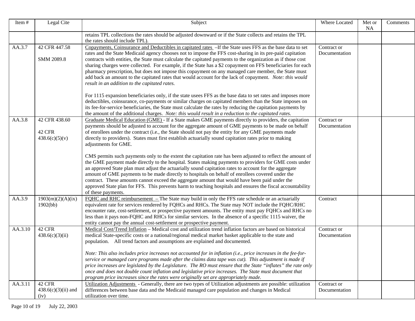| Item#   | Legal Cite                                | Subject                                                                                                                                                                                                                                                                                                                                                                                                                                                                                                                                                                                                                                                                                                                     | Where Located                | Met or<br><b>NA</b> | Comments |
|---------|-------------------------------------------|-----------------------------------------------------------------------------------------------------------------------------------------------------------------------------------------------------------------------------------------------------------------------------------------------------------------------------------------------------------------------------------------------------------------------------------------------------------------------------------------------------------------------------------------------------------------------------------------------------------------------------------------------------------------------------------------------------------------------------|------------------------------|---------------------|----------|
|         |                                           | retains TPL collections the rates should be adjusted downward or if the State collects and retains the TPL<br>the rates should include TPL).                                                                                                                                                                                                                                                                                                                                                                                                                                                                                                                                                                                |                              |                     |          |
| AA.3.7  | 42 CFR 447.58<br>SMM 2089.8               | Copayments, Coinsurance and Deductibles in capitated rates -If the State uses FFS as the base data to set<br>rates and the State Medicaid agency chooses not to impose the FFS cost-sharing in its pre-paid capitation<br>contracts with entities, the State must calculate the capitated payments to the organization as if those cost<br>sharing charges were collected. For example, if the State has a \$2 copayment on FFS beneficiaries for each<br>pharmacy prescription, but does not impose this copayment on any managed care member, the State must<br>add back an amount to the capitated rates that would account for the lack of copayment. Note: this would<br>result in an addition to the capitated rates. | Contract or<br>Documentation |                     |          |
|         |                                           | For 1115 expansion beneficiaries only, if the state usees FFS as the base data to set rates and imposes more<br>deductibles, coinsurance, co-payments or similar charges on capitated members than the State imposes on<br>its fee-for-service beneficiaries, the State must calculate the rates by reducing the capitation payments by<br>the amount of the additional charges. Note: this would result in a reduction to the capitated rates.                                                                                                                                                                                                                                                                             |                              |                     |          |
| AA.3.8  | 42 CFR 438.60<br>42 CFR<br>438.6(c)(5)(v) | Graduate Medical Education (GME) - If a State makes GME payments directly to providers, the capitation<br>payments should be adjusted to account for the aggregate amount of GME payments to be made on behalf<br>of enrollees under the contract (i.e., the State should not pay the entity for any GME payments made<br>directly to providers). States must first establish actuarially sound capitation rates prior to making<br>adjustments for GME.                                                                                                                                                                                                                                                                    | Contract or<br>Documentation |                     |          |
|         |                                           | CMS permits such payments only to the extent the capitation rate has been adjusted to reflect the amount of<br>the GME payment made directly to the hospital. States making payments to providers for GME costs under<br>an approved State plan must adjust the actuarially sound capitation rates to account for the aggregate<br>amount of GME payments to be made directly to hospitals on behalf of enrollees covered under the<br>contract. These amounts cannot exceed the aggregate amount that would have been paid under the<br>approved State plan for FFS. This prevents harm to teaching hospitals and ensures the fiscal accountability<br>of these payments.                                                  |                              |                     |          |
| AA.3.9  | 1903(m)(2)(A)(ix)<br>1902(bb)             | FOHC and RHC reimbursement - The State may build in only the FFS rate schedule or an actuarially<br>equivalent rate for services rendered by FQHCs and RHCs. The State may NOT include the FQHC/RHC<br>encounter rate, cost-settlement, or prospective payment amounts. The entity must pay FQHCs and RHCs no<br>less than it pays non-FQHC and RHCs for similar services. In the absence of a specific 1115 waiver, the<br>entity cannot pay the annual cost-settlement or prospective payment.                                                                                                                                                                                                                            | Contract                     |                     |          |
| AA.3.10 | 42 CFR<br>438.6(c)(3)(ii)                 | Medical Cost/Trend Inflation – Medical cost and utilization trend inflation factors are based on historical<br>medical State-specific costs or a national/regional medical market basket applicable to the state and<br>population. All trend factors and assumptions are explained and documented.<br>Note: This also includes price increases not accounted for in inflation (i.e., price increases in the fee-for-                                                                                                                                                                                                                                                                                                       | Contract or<br>Documentation |                     |          |
|         |                                           | service or managed care programs made after the claims data tape was cut). This adjustment is made if<br>price increases are legislated by the Legislature. The RO must ensure that the State "inflates" the rate only<br>once and does not double count inflation and legislative price increases. The State must document that<br>program price increases since the rates were originally set are appropriately made.                                                                                                                                                                                                                                                                                                     |                              |                     |          |
| AA.3.11 | 42 CFR<br>$438.6(c)(3)(ii)$ and<br>(iv)   | Utilization Adjustments - Generally, there are two types of Utilization adjustments are possible: utilization<br>differences between base data and the Medicaid managed care population and changes in Medical<br>utilization over time.                                                                                                                                                                                                                                                                                                                                                                                                                                                                                    | Contract or<br>Documentation |                     |          |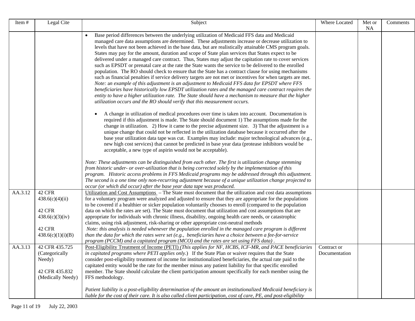| Item#   | Legal Cite                                                                            | Subject                                                                                                                                                                                                                                                                                                                                                                                                                                                                                                                                                                                                                                                                                                                                                                                                                                                                                                                                                                                                                                                                                                                                                                                                                                                                       | Where Located                | Met or<br>NA | Comments |
|---------|---------------------------------------------------------------------------------------|-------------------------------------------------------------------------------------------------------------------------------------------------------------------------------------------------------------------------------------------------------------------------------------------------------------------------------------------------------------------------------------------------------------------------------------------------------------------------------------------------------------------------------------------------------------------------------------------------------------------------------------------------------------------------------------------------------------------------------------------------------------------------------------------------------------------------------------------------------------------------------------------------------------------------------------------------------------------------------------------------------------------------------------------------------------------------------------------------------------------------------------------------------------------------------------------------------------------------------------------------------------------------------|------------------------------|--------------|----------|
|         |                                                                                       | Base period differences between the underlying utilization of Medicaid FFS data and Medicaid<br>$\bullet$<br>managed care data assumptions are determined. These adjustments increase or decrease utilization to<br>levels that have not been achieved in the base data, but are realistically attainable CMS program goals.<br>States may pay for the amount, duration and scope of State plan services that States expect to be<br>delivered under a managed care contract. Thus, States may adjust the capitation rate to cover services<br>such as EPSDT or prenatal care at the rate the State wants the service to be delivered to the enrolled<br>population. The RO should check to ensure that the State has a contract clause for using mechanisms<br>such as financial penalties if service delivery targets are not met or incentives for when targets are met.<br>Note: an example of this adjustment is an adjustment to Medicaid FFS data for EPSDT where FFS<br>beneficiaries have historically low EPSDT utilization rates and the managed care contract requires the<br>entity to have a higher utilization rate. The State should have a mechanism to measure that the higher<br>utilization occurs and the RO should verify that this measurement occurs. |                              |              |          |
|         |                                                                                       | A change in utilization of medical procedures over time is taken into account. Documentation is<br>required if this adjustment is made. The State should document 1) The assumptions made for the<br>change in utilization. 2) How it came to the precise adjustment size. 3) That the adjustment is a<br>unique change that could not be reflected in the utilization database because it occurred after the<br>base year utilization data tape was cut. Examples may include: major technological advances (e.g.,<br>new high cost services) that cannot be predicted in base year data (protease inhibitors would be<br>acceptable, a new type of aspirin would not be acceptable).                                                                                                                                                                                                                                                                                                                                                                                                                                                                                                                                                                                        |                              |              |          |
|         |                                                                                       | Note: These adjustments can be distinguished from each other. The first is utilization change stemming<br>from historic under- or over-utilization that is being corrected solely by the implementation of this<br>program. Historic access problems in FFS Medicaid programs may be addressed through this adjustment.<br>The second is a one time only non-recurring adjustment because of a unique utilization change projected to<br>occur (or which did occur) after the base year data tape was produced.                                                                                                                                                                                                                                                                                                                                                                                                                                                                                                                                                                                                                                                                                                                                                               |                              |              |          |
| AA.3.12 | 42 CFR<br>438.6(c)(4)(ii)<br>42 CFR<br>438.6(c)(3)(iv)<br>42 CFR<br>438.6(c)(1)(i)(B) | Utilization and Cost Assumptions - The State must document that the utilization and cost data assumptions<br>for a voluntary program were analyzed and adjusted to ensure that they are appropriate for the populations<br>to be covered if a healthier or sicker population voluntarily chooses to enroll (compared to the population<br>data on which the rates are set). The State must document that utilization and cost assumptions that are<br>appropriate for individuals with chronic illness, disability, ongoing health care needs, or catastrophic<br>claims, using risk adjustment, risk-sharing or other appropriate cost-neutral methods<br>Note: this analysis is needed whenever the population enrolled in the managed care program is different<br>than the data for which the rates were set (e.g., beneficiaries have a choice between a fee-for-service<br>program (PCCM) and a capitated program ( $MCO$ ) and the rates are set using FFS data).                                                                                                                                                                                                                                                                                                      |                              |              |          |
| AA.3.13 | 42 CFR 435.725<br>(Categorically<br>Needy)<br>42 CFR 435.832<br>(Medically Needy)     | Post-Eligibility Treatment of Income (PETI) (This applies for NF, HCBS, ICF-MR, and PACE beneficiaries<br>in capitated programs where PETI applies only.) If the State Plan or waiver requires that the State<br>consider post-eligibility treatment of income for institutionalized beneficiaries, the actual rate paid to the<br>capitated entity would be the rate for the member minus any patient liability for that specific enrolled<br>member. The State should calculate the client participation amount specifically for each member using the<br>FFS methodology.<br>Patient liability is a post-eligibility determination of the amount an institutionalized Medicaid beneficiary is<br>liable for the cost of their care. It is also called client participation, cost of care, PE, and post-eligibility                                                                                                                                                                                                                                                                                                                                                                                                                                                         | Contract or<br>Documentation |              |          |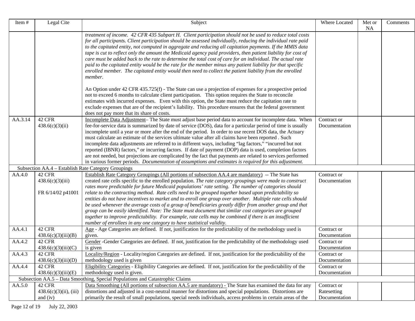| Item#   | Legal Cite                                           | Subject                                                                                                                                                                                                                                                                                                                                                                                                                                                                                                                                                                                                                                                                                                                                                                                                                                                                                                                                                     | Where Located                                 | Met or<br><b>NA</b> | Comments |
|---------|------------------------------------------------------|-------------------------------------------------------------------------------------------------------------------------------------------------------------------------------------------------------------------------------------------------------------------------------------------------------------------------------------------------------------------------------------------------------------------------------------------------------------------------------------------------------------------------------------------------------------------------------------------------------------------------------------------------------------------------------------------------------------------------------------------------------------------------------------------------------------------------------------------------------------------------------------------------------------------------------------------------------------|-----------------------------------------------|---------------------|----------|
|         |                                                      | treatment of income. 42 CFR 435 Subpart H. Client participation should not be used to reduce total costs<br>for all participants. Client participation should be assessed individually, reducing the individual rate paid<br>to the capitated entity, not computed in aggregate and reducing all capitation payments. If the MMIS data<br>tape is cut to reflect only the amount the Medicaid agency paid providers, then patient liability for cost of<br>care must be added back to the rate to determine the total cost of care for an individual. The actual rate<br>paid to the capitated entity would be the rate for the member minus any patient liability for that specific<br>enrolled member. The capitated entity would then need to collect the patient liability from the enrolled<br>member.                                                                                                                                                 |                                               |                     |          |
|         |                                                      | An Option under 42 CFR 435.725(f) - The State can use a projection of expenses for a prospective period<br>not to exceed 6 months to calculate client participation. This option requires the State to reconcile<br>estimates with incurred expenses. Even with this option, the State must reduce the capitation rate to<br>exclude expenses that are of the recipient's liability. This procedure ensures that the federal government<br>does not pay more that its share of costs.                                                                                                                                                                                                                                                                                                                                                                                                                                                                       |                                               |                     |          |
| AA.3.14 | 42 CFR<br>438.6(c)(3)(ii)                            | Incomplete Data Adjustment- The State must adjust base period data to account for incomplete data. When<br>fee-for-service data is summarized by date of service (DOS), data for a particular period of time is usually<br>incomplete until a year or more after the end of the period. In order to use recent DOS data, the Actuary<br>must calculate an estimate of the services ultimate value after all claims have been reported . Such<br>incomplete data adjustments are referred to in different ways, including "lag factors," "incurred but not<br>reported (IBNR) factors," or incurring factors. If date of payment (DOP) data is used, completion factors<br>are not needed, but projections are complicated by the fact that payments are related to services performed<br>in various former periods. Documentation of assumptions and estimates is required for this adjustment.                                                             | Contract or<br>Documentation                  |                     |          |
|         |                                                      | Subsection AA.4 – Establish Rate Category Groupings                                                                                                                                                                                                                                                                                                                                                                                                                                                                                                                                                                                                                                                                                                                                                                                                                                                                                                         |                                               |                     |          |
| AA.4.0  | 42 CFR<br>438.6(c)(3)(iii)<br>FR 6/14/02 p41001      | Establish Rate Category Groupings (All portions of subsection AA.4 are mandatory) -- The State has<br>created rate cells specific to the enrolled population. The rate category groupings were made to construct<br>rates more predictable for future Medicaid populations' rate setting. The number of categories should<br>relate to the contracting method. Rate cells need to be grouped together based upon predictability so<br>entities do not have incentives to market and to enroll one group over another. Multiple rate cells should<br>be used whenever the average costs of a group of beneficiaries greatly differ from another group and that<br>group can be easily identified. Note: The State must document that similar cost categories are grouped<br>together to improve predictability. For example, rate cells may be combined if there is an insufficient<br>number of enrollees in any one category to have statistical validity. | Contract or<br>Documentation                  |                     |          |
| AA.4.1  | 42 CFR                                               | Age - Age Categories are defined. If not, justification for the predictability of the methodology used is                                                                                                                                                                                                                                                                                                                                                                                                                                                                                                                                                                                                                                                                                                                                                                                                                                                   | Contract or                                   |                     |          |
| AA.4.2  | 438.6(c)(3)(iii)(B)<br>42 CFR<br>438.6(c)(3)(iii)(C) | given.<br>Gender -Gender Categories are defined. If not, justification for the predictability of the methodology used<br>is given                                                                                                                                                                                                                                                                                                                                                                                                                                                                                                                                                                                                                                                                                                                                                                                                                           | Documentation<br>Contract or<br>Documentation |                     |          |
| AA.4.3  | 42 CFR<br>438.6(c)(3)(iii)(D)                        | Locality/Region - Locality/region Categories are defined. If not, justification for the predictability of the<br>methodology used is given                                                                                                                                                                                                                                                                                                                                                                                                                                                                                                                                                                                                                                                                                                                                                                                                                  | Contract or<br>Documentation                  |                     |          |
| AA.4.4  | 42 CFR<br>438.6(c)(3)(iii)(E)                        | Eligibility Categories - Eligibility Categories are defined. If not, justification for the predictability of the<br>methodology used is given.                                                                                                                                                                                                                                                                                                                                                                                                                                                                                                                                                                                                                                                                                                                                                                                                              | Contract or<br>Documentation                  |                     |          |
|         |                                                      | Subsection AA.5 - Data Smoothing, Special Populations and Catastrophic Claims                                                                                                                                                                                                                                                                                                                                                                                                                                                                                                                                                                                                                                                                                                                                                                                                                                                                               |                                               |                     |          |
| AA.5.0  | 42 CFR<br>$438.6(c)(3)(ii)$ , (iii)<br>and $(iv)$    | Data Smoothing (All portions of subsection AA.5 are mandatory) - The State has examined the data for any<br>distortions and adjusted in a cost-neutral manner for distortions and special populations. Distortions are<br>primarily the result of small populations, special needs individuals, access problems in certain areas of the                                                                                                                                                                                                                                                                                                                                                                                                                                                                                                                                                                                                                     | Contract or<br>Ratesetting<br>Documentation   |                     |          |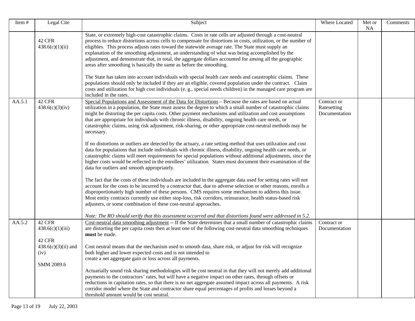| Item#  | Legal Cite                              | Subject                                                                                                                                                                                                                                                                                                                                                                                                                                                                                                                                                                                                                    | Where Located                               | Met or<br><b>NA</b> | Comments |
|--------|-----------------------------------------|----------------------------------------------------------------------------------------------------------------------------------------------------------------------------------------------------------------------------------------------------------------------------------------------------------------------------------------------------------------------------------------------------------------------------------------------------------------------------------------------------------------------------------------------------------------------------------------------------------------------------|---------------------------------------------|---------------------|----------|
|        | <b>42 CFR</b><br>438.6(c)(1)(ii)        | State, or extremely high-cost catastrophic claims. Costs in rate cells are adjusted through a cost-neutral<br>process to reduce distortions across cells to compensate for distortions in costs, utilization, or the number of<br>eligibles. This process adjusts rates toward the statewide average rate. The State must supply an<br>explanation of the smoothing adjustment, an understanding of what was being accomplished by the<br>adjustment, and demonstrate that, in total, the aggregate dollars accounted for among all the geographic<br>areas after smoothing is basically the same as before the smoothing. |                                             |                     |          |
|        |                                         | The State has taken into account individuals with special health care needs and catastrophic claims. These<br>populations should only be included if they are an eligible, covered population under the contract. Claim<br>costs and utilization for high cost individuals (e.g., special needs children) in the managed care program are<br>included in the rates.                                                                                                                                                                                                                                                        |                                             |                     |          |
| AA.5.1 | 42 CFR<br>438.6(c)(3)(iv)               | Special Populations and Assessment of the Data for Distortions – Because the rates are based on actual<br>utilization in a population, the State must assess the degree to which a small number of catastrophic claims<br>might be distorting the per capita costs. Other payment mechanisms and utilization and cost assumptions<br>that are appropriate for individuals with chronic illness, disability, ongoing health care needs, or<br>catastrophic claims, using risk adjustment, risk-sharing, or other appropriate cost-neutral methods may be<br>necessary.                                                      | Contract or<br>Ratesetting<br>Documentation |                     |          |
|        |                                         | If no distortions or outliers are detected by the actuary, a rate setting method that uses utilization and cost<br>data for populations that include individuals with chronic illness, disability, ongoing health care needs, or<br>catastrophic claims will meet requirements for special populations without additional adjustments, since the<br>higher costs would be reflected in the enrollees' utilization. States must document their examination of the<br>data for outliers and smooth appropriately.                                                                                                            |                                             |                     |          |
|        |                                         | The fact that the costs of these individuals are included in the aggregate data used for setting rates will not<br>account for the costs to be incurred by a contractor that, due to adverse selection or other reasons, enrolls a<br>disproportionately high number of these persons. CMS requires some mechanism to address this issue.<br>Most entity contracts currently use either stop-loss, risk corridors, reinsurance, health status-based risk<br>adjusters, or some combination of these cost-neutral approaches.                                                                                               |                                             |                     |          |
| AA.5.2 | 42 CFR<br>438.6(c)(1)(iii)              | Note: The RO should verify that this assessment occurred and that distortions found were addressed in 5.2.<br>Cost-neutral data smoothing adjustment -- If the State determines that a small number of catastrophic claims<br>are distorting the per capita costs then at least one of the following cost-neutral data smoothing techniques<br>must be made.                                                                                                                                                                                                                                                               | Contract or<br>Documentation                |                     |          |
|        | 42 CFR<br>$438.6(c)(3)(ii)$ and<br>(iv) | Cost neutral means that the mechanism used to smooth data, share risk, or adjust for risk will recognize<br>both higher and lower expected costs and is not intended to<br>create a net aggregate gain or loss across all payments.                                                                                                                                                                                                                                                                                                                                                                                        |                                             |                     |          |
|        | SMM 2089.6                              | Actuarially sound risk sharing methodologies will be cost neutral in that they will not merely add additional<br>payments to the contractors' rates, but will have a negative impact on other rates, through offsets or<br>reductions in capitation rates, so that there is no net aggregate assumed impact across all payments. A risk<br>corridor model where the State and contractor share equal percentages of profits and losses beyond a<br>threshold amount would be cost neutral.                                                                                                                                 |                                             |                     |          |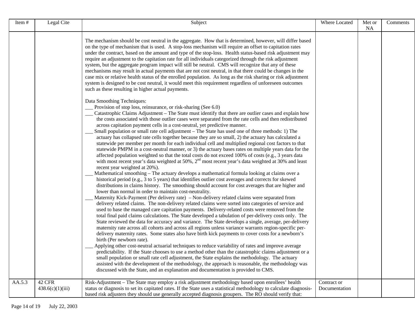| Item#  | Legal Cite                 | Subject                                                                                                                                                                                                                                                                                                                                                                                                                                                                                                                                                                                                                                                                                                                                                                                                                                                                                                                                                                                                                                                                                                                                                                                                                                                                                                                                                                                                                                                                                                                                                                                                                                                                                                                                                                                                                                                                                                                                                                                                                                                                                                                                                                                                                                                                                                                                                                                                                                                                                                                                                                                                                                                                                                                                           | Where Located                | Met or<br><b>NA</b> | Comments |
|--------|----------------------------|---------------------------------------------------------------------------------------------------------------------------------------------------------------------------------------------------------------------------------------------------------------------------------------------------------------------------------------------------------------------------------------------------------------------------------------------------------------------------------------------------------------------------------------------------------------------------------------------------------------------------------------------------------------------------------------------------------------------------------------------------------------------------------------------------------------------------------------------------------------------------------------------------------------------------------------------------------------------------------------------------------------------------------------------------------------------------------------------------------------------------------------------------------------------------------------------------------------------------------------------------------------------------------------------------------------------------------------------------------------------------------------------------------------------------------------------------------------------------------------------------------------------------------------------------------------------------------------------------------------------------------------------------------------------------------------------------------------------------------------------------------------------------------------------------------------------------------------------------------------------------------------------------------------------------------------------------------------------------------------------------------------------------------------------------------------------------------------------------------------------------------------------------------------------------------------------------------------------------------------------------------------------------------------------------------------------------------------------------------------------------------------------------------------------------------------------------------------------------------------------------------------------------------------------------------------------------------------------------------------------------------------------------------------------------------------------------------------------------------------------------|------------------------------|---------------------|----------|
|        |                            | The mechanism should be cost neutral in the aggregate. How that is determined, however, will differ based<br>on the type of mechanism that is used. A stop-loss mechanism will require an offset to capitation rates<br>under the contract, based on the amount and type of the stop-loss. Health status-based risk adjustment may<br>require an adjustment to the capitation rate for all individuals categorized through the risk adjustment<br>system, but the aggregate program impact will still be neutral. CMS will recognize that any of these<br>mechanisms may result in actual payments that are not cost neutral, in that there could be changes in the<br>case mix or relative health status of the enrolled population. As long as the risk sharing or risk adjustment<br>system is designed to be cost neutral, it would meet this requirement regardless of unforeseen outcomes<br>such as these resulting in higher actual payments.                                                                                                                                                                                                                                                                                                                                                                                                                                                                                                                                                                                                                                                                                                                                                                                                                                                                                                                                                                                                                                                                                                                                                                                                                                                                                                                                                                                                                                                                                                                                                                                                                                                                                                                                                                                             |                              |                     |          |
|        |                            | Data Smoothing Techniques:<br>Provision of stop loss, reinsurance, or risk-sharing (See 6.0)<br>Catastrophic Claims Adjustment - The State must identify that there are outlier cases and explain how<br>the costs associated with those outlier cases were separated from the rate cells and then redistributed<br>across capitation payment cells in a cost-neutral, yet predictive manner.<br>Small population or small rate cell adjustment – The State has used one of three methods: 1) The<br>actuary has collapsed rate cells together because they are so small, 2) the actuary has calculated a<br>statewide per member per month for each individual cell and multiplied regional cost factors to that<br>statewide PMPM in a cost-neutral manner, or 3) the actuary bases rates on multiple years data for the<br>affected population weighted so that the total costs do not exceed 100% of costs (e.g., 3 years data<br>with most recent year's data weighted at 50%, $2nd$ most recent year's data weighted at 30% and least<br>recent year weighted at 20%).<br>Mathematical smoothing - The actuary develops a mathematical formula looking at claims over a<br>historical period (e.g., 3 to 5 years) that identifies outlier cost averages and corrects for skewed<br>distributions in claims history. The smoothing should account for cost averages that are higher and<br>lower than normal in order to maintain cost-neutrality.<br>Maternity Kick-Payment (Per delivery rate) – Non-delivery related claims were separated from<br>delivery related claims. The non-delivery related claims were sorted into categories of service and<br>used to base the managed care capitation payments. Delivery-related costs were removed from the<br>total final paid claims calculations. The State developed a tabulation of per-delivery costs only. The<br>State reviewed the data for accuracy and variance. The State develops a single, average, per-delivery<br>maternity rate across all cohorts and across all regions unless variance warrants region-specific per-<br>delivery maternity rates. Some states also have birth kick payments to cover costs for a newborn's<br>birth (Per newborn rate).<br>Applying other cost-neutral actuarial techniques to reduce variability of rates and improve average<br>predictability. If the State chooses to use a method other than the catastrophic claims adjustment or a<br>small population or small rate cell adjustment, the State explains the methodology. The actuary<br>assisted with the development of the methodology, the approach is reasonable, the methodology was<br>discussed with the State, and an explanation and documentation is provided to CMS. |                              |                     |          |
| AA.5.3 | 42 CFR<br>438.6(c)(1)(iii) | Risk-Adjustment - The State may employ a risk adjustment methodology based upon enrollees' health<br>status or diagnosis to set its capitated rates. If the State uses a statistical methodology to calculate diagnosis-<br>based risk adjusters they should use generally accepted diagnosis groupers. The RO should verify that:                                                                                                                                                                                                                                                                                                                                                                                                                                                                                                                                                                                                                                                                                                                                                                                                                                                                                                                                                                                                                                                                                                                                                                                                                                                                                                                                                                                                                                                                                                                                                                                                                                                                                                                                                                                                                                                                                                                                                                                                                                                                                                                                                                                                                                                                                                                                                                                                                | Contract or<br>Documentation |                     |          |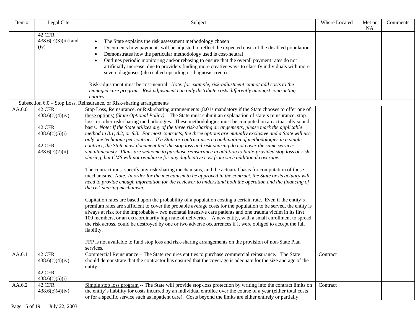| Item#  | Legal Cite                                                                         | Subject                                                                                                                                                                                                                                                                                                                                                                                                                                                                                                                                                                                                                                                                                                                                                                                                                                                                                                                                                                                                                                                                                                                                                                                                                                                                                                                                                                                                                                                                                                                                                                                                                                                                                                                                                                                                                                                                                                                                                                                                                                                                                       | Where Located | Met or<br>NA | Comments |
|--------|------------------------------------------------------------------------------------|-----------------------------------------------------------------------------------------------------------------------------------------------------------------------------------------------------------------------------------------------------------------------------------------------------------------------------------------------------------------------------------------------------------------------------------------------------------------------------------------------------------------------------------------------------------------------------------------------------------------------------------------------------------------------------------------------------------------------------------------------------------------------------------------------------------------------------------------------------------------------------------------------------------------------------------------------------------------------------------------------------------------------------------------------------------------------------------------------------------------------------------------------------------------------------------------------------------------------------------------------------------------------------------------------------------------------------------------------------------------------------------------------------------------------------------------------------------------------------------------------------------------------------------------------------------------------------------------------------------------------------------------------------------------------------------------------------------------------------------------------------------------------------------------------------------------------------------------------------------------------------------------------------------------------------------------------------------------------------------------------------------------------------------------------------------------------------------------------|---------------|--------------|----------|
|        | 42 CFR<br>$438.6(c)(3)(iii)$ and<br>(iv)                                           | The State explains the risk assessment methodology chosen<br>Documents how payments will be adjusted to reflect the expected costs of the disabled population<br>Demonstrates how the particular methodology used is cost-neutral<br>Outlines periodic monitoring and/or rebasing to ensure that the overall payment rates do not<br>artificially increase, due to providers finding more creative ways to classify individuals with more<br>severe diagnoses (also called upcoding or diagnosis creep).<br>Risk-adjustment must be cost-neutral. Note: for example, risk-adjustment cannot add costs to the<br>managed care program. Risk adjustment can only distribute costs differently amongst contracting<br>entities.                                                                                                                                                                                                                                                                                                                                                                                                                                                                                                                                                                                                                                                                                                                                                                                                                                                                                                                                                                                                                                                                                                                                                                                                                                                                                                                                                                  |               |              |          |
|        |                                                                                    | Subsection 6.0 – Stop Loss, Reinsurance, or Risk-sharing arrangements                                                                                                                                                                                                                                                                                                                                                                                                                                                                                                                                                                                                                                                                                                                                                                                                                                                                                                                                                                                                                                                                                                                                                                                                                                                                                                                                                                                                                                                                                                                                                                                                                                                                                                                                                                                                                                                                                                                                                                                                                         |               |              |          |
| AA.6.0 | 42 CFR<br>438.6(c)(4)(iv)<br>42 CFR<br>438.6(c)(5)(i)<br>42 CFR<br>438.6(c)(2)(ii) | Stop Loss, Reinsurance, or Risk-sharing arrangements (8.0 is mandatory if the State chooses to offer one of<br>these options) (State Optional Policy) – The State must submit an explanation of state's reinsurance, stop<br>loss, or other risk-sharing methodologies. These methodologies must be computed on an actuarially sound<br>basis. Note: If the State utilizes any of the three risk-sharing arrangements, please mark the applicable<br>method in 8.1, 8.2, or 8.3. For most contracts, the three options are mutually exclusive and a State will use<br>only one technique per contract. If a State or contract uses a combination of methodologies in a single<br>contract, the State must document that the stop loss and risk-sharing do not cover the same services<br>simultaneously. Plans are welcome to purchase reinsurance in addition to State-provided stop loss or risk-<br>sharing, but CMS will not reimburse for any duplicative cost from such additional coverage.<br>The contract must specify any risk-sharing mechanisms, and the actuarial basis for computation of those<br>mechanisms. Note: In order for the mechanism to be approved in the contract, the State or its actuary will<br>need to provide enough information for the reviewer to understand both the operation and the financing of<br>the risk sharing mechanism.<br>Capitation rates are based upon the probability of a population costing a certain rate. Even if the entity's<br>premium rates are sufficient to cover the probable average costs for the population to be served, the entity is<br>always at risk for the improbable – two neonatal intensive care patients and one trauma victim in its first<br>100 members, or an extraordinarily high rate of deliveries. A new entity, with a small enrollment to spread<br>the risk across, could be destroyed by one or two adverse occurrences if it were obliged to accept the full<br>liability.<br>FFP is not available to fund stop loss and risk-sharing arrangements on the provision of non-State Plan<br>services. |               |              |          |
| AA.6.1 | <b>42 CFR</b><br>438.6(c)(4)(iv)<br>42 CFR<br>438.6(c)(5)(i)                       | Commercial Reinsurance - The State requires entities to purchase commercial reinsurance. The State<br>should demonstrate that the contractor has ensured that the coverage is adequate for the size and age of the<br>entity.                                                                                                                                                                                                                                                                                                                                                                                                                                                                                                                                                                                                                                                                                                                                                                                                                                                                                                                                                                                                                                                                                                                                                                                                                                                                                                                                                                                                                                                                                                                                                                                                                                                                                                                                                                                                                                                                 | Contract      |              |          |
| AA.6.2 | 42 CFR<br>438.6(c)(4)(iv)                                                          | Simple stop loss program -- The State will provide stop-loss protection by writing into the contract limits on<br>the entity's liability for costs incurred by an individual enrollee over the course of a year (either total costs<br>or for a specific service such as inpatient care). Costs beyond the limits are either entirely or partially                                                                                                                                                                                                                                                                                                                                                                                                                                                                                                                                                                                                                                                                                                                                                                                                                                                                                                                                                                                                                                                                                                                                                                                                                                                                                                                                                                                                                                                                                                                                                                                                                                                                                                                                            | Contract      |              |          |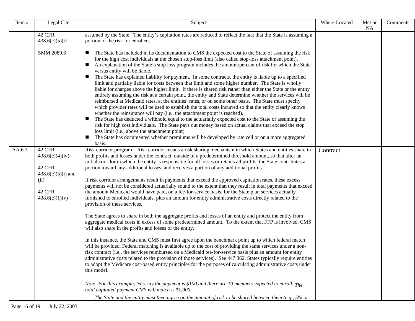| Item#  | Legal Cite                                                                                      | Subject                                                                                                                                                                                                                                                                                                                                                                                                                                                                                                                                                                                                                                                                                                                                                                                                                                                                                                                                                                                                                                                                                                                                                                                                                                                                                                                                                                                                                                                                                                                                                                                                                                                                                                                                                                                                                                                                                                                                                                        | Where Located | Met or<br><b>NA</b> | Comments |
|--------|-------------------------------------------------------------------------------------------------|--------------------------------------------------------------------------------------------------------------------------------------------------------------------------------------------------------------------------------------------------------------------------------------------------------------------------------------------------------------------------------------------------------------------------------------------------------------------------------------------------------------------------------------------------------------------------------------------------------------------------------------------------------------------------------------------------------------------------------------------------------------------------------------------------------------------------------------------------------------------------------------------------------------------------------------------------------------------------------------------------------------------------------------------------------------------------------------------------------------------------------------------------------------------------------------------------------------------------------------------------------------------------------------------------------------------------------------------------------------------------------------------------------------------------------------------------------------------------------------------------------------------------------------------------------------------------------------------------------------------------------------------------------------------------------------------------------------------------------------------------------------------------------------------------------------------------------------------------------------------------------------------------------------------------------------------------------------------------------|---------------|---------------------|----------|
|        | 42 CFR<br>438.6(c)(5)(i)                                                                        | assumed by the State. The entity's capitation rates are reduced to reflect the fact that the State is assuming a<br>portion of the risk for enrollees.                                                                                                                                                                                                                                                                                                                                                                                                                                                                                                                                                                                                                                                                                                                                                                                                                                                                                                                                                                                                                                                                                                                                                                                                                                                                                                                                                                                                                                                                                                                                                                                                                                                                                                                                                                                                                         |               |                     |          |
|        | SMM 2089.6                                                                                      | The State has included in its documentation to CMS the expected cost to the State of assuming the risk<br>$\blacksquare$<br>for the high cost individuals at the chosen stop-loss limit (also called stop-loss attachment point).<br>An explanation of the State's stop loss program includes the amount/percent of risk for which the State<br>ш<br>versus entity will be liable.<br>The State has explained liability for payment. In some contracts, the entity is liable up to a specified<br>ш<br>limit and partially liable for costs between that limit and some higher number. The State is wholly<br>liable for charges above the higher limit. If there is shared risk rather than either the State or the entity<br>entirely assuming the risk at a certain point, the entity and State determine whether the services will be<br>reimbursed at Medicaid rates, at the entities' rates, or on some other basis. The State must specify<br>which provider rates will be used to establish the total costs incurred so that the entity clearly knows<br>whether the reinsurance will pay (i.e., the attachment point is reached).<br>The State has deducted a withhold equal to the actuarially expected cost to the State of assuming the<br>$\blacksquare$<br>risk for high cost individuals. The State pays out money based on actual claims that exceed the stop<br>loss limit (i.e., above the attachment point).<br>The State has documented whether premiums will be developed by rate cell or on a more aggregated<br>$\blacksquare$<br>basis.                                                                                                                                                                                                                                                                                                                                                                                                                |               |                     |          |
| AA.6.3 | 42 CFR<br>438.6(c)(4)(iv)<br>42 CFR<br>$438.6(c)(5)(i)$ and<br>(ii)<br>42 CFR<br>438.6(c)(1)(v) | Risk corridor program – Risk corridor means a risk sharing mechanism in which States and entities share in<br>both profits and losses under the contract, outside of a predetermined threshold amount, so that after an<br>initial corridor in which the entity is responsible for all losses or retains all profits, the State contributes a<br>portion toward any additional losses, and receives a portion of any additional profits.<br>If risk corridor arrangements result in payments that exceed the approved capitation rates, these excess<br>payments will not be considered actuarially sound to the extent that they result in total payments that exceed<br>the amount Medicaid would have paid, on a fee-for-service basis, for the State plan services actually<br>furnished to enrolled individuals, plus an amount for entity administrative costs directly related to the<br>provision of these services.<br>The State agrees to share in both the aggregate profits and losses of an entity and protect the entity from<br>aggregate medical costs in excess of some predetermined amount. To the extent that FFP is involved, CMS<br>will also share in the profits and losses of the entity.<br>In this instance, the State and CMS must first agree upon the benchmark point up to which federal match<br>will be provided. Federal matching is available up to the cost of providing the same services under a non-<br>risk contract (i.e., the services reimbursed on a Medicaid fee-for-service basis plus an amount for entity<br>administrative costs related to the provision of those services). See 447.362. States typically require entities<br>to adopt the Medicare cost-based entity principles for the purposes of calculating administrative costs under<br>this model.<br>Note: For this example, let's say the payment is \$100 and there are 10 members expected to enroll. The<br>total capitated payment CMS will match is \$1,000. | Contract      |                     |          |
|        |                                                                                                 | The State and the entity must then agree on the amount of risk to be shared between them (e.g., 5% or                                                                                                                                                                                                                                                                                                                                                                                                                                                                                                                                                                                                                                                                                                                                                                                                                                                                                                                                                                                                                                                                                                                                                                                                                                                                                                                                                                                                                                                                                                                                                                                                                                                                                                                                                                                                                                                                          |               |                     |          |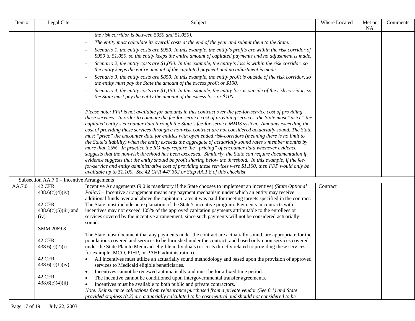| Item#  | Legal Cite                                 | Subject                                                                                                                                                                                                                                                                                                                                                                                                                                                                                                                                                                                                                                                                                                                                                                                                                                                                                                                                                                                                                                                                                                                                                                                                            | Where Located | Met or<br><b>NA</b> | Comments |
|--------|--------------------------------------------|--------------------------------------------------------------------------------------------------------------------------------------------------------------------------------------------------------------------------------------------------------------------------------------------------------------------------------------------------------------------------------------------------------------------------------------------------------------------------------------------------------------------------------------------------------------------------------------------------------------------------------------------------------------------------------------------------------------------------------------------------------------------------------------------------------------------------------------------------------------------------------------------------------------------------------------------------------------------------------------------------------------------------------------------------------------------------------------------------------------------------------------------------------------------------------------------------------------------|---------------|---------------------|----------|
|        |                                            | the risk corridor is between \$950 and \$1,050).                                                                                                                                                                                                                                                                                                                                                                                                                                                                                                                                                                                                                                                                                                                                                                                                                                                                                                                                                                                                                                                                                                                                                                   |               |                     |          |
|        |                                            | The entity must calculate its overall costs at the end of the year and submit them to the State.                                                                                                                                                                                                                                                                                                                                                                                                                                                                                                                                                                                                                                                                                                                                                                                                                                                                                                                                                                                                                                                                                                                   |               |                     |          |
|        |                                            | Scenario 1, the entity costs are \$950: In this example, the entity's profits are within the risk corridor of<br>\$950 to \$1,050, so the entity keeps the entire amount of capitated payments and no adjustment is made.                                                                                                                                                                                                                                                                                                                                                                                                                                                                                                                                                                                                                                                                                                                                                                                                                                                                                                                                                                                          |               |                     |          |
|        |                                            | Scenario 2, the entity costs are \$1,050: In this example, the entity's loss is within the risk corridor, so<br>the entity keeps the entire amount of the capitated payment and no adjustment is made.                                                                                                                                                                                                                                                                                                                                                                                                                                                                                                                                                                                                                                                                                                                                                                                                                                                                                                                                                                                                             |               |                     |          |
|        |                                            | Scenario 3, the entity costs are \$850: In this example, the entity profit is outside of the risk corridor, so<br>the entity must pay the State the amount of the excess profit or \$100.                                                                                                                                                                                                                                                                                                                                                                                                                                                                                                                                                                                                                                                                                                                                                                                                                                                                                                                                                                                                                          |               |                     |          |
|        |                                            | Scenario 4, the entity costs are \$1,150: In this example, the entity loss is outside of the risk corridor, so<br>the State must pay the entity the amount of the excess loss or \$100.                                                                                                                                                                                                                                                                                                                                                                                                                                                                                                                                                                                                                                                                                                                                                                                                                                                                                                                                                                                                                            |               |                     |          |
|        |                                            | Please note: FFP is not available for amounts in this contract over the fee-for-service cost of providing<br>these services. In order to compute the fee-for-service cost of providing services, the State must "price" the<br>capitated entity's encounter data through the State's fee-for-service MMIS system. Amounts exceeding the<br>cost of providing these services through a non-risk contract are not considered actuarially sound. The State<br>must "price" the encounter data for entities with open ended risk-corridors (meaning there is no limit to<br>the State's liability) when the entity exceeds the aggregate of actuarially sound rates x member months by<br>more than 25%. In practice the RO may require the "pricing" of encounter data whenever evidence<br>suggests that the non-risk threshold has been exceeded. Similarly, the State can require documentation if<br>evidence suggests that the entity should be profit sharing below the threshold. In this example, if the fee-<br>for-service and entity administrative cost of providing these services were \$1,100, then FFP would only be<br>available up to \$1,100. See 42 CFR 447.362 or Step AA.1.8 of this checklist. |               |                     |          |
|        | Subsection AA.7.0 – Incentive Arrangements |                                                                                                                                                                                                                                                                                                                                                                                                                                                                                                                                                                                                                                                                                                                                                                                                                                                                                                                                                                                                                                                                                                                                                                                                                    |               |                     |          |
| AA.7.0 | 42 CFR                                     | Incentive Arrangements (9.0 is mandatory if the State chooses to implement an incentive) (State Optional                                                                                                                                                                                                                                                                                                                                                                                                                                                                                                                                                                                                                                                                                                                                                                                                                                                                                                                                                                                                                                                                                                           | Contract      |                     |          |
|        | 438.6(c)(4)(iv)                            | <i>Policy</i> ) – Incentive arrangement means any payment mechanism under which an entity may receive                                                                                                                                                                                                                                                                                                                                                                                                                                                                                                                                                                                                                                                                                                                                                                                                                                                                                                                                                                                                                                                                                                              |               |                     |          |
|        |                                            | additional funds over and above the capitation rates it was paid for meeting targets specified in the contract.                                                                                                                                                                                                                                                                                                                                                                                                                                                                                                                                                                                                                                                                                                                                                                                                                                                                                                                                                                                                                                                                                                    |               |                     |          |
|        | 42 CFR<br>$438.6(c)(5)(iii)$ and           | The State must include an explanation of the State's incentive program. Payments in contracts with<br>incentives may not exceed 105% of the approved capitation payments attributable to the enrollees or                                                                                                                                                                                                                                                                                                                                                                                                                                                                                                                                                                                                                                                                                                                                                                                                                                                                                                                                                                                                          |               |                     |          |
|        | (iv)                                       | services covered by the incentive arrangement, since such payments will not be considered actuarially<br>sound.                                                                                                                                                                                                                                                                                                                                                                                                                                                                                                                                                                                                                                                                                                                                                                                                                                                                                                                                                                                                                                                                                                    |               |                     |          |
|        | SMM 2089.3                                 |                                                                                                                                                                                                                                                                                                                                                                                                                                                                                                                                                                                                                                                                                                                                                                                                                                                                                                                                                                                                                                                                                                                                                                                                                    |               |                     |          |
|        |                                            | The State must document that any payments under the contract are actuarially sound, are appropriate for the                                                                                                                                                                                                                                                                                                                                                                                                                                                                                                                                                                                                                                                                                                                                                                                                                                                                                                                                                                                                                                                                                                        |               |                     |          |
|        | 42 CFR                                     | populations covered and services to be furnished under the contract, and based only upon services covered                                                                                                                                                                                                                                                                                                                                                                                                                                                                                                                                                                                                                                                                                                                                                                                                                                                                                                                                                                                                                                                                                                          |               |                     |          |
|        | 438.6(c)(2)(i)                             | under the State Plan to Medicaid-eligible individuals (or costs directly related to providing these services,<br>for example. MCO. PIHP. or PAHP administration).                                                                                                                                                                                                                                                                                                                                                                                                                                                                                                                                                                                                                                                                                                                                                                                                                                                                                                                                                                                                                                                  |               |                     |          |
|        | 42 CFR                                     | All incentives must utilize an actuarially sound methodology and based upon the provision of approved<br>$\bullet$                                                                                                                                                                                                                                                                                                                                                                                                                                                                                                                                                                                                                                                                                                                                                                                                                                                                                                                                                                                                                                                                                                 |               |                     |          |
|        | 438.6(c)(1)(iv)                            | services to Medicaid eligible beneficiaries.                                                                                                                                                                                                                                                                                                                                                                                                                                                                                                                                                                                                                                                                                                                                                                                                                                                                                                                                                                                                                                                                                                                                                                       |               |                     |          |
|        |                                            | Incentives cannot be renewed automatically and must be for a fixed time period.<br>$\bullet$                                                                                                                                                                                                                                                                                                                                                                                                                                                                                                                                                                                                                                                                                                                                                                                                                                                                                                                                                                                                                                                                                                                       |               |                     |          |
|        | <b>42 CFR</b>                              | The incentive cannot be conditioned upon intergovernmental transfer agreements.<br>$\bullet$                                                                                                                                                                                                                                                                                                                                                                                                                                                                                                                                                                                                                                                                                                                                                                                                                                                                                                                                                                                                                                                                                                                       |               |                     |          |
|        | 438.6(c)(4)(ii)                            | Incentives must be available to both public and private contractors.<br>$\bullet$                                                                                                                                                                                                                                                                                                                                                                                                                                                                                                                                                                                                                                                                                                                                                                                                                                                                                                                                                                                                                                                                                                                                  |               |                     |          |
|        |                                            | Note: Reinsurance collections from reinsurance purchased from a private vendor (See 8.1) and State<br>provided stoploss (8.2) are actuarially calculated to be cost-neutral and should not considered to be                                                                                                                                                                                                                                                                                                                                                                                                                                                                                                                                                                                                                                                                                                                                                                                                                                                                                                                                                                                                        |               |                     |          |
|        |                                            |                                                                                                                                                                                                                                                                                                                                                                                                                                                                                                                                                                                                                                                                                                                                                                                                                                                                                                                                                                                                                                                                                                                                                                                                                    |               |                     |          |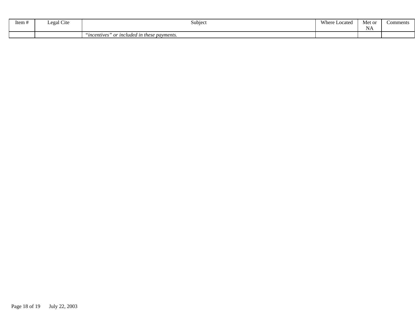| $\sim$ $\sim$<br>Item # | Cite<br>Lega <sup>1</sup> | Subjec                                        | Where<br>Located | Met or<br><b>NA</b> | Comments |
|-------------------------|---------------------------|-----------------------------------------------|------------------|---------------------|----------|
|                         |                           | incentives"<br>or included in these payments. |                  |                     |          |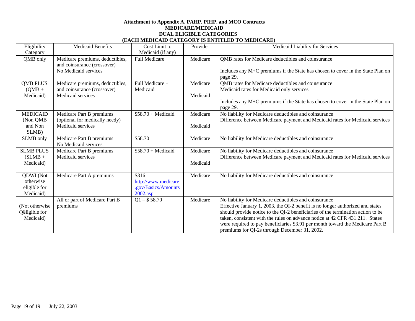#### **Attachment to Appendix A. PAHP, PIHP, and MCO Contracts MEDICARE/MEDICAID DUAL ELIGIBLE CATEGORIES (EACH MEDICAID CATEGORY IS ENTITLED TO MEDICARE)**

| (EACH MEDICAND CATEGORI IS ENTITED TO MEDICANE |                                                                |                      |          |                                                                                             |  |
|------------------------------------------------|----------------------------------------------------------------|----------------------|----------|---------------------------------------------------------------------------------------------|--|
| Eligibility                                    | <b>Medicaid Benefits</b>                                       | Cost Limit to        | Provider | Medicaid Liability for Services                                                             |  |
| Category                                       |                                                                | Medicaid (if any)    |          |                                                                                             |  |
| QMB only                                       | Medicare premiums, deductibles,<br>and coinsurance (crossover) | <b>Full Medicare</b> | Medicare | QMB rates for Medicare deductibles and coinsurance                                          |  |
|                                                | No Medicaid services                                           |                      |          | Includes any M+C premiums if the State has chosen to cover in the State Plan on<br>page 29. |  |
| <b>QMB PLUS</b>                                | Medicare premiums, deductibles,                                | Full Medicare +      | Medicare | QMB rates for Medicare deductibles and coinsurance                                          |  |
| $(QMB +$                                       | and coinsurance (crossover)                                    | Medicaid             |          | Medicaid rates for Medicaid only services                                                   |  |
| Medicaid)                                      | Medicaid services                                              |                      | Medicaid |                                                                                             |  |
|                                                |                                                                |                      |          | Includes any M+C premiums if the State has chosen to cover in the State Plan on<br>page 29. |  |
| <b>MEDICAID</b>                                | Medicare Part B premiums                                       | $$58.70 + Medical$   | Medicare | No liability for Medicare deductibles and coinsurance                                       |  |
| (Non QMB)                                      | (optional for medically needy)                                 |                      |          | Difference between Medicare payment and Medicaid rates for Medicaid services                |  |
| and Non                                        | Medicaid services                                              |                      | Medicaid |                                                                                             |  |
| SLMB)                                          |                                                                |                      |          |                                                                                             |  |
| SLMB only                                      | Medicare Part B premiums                                       | \$58.70              | Medicare | No liability for Medicare deductibles and coinsurance                                       |  |
|                                                | No Medicaid services                                           |                      |          |                                                                                             |  |
| <b>SLMB PLUS</b>                               | Medicare Part B premiums                                       | $$58.70 + Medical$   | Medicare | No liability for Medicare deductibles and coinsurance                                       |  |
| $(SLMB +$                                      | Medicaid services                                              |                      |          | Difference between Medicare payment and Medicaid rates for Medicaid services                |  |
| Medicaid)                                      |                                                                |                      | Medicaid |                                                                                             |  |
|                                                |                                                                |                      |          |                                                                                             |  |
| QDWI (Not                                      | Medicare Part A premiums                                       | \$316                | Medicare | No liability for Medicare deductibles and coinsurance                                       |  |
|                                                |                                                                |                      |          |                                                                                             |  |
| otherwise                                      |                                                                | http://www.medicare  |          |                                                                                             |  |
| eligible for                                   |                                                                | .gov/Basics/Amounts  |          |                                                                                             |  |
| Medicaid)                                      |                                                                | $2002 \text{.asp}$   |          |                                                                                             |  |
|                                                | All or part of Medicare Part B                                 | $Q1 - $58.70$        | Medicare | No liability for Medicare deductibles and coinsurance                                       |  |
| (Not otherwise                                 | premiums                                                       |                      |          | Effective January 1, 2003, the QI-2 benefit is no longer authorized and states              |  |
| Opligible for                                  |                                                                |                      |          | should provide notice to the QI-2 beneficiaries of the termination action to be             |  |
| Medicaid)                                      |                                                                |                      |          | taken, consistent with the rules on advance notice at 42 CFR 431.211. States                |  |
|                                                |                                                                |                      |          | were required to pay beneficiaries \$3.91 per month toward the Medicare Part B              |  |
|                                                |                                                                |                      |          | premiums for QI-2s through December 31, 2002.                                               |  |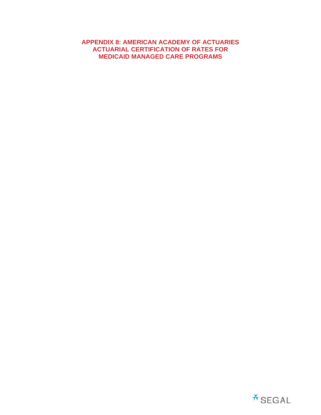#### **APPENDIX 8: AMERICAN ACADEMY OF ACTUARIES ACTUARIAL CERTIFICATION OF RATES FOR MEDICAID MANAGED CARE PROGRAMS**

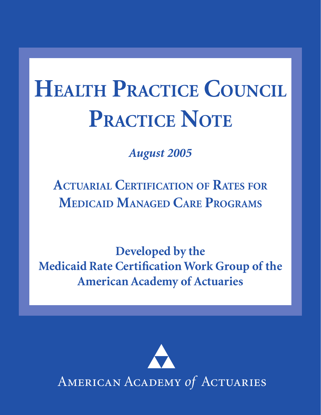# **HEALTH PRACTICE COUNCIL PRACTICE NOTE**

*August 2005*

 **ACTUARIAL CERTIFICATION OF RATES FOR MEDICAID MANAGED CARE PROGRAMS**

**Developed by the Medicaid Rate Certification Work Group of the American Academy of Actuaries**

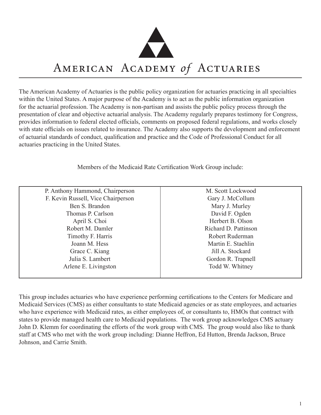

## AMERICAN ACADEMY of ACTUARIES

The American Academy of Actuaries is the public policy organization for actuaries practicing in all specialties within the United States. A major purpose of the Academy is to act as the public information organization for the actuarial profession. The Academy is non-partisan and assists the public policy process through the presentation of clear and objective actuarial analysis. The Academy regularly prepares testimony for Congress, provides information to federal elected officials, comments on proposed federal regulations, and works closely with state officials on issues related to insurance. The Academy also supports the development and enforcement of actuarial standards of conduct, qualification and practice and the Code of Professional Conduct for all actuaries practicing in the United States.

Members of the Medicaid Rate Certification Work Group include:

| P. Anthony Hammond, Chairperson    | M. Scott Lockwood    |
|------------------------------------|----------------------|
| F. Kevin Russell, Vice Chairperson | Gary J. McCollum     |
| Ben S. Brandon                     | Mary J. Murley       |
| Thomas P. Carlson                  | David F. Ogden       |
| April S. Choi                      | Herbert B. Olson     |
| Robert M. Damler                   | Richard D. Pattinson |
| Timothy F. Harris                  | Robert Ruderman      |
| Joann M. Hess                      | Martin E. Staehlin   |
| Grace C. Kiang                     | Jill A. Stockard     |
| Julia S. Lambert                   | Gordon R. Trapnell   |
| Arlene E. Livingston               | Todd W. Whitney      |
|                                    |                      |

This group includes actuaries who have experience performing certifications to the Centers for Medicare and Medicaid Services (CMS) as either consultants to state Medicaid agencies or as state employees, and actuaries who have experience with Medicaid rates, as either employees of, or consultants to, HMOs that contract with states to provide managed health care to Medicaid populations. The work group acknowledges CMS actuary John D. Klemm for coordinating the efforts of the work group with CMS. The group would also like to thank staff at CMS who met with the work group including: Dianne Heffron, Ed Hutton, Brenda Jackson, Bruce Johnson, and Carrie Smith.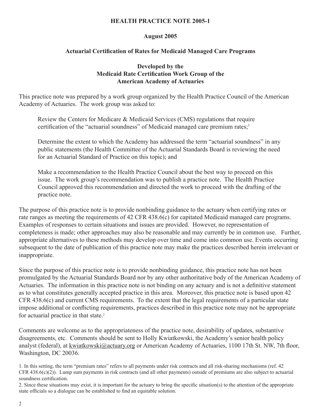#### **HEALTH PRACTICE NOTE 2005-1**

#### **August 2005**

#### **Actuarial Certification of Rates for Medicaid Managed Care Programs**

#### **Developed by the Medicaid Rate Certification Work Group of the American Academy of Actuaries**

This practice note was prepared by a work group organized by the Health Practice Council of the American Academy of Actuaries. The work group was asked to:

Review the Centers for Medicare & Medicaid Services (CMS) regulations that require certification of the "actuarial soundness" of Medicaid managed care premium rates;<sup>1</sup>

Determine the extent to which the Academy has addressed the term "actuarial soundness" in any public statements (the Health Committee of the Actuarial Standards Board is reviewing the need for an Actuarial Standard of Practice on this topic); and

Make a recommendation to the Health Practice Council about the best way to proceed on this issue. The work group's recommendation was to publish a practice note. The Health Practice Council approved this recommendation and directed the work to proceed with the drafting of the practice note.

The purpose of this practice note is to provide nonbinding guidance to the actuary when certifying rates or rate ranges as meeting the requirements of 42 CFR 438.6(c) for capitated Medicaid managed care programs. Examples of responses to certain situations and issues are provided. However, no representation of completeness is made; other approaches may also be reasonable and may currently be in common use. Further, appropriate alternatives to these methods may develop over time and come into common use. Events occurring subsequent to the date of publication of this practice note may make the practices described herein irrelevant or inappropriate.

Since the purpose of this practice note is to provide nonbinding guidance, this practice note has not been promulgated by the Actuarial Standards Board nor by any other authoritative body of the American Academy of Actuaries. The information in this practice note is not binding on any actuary and is not a definitive statement as to what constitutes generally accepted practice in this area. Moreover, this practice note is based upon 42 CFR 438.6(c) and current CMS requirements. To the extent that the legal requirements of a particular state impose additional or conflicting requirements, practices described in this practice note may not be appropriate for actuarial practice in that state.<sup>2</sup>

Comments are welcome as to the appropriateness of the practice note, desirability of updates, substantive disagreements, etc. Comments should be sent to Holly Kwiatkowski, the Academy's senior health policy analyst (federal), at kwiatkowski@actuary.org or American Academy of Actuaries, 1100 17th St. NW, 7th floor, Washington, DC 20036.

<sup>1.</sup> In this setting, the term "premium rates" refers to all payments under risk contracts and all risk-sharing mechanisms (ref. 42  $CFR 438.6(c)(2)$ . Lump sum payments in risk contracts (and all other payments) outside of premiums are also subject to actuarial soundness certification.

<sup>2.</sup> Since these situations may exist, it is important for the actuary to bring the specific situation(s) to the attention of the appropriate state officials so a dialogue can be established to find an equitable solution.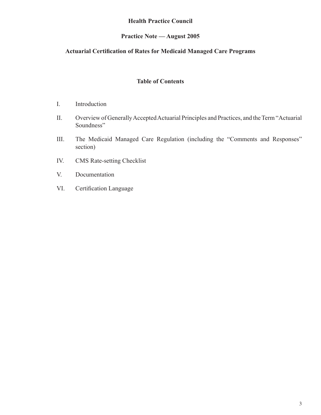### **Health Practice Council**

### **Practice Note — August 2005**

#### **Actuarial Certification of Rates for Medicaid Managed Care Programs**

#### **Table of Contents**

- I. Introduction
- II. Overview of Generally Accepted Actuarial Principles and Practices, and the Term "Actuarial Soundness"
- III. The Medicaid Managed Care Regulation (including the "Comments and Responses" section)
- IV. CMS Rate-setting Checklist
- V. Documentation
- VI. Certification Language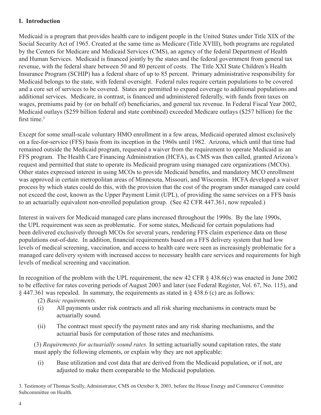#### **I. Introduction**

Medicaid is a program that provides health care to indigent people in the United States under Title XIX of the Social Security Act of 1965. Created at the same time as Medicare (Title XVIII), both programs are regulated by the Centers for Medicare and Medicaid Services (CMS), an agency of the federal Department of Health and Human Services. Medicaid is financed jointly by the states and the federal government from general tax revenue, with the federal share between 50 and 80 percent of costs. The Title XXI State Children's Health Insurance Program (SCHIP) has a federal share of up to 85 percent. Primary administrative responsibility for Medicaid belongs to the state, with federal oversight. Federal rules require certain populations to be covered and a core set of services to be covered. States are permitted to expand coverage to additional populations and additional services. Medicare, in contrast, is financed and administered federally, with funds from taxes on wages, premiums paid by (or on behalf of) beneficiaries, and general tax revenue. In Federal Fiscal Year 2002, Medicaid outlays (\$259 billion federal and state combined) exceeded Medicare outlays (\$257 billion) for the first time.<sup>3</sup>

Except for some small-scale voluntary HMO enrollment in a few areas, Medicaid operated almost exclusively on a fee-for-service (FFS) basis from its inception in the 1960s until 1982. Arizona, which until that time had remained outside the Medicaid program, requested a waiver from the requirement to operate Medicaid as an FFS program. The Health Care Financing Administration (HCFA), as CMS was then called, granted Arizona's request and permitted that state to operate its Medicaid program using managed care organizations (MCOs). Other states expressed interest in using MCOs to provide Medicaid benefits, and mandatory MCO enrollment was approved in certain metropolitan areas of Minnesota, Missouri, and Wisconsin. HCFA developed a waiver process by which states could do this, with the provision that the cost of the program under managed care could not exceed the cost, known as the Upper Payment Limit (UPL), of providing the same services on a FFS basis to an actuarially equivalent non-enrolled population group. (See 42 CFR 447.361, now repealed.)

Interest in waivers for Medicaid managed care plans increased throughout the 1990s. By the late 1990s, the UPL requirement was seen as problematic. For some states, Medicaid for certain populations had been delivered exclusively through MCOs for several years, rendering FFS claim experience data on those populations out-of-date. In addition, financial requirements based on a FFS delivery system that had low levels of medical screening, vaccination, and access to health care were seen as increasingly problematic for a managed care delivery system with increased access to necessary health care services and requirements for high levels of medical screening and vaccination.

In recognition of the problem with the UPL requirement, the new 42 CFR  $\S$  438.6(c) was enacted in June 2002 to be effective for rates covering periods of August 2003 and later (see Federal Register, Vol. 67, No. 115), and § 447.361 was repealed. In summary, the requirements as stated in § 438.6 (c) are as follows:

- (2) *Basic requirements.*
- (i) All payments under risk contracts and all risk sharing mechanisms in contracts must be actuarially sound.
- (ii) The contract must specify the payment rates and any risk sharing mechanisms, and the actuarial basis for computation of those rates and mechanisms.

(3) *Requirements for actuarially sound rates.* In setting actuarially sound capitation rates, the state must apply the following elements, or explain why they are not applicable:

(i) Base utilization and cost data that are derived from the Medicaid population, or if not, are adjusted to make them comparable to the Medicaid population.

3. Testimony of Thomas Scully, Administrator, CMS on October 8, 2003, before the House Energy and Commerce Committee Subcommittee on Health.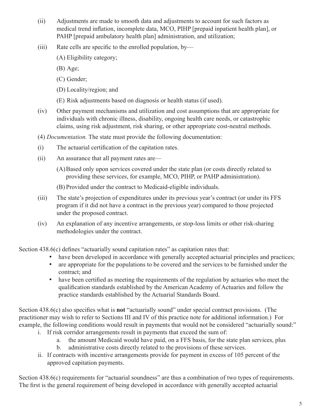- (ii) Adjustments are made to smooth data and adjustments to account for such factors as medical trend inflation, incomplete data, MCO, PIHP [prepaid inpatient health plan], or PAHP [prepaid ambulatory health plan] administration, and utilization;
- (iii) Rate cells are specific to the enrolled population, by—
	- (A) Eligibility category;
	- (B) Age;
	- (C) Gender;
	- (D) Locality/region; and
	- (E) Risk adjustments based on diagnosis or health status (if used).
- (iv) Other payment mechanisms and utilization and cost assumptions that are appropriate for individuals with chronic illness, disability, ongoing health care needs, or catastrophic claims, using risk adjustment, risk sharing, or other appropriate cost-neutral methods.
- (4) *Documentation.* The state must provide the following documentation:
- (i) The actuarial certification of the capitation rates.
- (ii) An assurance that all payment rates are—
	- (A)Based only upon services covered under the state plan (or costs directly related to providing these services, for example, MCO, PIHP, or PAHP administration).
	- (B) Provided under the contract to Medicaid-eligible individuals.
- (iii) The state's projection of expenditures under its previous year's contract (or under its FFS program if it did not have a contract in the previous year) compared to those projected under the proposed contract.
- (iv) An explanation of any incentive arrangements, or stop-loss limits or other risk-sharing methodologies under the contract.

Section 438.6(c) defines "actuarially sound capitation rates" as capitation rates that:

- have been developed in accordance with generally accepted actuarial principles and practices;
- are appropriate for the populations to be covered and the services to be furnished under the contract; and
- have been certified as meeting the requirements of the regulation by actuaries who meet the qualification standards established by the American Academy of Actuaries and follow the practice standards established by the Actuarial Standards Board.

Section 438.6(c) also specifies what is **not** "actuarially sound" under special contract provisions. (The practitioner may wish to refer to Sections III and IV of this practice note for additional information.) For example, the following conditions would result in payments that would not be considered "actuarially sound:"

- i. If risk corridor arrangements result in payments that exceed the sum of:
	- a. the amount Medicaid would have paid, on a FFS basis, for the state plan services, plus
	- b. administrative costs directly related to the provisions of these services.
- ii. If contracts with incentive arrangements provide for payment in excess of 105 percent of the approved capitation payments.

Section 438.6(c) requirements for "actuarial soundness" are thus a combination of two types of requirements. The first is the general requirement of being developed in accordance with generally accepted actuarial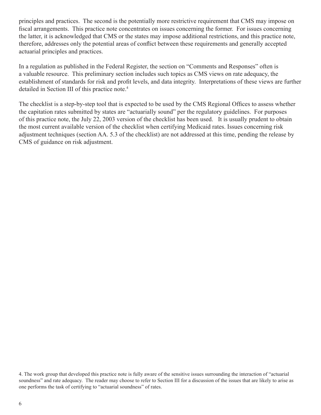principles and practices. The second is the potentially more restrictive requirement that CMS may impose on fiscal arrangements. This practice note concentrates on issues concerning the former. For issues concerning the latter, it is acknowledged that CMS or the states may impose additional restrictions, and this practice note, therefore, addresses only the potential areas of conflict between these requirements and generally accepted actuarial principles and practices.

In a regulation as published in the Federal Register, the section on "Comments and Responses" often is a valuable resource. This preliminary section includes such topics as CMS views on rate adequacy, the establishment of standards for risk and profit levels, and data integrity. Interpretations of these views are further detailed in Section III of this practice note.4

The checklist is a step-by-step tool that is expected to be used by the CMS Regional Offices to assess whether the capitation rates submitted by states are "actuarially sound" per the regulatory guidelines. For purposes of this practice note, the July 22, 2003 version of the checklist has been used. It is usually prudent to obtain the most current available version of the checklist when certifying Medicaid rates. Issues concerning risk adjustment techniques (section AA. 5.3 of the checklist) are not addressed at this time, pending the release by CMS of guidance on risk adjustment.

<sup>4.</sup> The work group that developed this practice note is fully aware of the sensitive issues surrounding the interaction of "actuarial soundness" and rate adequacy. The reader may choose to refer to Section III for a discussion of the issues that are likely to arise as one performs the task of certifying to "actuarial soundness" of rates.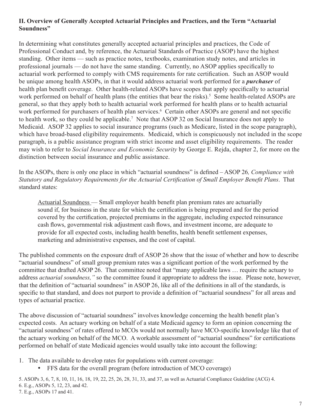### **II. Overview of Generally Accepted Actuarial Principles and Practices, and the Term "Actuarial Soundness"**

 In determining what constitutes generally accepted actuarial principles and practices, the Code of Professional Conduct and, by reference, the Actuarial Standards of Practice (ASOP) have the highest standing. Other items — such as practice notes, textbooks, examination study notes, and articles in professional journals — do not have the same standing. Currently, no ASOP applies specifically to actuarial work performed to comply with CMS requirements for rate certification. Such an ASOP would be unique among health ASOPs, in that it would address actuarial work performed for a *purchaser* of health plan benefit coverage. Other health-related ASOPs have scopes that apply specifically to actuarial work performed on behalf of health plans (the entities that bear the risks).<sup>5</sup> Some health-related ASOPs are general, so that they apply both to health actuarial work performed for health plans or to health actuarial work performed for purchasers of health plan services.<sup>6</sup> Certain other ASOPs are general and not specific to health work, so they could be applicable.7 Note that ASOP 32 on Social Insurance does not apply to Medicaid. ASOP 32 applies to social insurance programs (such as Medicare, listed in the scope paragraph), which have broad-based eligibility requirements. Medicaid, which is conspicuously not included in the scope paragraph, is a public assistance program with strict income and asset eligibility requirements. The reader may wish to refer to *Social Insurance and Economic Security* by George E. Rejda, chapter 2, for more on the distinction between social insurance and public assistance.

In the ASOPs, there is only one place in which "actuarial soundness" is defined – ASOP 26*, Compliance with Statutory and Regulatory Requirements for the Actuarial Certification of Small Employer Benefit Plans*. That standard states:

Actuarial Soundness — Small employer health benefit plan premium rates are actuarially sound if, for business in the state for which the certification is being prepared and for the period covered by the certification, projected premiums in the aggregate, including expected reinsurance cash flows, governmental risk adjustment cash flows, and investment income, are adequate to provide for all expected costs, including health benefits, health benefit settlement expenses, marketing and administrative expenses, and the cost of capital.

The published comments on the exposure draft of ASOP 26 show that the issue of whether and how to describe "actuarial soundness" of small group premium rates was a significant portion of the work performed by the committee that drafted ASOP 26. That committee noted that "many applicable laws … require the actuary to address *actuarial soundness,"* so the committee found it appropriate to address the issue. Please note, however, that the definition of "actuarial soundness" in ASOP 26, like all of the definitions in all of the standards, is specific to that standard, and does not purport to provide a definition of "actuarial soundness" for all areas and types of actuarial practice.

The above discussion of "actuarial soundness" involves knowledge concerning the health benefit plan's expected costs. An actuary working on behalf of a state Medicaid agency to form an opinion concerning the "actuarial soundness" of rates offered to MCOs would not normally have MCO-specific knowledge like that of the actuary working on behalf of the MCO. A workable assessment of "actuarial soundness" for certifications performed on behalf of state Medicaid agencies would usually take into account the following:

1. The data available to develop rates for populations with current coverage:

• FFS data for the overall program (before introduction of MCO coverage)

5. ASOPs 3, 6, 7, 8, 10, 11, 16, 18, 19, 22, 25, 26, 28, 31, 33, and 37, as well as Actuarial Compliance Guideline (ACG) 4. 6. E.g., ASOPs 5, 12, 23, and 42. 7. E.g., ASOPs 17 and 41.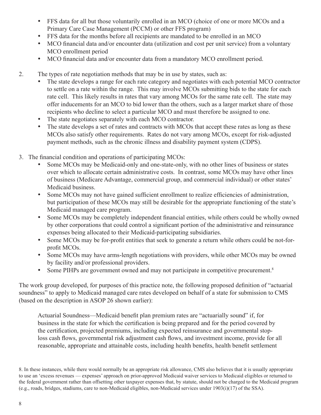- FFS data for all but those voluntarily enrolled in an MCO (choice of one or more MCOs and a Primary Care Case Management (PCCM) or other FFS program)
- FFS data for the months before all recipients are mandated to be enrolled in an MCO
- MCO financial data and/or encounter data (utilization and cost per unit service) from a voluntary MCO enrollment period
- MCO financial data and/or encounter data from a mandatory MCO enrollment period.
- 2. The types of rate negotiation methods that may be in use by states, such as:
	- The state develops a range for each rate category and negotiates with each potential MCO contractor to settle on a rate within the range. This may involve MCOs submitting bids to the state for each rate cell. This likely results in rates that vary among MCOs for the same rate cell. The state may offer inducements for an MCO to bid lower than the others, such as a larger market share of those recipients who decline to select a particular MCO and must therefore be assigned to one.
	- The state negotiates separately with each MCO contractor.
	- The state develops a set of rates and contracts with MCOs that accept these rates as long as these MCOs also satisfy other requirements. Rates do not vary among MCOs, except for risk-adjusted payment methods, such as the chronic illness and disability payment system (CDPS).
- 3. The financial condition and operations of participating MCOs:
	- Some MCOs may be Medicaid-only and one-state-only, with no other lines of business or states over which to allocate certain administrative costs. In contrast, some MCOs may have other lines of business (Medicare Advantage, commercial group, and commercial individual) or other states' Medicaid business.
	- Some MCOs may not have gained sufficient enrollment to realize efficiencies of administration, but participation of these MCOs may still be desirable for the appropriate functioning of the state's Medicaid managed care program.
	- Some MCOs may be completely independent financial entities, while others could be wholly owned by other corporations that could control a significant portion of the administrative and reinsurance expenses being allocated to their Medicaid-participating subsidiaries.
	- Some MCOs may be for-profit entities that seek to generate a return while others could be not-forprofit MCOs.
	- Some MCOs may have arms-length negotiations with providers, while other MCOs may be owned by facility and/or professional providers.
	- Some PIHPs are government owned and may not participate in competitive procurement.<sup>8</sup>

The work group developed, for purposes of this practice note, the following proposed definition of "actuarial soundness" to apply to Medicaid managed care rates developed on behalf of a state for submission to CMS (based on the description in ASOP 26 shown earlier):

Actuarial Soundness—Medicaid benefit plan premium rates are "actuarially sound" if, for business in the state for which the certification is being prepared and for the period covered by the certification, projected premiums, including expected reinsurance and governmental stoploss cash flows, governmental risk adjustment cash flows, and investment income, provide for all reasonable, appropriate and attainable costs, including health benefits, health benefit settlement

<sup>8.</sup> In these instances, while there would normally be an appropriate risk allowance, CMS also believes that it is usually appropriate to use an 'excess revenues — expenses' approach on prior-approved Medicaid waiver services to Medicaid eligibles or returned to the federal government rather than offsetting other taxpayer expenses that, by statute, should not be charged to the Medicaid program (e.g., roads, bridges, stadiums, care to non-Medicaid eligibles, non-Medicaid services under 1903(i)(17) of the SSA).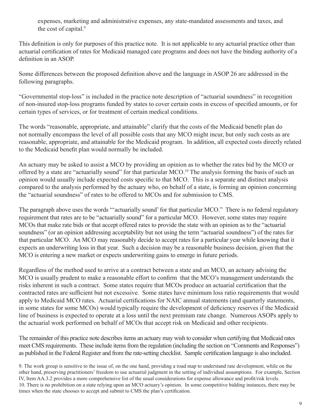expenses, marketing and administrative expenses, any state-mandated assessments and taxes, and the cost of capital.<sup>9</sup>

 This definition is only for purposes of this practice note. It is not applicable to any actuarial practice other than actuarial certification of rates for Medicaid managed care programs and does not have the binding authority of a definition in an ASOP.

Some differences between the proposed definition above and the language in ASOP 26 are addressed in the following paragraphs.

"Governmental stop-loss" is included in the practice note description of "actuarial soundness" in recognition of non-insured stop-loss programs funded by states to cover certain costs in excess of specified amounts, or for certain types of services, or for treatment of certain medical conditions.

The words "reasonable, appropriate, and attainable" clarify that the costs of the Medicaid benefit plan do not normally encompass the level of all possible costs that any MCO might incur, but only such costs as are reasonable, appropriate, and attainable for the Medicaid program. In addition, all expected costs directly related to the Medicaid benefit plan would normally be included.

An actuary may be asked to assist a MCO by providing an opinion as to whether the rates bid by the MCO or offered by a state are "actuarially sound" for that particular MCO.<sup>10</sup> The analysis forming the basis of such an opinion would usually include expected costs specific to that MCO. This is a separate and distinct analysis compared to the analysis performed by the actuary who, on behalf of a state, is forming an opinion concerning the "actuarial soundness" of rates to be offered to MCOs and for submission to CMS.

The paragraph above uses the words "actuarially sound' for that particular MCO." There is no federal regulatory requirement that rates are to be "actuarially sound" for a particular MCO. However, some states may require MCOs that make rate bids or that accept offered rates to provide the state with an opinion as to the "actuarial soundness" (or an opinion addressing acceptability but not using the term "actuarial soundness") of the rates for that particular MCO. An MCO may reasonably decide to accept rates for a particular year while knowing that it expects an underwriting loss in that year. Such a decision may be a reasonable business decision, given that the MCO is entering a new market or expects underwriting gains to emerge in future periods.

Regardless of the method used to arrive at a contract between a state and an MCO, an actuary advising the MCO is usually prudent to make a reasonable effort to confirm that the MCO's management understands the risks inherent in such a contract. Some states require that MCOs produce an actuarial certification that the contracted rates are sufficient but not excessive. Some states have minimum loss ratio requirements that would apply to Medicaid MCO rates. Actuarial certifications for NAIC annual statements (and quarterly statements, in some states for some MCOs) would typically require the development of deficiency reserves if the Medicaid line of business is expected to operate at a loss until the next premium rate change. Numerous ASOPs apply to the actuarial work performed on behalf of MCOs that accept risk on Medicaid and other recipients.

 The remainder of this practice note describes items an actuary may wish to consider when certifying that Medicaid rates meet CMS requirements. These include items from the regulation (including the section on "Comments and Responses") as published in the Federal Register and from the rate-setting checklist. Sample certification language is also included.

9. The work group is sensitive to the issue of, on the one hand, providing a road map to understand rate development, while on the other hand, preserving practitioners' freedom to use actuarial judgment in the setting of individual assumptions. For example, Section IV, Item AA.3.2 provides a more comprehensive list of the usual considerations for expense allowance and profit/risk levels. 10. There is no prohibition on a state relying upon an MCO actuary's opinion. In some competitive bidding instances, there may be times when the state chooses to accept and submit to CMS the plan's certification.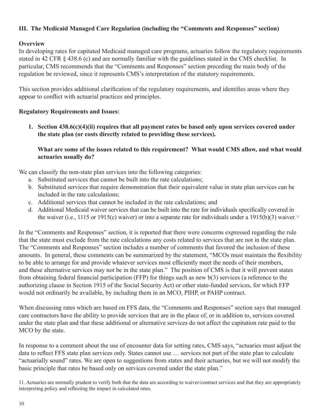### **III. The Medicaid Managed Care Regulation (including the "Comments and Responses" section)**

#### **Overview**

In developing rates for capitated Medicaid managed care programs, actuaries follow the regulatory requirements stated in 42 CFR § 438.6 (c) and are normally familiar with the guidelines stated in the CMS checklist. In particular, CMS recommends that the "Comments and Responses" section preceding the main body of the regulation be reviewed, since it represents CMS's interpretation of the statutory requirements.

This section provides additional clarification of the regulatory requirements, and identifies areas where they appear to conflict with actuarial practices and principles.

#### **Regulatory Requirements and Issues:**

**1. Section 438.6(c)(4)(ii) requires that all payment rates be based only upon services covered under the state plan (or costs directly related to providing these services).** 

#### **What are some of the issues related to this requirement? What would CMS allow, and what would actuaries usually do?**

We can classify the non-state plan services into the following categories:

- a. Substituted services that cannot be built into the rate calculations;
- b. Substituted services that require demonstration that their equivalent value in state plan services can be included in the rate calculations;
- c. Additional services that cannot be included in the rate calculations; and
- d. Additional Medicaid waiver services that can be built into the rate for individuals specifically covered in the waiver (i.e., 1115 or 1915(c) waiver) or into a separate rate for individuals under a 1915(b)(3) waiver.<sup>11</sup>

In the "Comments and Responses" section, it is reported that there were concerns expressed regarding the rule that the state must exclude from the rate calculations any costs related to services that are not in the state plan. The "Comments and Responses" section includes a number of comments that favored the inclusion of these amounts. In general, these comments can be summarized by the statement, "MCOs must maintain the flexibility to be able to arrange for and provide whatever services most efficiently meet the needs of their members, and these alternative services may not be in the state plan." The position of CMS is that it will prevent states from obtaining federal financial participation (FFP) for things such as new b(3) services (a reference to the authorizing clause in Section 1915 of the Social Security Act) or other state-funded services, for which FFP would not ordinarily be available, by including them in an MCO, PIHP, or PAHP contract.

When discussing rates which are based on FFS data, the "Comments and Responses" section says that managed care contractors have the ability to provide services that are in the place of, or in addition to, services covered under the state plan and that these additional or alternative services do not affect the capitation rate paid to the MCO by the state.

In response to a comment about the use of encounter data for setting rates, CMS says, "actuaries must adjust the data to reflect FFS state plan services only. States cannot use … services not part of the state plan to calculate "actuarially sound" rates. We are open to suggestions from states and their actuaries, but we will not modify the basic principle that rates be based only on services covered under the state plan."

11. Actuaries are normally prudent to verify both that the data are according to waiver/contract services and that they are appropriately interpreting policy and reflecting the impact in calculated rates.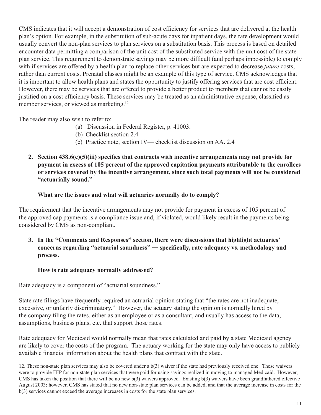CMS indicates that it will accept a demonstration of cost efficiency for services that are delivered at the health plan's option. For example, in the substitution of sub-acute days for inpatient days, the rate development would usually convert the non-plan services to plan services on a substitution basis. This process is based on detailed encounter data permitting a comparison of the unit cost of the substituted service with the unit cost of the state plan service. This requirement to demonstrate savings may be more difficult (and perhaps impossible) to comply with if services are offered by a health plan to replace other services but are expected to decrease *future* costs, rather than current costs. Prenatal classes might be an example of this type of service. CMS acknowledges that it is important to allow health plans and states the opportunity to justify offering services that are cost efficient. However, there may be services that are offered to provide a better product to members that cannot be easily justified on a cost efficiency basis. These services may be treated as an administrative expense, classified as member services, or viewed as marketing.<sup>12</sup>

The reader may also wish to refer to:

- (a) Discussion in Federal Register, p. 41003.
- (b) Checklist section 2.4
- (c) Practice note, section IV— checklist discussion on AA. 2.4
- **2. Section 438.6(c)(5)(iii) specifies that contracts with incentive arrangements may not provide for payment in excess of 105 percent of the approved capitation payments attributable to the enrollees or services covered by the incentive arrangement, since such total payments will not be considered "actuarially sound."**

#### **What are the issues and what will actuaries normally do to comply?**

The requirement that the incentive arrangements may not provide for payment in excess of 105 percent of the approved cap payments is a compliance issue and, if violated, would likely result in the payments being considered by CMS as non-compliant.

**3. In the "Comments and Responses" section, there were discussions that highlight actuaries' concerns regarding "actuarial soundness"** — **specifically, rate adequacy vs. methodology and process.** 

### **How is rate adequacy normally addressed?**

Rate adequacy is a component of "actuarial soundness."

State rate filings have frequently required an actuarial opinion stating that "the rates are not inadequate, excessive, or unfairly discriminatory." However, the actuary stating the opinion is normally hired by the company filing the rates, either as an employee or as a consultant, and usually has access to the data, assumptions, business plans, etc. that support those rates.

Rate adequacy for Medicaid would normally mean that rates calculated and paid by a state Medicaid agency are likely to cover the costs of the program. The actuary working for the state may only have access to publicly available financial information about the health plans that contract with the state.

12. These non-state plan services may also be covered under a b(3) waiver if the state had previously received one. These waivers were to provide FFP for non-state plan services that were paid for using savings realized in moving to managed Medicaid. However, CMS has taken the position that there will be no new  $b(3)$  waivers approved. Existing  $b(3)$  waivers have been grandfathered effective August 2003; however, CMS has stated that no new non-state plan services can be added, and that the average increase in costs for the b(3) services cannot exceed the average increases in costs for the state plan services.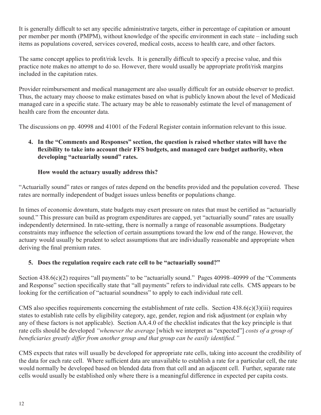It is generally difficult to set any specific administrative targets, either in percentage of capitation or amount per member per month (PMPM), without knowledge of the specific environment in each state – including such items as populations covered, services covered, medical costs, access to health care, and other factors.

The same concept applies to profit/risk levels. It is generally difficult to specify a precise value, and this practice note makes no attempt to do so. However, there would usually be appropriate profit/risk margins included in the capitation rates.

Provider reimbursement and medical management are also usually difficult for an outside observer to predict. Thus, the actuary may choose to make estimates based on what is publicly known about the level of Medicaid managed care in a specific state. The actuary may be able to reasonably estimate the level of management of health care from the encounter data.

The discussions on pp. 40998 and 41001 of the Federal Register contain information relevant to this issue.

### **4. In the "Comments and Responses" section, the question is raised whether states will have the flexibility to take into account their FFS budgets, and managed care budget authority, when developing "actuarially sound" rates.**

#### **How would the actuary usually address this?**

"Actuarially sound" rates or ranges of rates depend on the benefits provided and the population covered. These rates are normally independent of budget issues unless benefits or populations change.

In times of economic downturn, state budgets may exert pressure on rates that must be certified as "actuarially sound." This pressure can build as program expenditures are capped, yet "actuarially sound" rates are usually independently determined. In rate-setting, there is normally a range of reasonable assumptions. Budgetary constraints may influence the selection of certain assumptions toward the low end of the range. However, the actuary would usually be prudent to select assumptions that are individually reasonable and appropriate when deriving the final premium rates.

#### **5. Does the regulation require each rate cell to be "actuarially sound?"**

Section 438.6(c)(2) requires "all payments" to be "actuarially sound." Pages 40998–40999 of the "Comments" and Response" section specifically state that "all payments" refers to individual rate cells. CMS appears to be looking for the certification of "actuarial soundness" to apply to each individual rate cell.

CMS also specifies requirements concerning the establishment of rate cells. Section 438.6(c)(3)(iii) requires states to establish rate cells by eligibility category, age, gender, region and risk adjustment (or explain why any of these factors is not applicable). Section AA.4.0 of the checklist indicates that the key principle is that rate cells should be developed *"whenever the average* [which we interpret as "expected"] *costs of a group of beneficiaries greatly differ from another group and that group can be easily identified."* 

CMS expects that rates will usually be developed for appropriate rate cells, taking into account the credibility of the data for each rate cell. Where sufficient data are unavailable to establish a rate for a particular cell, the rate would normally be developed based on blended data from that cell and an adjacent cell. Further, separate rate cells would usually be established only where there is a meaningful difference in expected per capita costs.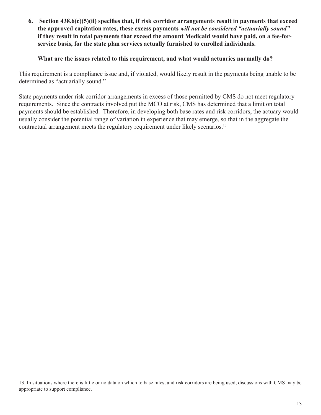**6. Section 438.6(c)(5)(ii) specifies that, if risk corridor arrangements result in payments that exceed the approved capitation rates, these excess payments** *will not be considered "actuarially sound"*  **if they result in total payments that exceed the amount Medicaid would have paid, on a fee-forservice basis, for the state plan services actually furnished to enrolled individuals.** 

#### **What are the issues related to this requirement, and what would actuaries normally do?**

This requirement is a compliance issue and, if violated, would likely result in the payments being unable to be determined as "actuarially sound."

contractual arrangement meets the regulatory requirement under likely scenarios.<sup>13</sup> State payments under risk corridor arrangements in excess of those permitted by CMS do not meet regulatory requirements. Since the contracts involved put the MCO at risk, CMS has determined that a limit on total payments should be established. Therefore, in developing both base rates and risk corridors, the actuary would usually consider the potential range of variation in experience that may emerge, so that in the aggregate the

13. In situations where there is little or no data on which to base rates, and risk corridors are being used, discussions with CMS may be appropriate to support compliance.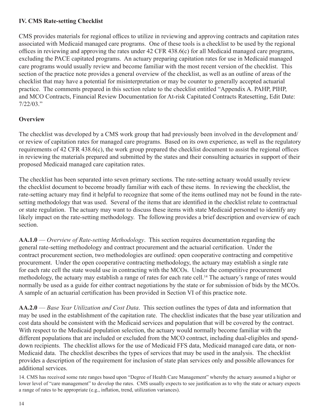#### **IV. CMS Rate-setting Checklist**

CMS provides materials for regional offices to utilize in reviewing and approving contracts and capitation rates associated with Medicaid managed care programs. One of these tools is a checklist to be used by the regional offices in reviewing and approving the rates under 42 CFR 438.6(c) for all Medicaid managed care programs, excluding the PACE capitated programs. An actuary preparing capitation rates for use in Medicaid managed care programs would usually review and become familiar with the most recent version of the checklist. This section of the practice note provides a general overview of the checklist, as well as an outline of areas of the checklist that may have a potential for misinterpretation or may be counter to generally accepted actuarial practice. The comments prepared in this section relate to the checklist entitled "Appendix A. PAHP, PIHP, and MCO Contracts, Financial Review Documentation for At-risk Capitated Contracts Ratesetting, Edit Date: 7/22/03."

### **Overview**

The checklist was developed by a CMS work group that had previously been involved in the development and/ or review of capitation rates for managed care programs. Based on its own experience, as well as the regulatory requirements of 42 CFR 438.6(c), the work group prepared the checklist document to assist the regional offices in reviewing the materials prepared and submitted by the states and their consulting actuaries in support of their proposed Medicaid managed care capitation rates.

The checklist has been separated into seven primary sections. The rate-setting actuary would usually review the checklist document to become broadly familiar with each of these items. In reviewing the checklist, the rate-setting actuary may find it helpful to recognize that some of the items outlined may not be found in the ratesetting methodology that was used. Several of the items that are identified in the checklist relate to contractual or state regulation. The actuary may want to discuss these items with state Medicaid personnel to identify any likely impact on the rate-setting methodology. The following provides a brief description and overview of each section.

**AA.1.0** — *Overview of Rate-setting Methodology*. This section requires documentation regarding the general rate-setting methodology and contract procurement and the actuarial certification. Under the contract procurement section, two methodologies are outlined: open cooperative contracting and competitive procurement. Under the open cooperative contracting methodology, the actuary may establish a single rate for each rate cell the state would use in contracting with the MCOs. Under the competitive procurement methodology, the actuary may establish a range of rates for each rate cell.<sup>14</sup> The actuary's range of rates would normally be used as a guide for either contract negotiations by the state or for submission of bids by the MCOs. A sample of an actuarial certification has been provided in Section VI of this practice note.

**AA.2.0** — *Base Year Utilization and Cost Data*. This section outlines the types of data and information that may be used in the establishment of the capitation rate. The checklist indicates that the base year utilization and cost data should be consistent with the Medicaid services and population that will be covered by the contract. With respect to the Medicaid population selection, the actuary would normally become familiar with the different populations that are included or excluded from the MCO contract, including dual-eligibles and spenddown recipients. The checklist allows for the use of Medicaid FFS data, Medicaid managed care data, or non-Medicaid data. The checklist describes the types of services that may be used in the analysis. The checklist provides a description of the requirement for inclusion of state plan services only and possible allowances for additional services.

14. CMS has received some rate ranges based upon "Degree of Health Care Management" whereby the actuary assumed a higher or lower level of "care management" to develop the rates. CMS usually expects to see justification as to why the state or actuary expects a range of rates to be appropriate (e.g., inflation, trend, utilization variances).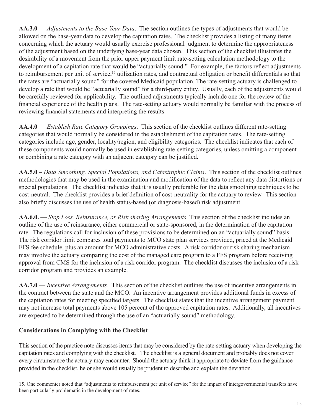**AA.3.0** — *Adjustments to the Base-Year Data*. The section outlines the types of adjustments that would be allowed on the base-year data to develop the capitation rates. The checklist provides a listing of many items concerning which the actuary would usually exercise professional judgment to determine the appropriateness of the adjustment based on the underlying base-year data chosen. This section of the checklist illustrates the desirability of a movement from the prior upper payment limit rate-setting calculation methodology to the development of a capitation rate that would be "actuarially sound." For example, the factors reflect adjustments to reimbursement per unit of service,<sup>15</sup> utilization rates, and contractual obligation or benefit differentials so that the rates are "actuarially sound" for the covered Medicaid population. The rate-setting actuary is challenged to develop a rate that would be "actuarially sound" for a third-party entity. Usually, each of the adjustments would be carefully reviewed for applicability. The outlined adjustments typically include one for the review of the financial experience of the health plans. The rate-setting actuary would normally be familiar with the process of reviewing financial statements and interpreting the results.

**AA.4.0** — *Establish Rate Category Groupings*. This section of the checklist outlines different rate-setting categories that would normally be considered in the establishment of the capitation rates. The rate-setting categories include age, gender, locality/region, and eligibility categories. The checklist indicates that each of these components would normally be used in establishing rate-setting categories, unless omitting a component or combining a rate category with an adjacent category can be justified.

**AA.5.0** – *Data Smoothing, Special Populations, and Catastrophic Claims*. This section of the checklist outlines methodologies that may be used in the examination and modification of the data to reflect any data distortions or special populations. The checklist indicates that it is usually preferable for the data smoothing techniques to be cost-neutral. The checklist provides a brief definition of cost-neutrality for the actuary to review. This section also briefly discusses the use of health status-based (or diagnosis-based) risk adjustment.

**AA.6.0.** — *Stop Loss, Reinsurance, or Risk sharing Arrangements*. This section of the checklist includes an outline of the use of reinsurance, either commercial or state-sponsored, in the determination of the capitation rate. The regulations call for inclusion of these provisions to be determined on an "actuarially sound" basis. The risk corridor limit compares total payments to MCO state plan services provided, priced at the Medicaid FFS fee schedule, plus an amount for MCO administrative costs. A risk corridor or risk sharing mechanism may involve the actuary comparing the cost of the managed care program to a FFS program before receiving approval from CMS for the inclusion of a risk corridor program. The checklist discusses the inclusion of a risk corridor program and provides an example.

**AA.7.0** — *Incentive Arrangements*. This section of the checklist outlines the use of incentive arrangements in the contract between the state and the MCO. An incentive arrangement provides additional funds in excess of the capitation rates for meeting specified targets. The checklist states that the incentive arrangement payment may not increase total payments above 105 percent of the approved capitation rates. Additionally, all incentives are expected to be determined through the use of an "actuarially sound" methodology.

### **Considerations in Complying with the Checklist**

 This section of the practice note discusses items that may be considered by the rate-setting actuary when developing the capitation rates and complying with the checklist. The checklist is a general document and probably does not cover every circumstance the actuary may encounter. Should the actuary think it appropriate to deviate from the guidance provided in the checklist, he or she would usually be prudent to describe and explain the deviation.

15. One commenter noted that "adjustments to reimbursement per unit of service" for the impact of intergovernmental transfers have been particularly problematic in the development of rates.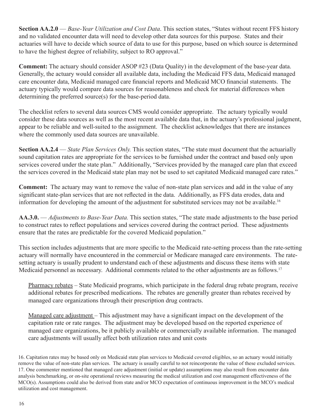**Section AA.2.0** — *Base-Year Utilization and Cost Data*. This section states, "States without recent FFS history and no validated encounter data will need to develop other data sources for this purpose. States and their actuaries will have to decide which source of data to use for this purpose, based on which source is determined to have the highest degree of reliability, subject to RO approval."

**Comment:** The actuary should consider ASOP #23 (Data Quality) in the development of the base-year data. Generally, the actuary would consider all available data, including the Medicaid FFS data, Medicaid managed care encounter data, Medicaid managed care financial reports and Medicaid MCO financial statements. The actuary typically would compare data sources for reasonableness and check for material differences when determining the preferred source(s) for the base-period data.

The checklist refers to several data sources CMS would consider appropriate. The actuary typically would consider these data sources as well as the most recent available data that, in the actuary's professional judgment, appear to be reliable and well-suited to the assignment. The checklist acknowledges that there are instances where the commonly used data sources are unavailable.

**Section AA.2.4** — *State Plan Services Only.* This section states, "The state must document that the actuarially sound capitation rates are appropriate for the services to be furnished under the contract and based only upon services covered under the state plan." Additionally, "Services provided by the managed care plan that exceed the services covered in the Medicaid state plan may not be used to set capitated Medicaid managed care rates."

 **Comment:** The actuary may want to remove the value of non-state plan services and add in the value of any significant state-plan services that are not reflected in the data. Additionally, as FFS data erodes, data and information for developing the amount of the adjustment for substituted services may not be available.<sup>16</sup>

**AA.3.0.** — *Adjustments to Base-Year Data.* This section states, "The state made adjustments to the base period to construct rates to reflect populations and services covered during the contract period. These adjustments ensure that the rates are predictable for the covered Medicaid population."

This section includes adjustments that are more specific to the Medicaid rate-setting process than the rate-setting actuary will normally have encountered in the commercial or Medicare managed care environments. The ratesetting actuary is usually prudent to understand each of these adjustments and discuss these items with state Medicaid personnel as necessary. Additional comments related to the other adjustments are as follows.<sup>17</sup>

Pharmacy rebates – State Medicaid programs, which participate in the federal drug rebate program, receive additional rebates for prescribed medications. The rebates are generally greater than rebates received by managed care organizations through their prescription drug contracts.

Managed care adjustment – This adjustment may have a significant impact on the development of the capitation rate or rate ranges. The adjustment may be developed based on the reported experience of managed care organizations, be it publicly available or commercially available information. The managed care adjustments will usually affect both utilization rates and unit costs

<sup>16.</sup> Capitation rates may be based only on Medicaid state plan services to Medicaid covered eligibles, so an actuary would initially remove the value of non-state plan services. The actuary is usually careful to not reincorporate the value of these excluded services. 17. One commenter mentioned that managed care adjustment (initial or update) assumptions may also result from encounter data analysis benchmarking, or on-site operational reviews measuring the medical utilization and cost management effectiveness of the MCO(s). Assumptions could also be derived from state and/or MCO expectation of continuous improvement in the MCO's medical utilization and cost management.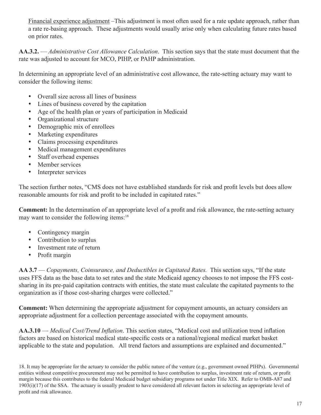Financial experience adjustment –This adjustment is most often used for a rate update approach, rather than a rate re-basing approach. These adjustments would usually arise only when calculating future rates based on prior rates.

**AA.3.2.** — *Administrative Cost Allowance Calculation*. This section says that the state must document that the rate was adjusted to account for MCO, PIHP, or PAHP administration.

In determining an appropriate level of an administrative cost allowance, the rate-setting actuary may want to consider the following items:

- Overall size across all lines of business
- Lines of business covered by the capitation
- Age of the health plan or years of participation in Medicaid
- Organizational structure
- Demographic mix of enrollees
- Marketing expenditures
- Claims processing expenditures
- Medical management expenditures
- Staff overhead expenses
- Member services
- Interpreter services

The section further notes, "CMS does not have established standards for risk and profit levels but does allow reasonable amounts for risk and profit to be included in capitated rates."

**Comment:** In the determination of an appropriate level of a profit and risk allowance, the rate-setting actuary may want to consider the following items:<sup>18</sup>

- Contingency margin
- Contribution to surplus
- Investment rate of return
- Profit margin

 **AA 3.7** — *Copayments, Coinsurance, and Deductibles in Capitated Rates.* This section says, "If the state uses FFS data as the base data to set rates and the state Medicaid agency chooses to not impose the FFS costsharing in its pre-paid capitation contracts with entities, the state must calculate the capitated payments to the organization as if those cost-sharing charges were collected."

**Comment:** When determining the appropriate adjustment for copayment amounts, an actuary considers an appropriate adjustment for a collection percentage associated with the copayment amounts.

**AA.3.10** — *Medical Cost/Trend Inflation*. This section states, "Medical cost and utilization trend inflation factors are based on historical medical state-specific costs or a national/regional medical market basket applicable to the state and population. All trend factors and assumptions are explained and documented."

<sup>18.</sup> It may be appropriate for the actuary to consider the public nature of the venture (e.g., government owned PIHPs). Governmental entities without competitive procurement may not be permitted to have contribution to surplus, investment rate of return, or profit margin because this contributes to the federal Medicaid budget subsidiary programs not under Title XIX. Refer to OMB-A87 and 1903(i)(17) of the SSA. The actuary is usually prudent to have considered all relevant factors in selecting an appropriate level of profit and risk allowance.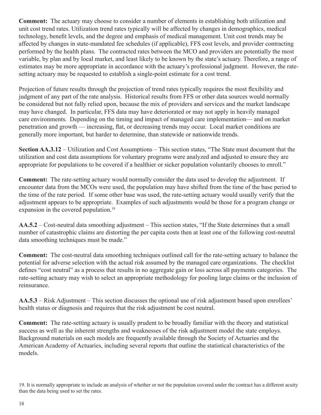**Comment:** The actuary may choose to consider a number of elements in establishing both utilization and unit cost trend rates. Utilization trend rates typically will be affected by changes in demographics, medical technology, benefit levels, and the degree and emphasis of medical management. Unit cost trends may be affected by changes in state-mandated fee schedules (if applicable), FFS cost levels, and provider contracting performed by the health plans. The contracted rates between the MCO and providers are potentially the most variable, by plan and by local market, and least likely to be known by the state's actuary. Therefore, a range of estimates may be more appropriate in accordance with the actuary's professional judgment. However, the ratesetting actuary may be requested to establish a single-point estimate for a cost trend.

Projection of future results through the projection of trend rates typically requires the most flexibility and judgment of any part of the rate analysis. Historical results from FFS or other data sources would normally be considered but not fully relied upon, because the mix of providers and services and the market landscape may have changed. In particular, FFS data may have deteriorated or may not apply in heavily managed care environments. Depending on the timing and impact of managed care implementation— and on market penetration and growth — increasing, flat, or decreasing trends may occur. Local market conditions are generally more important, but harder to determine, than statewide or nationwide trends.

**Section AA.3.12** – Utilization and Cost Assumptions – This section states, "The State must document that the utilization and cost data assumptions for voluntary programs were analyzed and adjusted to ensure they are appropriate for populations to be covered if a healthier or sicker population voluntarily chooses to enroll."

 **Comment:** The rate-setting actuary would normally consider the data used to develop the adjustment. If encounter data from the MCOs were used, the population may have shifted from the time of the base period to the time of the rate period. If some other base was used, the rate-setting actuary would usually verify that the adjustment appears to be appropriate. Examples of such adjustments would be those for a program change or expansion in the covered population.<sup>19</sup>

**AA.5.2** – Cost-neutral data smoothing adjustment – This section states, "If the State determines that a small number of catastrophic claims are distorting the per capita costs then at least one of the following cost-neutral data smoothing techniques must be made."

 **Comment:** The cost-neutral data smoothing techniques outlined call for the rate-setting actuary to balance the potential for adverse selection with the actual risk assumed by the managed care organizations. The checklist defines "cost neutral" as a process that results in no aggregate gain or loss across all payments categories. The rate-setting actuary may wish to select an appropriate methodology for pooling large claims or the inclusion of reinsurance.

**AA.5.3** – Risk Adjustment – This section discusses the optional use of risk adjustment based upon enrollees' health status or diagnosis and requires that the risk adjustment be cost neutral.

 **Comment:** The rate-setting actuary is usually prudent to be broadly familiar with the theory and statistical success as well as the inherent strengths and weaknesses of the risk adjustment model the state employs. Background materials on such models are frequently available through the Society of Actuaries and the American Academy of Actuaries, including several reports that outline the statistical characteristics of the models.

19. It is normally appropriate to include an analysis of whether or not the population covered under the contract has a different acuity than the data being used to set the rates.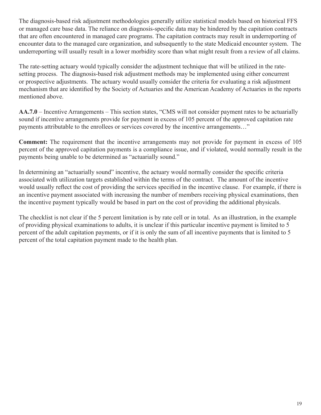The diagnosis-based risk adjustment methodologies generally utilize statistical models based on historical FFS or managed care base data. The reliance on diagnosis-specific data may be hindered by the capitation contracts that are often encountered in managed care programs. The capitation contracts may result in underreporting of encounter data to the managed care organization, and subsequently to the state Medicaid encounter system. The underreporting will usually result in a lower morbidity score than what might result from a review of all claims.

The rate-setting actuary would typically consider the adjustment technique that will be utilized in the ratesetting process. The diagnosis-based risk adjustment methods may be implemented using either concurrent or prospective adjustments. The actuary would usually consider the criteria for evaluating a risk adjustment mechanism that are identified by the Society of Actuaries and the American Academy of Actuaries in the reports mentioned above.

**AA.7.0** – Incentive Arrangements – This section states, "CMS will not consider payment rates to be actuarially sound if incentive arrangements provide for payment in excess of 105 percent of the approved capitation rate payments attributable to the enrollees or services covered by the incentive arrangements…"

**Comment:** The requirement that the incentive arrangements may not provide for payment in excess of 105 percent of the approved capitation payments is a compliance issue, and if violated, would normally result in the payments being unable to be determined as "actuarially sound."

In determining an "actuarially sound" incentive, the actuary would normally consider the specific criteria associated with utilization targets established within the terms of the contract. The amount of the incentive would usually reflect the cost of providing the services specified in the incentive clause. For example, if there is an incentive payment associated with increasing the number of members receiving physical examinations, then the incentive payment typically would be based in part on the cost of providing the additional physicals.

The checklist is not clear if the 5 percent limitation is by rate cell or in total. As an illustration, in the example of providing physical examinations to adults, it is unclear if this particular incentive payment is limited to 5 percent of the adult capitation payments, or if it is only the sum of all incentive payments that is limited to 5 percent of the total capitation payment made to the health plan.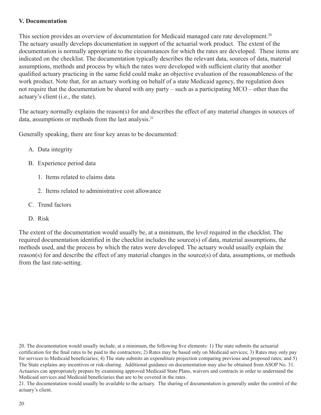#### **V. Documentation**

This section provides an overview of documentation for Medicaid managed care rate development.<sup>20</sup> The actuary usually develops documentation in support of the actuarial work product. The extent of the documentation is normally appropriate to the circumstances for which the rates are developed. These items are indicated on the checklist. The documentation typically describes the relevant data, sources of data, material assumptions, methods and process by which the rates were developed with sufficient clarity that another qualified actuary practicing in the same field could make an objective evaluation of the reasonableness of the work product. Note that, for an actuary working on behalf of a state Medicaid agency, the regulation does not require that the documentation be shared with any party – such as a participating MCO – other than the actuary's client (i.e., the state).

data, assumptions or methods from the last analysis.<sup>21</sup> The actuary normally explains the reason(s) for and describes the effect of any material changes in sources of

Generally speaking, there are four key areas to be documented:

- A. Data integrity
- B. Experience period data
	- 1. Items related to claims data
	- 2. Items related to administrative cost allowance
- C. Trend factors
- D. Risk

The extent of the documentation would usually be, at a minimum, the level required in the checklist. The required documentation identified in the checklist includes the source(s) of data, material assumptions, the methods used, and the process by which the rates were developed. The actuary would usually explain the reason(s) for and describe the effect of any material changes in the source(s) of data, assumptions, or methods from the last rate-setting.

20. The documentation would usually include, at a minimum, the following five elements: 1) The state submits the actuarial certification for the final rates to be paid to the contractors; 2) Rates may be based only on Medicaid services; 3) Rates may only pay for services to Medicaid beneficiaries; 4) The state submits an expenditure projection comparing previous and proposed rates; and 5) The State explains any incentives or risk-sharing. Additional guidance on documentation may also be obtained from ASOP No. 31. Actuaries can appropriately prepare by examining approved Medicaid State Plans, waivers and contracts in order to understand the Medicaid services and Medicaid beneficiaries that are to be covered in the rates.

21. The documentation would usually be available to the actuary. The sharing of documentation is generally under the control of the actuary's client.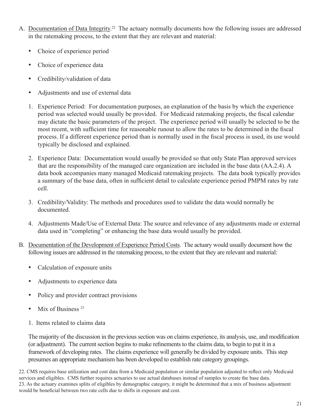- A. Documentation of Data Integrity.<sup>22</sup> The actuary normally documents how the following issues are addressed in the ratemaking process, to the extent that they are relevant and material:
	- Choice of experience period
	- Choice of experience data
	- Credibility/validation of data
	- Adjustments and use of external data
	- 1. Experience Period: For documentation purposes, an explanation of the basis by which the experience period was selected would usually be provided. For Medicaid ratemaking projects, the fiscal calendar may dictate the basic parameters of the project. The experience period will usually be selected to be the most recent, with sufficient time for reasonable runout to allow the rates to be determined in the fiscal process. If a different experience period than is normally used in the fiscal process is used, its use would typically be disclosed and explained.
	- 2. Experience Data: Documentation would usually be provided so that only State Plan approved services that are the responsibility of the managed care organization are included in the base data (AA.2.4). A data book accompanies many managed Medicaid ratemaking projects. The data book typically provides a summary of the base data, often in sufficient detail to calculate experience period PMPM rates by rate cell.
	- 3. Credibility/Validity: The methods and procedures used to validate the data would normally be documented.
	- 4. Adjustments Made/Use of External Data: The source and relevance of any adjustments made or external data used in "completing" or enhancing the base data would usually be provided.
- B. Documentation of the Development of Experience Period Costs. The actuary would usually document how the following issues are addressed in the ratemaking process, to the extent that they are relevant and material:
	- Calculation of exposure units
	- Adjustments to experience data
	- Policy and provider contract provisions
	- Mix of Business<sup>23</sup>
	- 1. Items related to claims data

 The majority of the discussion in the previous section was on claims experience, its analysis, use, and modification (or adjustment). The current section begins to make refinements to the claims data, to begin to put it in a framework of developing rates. The claims experience will generally be divided by exposure units. This step presumes an appropriate mechanism has been developed to establish rate category groupings.

22. CMS requires base utilization and cost data from a Medicaid population or similar population adjusted to reflect only Medicaid services and eligibles. CMS further requires actuaries to use actual databases instead of samples to create the base data. 23. As the actuary examines splits of eligibles by demographic category, it might be determined that a mix of business adjustment would be beneficial between two rate cells due to shifts in exposure and cost.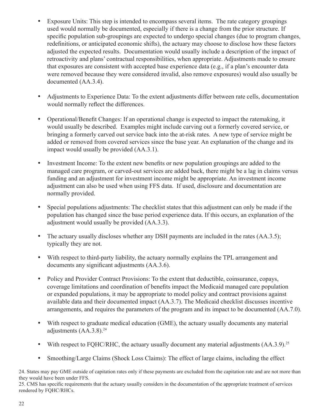- Exposure Units: This step is intended to encompass several items. The rate category groupings used would normally be documented, especially if there is a change from the prior structure. If specific population sub-groupings are expected to undergo special changes (due to program changes, redefinitions, or anticipated economic shifts), the actuary may choose to disclose how these factors adjusted the expected results. Documentation would usually include a description of the impact of retroactivity and plans' contractual responsibilities, when appropriate. Adjustments made to ensure that exposures are consistent with accepted base experience data (e.g., if a plan's encounter data were removed because they were considered invalid, also remove exposures) would also usually be documented (AA.3.4).
- Adjustments to Experience Data: To the extent adjustments differ between rate cells, documentation would normally reflect the differences.
- Operational/Benefit Changes: If an operational change is expected to impact the ratemaking, it would usually be described. Examples might include carving out a formerly covered service, or bringing a formerly carved out service back into the at-risk rates. A new type of service might be added or removed from covered services since the base year. An explanation of the change and its impact would usually be provided (AA.3.1).
- Investment Income: To the extent new benefits or new population groupings are added to the managed care program, or carved-out services are added back, there might be a lag in claims versus funding and an adjustment for investment income might be appropriate. An investment income adjustment can also be used when using FFS data. If used, disclosure and documentation are normally provided.
- Special populations adjustments: The checklist states that this adjustment can only be made if the population has changed since the base period experience data. If this occurs, an explanation of the adjustment would usually be provided (AA.3.3).
- The actuary usually discloses whether any DSH payments are included in the rates (AA.3.5); typically they are not.
- With respect to third-party liability, the actuary normally explains the TPL arrangement and documents any significant adjustments (AA.3.6).
- Policy and Provider Contract Provisions: To the extent that deductible, coinsurance, copays, coverage limitations and coordination of benefits impact the Medicaid managed care population or expanded populations, it may be appropriate to model policy and contract provisions against available data and their documented impact (AA.3.7). The Medicaid checklist discusses incentive arrangements, and requires the parameters of the program and its impact to be documented (AA.7.0).
- With respect to graduate medical education (GME), the actuary usually documents any material adjustments  $(AA.3.8).^{24}$
- With respect to FQHC/RHC, the actuary usually document any material adjustments  $(AA.3.9)^{25}$
- Smoothing/Large Claims (Shock Loss Claims): The effect of large claims, including the effect

24. States may pay GME outside of capitation rates only if these payments are excluded from the capitation rate and are not more than they would have been under FFS.

25. CMS has specific requirements that the actuary usually considers in the documentation of the appropriate treatment of services rendered by FQHC/RHCs.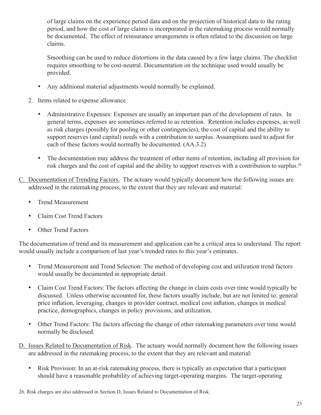of large claims on the experience period data and on the projection of historical data to the rating period, and how the cost of large claims is incorporated in the ratemaking process would normally be documented. The effect of reinsurance arrangements is often related to the discussion on large claims.

Smoothing can be used to reduce distortions in the data caused by a few large claims. The checklist requires smoothing to be cost-neutral. Documentation on the technique used would usually be provided.

- Any additional material adjustments would normally be explained.
- 2. Items related to expense allowance
	- Administrative Expenses: Expenses are usually an important part of the development of rates. In general terms, expenses are sometimes referred to as retention. Retention includes expenses, as well as risk charges (possibly for pooling or other contingencies), the cost of capital and the ability to support reserves (and capital) needs with a contribution to surplus. Assumptions used to adjust for each of these factors would normally be documented. (AA.3.2)
	- The documentation may address the treatment of other items of retention, including all provision for risk charges and the cost of capital and the ability to support reserves with a contribution to surplus.26
- C. Documentation of Trending Factors. The actuary would typically document how the following issues are addressed in the ratemaking process, to the extent that they are relevant and material:
	- Trend Measurement
	- Claim Cost Trend Factors
	- Other Trend Factors

The documentation of trend and its measurement and application can be a critical area to understand. The report would usually include a comparison of last year's trended rates to this year's estimates.

- Trend Measurement and Trend Selection: The method of developing cost and utilization trend factors would usually be documented in appropriate detail.
- Claim Cost Trend Factors: The factors affecting the change in claim costs over time would typically be discussed. Unless otherwise accounted for, these factors usually include, but are not limited to: general price inflation, leveraging, changes in provider contract, medical cost inflation, changes in medical practice, demographics, changes in policy provisions, and utilization.
- Other Trend Factors: The factors affecting the change of other ratemaking parameters over time would normally be disclosed.
- D. Issues Related to Documentation of Risk. The actuary would normally document how the following issues are addressed in the ratemaking process, to the extent that they are relevant and material:
	- Risk Provision: In an at-risk ratemaking process, there is typically an expectation that a participant should have a reasonable probability of achieving target-operating margins. The target-operating

<sup>26.</sup> Risk charges are also addressed in Section D, Issues Related to Documentation of Risk.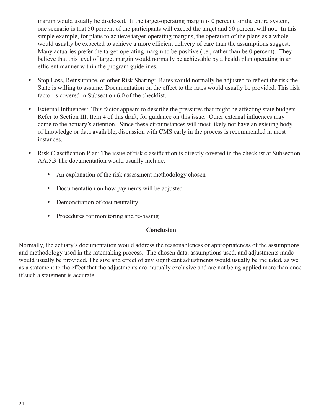margin would usually be disclosed. If the target-operating margin is 0 percent for the entire system, one scenario is that 50 percent of the participants will exceed the target and 50 percent will not. In this simple example, for plans to achieve target-operating margins, the operation of the plans as a whole would usually be expected to achieve a more efficient delivery of care than the assumptions suggest. Many actuaries prefer the target-operating margin to be positive (i.e., rather than be 0 percent). They believe that this level of target margin would normally be achievable by a health plan operating in an efficient manner within the program guidelines.

- Stop Loss, Reinsurance, or other Risk Sharing: Rates would normally be adjusted to reflect the risk the State is willing to assume. Documentation on the effect to the rates would usually be provided. This risk factor is covered in Subsection 6.0 of the checklist.
- External Influences: This factor appears to describe the pressures that might be affecting state budgets. Refer to Section III, Item 4 of this draft, for guidance on this issue. Other external influences may come to the actuary's attention. Since these circumstances will most likely not have an existing body of knowledge or data available, discussion with CMS early in the process is recommended in most instances.
- Risk Classification Plan: The issue of risk classification is directly covered in the checklist at Subsection AA.5.3 The documentation would usually include:
	- An explanation of the risk assessment methodology chosen
	- Documentation on how payments will be adjusted
	- Demonstration of cost neutrality
	- Procedures for monitoring and re-basing

## **Conclusion**

Normally, the actuary's documentation would address the reasonableness or appropriateness of the assumptions and methodology used in the ratemaking process. The chosen data, assumptions used, and adjustments made would usually be provided. The size and effect of any significant adjustments would usually be included, as well as a statement to the effect that the adjustments are mutually exclusive and are not being applied more than once if such a statement is accurate.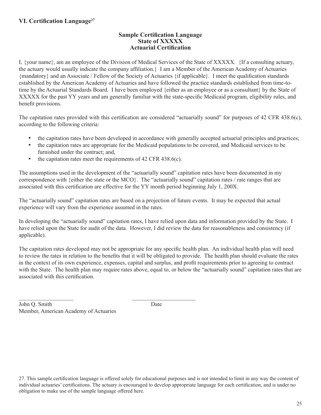## **VI. Certification Language27**

## **Sample Certification Language State of XXXXX Actuarial Certification**

I, {your name}, am an employee of the Division of Medical Services of the State of XXXXX. {If a consulting actuary, the actuary would usually indicate the company affiliation.} I am a Member of the American Academy of Actuaries {mandatory} and an Associate / Fellow of the Society of Actuaries {if applicable}. I meet the qualification standards established by the American Academy of Actuaries and have followed the practice standards established from time-totime by the Actuarial Standards Board. I have been employed {either as an employee or as a consultant} by the State of XXXXX for the past YY years and am generally familiar with the state-specific Medicaid program, eligibility rules, and benefit provisions.

The capitation rates provided with this certification are considered "actuarially sound" for purposes of 42 CFR 438.6(c), according to the following criteria:

- the capitation rates have been developed in accordance with generally accepted actuarial principles and practices;
- the capitation rates are appropriate for the Medicaid populations to be covered, and Medicaid services to be furnished under the contract; and,
- the capitation rates meet the requirements of 42 CFR 438.6(c).

\_\_\_\_\_\_\_\_\_\_\_\_\_\_\_\_\_\_\_ \_\_\_\_\_\_\_\_\_\_\_\_\_\_\_\_\_\_\_\_\_\_

The assumptions used in the development of the "actuarially sound" capitation rates have been documented in my correspondence with {either the state or the MCO}. The "actuarially sound" capitation rates / rate ranges that are associated with this certification are effective for the YY month period beginning July 1, 200X.

The "actuarially sound" capitation rates are based on a projection of future events. It may be expected that actual experience will vary from the experience assumed in the rates.

In developing the "actuarially sound" capitation rates, I have relied upon data and information provided by the State. I have relied upon the State for audit of the data. However, I did review the data for reasonableness and consistency (if applicable).

The capitation rates developed may not be appropriate for any specific health plan. An individual health plan will need to review the rates in relation to the benefits that it will be obligated to provide. The health plan should evaluate the rates in the context of its own experience, expenses, capital and surplus, and profit requirements prior to agreeing to contract with the State. The health plan may require rates above, equal to, or below the "actuarially sound" capitation rates that are associated with this certification.

John O. Smith Date Member, American Academy of Actuaries

27. This sample certification language is offered solely for educational purposes and is not intended to limit in any way the content of individual actuaries' certifications. The actuary is encouraged to develop appropriate language for each certification, and is under no obligation to make use of the sample language offered here.